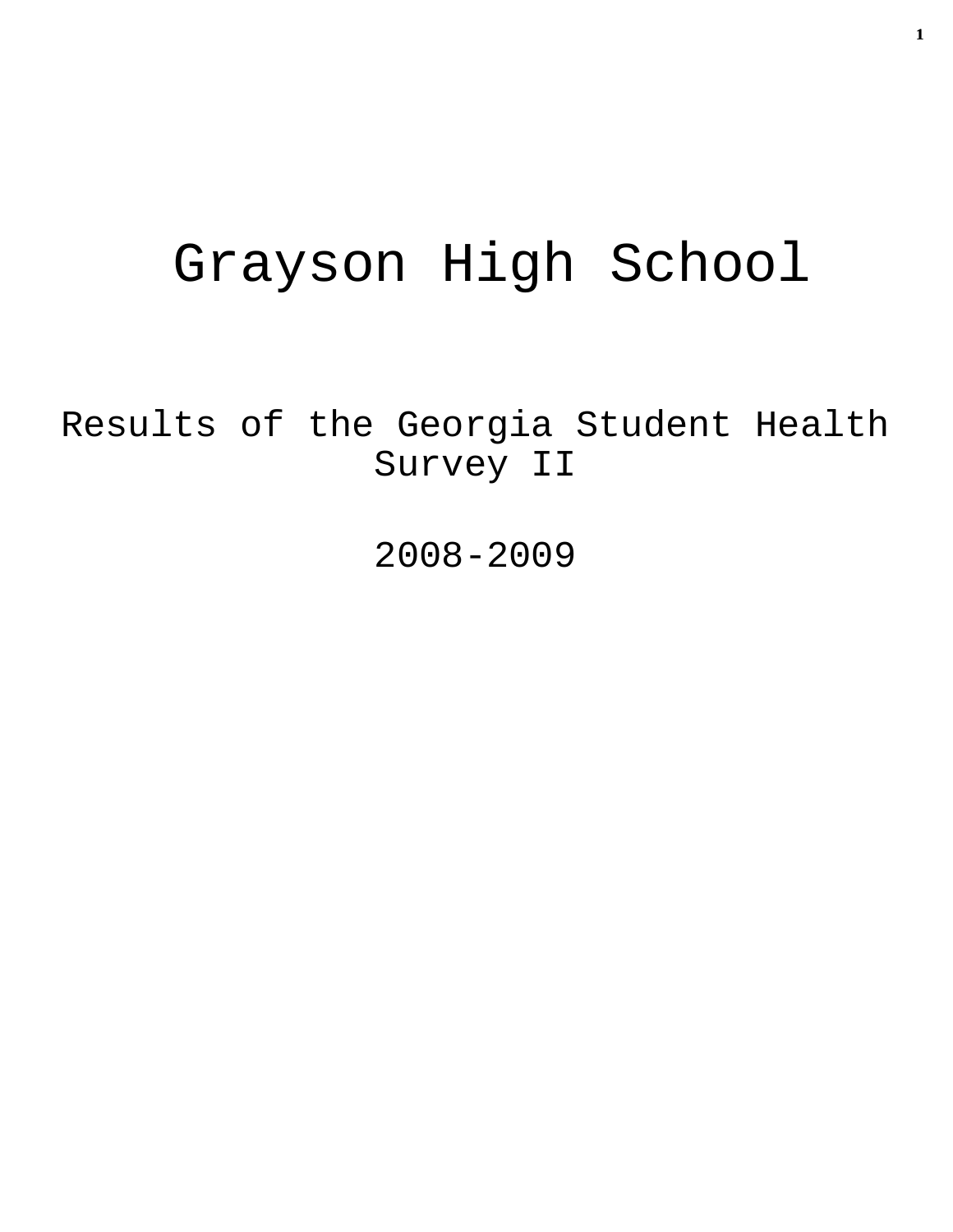# Grayson High School

Results of the Georgia Student Health Survey II

2008-2009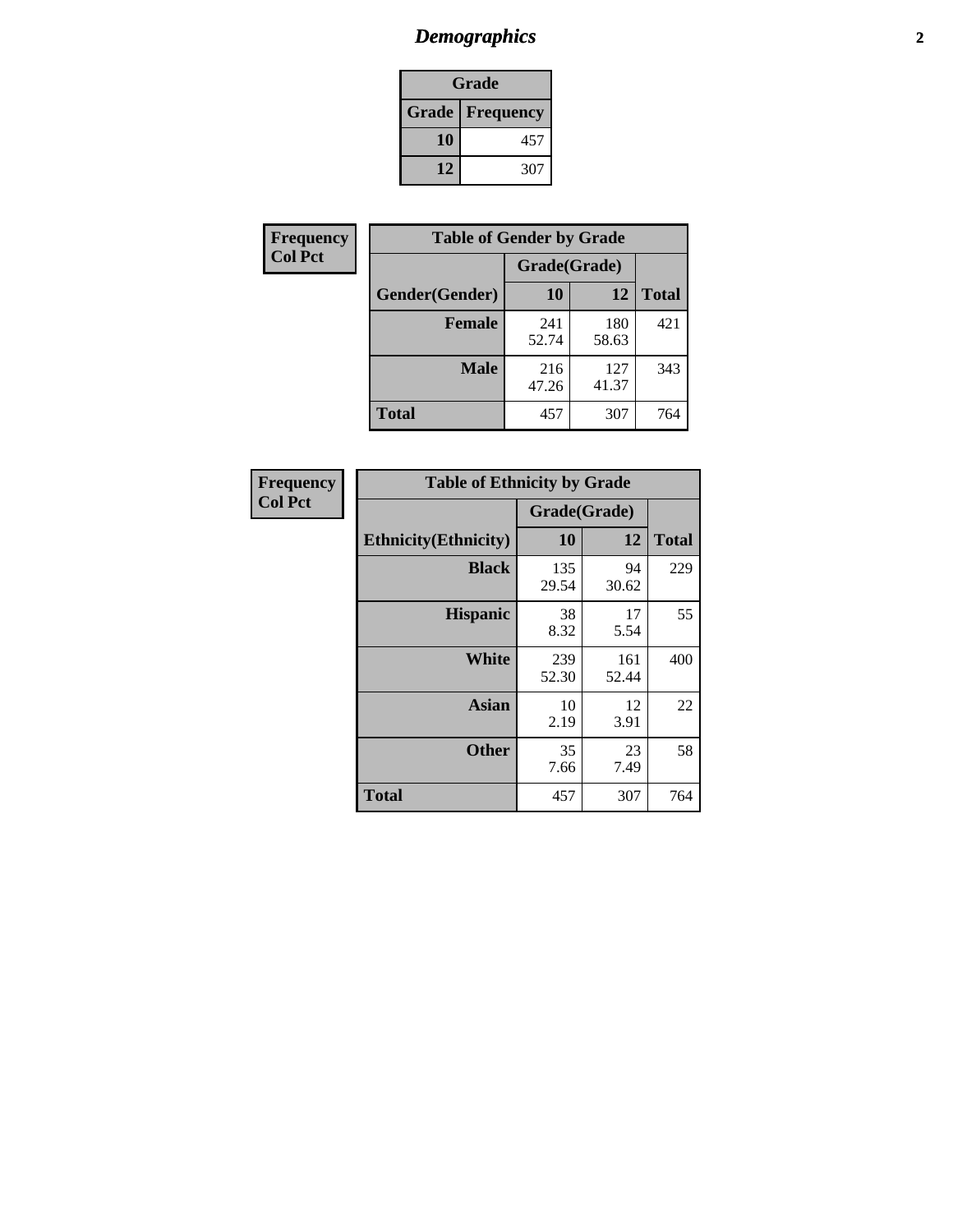# *Demographics* **2**

| Grade                    |     |  |  |
|--------------------------|-----|--|--|
| <b>Grade   Frequency</b> |     |  |  |
| 10                       | 457 |  |  |
| 12                       | 307 |  |  |

| Frequency      | <b>Table of Gender by Grade</b> |              |              |              |  |  |
|----------------|---------------------------------|--------------|--------------|--------------|--|--|
| <b>Col Pct</b> |                                 | Grade(Grade) |              |              |  |  |
|                | Gender(Gender)                  | 10           | 12           | <b>Total</b> |  |  |
|                | <b>Female</b>                   | 241<br>52.74 | 180<br>58.63 | 421          |  |  |
|                | <b>Male</b>                     | 216<br>47.26 | 127<br>41.37 | 343          |  |  |
|                | <b>Total</b>                    | 457          | 307          | 764          |  |  |

| Frequency<br>Col Pct |
|----------------------|

| <b>Table of Ethnicity by Grade</b> |              |              |              |  |  |  |
|------------------------------------|--------------|--------------|--------------|--|--|--|
|                                    | Grade(Grade) |              |              |  |  |  |
| <b>Ethnicity</b> (Ethnicity)       | 10           | 12           | <b>Total</b> |  |  |  |
| <b>Black</b>                       | 135<br>29.54 | 94<br>30.62  | 229          |  |  |  |
| <b>Hispanic</b>                    | 38<br>8.32   | 17<br>5.54   | 55           |  |  |  |
| White                              | 239<br>52.30 | 161<br>52.44 | 400          |  |  |  |
| <b>Asian</b>                       | 10<br>2.19   | 12<br>3.91   | 22           |  |  |  |
| <b>Other</b>                       | 35<br>7.66   | 23<br>7.49   | 58           |  |  |  |
| <b>Total</b>                       | 457          | 307          | 764          |  |  |  |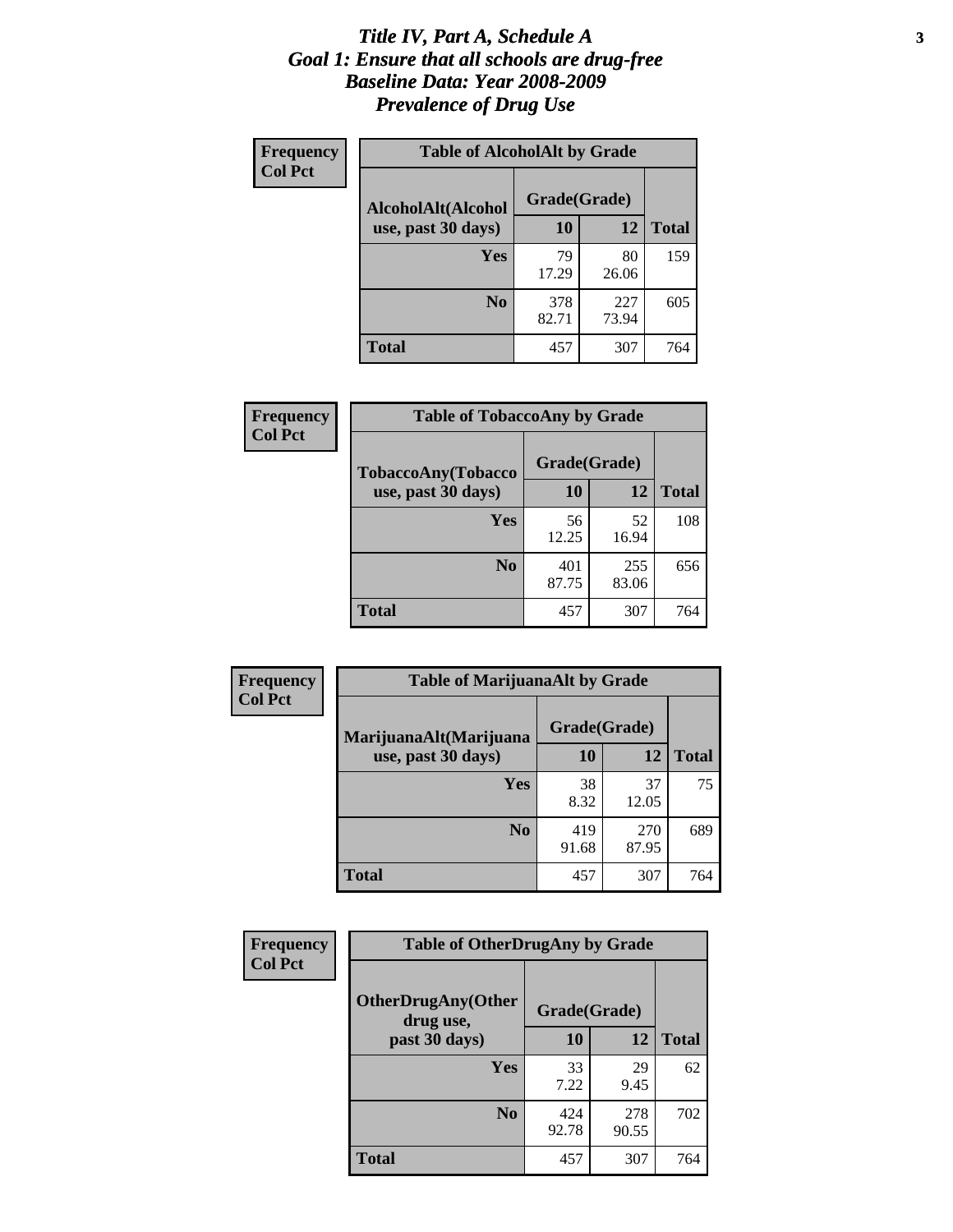#### *Title IV, Part A, Schedule A* **3** *Goal 1: Ensure that all schools are drug-free Baseline Data: Year 2008-2009 Prevalence of Drug Use*

| Frequency<br><b>Col Pct</b> | <b>Table of AlcoholAlt by Grade</b> |              |              |              |  |  |
|-----------------------------|-------------------------------------|--------------|--------------|--------------|--|--|
|                             | AlcoholAlt(Alcohol                  | Grade(Grade) |              |              |  |  |
|                             | use, past 30 days)                  | <b>10</b>    | 12           | <b>Total</b> |  |  |
|                             | Yes                                 | 79<br>17.29  | 80<br>26.06  | 159          |  |  |
|                             | N <sub>0</sub>                      | 378<br>82.71 | 227<br>73.94 | 605          |  |  |
|                             | Total                               | 457          | 307          | 764          |  |  |

| Frequency<br><b>Col Pct</b> | <b>Table of TobaccoAny by Grade</b> |              |              |              |  |
|-----------------------------|-------------------------------------|--------------|--------------|--------------|--|
|                             | TobaccoAny(Tobacco                  | Grade(Grade) |              |              |  |
|                             | use, past 30 days)                  | <b>10</b>    | 12           | <b>Total</b> |  |
|                             | Yes                                 | 56<br>12.25  | 52<br>16.94  | 108          |  |
|                             | N <sub>0</sub>                      | 401<br>87.75 | 255<br>83.06 | 656          |  |
|                             | <b>Total</b>                        | 457          | 307          | 764          |  |

| Frequency<br><b>Col Pct</b> | <b>Table of MarijuanaAlt by Grade</b> |              |              |              |  |
|-----------------------------|---------------------------------------|--------------|--------------|--------------|--|
|                             | MarijuanaAlt(Marijuana                | Grade(Grade) |              |              |  |
|                             | use, past 30 days)                    | <b>10</b>    | 12           | <b>Total</b> |  |
|                             | <b>Yes</b>                            | 38<br>8.32   | 37<br>12.05  | 75           |  |
|                             | N <sub>0</sub>                        | 419<br>91.68 | 270<br>87.95 | 689          |  |
|                             | <b>Total</b>                          | 457          | 307          | 764          |  |

| Frequency      | <b>Table of OtherDrugAny by Grade</b>  |              |              |              |  |
|----------------|----------------------------------------|--------------|--------------|--------------|--|
| <b>Col Pct</b> | <b>OtherDrugAny(Other</b><br>drug use, | Grade(Grade) |              |              |  |
|                | past 30 days)                          | 10           | 12           | <b>Total</b> |  |
|                | Yes                                    | 33<br>7.22   | 29<br>9.45   | 62           |  |
|                | N <sub>0</sub>                         | 424<br>92.78 | 278<br>90.55 | 702          |  |
|                | <b>Total</b>                           | 457          | 307          | 764          |  |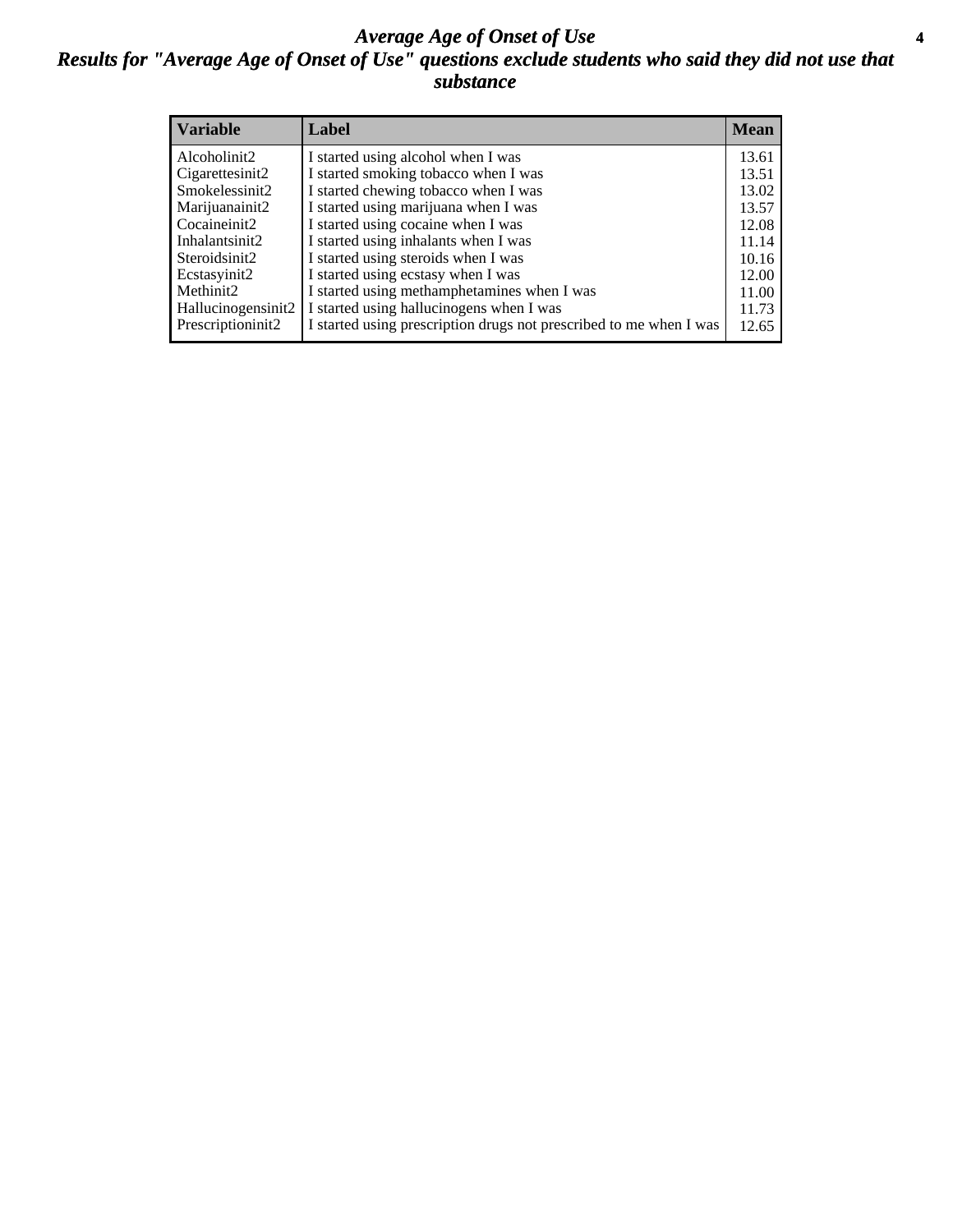#### *Average Age of Onset of Use* **4** *Results for "Average Age of Onset of Use" questions exclude students who said they did not use that substance*

| <b>Variable</b>    | Label                                                              | <b>Mean</b> |
|--------------------|--------------------------------------------------------------------|-------------|
| Alcoholinit2       | I started using alcohol when I was                                 | 13.61       |
| Cigarettesinit2    | I started smoking tobacco when I was                               | 13.51       |
| Smokelessinit2     | I started chewing tobacco when I was                               | 13.02       |
| Marijuanainit2     | I started using marijuana when I was                               | 13.57       |
| Cocaineinit2       | I started using cocaine when I was                                 | 12.08       |
| Inhalantsinit2     | I started using inhalants when I was                               | 11.14       |
| Steroidsinit2      | I started using steroids when I was                                | 10.16       |
| Ecstasyinit2       | I started using ecstasy when I was                                 | 12.00       |
| Methinit2          | I started using methamphetamines when I was                        | 11.00       |
| Hallucinogensinit2 | I started using hallucinogens when I was                           | 11.73       |
| Prescriptioninit2  | I started using prescription drugs not prescribed to me when I was | 12.65       |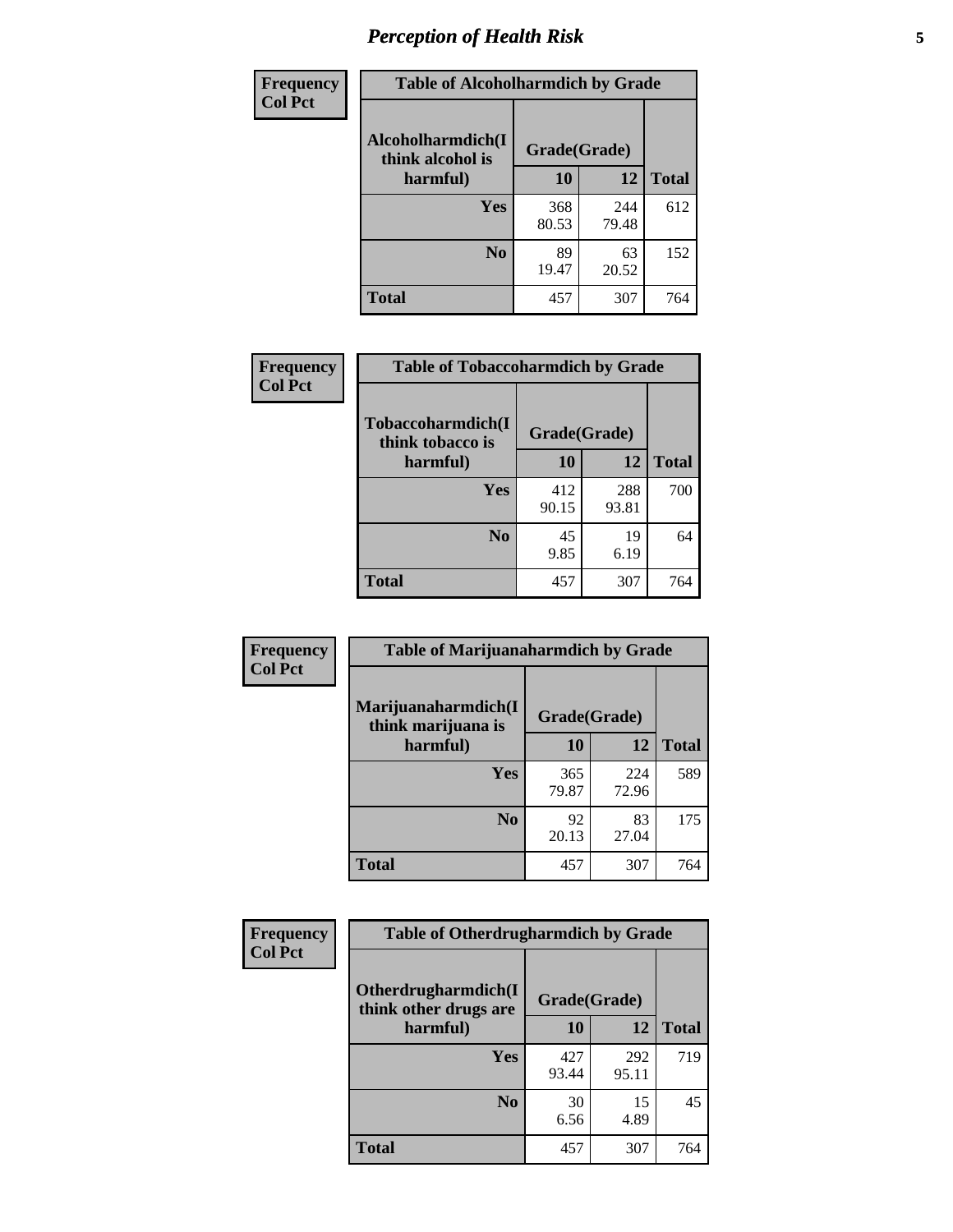# *Perception of Health Risk* **5**

| <b>Frequency</b> | <b>Table of Alcoholharmdich by Grade</b> |              |              |              |  |
|------------------|------------------------------------------|--------------|--------------|--------------|--|
| <b>Col Pct</b>   | Alcoholharmdich(I<br>think alcohol is    | Grade(Grade) |              |              |  |
|                  | harmful)                                 | 10           | 12           | <b>Total</b> |  |
|                  | <b>Yes</b>                               | 368<br>80.53 | 244<br>79.48 | 612          |  |
|                  | N <sub>0</sub>                           | 89<br>19.47  | 63<br>20.52  | 152          |  |
|                  | <b>Total</b>                             | 457          | 307          | 764          |  |

| Frequency      | <b>Table of Tobaccoharmdich by Grade</b> |              |              |              |  |
|----------------|------------------------------------------|--------------|--------------|--------------|--|
| <b>Col Pct</b> | Tobaccoharmdich(I<br>think tobacco is    | Grade(Grade) |              |              |  |
|                | harmful)                                 | 10           | 12           | <b>Total</b> |  |
|                | Yes                                      | 412<br>90.15 | 288<br>93.81 | 700          |  |
|                | N <sub>0</sub>                           | 45<br>9.85   | 19<br>6.19   | 64           |  |
|                | Total                                    | 457          | 307          | 764          |  |

| Frequency      | <b>Table of Marijuanaharmdich by Grade</b> |              |              |              |  |  |
|----------------|--------------------------------------------|--------------|--------------|--------------|--|--|
| <b>Col Pct</b> | Marijuanaharmdich(I<br>think marijuana is  | Grade(Grade) |              |              |  |  |
|                | harmful)                                   | 10           | 12           | <b>Total</b> |  |  |
|                | Yes                                        | 365<br>79.87 | 224<br>72.96 | 589          |  |  |
|                | N <sub>0</sub>                             | 92<br>20.13  | 83<br>27.04  | 175          |  |  |
|                | <b>Total</b>                               | 457          | 307          | 764          |  |  |

| <b>Frequency</b> | <b>Table of Otherdrugharmdich by Grade</b>   |              |              |              |  |  |  |  |
|------------------|----------------------------------------------|--------------|--------------|--------------|--|--|--|--|
| <b>Col Pct</b>   | Otherdrugharmdich(I<br>think other drugs are | Grade(Grade) |              |              |  |  |  |  |
|                  | harmful)                                     | 10           | 12           | <b>Total</b> |  |  |  |  |
|                  | <b>Yes</b>                                   | 427<br>93.44 | 292<br>95.11 | 719          |  |  |  |  |
|                  | N <sub>0</sub>                               | 30<br>6.56   | 15<br>4.89   | 45           |  |  |  |  |
|                  | <b>Total</b>                                 | 457          | 307          | 764          |  |  |  |  |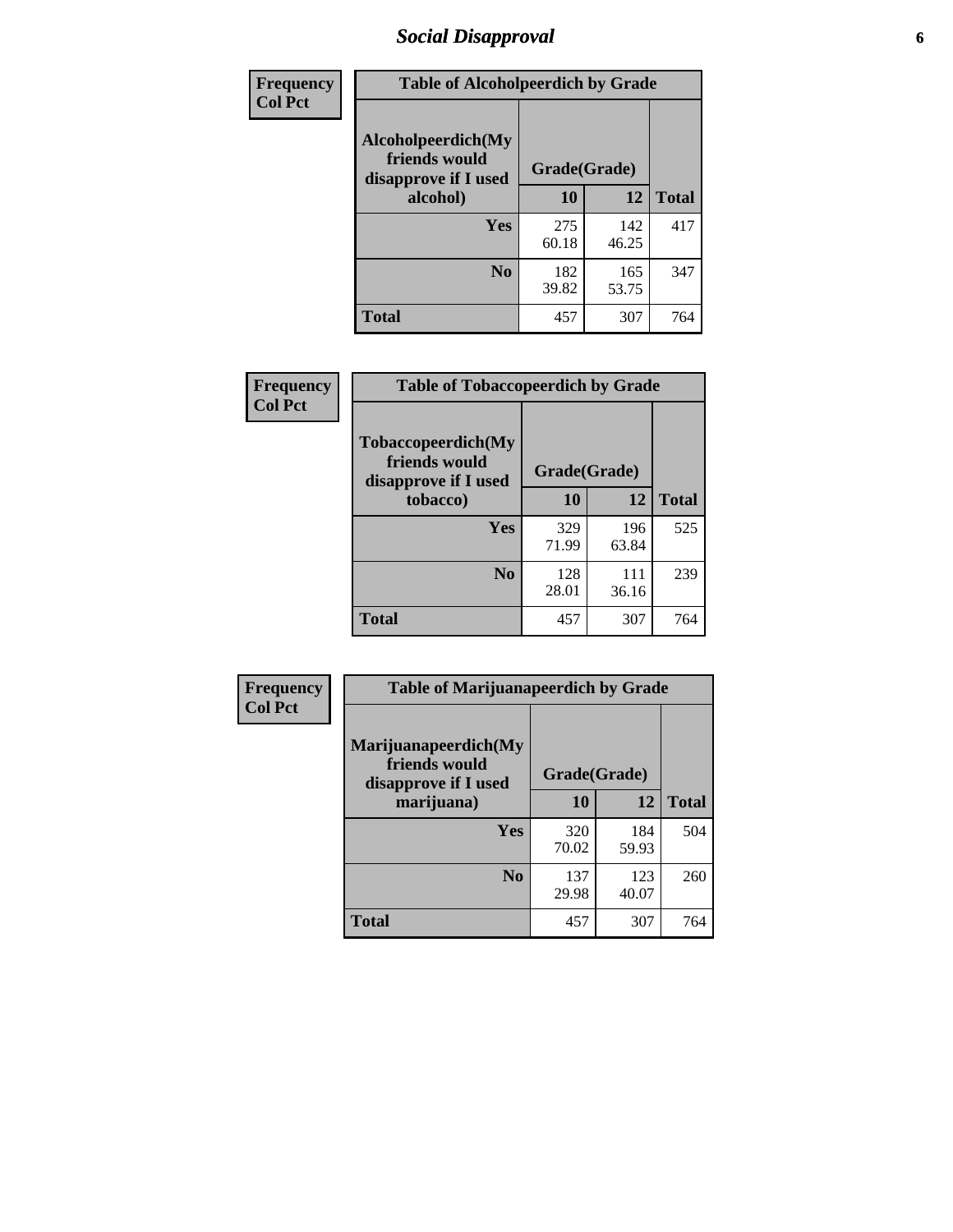# *Social Disapproval* **6**

| Frequency      | <b>Table of Alcoholpeerdich by Grade</b>                    |              |              |              |  |  |  |
|----------------|-------------------------------------------------------------|--------------|--------------|--------------|--|--|--|
| <b>Col Pct</b> | Alcoholpeerdich(My<br>friends would<br>disapprove if I used | Grade(Grade) |              |              |  |  |  |
|                | alcohol)                                                    | 10           | 12           | <b>Total</b> |  |  |  |
|                | <b>Yes</b>                                                  | 275<br>60.18 | 142<br>46.25 | 417          |  |  |  |
|                | N <sub>0</sub>                                              | 182<br>39.82 | 165<br>53.75 | 347          |  |  |  |
|                | <b>Total</b>                                                | 457          | 307          | 764          |  |  |  |

| <b>Frequency</b> |
|------------------|
| <b>Col Pct</b>   |

| <b>Table of Tobaccopeerdich by Grade</b>                    |              |              |              |  |  |  |
|-------------------------------------------------------------|--------------|--------------|--------------|--|--|--|
| Tobaccopeerdich(My<br>friends would<br>disapprove if I used | Grade(Grade) |              |              |  |  |  |
| tobacco)                                                    | 10           | 12           | <b>Total</b> |  |  |  |
| Yes                                                         | 329<br>71.99 | 196<br>63.84 | 525          |  |  |  |
| N <sub>0</sub>                                              | 128<br>28.01 | 111<br>36.16 | 239          |  |  |  |
| <b>Total</b>                                                | 457          | 307          | 764          |  |  |  |

| Frequency      | <b>Table of Marijuanapeerdich by Grade</b>                    |              |              |              |  |  |  |  |
|----------------|---------------------------------------------------------------|--------------|--------------|--------------|--|--|--|--|
| <b>Col Pct</b> | Marijuanapeerdich(My<br>friends would<br>disapprove if I used | Grade(Grade) |              |              |  |  |  |  |
|                | marijuana)                                                    | 10           | 12           | <b>Total</b> |  |  |  |  |
|                | <b>Yes</b>                                                    | 320<br>70.02 | 184<br>59.93 | 504          |  |  |  |  |
|                | N <sub>0</sub>                                                | 137<br>29.98 | 123<br>40.07 | 260          |  |  |  |  |
|                | <b>Total</b>                                                  | 457          | 307          | 764          |  |  |  |  |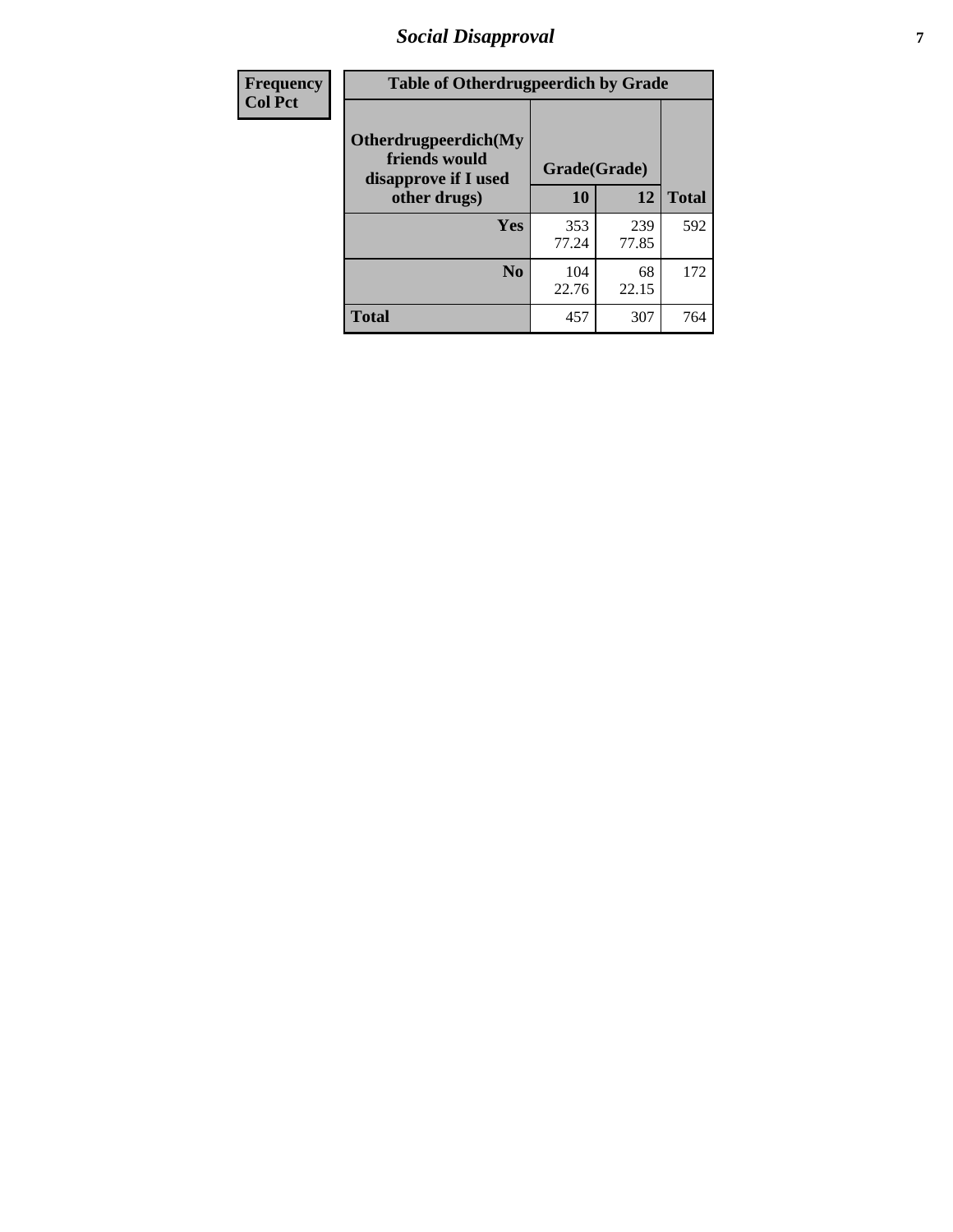# *Social Disapproval* **7**

| Frequency      | <b>Table of Otherdrugpeerdich by Grade</b>                    |              |              |              |  |  |  |  |
|----------------|---------------------------------------------------------------|--------------|--------------|--------------|--|--|--|--|
| <b>Col Pct</b> | Otherdrugpeerdich(My<br>friends would<br>disapprove if I used | Grade(Grade) |              |              |  |  |  |  |
|                | other drugs)                                                  | 10           | 12           | <b>Total</b> |  |  |  |  |
|                | <b>Yes</b>                                                    | 353<br>77.24 | 239<br>77.85 | 592          |  |  |  |  |
|                | N <sub>0</sub>                                                | 104<br>22.76 | 68<br>22.15  | 172          |  |  |  |  |
|                | <b>Total</b>                                                  | 457          | 307          | 764          |  |  |  |  |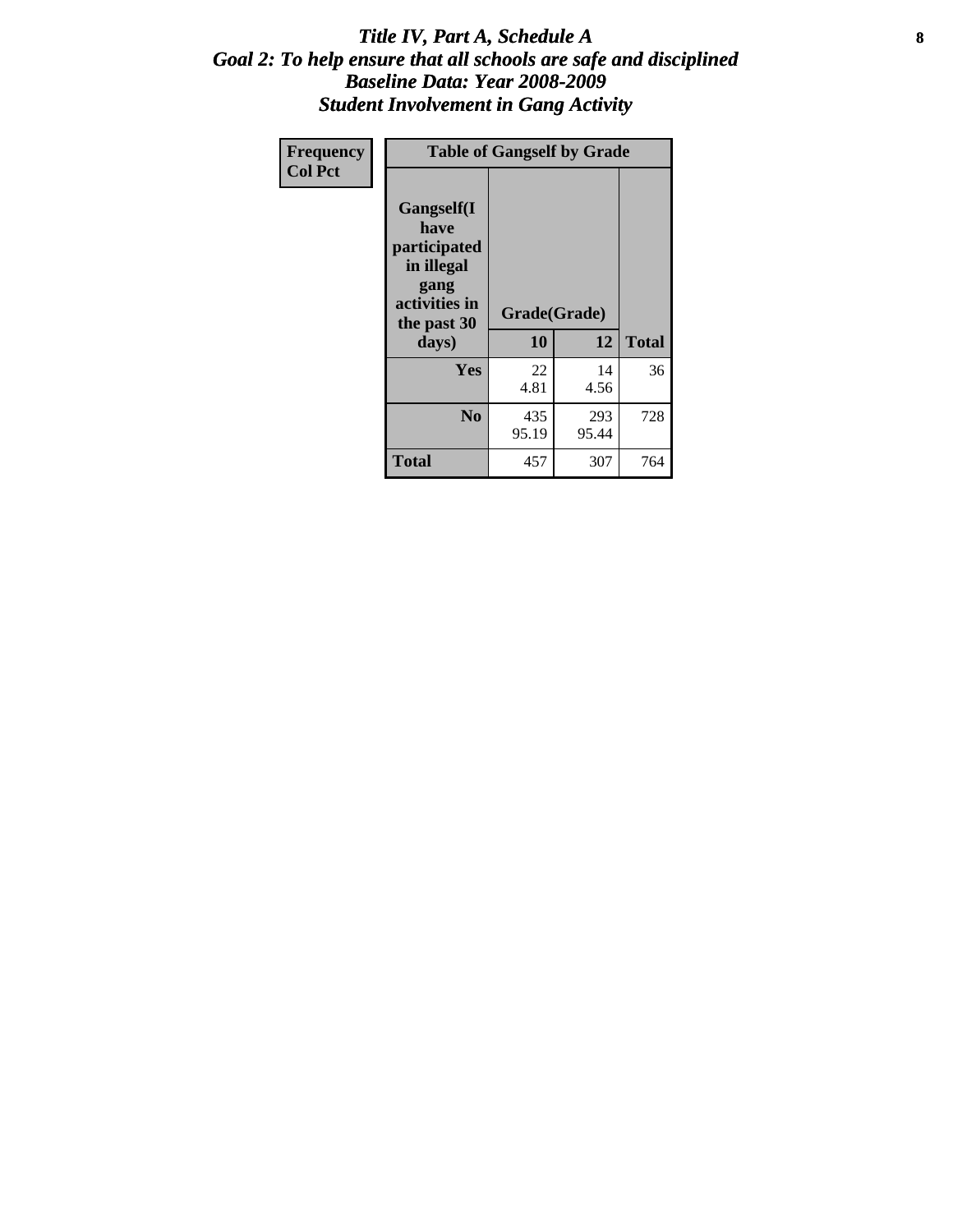#### Title IV, Part A, Schedule A **8** *Goal 2: To help ensure that all schools are safe and disciplined Baseline Data: Year 2008-2009 Student Involvement in Gang Activity*

| Frequency      | <b>Table of Gangself by Grade</b>                                                                 |                    |              |              |
|----------------|---------------------------------------------------------------------------------------------------|--------------------|--------------|--------------|
| <b>Col Pct</b> | Gangself(I<br>have<br>participated<br>in illegal<br>gang<br>activities in<br>the past 30<br>days) | Grade(Grade)<br>10 | 12           | <b>Total</b> |
|                | Yes                                                                                               | 22<br>4.81         | 14<br>4.56   | 36           |
|                | N <sub>0</sub>                                                                                    | 435<br>95.19       | 293<br>95.44 | 728          |
|                | <b>Total</b>                                                                                      | 457                | 307          | 764          |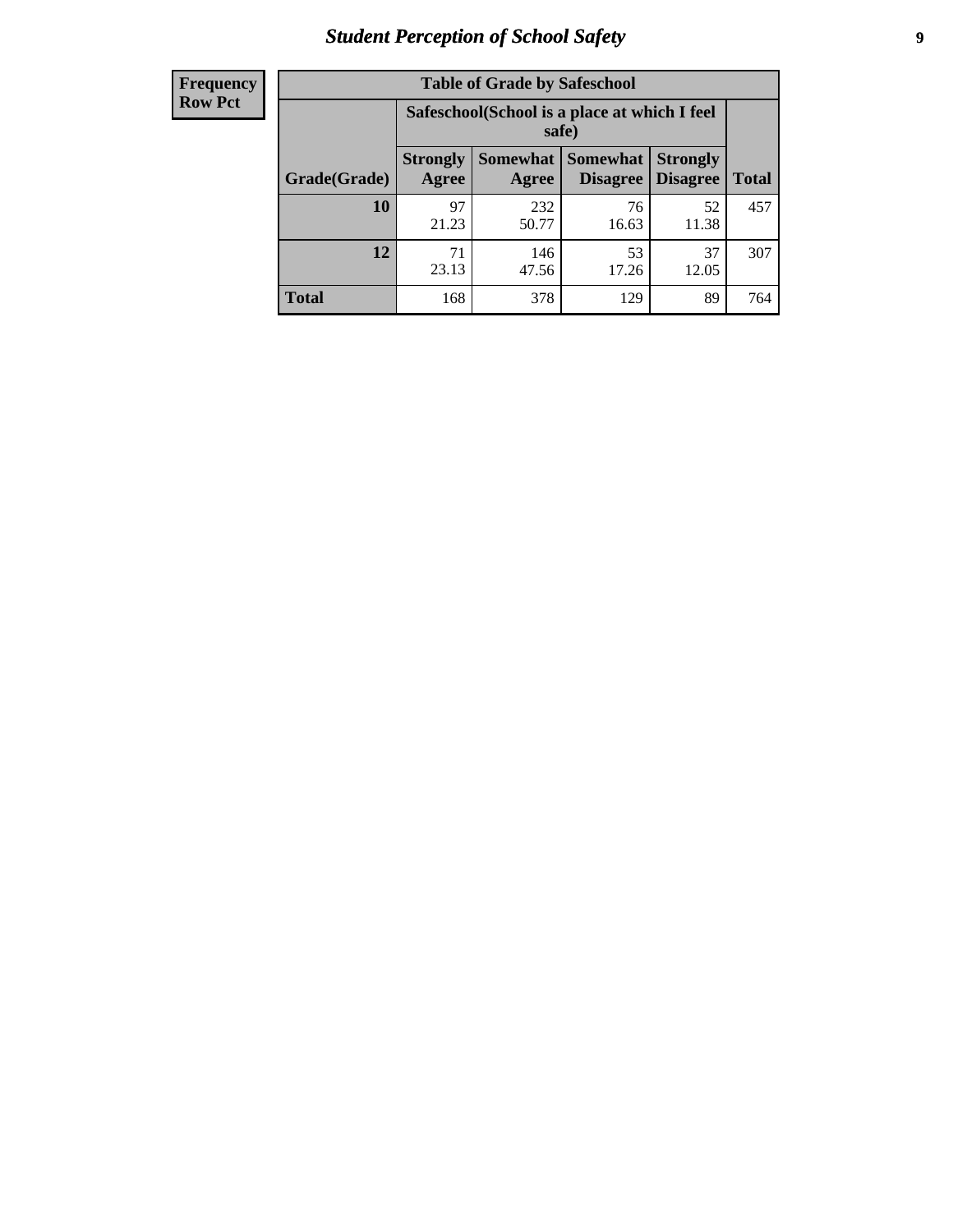# *Student Perception of School Safety* **9**

| <b>Frequency</b><br>Row Pct |
|-----------------------------|
|                             |

| <b>Table of Grade by Safeschool</b> |                                                        |                          |                             |                                    |              |  |  |
|-------------------------------------|--------------------------------------------------------|--------------------------|-----------------------------|------------------------------------|--------------|--|--|
|                                     | Safeschool (School is a place at which I feel<br>safe) |                          |                             |                                    |              |  |  |
| Grade(Grade)                        | <b>Strongly</b><br>Agree                               | <b>Somewhat</b><br>Agree | <b>Somewhat</b><br>Disagree | <b>Strongly</b><br><b>Disagree</b> | <b>Total</b> |  |  |
| 10                                  | 97<br>21.23                                            | 232<br>50.77             | 76<br>16.63                 | 52<br>11.38                        | 457          |  |  |
| 12                                  | 71<br>23.13                                            | 146<br>47.56             | 53<br>17.26                 | 37<br>12.05                        | 307          |  |  |
| <b>Total</b>                        | 168                                                    | 378                      | 129                         | 89                                 | 764          |  |  |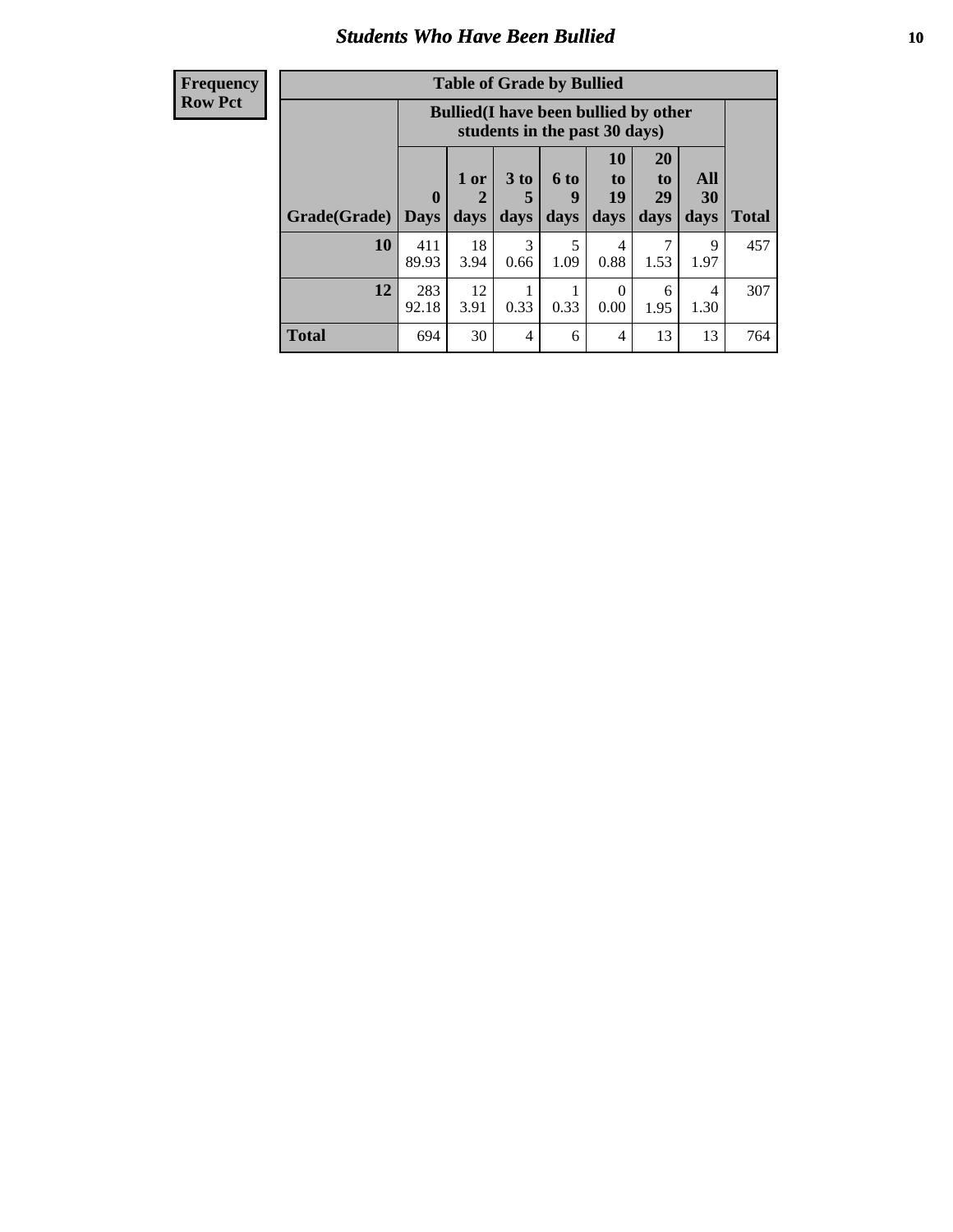### *Students Who Have Been Bullied* **10**

| <b>Frequency</b> |
|------------------|
| Row Pct          |

| <b>Table of Grade by Bullied</b> |                             |                                                                               |                              |                   |                               |                               |                   |              |
|----------------------------------|-----------------------------|-------------------------------------------------------------------------------|------------------------------|-------------------|-------------------------------|-------------------------------|-------------------|--------------|
|                                  |                             | <b>Bullied</b> (I have been bullied by other<br>students in the past 30 days) |                              |                   |                               |                               |                   |              |
| Grade(Grade)                     | $\mathbf{0}$<br><b>Days</b> | 1 or<br>2<br>days                                                             | 3 <sub>to</sub><br>5<br>days | 6 to<br>9<br>days | <b>10</b><br>to<br>19<br>days | <b>20</b><br>to<br>29<br>days | All<br>30<br>days | <b>Total</b> |
| 10                               | 411<br>89.93                | 18<br>3.94                                                                    | 3<br>0.66                    | 5<br>1.09         | 4<br>0.88                     | 7<br>1.53                     | 9<br>1.97         | 457          |
| 12                               | 283<br>92.18                | 12<br>3.91                                                                    | 0.33                         | 0.33              | $\theta$<br>0.00              | 6<br>1.95                     | 4<br>1.30         | 307          |
| <b>Total</b>                     | 694                         | 30                                                                            | 4                            | 6                 | 4                             | 13                            | 13                | 764          |

 $\blacksquare$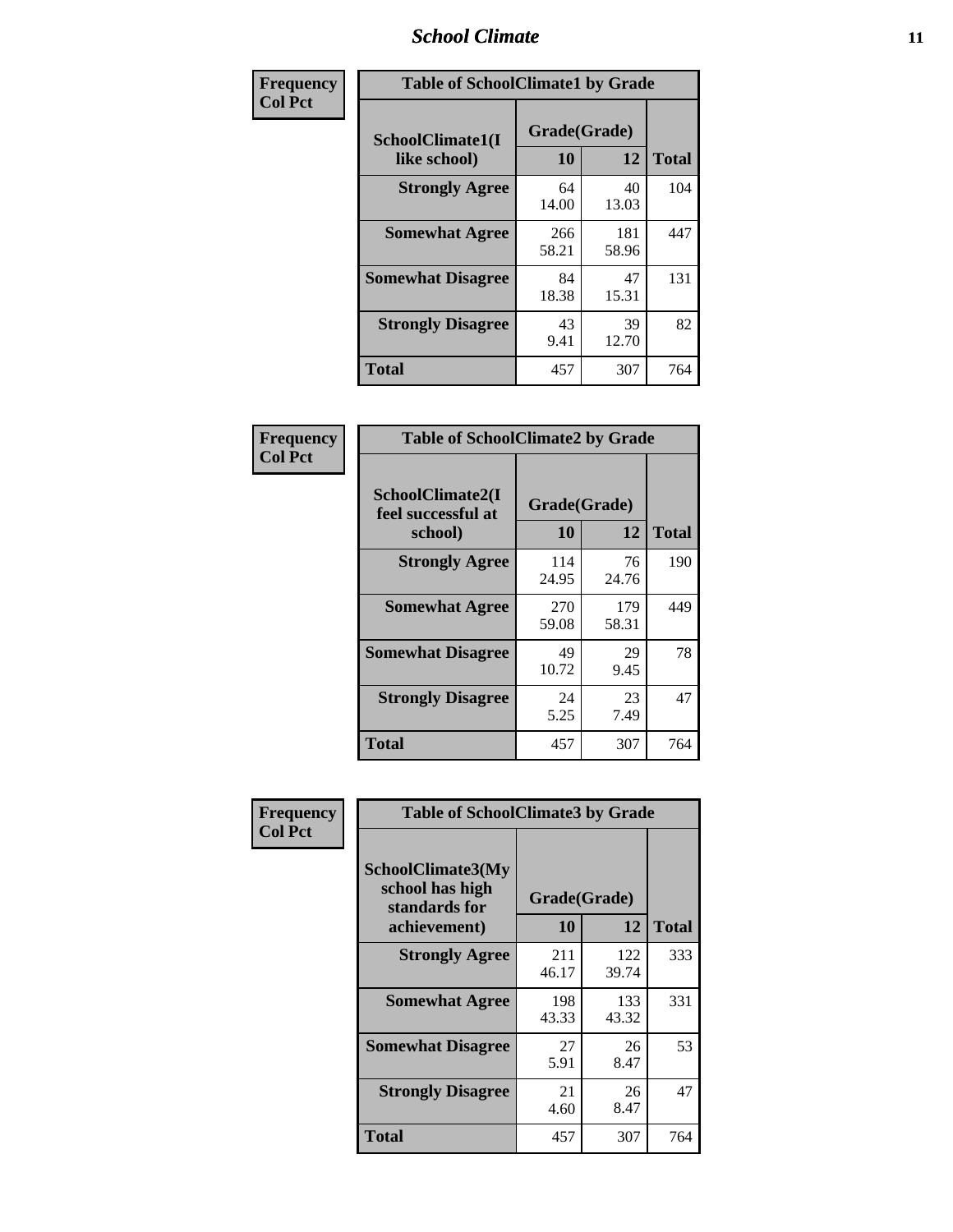### *School Climate* **11**

| <b>Frequency</b> | <b>Table of SchoolClimate1 by Grade</b> |                    |              |              |  |  |  |
|------------------|-----------------------------------------|--------------------|--------------|--------------|--|--|--|
| <b>Col Pct</b>   | SchoolClimate1(I<br>like school)        | Grade(Grade)<br>10 | 12           | <b>Total</b> |  |  |  |
|                  | <b>Strongly Agree</b>                   | 64<br>14.00        | 40<br>13.03  | 104          |  |  |  |
|                  | <b>Somewhat Agree</b>                   | 266<br>58.21       | 181<br>58.96 | 447          |  |  |  |
|                  | <b>Somewhat Disagree</b>                | 84<br>18.38        | 47<br>15.31  | 131          |  |  |  |
|                  | <b>Strongly Disagree</b>                | 43<br>9.41         | 39<br>12.70  | 82           |  |  |  |
|                  | <b>Total</b>                            | 457                | 307          | 764          |  |  |  |

| <b>Table of SchoolClimate2 by Grade</b>           |                    |              |              |  |  |
|---------------------------------------------------|--------------------|--------------|--------------|--|--|
| SchoolClimate2(I<br>feel successful at<br>school) | Grade(Grade)<br>10 | 12           | <b>Total</b> |  |  |
| <b>Strongly Agree</b>                             | 114<br>24.95       | 76<br>24.76  | 190          |  |  |
| <b>Somewhat Agree</b>                             | 270<br>59.08       | 179<br>58.31 | 449          |  |  |
| <b>Somewhat Disagree</b>                          | 49<br>10.72        | 29<br>9.45   | 78           |  |  |
| <b>Strongly Disagree</b>                          | 24<br>5.25         | 23<br>7.49   | 47           |  |  |
| <b>Total</b>                                      | 457                | 307          | 764          |  |  |

| Frequency      | <b>Table of SchoolClimate3 by Grade</b>               |              |              |              |  |  |
|----------------|-------------------------------------------------------|--------------|--------------|--------------|--|--|
| <b>Col Pct</b> | SchoolClimate3(My<br>school has high<br>standards for | Grade(Grade) |              |              |  |  |
|                | achievement)                                          | <b>10</b>    | 12           | <b>Total</b> |  |  |
|                | <b>Strongly Agree</b>                                 | 211<br>46.17 | 122<br>39.74 | 333          |  |  |
|                | <b>Somewhat Agree</b>                                 | 198<br>43.33 | 133<br>43.32 | 331          |  |  |
|                | <b>Somewhat Disagree</b>                              | 27<br>5.91   | 26<br>8.47   | 53           |  |  |
|                | <b>Strongly Disagree</b>                              | 21<br>4.60   | 26<br>8.47   | 47           |  |  |
|                | Total                                                 | 457          | 307          | 764          |  |  |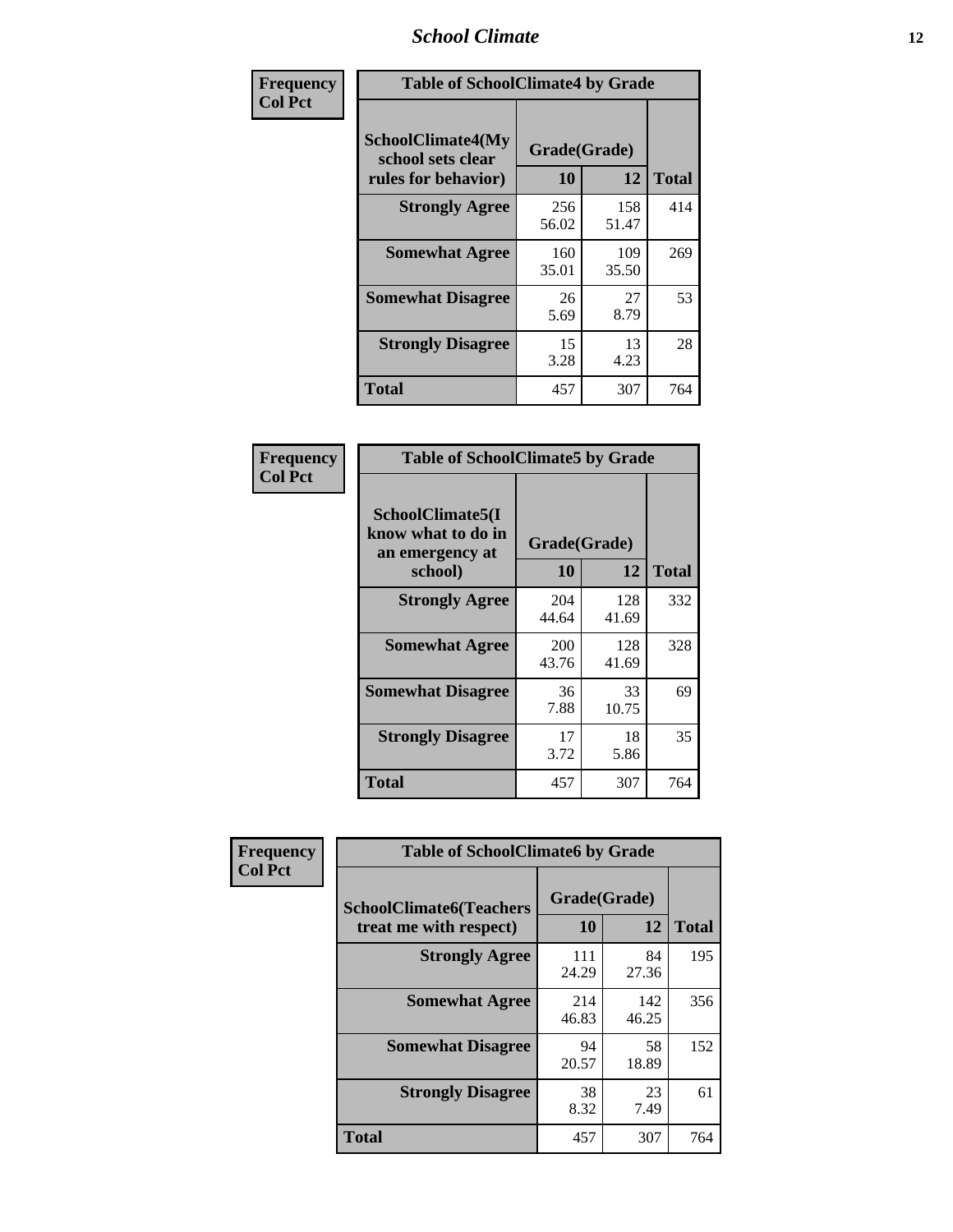### *School Climate* **12**

| Frequency      |                                                                      | <b>Table of SchoolClimate4 by Grade</b> |              |              |  |
|----------------|----------------------------------------------------------------------|-----------------------------------------|--------------|--------------|--|
| <b>Col Pct</b> | <b>SchoolClimate4(My</b><br>school sets clear<br>rules for behavior) | Grade(Grade)<br>10                      | 12           | <b>Total</b> |  |
|                | <b>Strongly Agree</b>                                                | 256<br>56.02                            | 158<br>51.47 | 414          |  |
|                | <b>Somewhat Agree</b>                                                | 160<br>35.01                            | 109<br>35.50 | 269          |  |
|                | <b>Somewhat Disagree</b>                                             | 26<br>5.69                              | 27<br>8.79   | 53           |  |
|                | <b>Strongly Disagree</b>                                             | 15<br>3.28                              | 13<br>4.23   | 28           |  |
|                | Total                                                                | 457                                     | 307          | 764          |  |

| <b>Table of SchoolClimate5 by Grade</b>                   |              |              |              |  |  |
|-----------------------------------------------------------|--------------|--------------|--------------|--|--|
| SchoolClimate5(I<br>know what to do in<br>an emergency at | Grade(Grade) |              |              |  |  |
| school)                                                   | 10           | 12           | <b>Total</b> |  |  |
| <b>Strongly Agree</b>                                     | 204<br>44.64 | 128<br>41.69 | 332          |  |  |
| <b>Somewhat Agree</b>                                     | 200<br>43.76 | 128<br>41.69 | 328          |  |  |
| <b>Somewhat Disagree</b>                                  | 36<br>7.88   | 33<br>10.75  | 69           |  |  |
| <b>Strongly Disagree</b>                                  | 17<br>3.72   | 18<br>5.86   | 35           |  |  |
| <b>Total</b>                                              | 457          | 307          | 764          |  |  |

| Frequency      | <b>Table of SchoolClimate6 by Grade</b>                  |                    |              |              |
|----------------|----------------------------------------------------------|--------------------|--------------|--------------|
| <b>Col Pct</b> | <b>SchoolClimate6(Teachers</b><br>treat me with respect) | Grade(Grade)<br>10 | 12           | <b>Total</b> |
|                | <b>Strongly Agree</b>                                    | 111<br>24.29       | 84<br>27.36  | 195          |
|                | <b>Somewhat Agree</b>                                    | 214<br>46.83       | 142<br>46.25 | 356          |
|                | <b>Somewhat Disagree</b>                                 | 94<br>20.57        | 58<br>18.89  | 152          |
|                | <b>Strongly Disagree</b>                                 | 38<br>8.32         | 23<br>7.49   | 61           |
|                | <b>Total</b>                                             | 457                | 307          | 764          |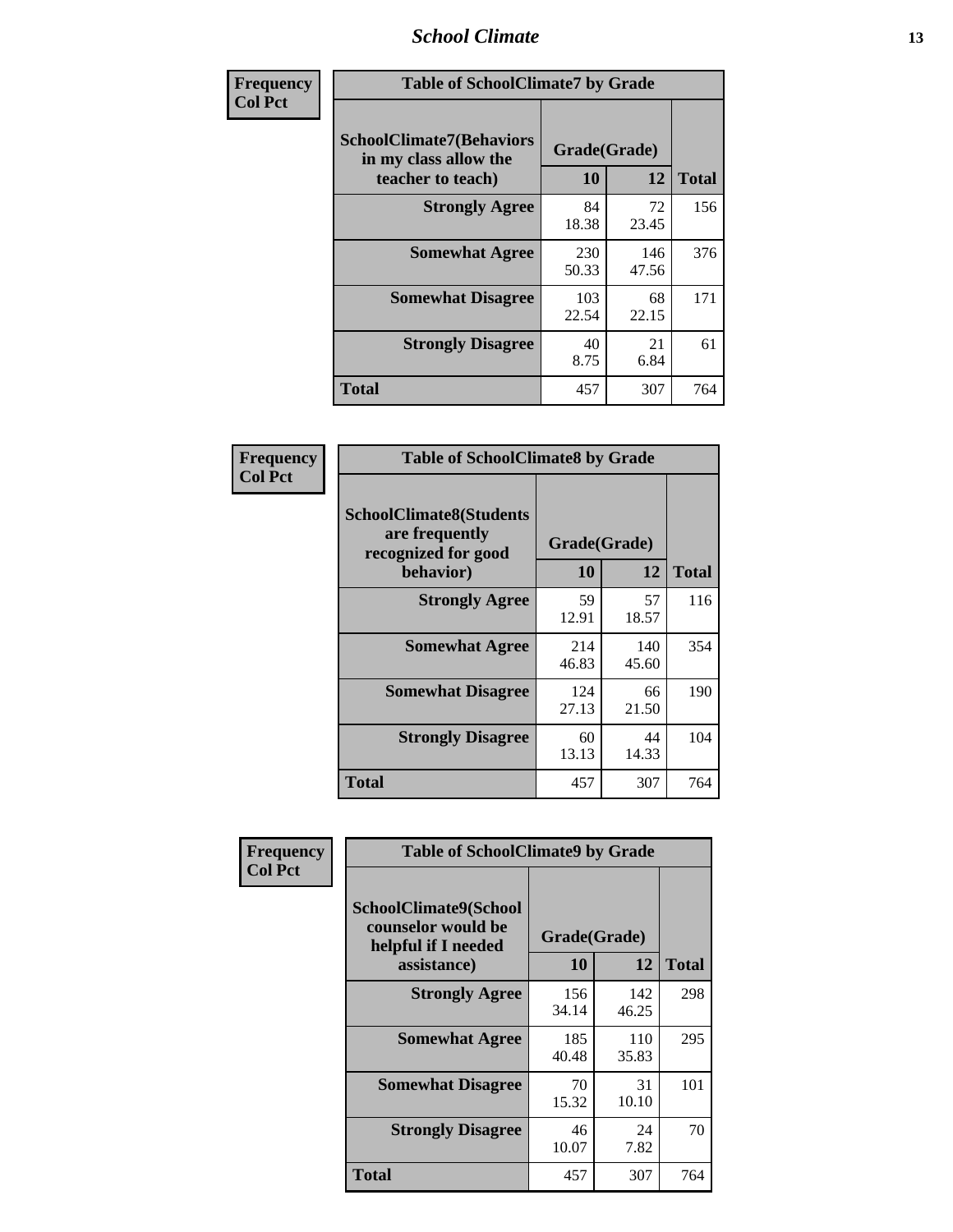### *School Climate* **13**

| Frequency      | <b>Table of SchoolClimate7 by Grade</b>                                       |                           |              |              |
|----------------|-------------------------------------------------------------------------------|---------------------------|--------------|--------------|
| <b>Col Pct</b> | <b>SchoolClimate7(Behaviors</b><br>in my class allow the<br>teacher to teach) | Grade(Grade)<br><b>10</b> | 12           | <b>Total</b> |
|                | <b>Strongly Agree</b>                                                         | 84<br>18.38               | 72<br>23.45  | 156          |
|                | <b>Somewhat Agree</b>                                                         | 230<br>50.33              | 146<br>47.56 | 376          |
|                | <b>Somewhat Disagree</b>                                                      | 103<br>22.54              | 68<br>22.15  | 171          |
|                | <b>Strongly Disagree</b>                                                      | 40<br>8.75                | 21<br>6.84   | 61           |
|                | <b>Total</b>                                                                  | 457                       | 307          | 764          |

| Frequency      | <b>Table of SchoolClimate8 by Grade</b>                                              |                    |              |              |
|----------------|--------------------------------------------------------------------------------------|--------------------|--------------|--------------|
| <b>Col Pct</b> | <b>SchoolClimate8(Students</b><br>are frequently<br>recognized for good<br>behavior) | Grade(Grade)<br>10 | 12           | <b>Total</b> |
|                | <b>Strongly Agree</b>                                                                | 59<br>12.91        | 57<br>18.57  | 116          |
|                | <b>Somewhat Agree</b>                                                                | 214<br>46.83       | 140<br>45.60 | 354          |
|                | <b>Somewhat Disagree</b>                                                             | 124<br>27.13       | 66<br>21.50  | 190          |
|                | <b>Strongly Disagree</b>                                                             | 60<br>13.13        | 44<br>14.33  | 104          |
|                | <b>Total</b>                                                                         | 457                | 307          | 764          |

| Frequency      | <b>Table of SchoolClimate9 by Grade</b>                                           |                    |              |              |
|----------------|-----------------------------------------------------------------------------------|--------------------|--------------|--------------|
| <b>Col Pct</b> | SchoolClimate9(School<br>counselor would be<br>helpful if I needed<br>assistance) | Grade(Grade)<br>10 | 12           | <b>Total</b> |
|                | <b>Strongly Agree</b>                                                             | 156<br>34.14       | 142<br>46.25 | 298          |
|                | <b>Somewhat Agree</b>                                                             | 185<br>40.48       | 110<br>35.83 | 295          |
|                | <b>Somewhat Disagree</b>                                                          | 70<br>15.32        | 31<br>10.10  | 101          |
|                | <b>Strongly Disagree</b>                                                          | 46<br>10.07        | 24<br>7.82   | 70           |
|                | <b>Total</b>                                                                      | 457                | 307          | 764          |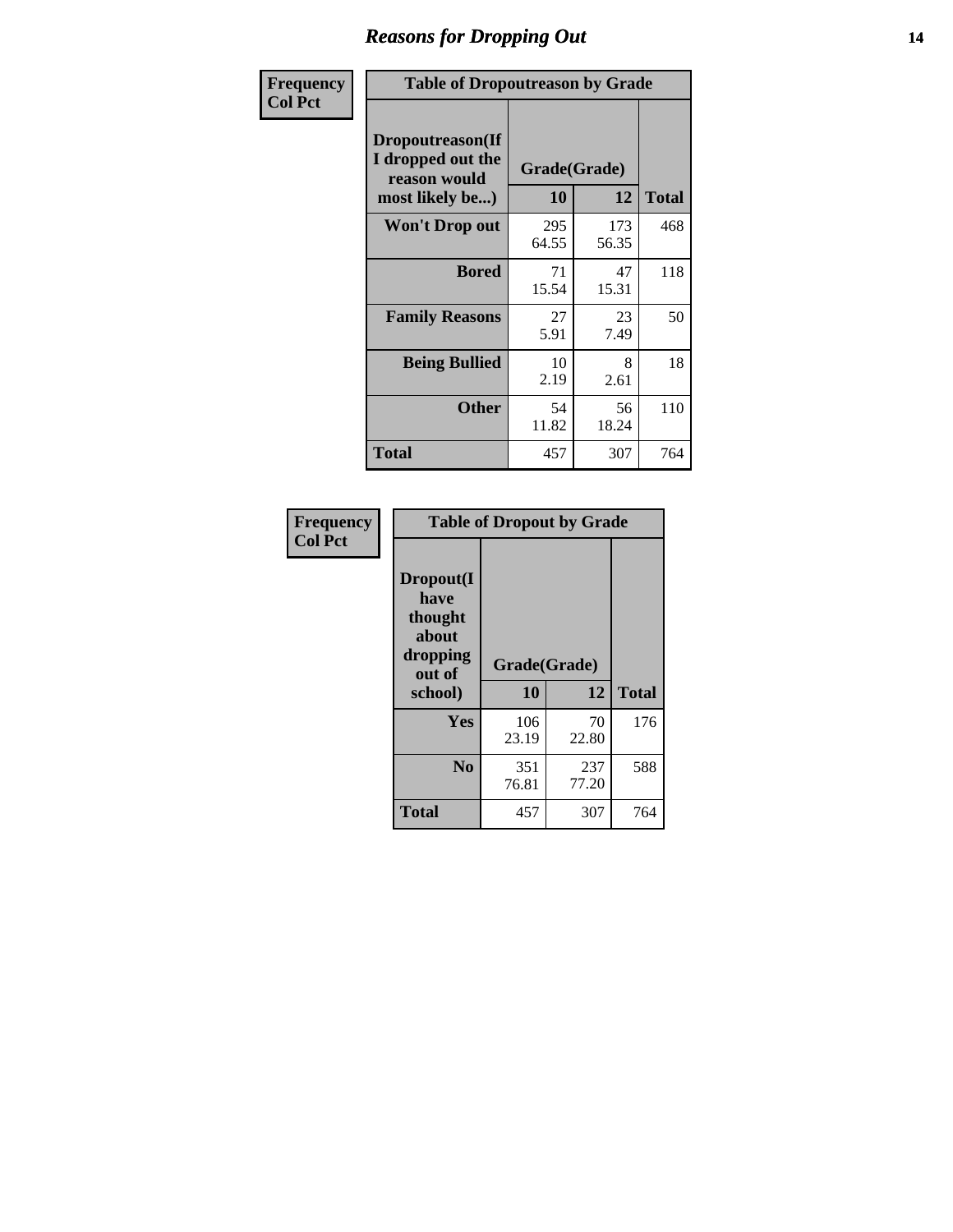### *Reasons for Dropping Out* **14**

| Frequency      |                                                                          | <b>Table of Dropoutreason by Grade</b> |              |              |  |
|----------------|--------------------------------------------------------------------------|----------------------------------------|--------------|--------------|--|
| <b>Col Pct</b> | Dropoutreason(If<br>I dropped out the<br>reason would<br>most likely be) | Grade(Grade)<br>10                     | 12           | <b>Total</b> |  |
|                | <b>Won't Drop out</b>                                                    | 295<br>64.55                           | 173<br>56.35 | 468          |  |
|                | <b>Bored</b>                                                             | 71<br>15.54                            | 47<br>15.31  | 118          |  |
|                | <b>Family Reasons</b>                                                    | 27<br>5.91                             | 23<br>7.49   | 50           |  |
|                | <b>Being Bullied</b>                                                     | 10<br>2.19                             | 8<br>2.61    | 18           |  |
|                | <b>Other</b>                                                             | 54<br>11.82                            | 56<br>18.24  | 110          |  |
|                | <b>Total</b>                                                             | 457                                    | 307          | 764          |  |

| Frequency      | <b>Table of Dropout by Grade</b>                                       |                    |              |              |  |
|----------------|------------------------------------------------------------------------|--------------------|--------------|--------------|--|
| <b>Col Pct</b> | Dropout(I<br>have<br>thought<br>about<br>dropping<br>out of<br>school) | Grade(Grade)<br>10 | 12           | <b>Total</b> |  |
|                | Yes                                                                    | 106<br>23.19       | 70<br>22.80  | 176          |  |
|                | N <sub>0</sub>                                                         | 351<br>76.81       | 237<br>77.20 | 588          |  |
|                | <b>Total</b>                                                           | 457                | 307          | 764          |  |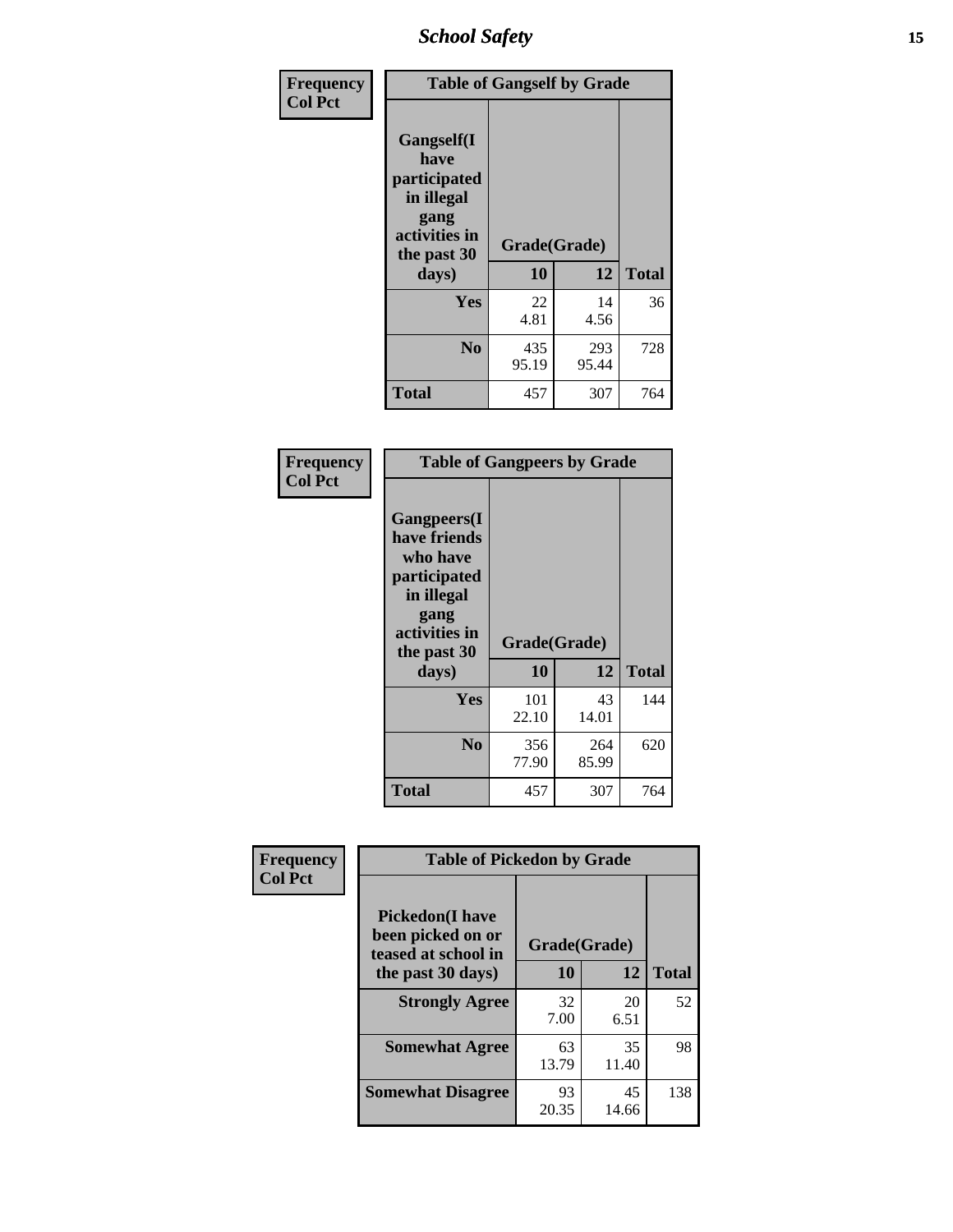*School Safety* **15**

| Frequency      | <b>Table of Gangself by Grade</b>                                                                 |                    |              |              |
|----------------|---------------------------------------------------------------------------------------------------|--------------------|--------------|--------------|
| <b>Col Pct</b> | Gangself(I<br>have<br>participated<br>in illegal<br>gang<br>activities in<br>the past 30<br>days) | Grade(Grade)<br>10 | 12           | <b>Total</b> |
|                | Yes                                                                                               | 22<br>4.81         | 14<br>4.56   | 36           |
|                | N <sub>0</sub>                                                                                    | 435<br>95.19       | 293<br>95.44 | 728          |
|                | <b>Total</b>                                                                                      | 457                | 307          | 764          |

| Frequency<br><b>Col Pct</b> | <b>Table of Gangpeers by Grade</b>                                                                                             |                    |              |              |
|-----------------------------|--------------------------------------------------------------------------------------------------------------------------------|--------------------|--------------|--------------|
|                             | <b>Gangpeers</b> (I<br>have friends<br>who have<br>participated<br>in illegal<br>gang<br>activities in<br>the past 30<br>days) | Grade(Grade)<br>10 | 12           | <b>Total</b> |
|                             | Yes                                                                                                                            | 101<br>22.10       | 43<br>14.01  | 144          |
|                             | N <sub>0</sub>                                                                                                                 | 356<br>77.90       | 264<br>85.99 | 620          |
|                             | <b>Total</b>                                                                                                                   | 457                | 307          | 764          |

| Frequency      | <b>Table of Pickedon by Grade</b>                                   |              |             |              |  |  |  |  |
|----------------|---------------------------------------------------------------------|--------------|-------------|--------------|--|--|--|--|
| <b>Col Pct</b> | <b>Pickedon</b> (I have<br>been picked on or<br>teased at school in | Grade(Grade) |             |              |  |  |  |  |
|                | the past 30 days)                                                   | 10           | 12          | <b>Total</b> |  |  |  |  |
|                | <b>Strongly Agree</b>                                               | 32<br>7.00   | 20<br>6.51  | 52           |  |  |  |  |
|                | <b>Somewhat Agree</b>                                               | 63<br>13.79  | 35<br>11.40 | 98           |  |  |  |  |
|                | <b>Somewhat Disagree</b>                                            | 93<br>20.35  | 45<br>14.66 | 138          |  |  |  |  |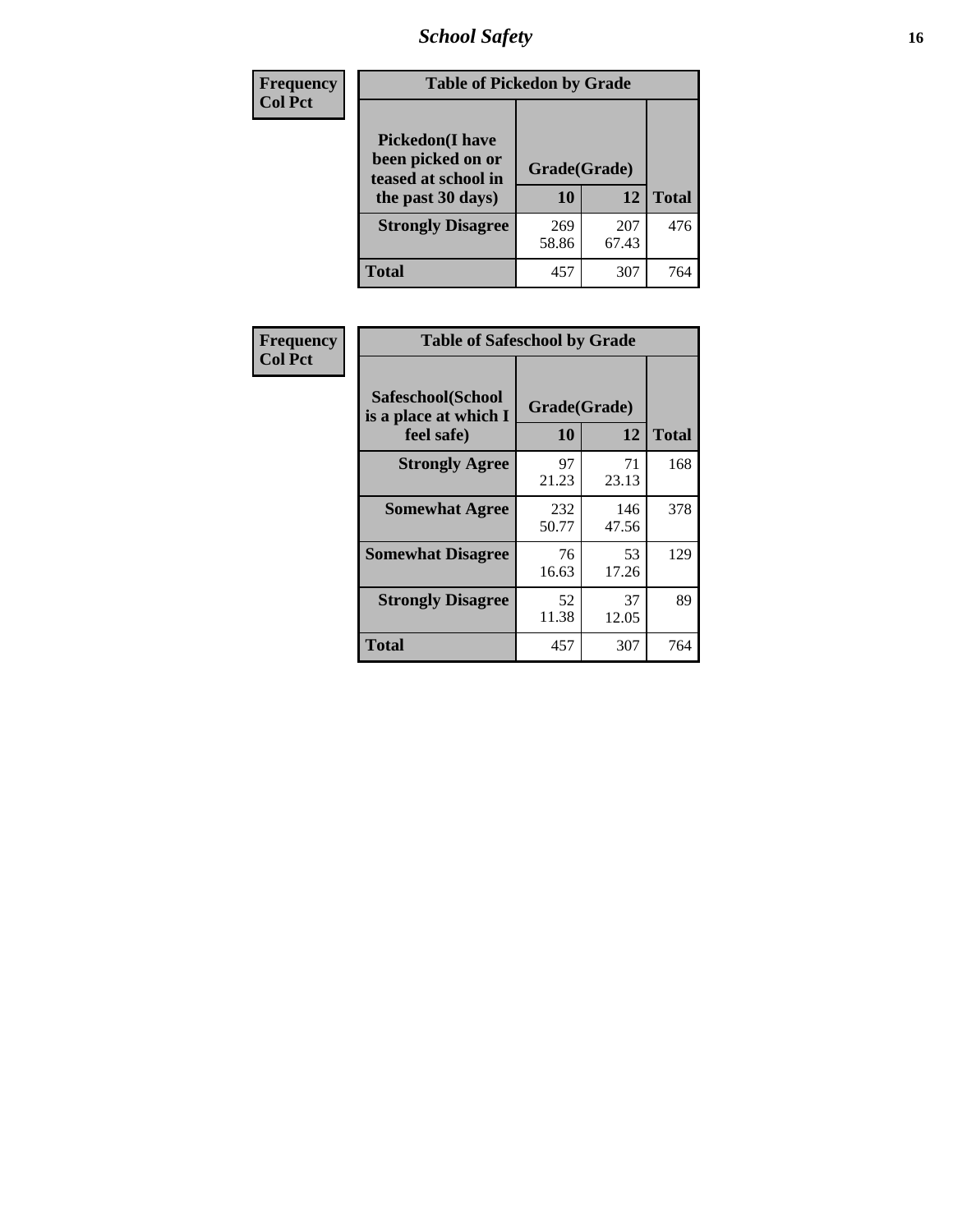# *School Safety* **16**

| <b>Frequency</b> |                                                                                         | <b>Table of Pickedon by Grade</b> |              |              |  |  |  |  |  |  |  |
|------------------|-----------------------------------------------------------------------------------------|-----------------------------------|--------------|--------------|--|--|--|--|--|--|--|
| <b>Col Pct</b>   | <b>Pickedon(I have</b><br>been picked on or<br>teased at school in<br>the past 30 days) | Grade(Grade)<br>10                | 12           | <b>Total</b> |  |  |  |  |  |  |  |
|                  | <b>Strongly Disagree</b>                                                                | 269<br>58.86                      | 207<br>67.43 | 476          |  |  |  |  |  |  |  |
|                  | Total                                                                                   | 457                               | 307          | 764          |  |  |  |  |  |  |  |

| Frequency      | <b>Table of Safeschool by Grade</b>                      |                    |              |              |  |  |  |  |  |  |
|----------------|----------------------------------------------------------|--------------------|--------------|--------------|--|--|--|--|--|--|
| <b>Col Pct</b> | Safeschool(School<br>is a place at which I<br>feel safe) | Grade(Grade)<br>10 | 12           | <b>Total</b> |  |  |  |  |  |  |
|                | <b>Strongly Agree</b>                                    | 97<br>21.23        | 71<br>23.13  | 168          |  |  |  |  |  |  |
|                | <b>Somewhat Agree</b>                                    | 232<br>50.77       | 146<br>47.56 | 378          |  |  |  |  |  |  |
|                | <b>Somewhat Disagree</b>                                 | 76<br>16.63        | 53<br>17.26  | 129          |  |  |  |  |  |  |
|                | <b>Strongly Disagree</b>                                 | 52<br>11.38        | 37<br>12.05  | 89           |  |  |  |  |  |  |
|                | <b>Total</b>                                             | 457                | 307          | 764          |  |  |  |  |  |  |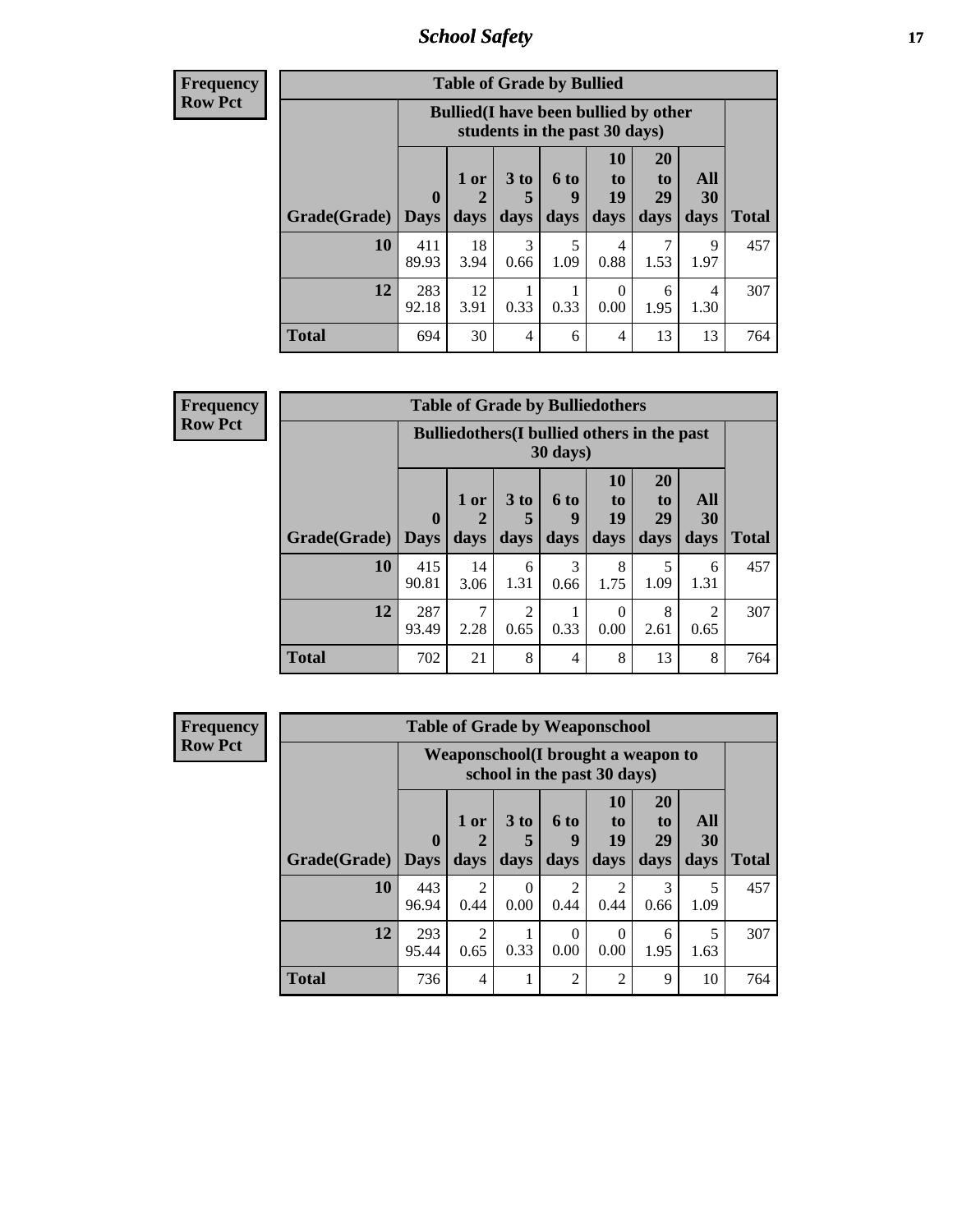*School Safety* **17**

| <b>Table of Grade by Bullied</b> |                                                                                   |                                                                                                                                                                     |           |           |           |      |           |     |  |  |  |  |
|----------------------------------|-----------------------------------------------------------------------------------|---------------------------------------------------------------------------------------------------------------------------------------------------------------------|-----------|-----------|-----------|------|-----------|-----|--|--|--|--|
|                                  |                                                                                   | <b>Bullied</b> (I have been bullied by other<br>students in the past 30 days)                                                                                       |           |           |           |      |           |     |  |  |  |  |
| <b>Grade</b> (Grade)   Days      | $\mathbf{0}$                                                                      | <b>20</b><br>10<br>3 <sub>to</sub><br>All<br>$1$ or<br>6 to<br>to<br>to<br>19<br>29<br>30<br>9<br>5<br><b>Total</b><br>days<br>days<br>days<br>days<br>days<br>days |           |           |           |      |           |     |  |  |  |  |
| 10                               | 411<br>89.93                                                                      | 18<br>3.94                                                                                                                                                          | 3<br>0.66 | 5<br>1.09 | 4<br>0.88 | 1.53 | Q<br>1.97 | 457 |  |  |  |  |
| 12                               | 283<br>12<br>0<br>4<br>6<br>3.91<br>0.33<br>92.18<br>0.33<br>0.00<br>1.30<br>1.95 |                                                                                                                                                                     |           |           |           |      |           |     |  |  |  |  |
| <b>Total</b>                     | 694                                                                               | 30                                                                                                                                                                  | 4         | 6         | 4         | 13   | 13        | 764 |  |  |  |  |

| Frequency      |              |                    |              |                         |                   | <b>Table of Grade by Bulliedothers</b>             |                               |                   |              |
|----------------|--------------|--------------------|--------------|-------------------------|-------------------|----------------------------------------------------|-------------------------------|-------------------|--------------|
| <b>Row Pct</b> |              |                    |              |                         | $30 \text{ days}$ | <b>Bulliedothers</b> (I bullied others in the past |                               |                   |              |
|                | Grade(Grade) | $\bf{0}$<br>  Days | 1 or<br>days | 3 <sub>to</sub><br>days | 6 to<br>9<br>days | <b>10</b><br>to<br>19<br>days                      | <b>20</b><br>to<br>29<br>days | All<br>30<br>days | <b>Total</b> |
|                | 10           | 415<br>90.81       | 14<br>3.06   | 6<br>1.31               | 3<br>0.66         | 8<br>1.75                                          | 1.09                          | 6<br>1.31         | 457          |
|                | 12           | 287<br>93.49       | 7<br>2.28    | 2<br>0.65               | 0.33              | $\Omega$<br>0.00                                   | 8<br>2.61                     | 2<br>0.65         | 307          |
|                | <b>Total</b> | 702                | 21           | 8                       | 4                 | 8                                                  | 13                            | 8                 | 764          |

| Frequency      |                     |              |                        | <b>Table of Grade by Weaponschool</b>                              |                             |                  |                       |           |              |
|----------------|---------------------|--------------|------------------------|--------------------------------------------------------------------|-----------------------------|------------------|-----------------------|-----------|--------------|
| <b>Row Pct</b> |                     |              |                        | Weaponschool (I brought a weapon to<br>school in the past 30 days) |                             |                  |                       |           |              |
|                |                     | $\mathbf{0}$ | $1$ or                 | 3 <sub>to</sub>                                                    | 6 to<br>9                   | 10<br>to<br>19   | <b>20</b><br>to<br>29 | All<br>30 |              |
|                | Grade(Grade)   Days |              | days                   | days                                                               | days                        | days             | days                  | days      | <b>Total</b> |
|                | 10                  | 443<br>96.94 | $\mathfrak{D}$<br>0.44 | 0<br>0.00                                                          | $\mathcal{D}$<br>0.44       | 2<br>0.44        | 3<br>0.66             | 5<br>1.09 | 457          |
|                | 12                  | 293<br>95.44 | $\mathfrak{D}$<br>0.65 | 0.33                                                               | $\Omega$<br>0.00            | $\Omega$<br>0.00 | 6<br>1.95             | 5<br>1.63 | 307          |
|                | <b>Total</b>        | 736          | $\overline{4}$         |                                                                    | $\mathcal{D}_{\mathcal{A}}$ | $\mathfrak{D}$   | 9                     | 10        | 764          |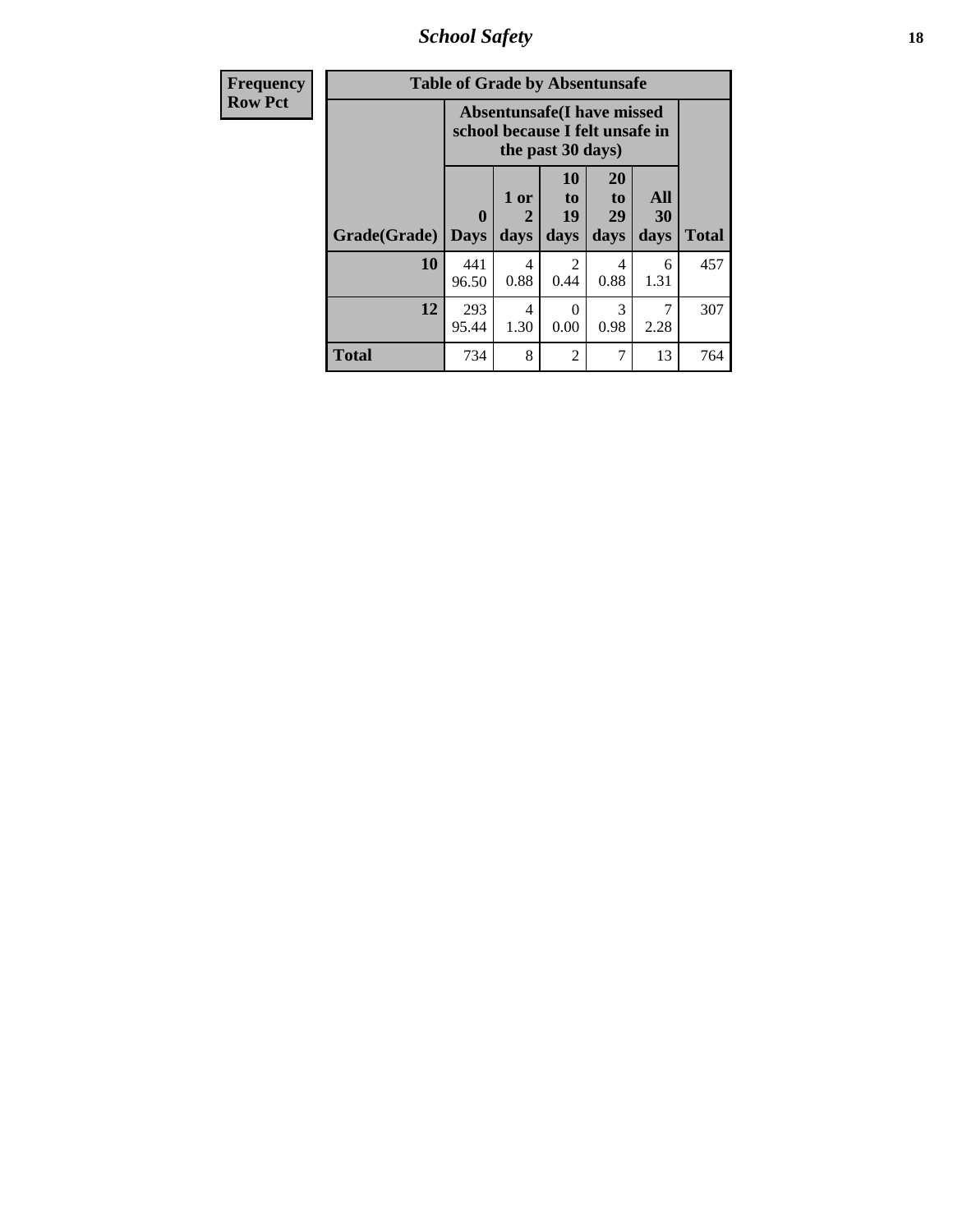*School Safety* **18**

| <b>Frequency</b> |              | <b>Table of Grade by Absentunsafe</b>                                |                   |                        |                        |                   |              |
|------------------|--------------|----------------------------------------------------------------------|-------------------|------------------------|------------------------|-------------------|--------------|
| <b>Row Pct</b>   |              | <b>Absentunsafe(I have missed</b><br>school because I felt unsafe in |                   |                        |                        |                   |              |
|                  | Grade(Grade) | 0<br><b>Days</b>                                                     | 1 or<br>2<br>days | 10<br>to<br>19<br>days | 20<br>to<br>29<br>days | All<br>30<br>days | <b>Total</b> |
|                  | 10           | 441<br>96.50                                                         | 4<br>0.88         | $\mathcal{D}$<br>0.44  | 4<br>0.88              | 6<br>1.31         | 457          |
|                  | 12           | 293<br>95.44                                                         | 4<br>1.30         | 0<br>0.00              | 3<br>0.98              | 7<br>2.28         | 307          |
|                  | Total        | 734                                                                  | 8                 | $\overline{2}$         | 7                      | 13                | 764          |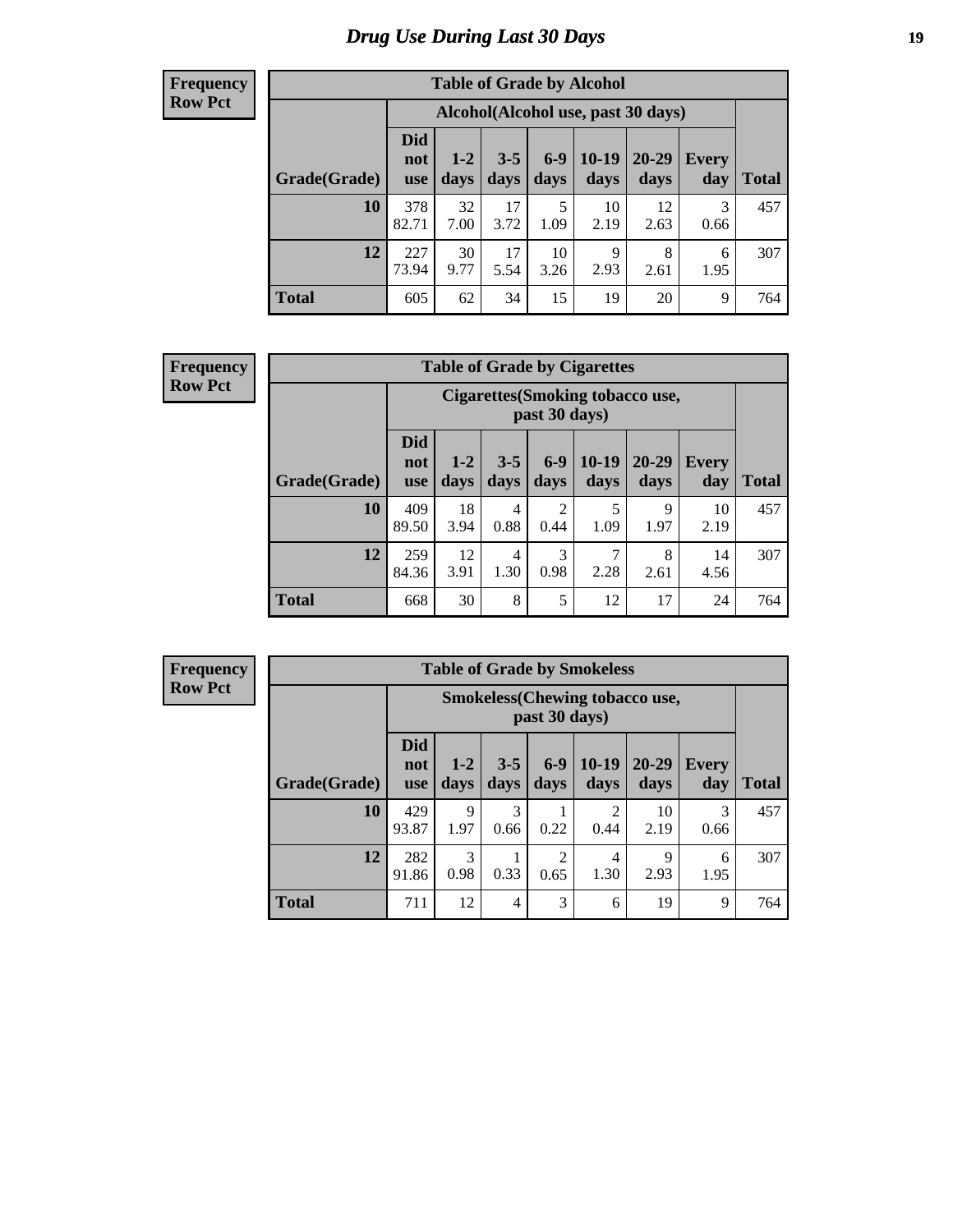# *Drug Use During Last 30 Days* **19**

#### **Frequency Row Pct**

| <b>Table of Grade by Alcohol</b> |                                 |                                    |                 |                 |                 |                   |              |              |  |  |  |  |  |
|----------------------------------|---------------------------------|------------------------------------|-----------------|-----------------|-----------------|-------------------|--------------|--------------|--|--|--|--|--|
|                                  |                                 | Alcohol(Alcohol use, past 30 days) |                 |                 |                 |                   |              |              |  |  |  |  |  |
| Grade(Grade)                     | <b>Did</b><br>not<br><b>use</b> | $1 - 2$<br>days                    | $3 - 5$<br>days | $6 - 9$<br>days | $10-19$<br>days | $20 - 29$<br>days | Every<br>day | <b>Total</b> |  |  |  |  |  |
| 10                               | 378<br>82.71                    | 32<br>7.00                         | 17<br>3.72      | 5<br>1.09       | 10<br>2.19      | 12<br>2.63        | 3<br>0.66    | 457          |  |  |  |  |  |
| 12                               | 227<br>73.94                    | 30<br>9.77                         | 17<br>5.54      | 10<br>3.26      | 9<br>2.93       | 8<br>2.61         | 6<br>1.95    | 307          |  |  |  |  |  |
| <b>Total</b>                     | 605                             | 62                                 | 34              | 15              | 19              | 20                | 9            | 764          |  |  |  |  |  |

#### **Frequency Row Pct**

| <b>Table of Grade by Cigarettes</b> |                                 |                                                                                                                         |   |   |    |    |    |     |  |  |  |  |  |
|-------------------------------------|---------------------------------|-------------------------------------------------------------------------------------------------------------------------|---|---|----|----|----|-----|--|--|--|--|--|
|                                     |                                 | <b>Cigarettes</b> (Smoking tobacco use,<br>past 30 days)                                                                |   |   |    |    |    |     |  |  |  |  |  |
| Grade(Grade)                        | <b>Did</b><br>not<br><b>use</b> | $6-9$<br>$10-19$<br>20-29<br>$3 - 5$<br>$1 - 2$<br>Every<br><b>Total</b><br>days<br>days<br>days<br>days<br>day<br>days |   |   |    |    |    |     |  |  |  |  |  |
| 10                                  | 409<br>89.50                    | 18<br>2<br>5<br>9<br>10<br>4<br>0.88<br>1.09<br>0.44<br>1.97<br>2.19<br>3.94                                            |   |   |    |    |    |     |  |  |  |  |  |
| 12                                  | 259<br>84.36                    | 3<br>7<br>12<br>8<br>14<br>4<br>0.98<br>1.30<br>2.28<br>3.91<br>4.56<br>2.61                                            |   |   |    |    |    |     |  |  |  |  |  |
| <b>Total</b>                        | 668                             | 30                                                                                                                      | 8 | 5 | 12 | 17 | 24 | 764 |  |  |  |  |  |

**Frequency Row Pct**

| <b>Table of Grade by Smokeless</b> |                                                                                                                                                                         |                                                                        |   |   |   |    |   |     |  |  |  |  |  |
|------------------------------------|-------------------------------------------------------------------------------------------------------------------------------------------------------------------------|------------------------------------------------------------------------|---|---|---|----|---|-----|--|--|--|--|--|
|                                    |                                                                                                                                                                         | <b>Smokeless</b> (Chewing tobacco use,<br>past 30 days)                |   |   |   |    |   |     |  |  |  |  |  |
| Grade(Grade)                       | <b>Did</b><br>$10-19$<br>$6 - 9$<br>$3 - 5$<br>$20 - 29$<br>$1 - 2$<br><b>Every</b><br>not<br><b>Total</b><br>days<br>days<br>day<br>days<br>days<br>days<br><b>use</b> |                                                                        |   |   |   |    |   |     |  |  |  |  |  |
| 10                                 | 429<br>93.87                                                                                                                                                            | 3<br>3<br>9<br>2<br>10<br>0.22<br>1.97<br>2.19<br>0.44<br>0.66<br>0.66 |   |   |   |    |   |     |  |  |  |  |  |
| 12                                 | 282<br>91.86                                                                                                                                                            | 3<br>2<br>9<br>4<br>6<br>0.98<br>0.33<br>0.65<br>1.30<br>2.93<br>1.95  |   |   |   |    |   |     |  |  |  |  |  |
| <b>Total</b>                       | 711                                                                                                                                                                     | 12                                                                     | 4 | 3 | 6 | 19 | 9 | 764 |  |  |  |  |  |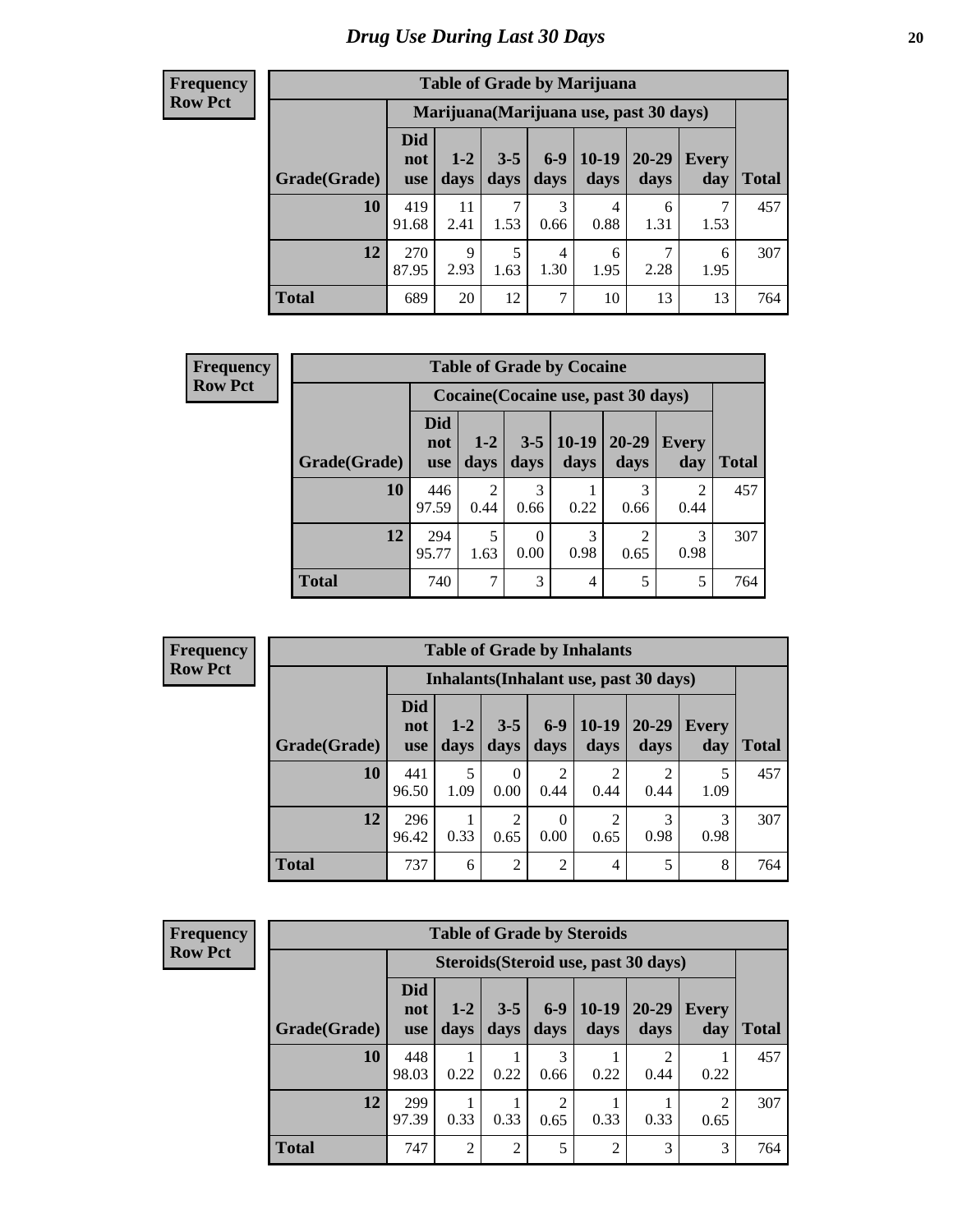Г

| <b>Table of Grade by Marijuana</b> |                                 |                                                                                                                       |           |                |           |           |           |     |  |  |  |  |  |
|------------------------------------|---------------------------------|-----------------------------------------------------------------------------------------------------------------------|-----------|----------------|-----------|-----------|-----------|-----|--|--|--|--|--|
|                                    |                                 | Marijuana (Marijuana use, past 30 days)                                                                               |           |                |           |           |           |     |  |  |  |  |  |
| Grade(Grade)                       | <b>Did</b><br>not<br><b>use</b> | $6-9$<br>$10-19$<br>20-29<br>$3 - 5$<br>$1-2$<br>Every<br>days<br>days<br>days<br><b>Total</b><br>days<br>day<br>days |           |                |           |           |           |     |  |  |  |  |  |
| 10                                 | 419<br>91.68                    | 11<br>2.41                                                                                                            | 7<br>1.53 | 3<br>0.66      | 4<br>0.88 | 6<br>1.31 | 7<br>1.53 | 457 |  |  |  |  |  |
| 12                                 | 270<br>87.95                    | 9<br>2.93                                                                                                             | 5<br>1.63 | 4<br>1.30      | 6<br>1.95 | 7<br>2.28 | 6<br>1.95 | 307 |  |  |  |  |  |
| <b>Total</b>                       | 689                             | 20                                                                                                                    | 12        | $\overline{7}$ | 10        | 13        | 13        | 764 |  |  |  |  |  |

| <b>Frequency</b> |              | <b>Table of Grade by Cocaine</b><br>Cocaine (Cocaine use, past 30 days) |                        |                 |                 |                        |                        |              |  |  |  |  |
|------------------|--------------|-------------------------------------------------------------------------|------------------------|-----------------|-----------------|------------------------|------------------------|--------------|--|--|--|--|
| <b>Row Pct</b>   |              |                                                                         |                        |                 |                 |                        |                        |              |  |  |  |  |
|                  | Grade(Grade) | <b>Did</b><br>not<br>use                                                | $1 - 2$<br>days        | $3 - 5$<br>days | $10-19$<br>days | $20 - 29$<br>days      | <b>Every</b><br>day    | <b>Total</b> |  |  |  |  |
|                  | 10           | 446<br>97.59                                                            | $\mathfrak{D}$<br>0.44 | 3<br>0.66       | 0.22            | 3<br>0.66              | $\overline{c}$<br>0.44 | 457          |  |  |  |  |
|                  | 12           | 294<br>95.77                                                            | 5<br>1.63              | 0.00            | 3<br>0.98       | $\overline{c}$<br>0.65 | 3<br>0.98              | 307          |  |  |  |  |
|                  | <b>Total</b> | 740                                                                     | $\mathcal{I}$          | 3               | 4               | 5                      | 5                      | 764          |  |  |  |  |

| <b>Frequency</b> |  |
|------------------|--|
| <b>Row Pct</b>   |  |

| <b>Table of Grade by Inhalants</b>     |                                 |                 |                  |                  |                        |                   |              |              |
|----------------------------------------|---------------------------------|-----------------|------------------|------------------|------------------------|-------------------|--------------|--------------|
| Inhalants (Inhalant use, past 30 days) |                                 |                 |                  |                  |                        |                   |              |              |
| Grade(Grade)                           | <b>Did</b><br>not<br><b>use</b> | $1 - 2$<br>days | $3 - 5$<br>days  | $6-9$<br>days    | $10-19$<br>days        | $20 - 29$<br>days | Every<br>day | <b>Total</b> |
| 10                                     | 441<br>96.50                    | 5<br>1.09       | $\Omega$<br>0.00 | 2<br>0.44        | $\overline{c}$<br>0.44 | 0.44              | 1.09         | 457          |
| 12                                     | 296<br>96.42                    | 0.33            | 2<br>0.65        | $\Omega$<br>0.00 | $\overline{c}$<br>0.65 | 0.98              | 0.98         | 307          |
| <b>Total</b>                           | 737                             | 6               | $\overline{2}$   | $\overline{2}$   | 4                      | 5                 | 8            | 764          |

| <b>Frequency</b> |  |
|------------------|--|
| <b>Row Pct</b>   |  |

| <b>Table of Grade by Steroids</b> |                                 |                                      |                 |                        |                 |                   |              |              |  |
|-----------------------------------|---------------------------------|--------------------------------------|-----------------|------------------------|-----------------|-------------------|--------------|--------------|--|
|                                   |                                 | Steroids (Steroid use, past 30 days) |                 |                        |                 |                   |              |              |  |
| Grade(Grade)                      | <b>Did</b><br>not<br><b>use</b> | $1-2$<br>days                        | $3 - 5$<br>days | $6 - 9$<br>days        | $10-19$<br>days | $20 - 29$<br>days | Every<br>day | <b>Total</b> |  |
| 10                                | 448<br>98.03                    | 0.22                                 | 0.22            | 3<br>0.66              | 0.22            | 2<br>0.44         | 0.22         | 457          |  |
| 12                                | 299<br>97.39                    | 0.33                                 | 0.33            | $\overline{2}$<br>0.65 | 0.33            | 0.33              | 2<br>0.65    | 307          |  |
| <b>Total</b>                      | 747                             | 2                                    | 2               | 5                      | $\overline{2}$  | 3                 | 3            | 764          |  |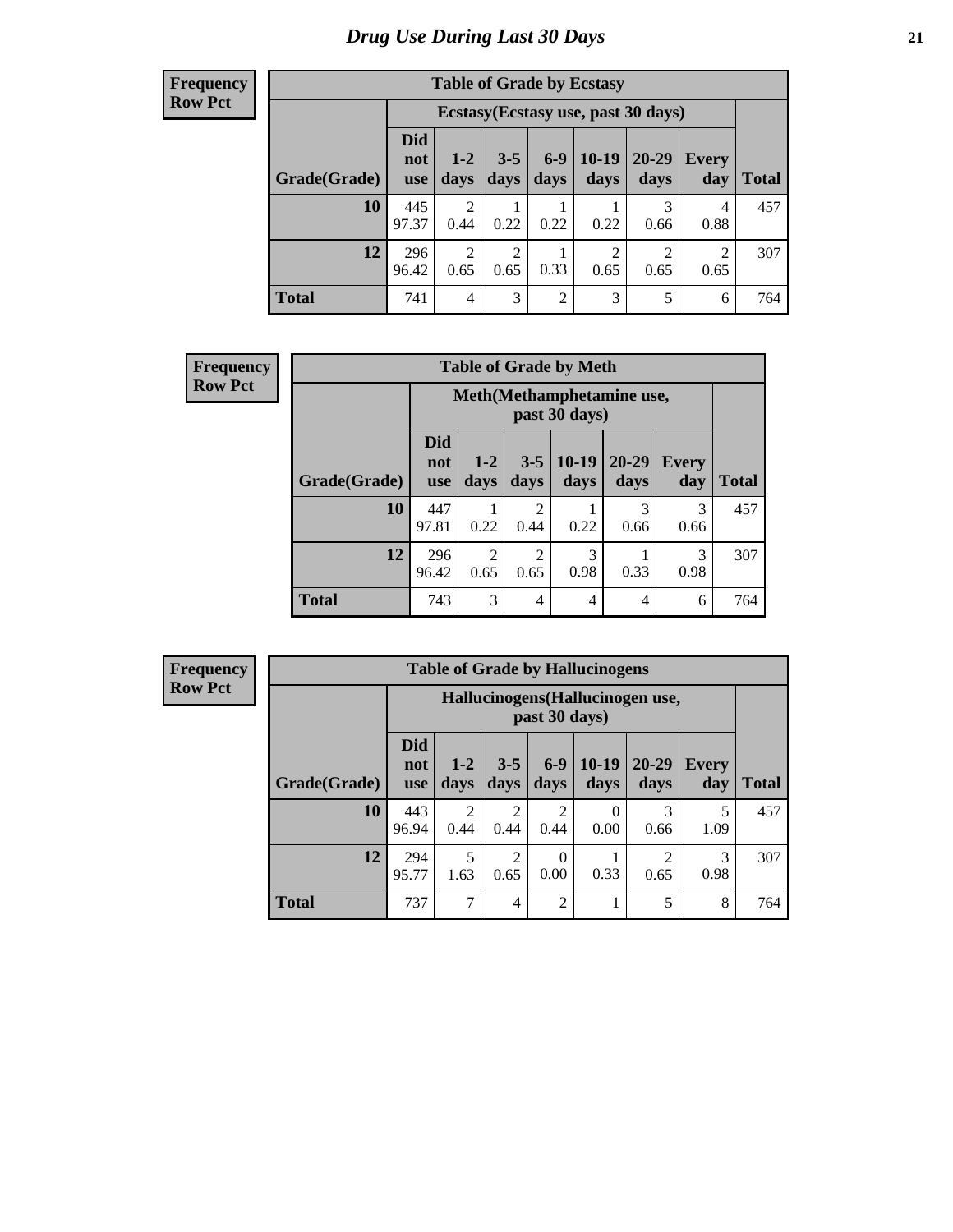| <b>Table of Grade by Ecstasy</b> |                          |                                     |                        |                |                        |                        |              |       |  |  |
|----------------------------------|--------------------------|-------------------------------------|------------------------|----------------|------------------------|------------------------|--------------|-------|--|--|
|                                  |                          | Ecstasy (Ecstasy use, past 30 days) |                        |                |                        |                        |              |       |  |  |
| Grade(Grade)                     | Did<br>not<br><b>use</b> | $1 - 2$<br>days                     | $3 - 5$<br>days        | $6-9$<br>days  | $10-19$<br>days        | 20-29<br>days          | Every<br>day | Total |  |  |
| 10                               | 445<br>97.37             | $\overline{2}$<br>0.44              | 0.22                   | 0.22           | 0.22                   | 3<br>0.66              | 4<br>0.88    | 457   |  |  |
| 12                               | 296<br>96.42             | $\overline{2}$<br>0.65              | $\overline{2}$<br>0.65 | 0.33           | $\overline{c}$<br>0.65 | $\mathfrak{D}$<br>0.65 | 2<br>0.65    | 307   |  |  |
| <b>Total</b>                     | 741                      | $\overline{4}$                      | 3                      | $\overline{2}$ | 3                      | 5                      | 6            | 764   |  |  |

| <b>Frequency</b> | <b>Table of Grade by Meth</b> |                                 |                                            |                        |                 |                       |                     |              |  |
|------------------|-------------------------------|---------------------------------|--------------------------------------------|------------------------|-----------------|-----------------------|---------------------|--------------|--|
| <b>Row Pct</b>   |                               |                                 | Meth(Methamphetamine use,<br>past 30 days) |                        |                 |                       |                     |              |  |
|                  | Grade(Grade)                  | <b>Did</b><br>not<br><b>use</b> | $1 - 2$<br>days                            | $3 - 5$<br>days        | $10-19$<br>days | $20 - 29$<br>days     | <b>Every</b><br>day | <b>Total</b> |  |
|                  | 10                            | 447<br>97.81                    | 0.22                                       | $\mathfrak{D}$<br>0.44 | 0.22            | $\mathcal{R}$<br>0.66 | 3<br>0.66           | 457          |  |
|                  | 12                            | 296<br>96.42                    | $\overline{2}$<br>0.65                     | $\mathfrak{D}$<br>0.65 | 3<br>0.98       | 0.33                  | 3<br>0.98           | 307          |  |
|                  | <b>Total</b>                  | 743                             | 3                                          | 4                      | 4               | $\overline{4}$        | 6                   | 764          |  |

**Frequency Row Pct**

| <b>Table of Grade by Hallucinogens</b> |                                 |                                                   |                        |                        |                 |                   |                     |              |  |  |
|----------------------------------------|---------------------------------|---------------------------------------------------|------------------------|------------------------|-----------------|-------------------|---------------------|--------------|--|--|
|                                        |                                 | Hallucinogens (Hallucinogen use,<br>past 30 days) |                        |                        |                 |                   |                     |              |  |  |
| Grade(Grade)                           | <b>Did</b><br>not<br><b>use</b> | $1-2$<br>days                                     | $3 - 5$<br>days        | $6 - 9$<br>days        | $10-19$<br>days | $20 - 29$<br>days | <b>Every</b><br>day | <b>Total</b> |  |  |
| 10                                     | 443<br>96.94                    | $\overline{2}$<br>0.44                            | $\overline{2}$<br>0.44 | $\overline{2}$<br>0.44 | 0<br>0.00       | 3<br>0.66         | 5<br>1.09           | 457          |  |  |
| 12                                     | 294<br>95.77                    | 5<br>1.63                                         | $\overline{c}$<br>0.65 | $\Omega$<br>0.00       | 0.33            | 0.65              | 3<br>0.98           | 307          |  |  |
| <b>Total</b>                           | 737                             | 7                                                 | $\overline{4}$         | $\overline{2}$         | ı               | 5                 | 8                   | 764          |  |  |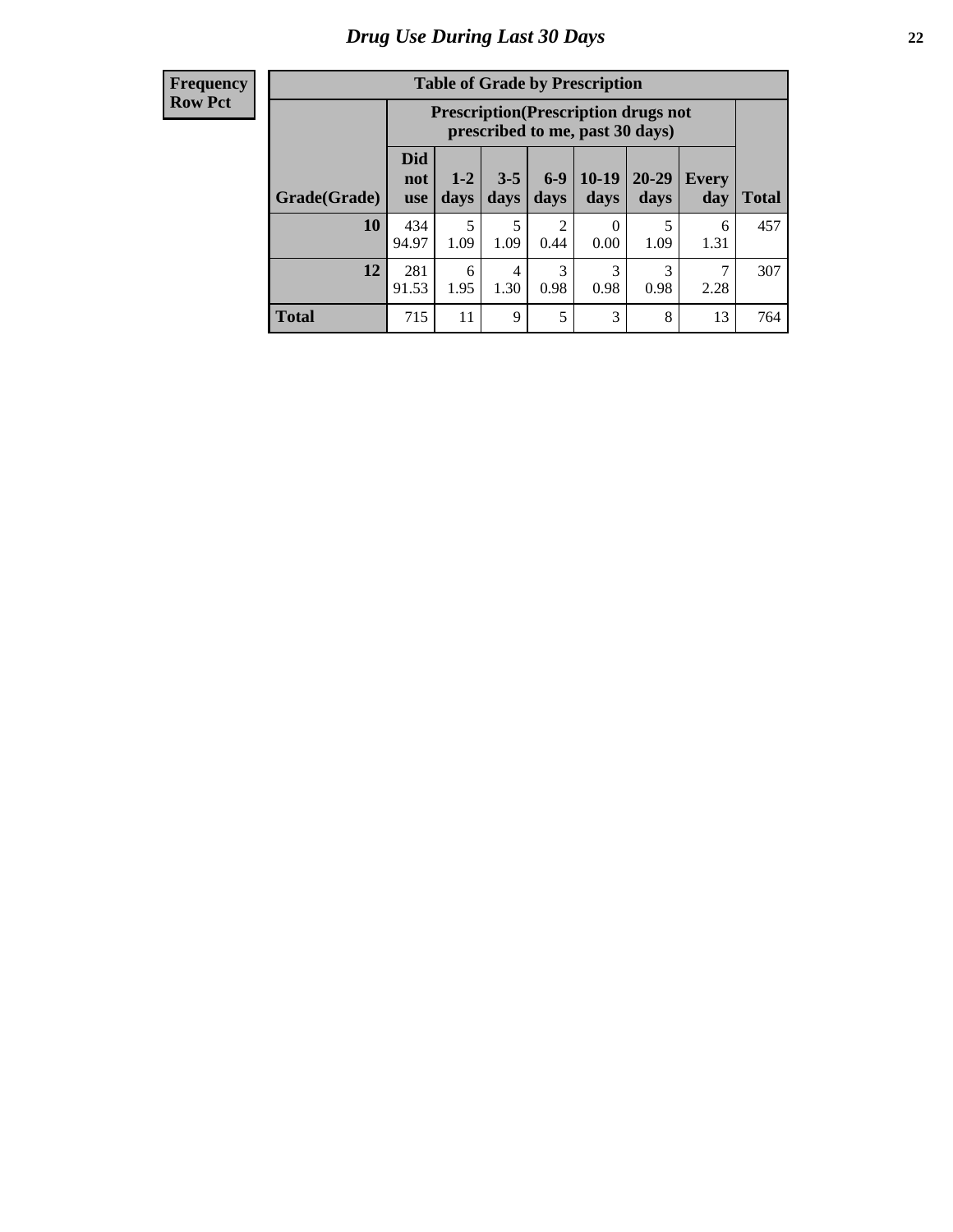| <b>Table of Grade by Prescription</b> |                                 |                                                                                |                 |                 |                 |               |                     |              |  |  |
|---------------------------------------|---------------------------------|--------------------------------------------------------------------------------|-----------------|-----------------|-----------------|---------------|---------------------|--------------|--|--|
|                                       |                                 | <b>Prescription</b> (Prescription drugs not<br>prescribed to me, past 30 days) |                 |                 |                 |               |                     |              |  |  |
| Grade(Grade)                          | <b>Did</b><br>not<br><b>use</b> | $1 - 2$<br>days                                                                | $3 - 5$<br>days | $6 - 9$<br>days | $10-19$<br>days | 20-29<br>days | <b>Every</b><br>day | <b>Total</b> |  |  |
| 10                                    | 434<br>94.97                    | 5<br>1.09                                                                      | 5<br>1.09       | 2<br>0.44       | 0<br>0.00       | 5<br>1.09     | 6<br>1.31           | 457          |  |  |
| 12                                    | 281<br>91.53                    | 6<br>1.95                                                                      | 4<br>1.30       | 3<br>0.98       | 3<br>0.98       | 3<br>0.98     | 2.28                | 307          |  |  |
| <b>Total</b>                          | 715                             | 11                                                                             | 9               | 5               | 3               | 8             | 13                  | 764          |  |  |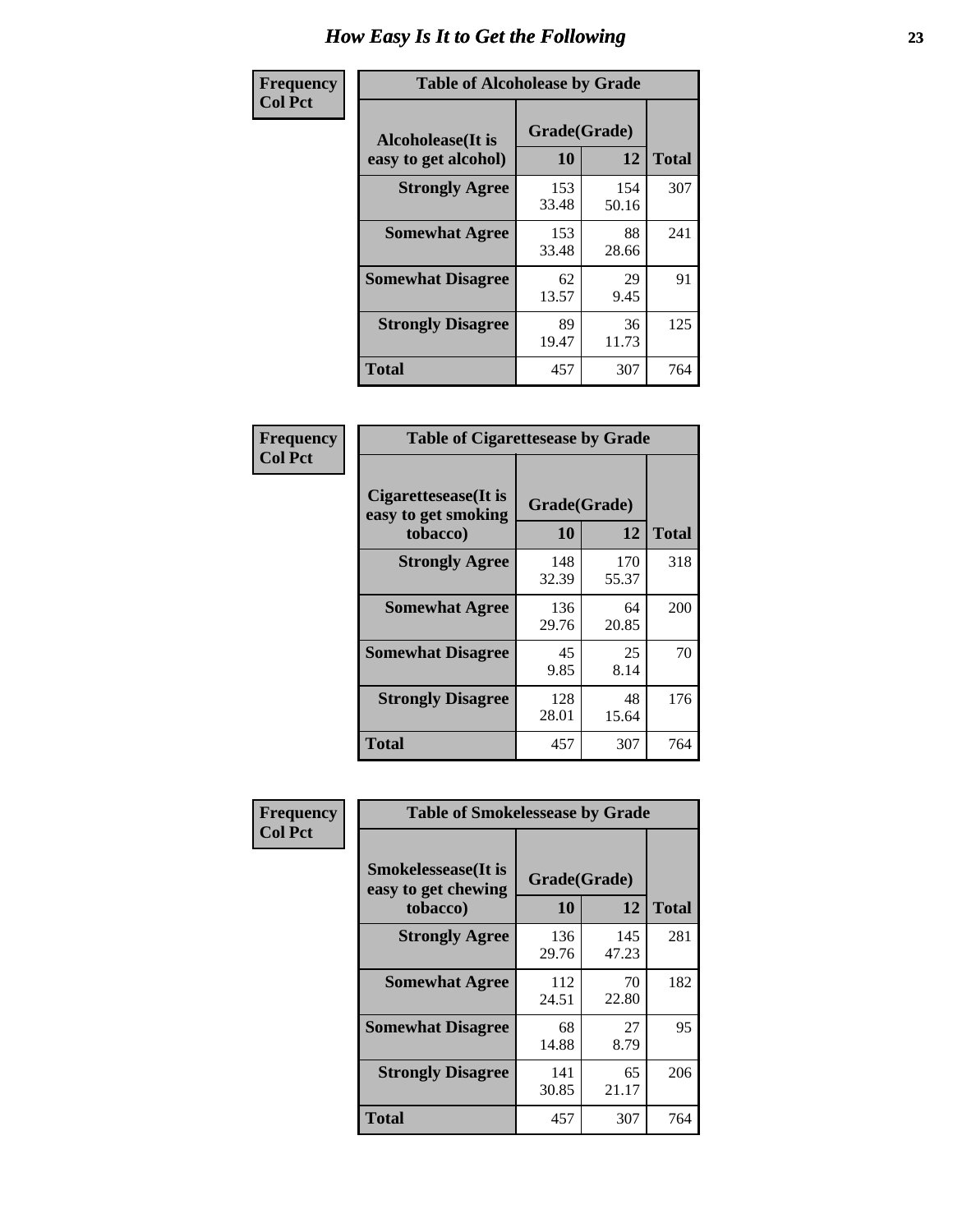| Frequency      | <b>Table of Alcoholease by Grade</b>              |                    |              |              |  |  |  |
|----------------|---------------------------------------------------|--------------------|--------------|--------------|--|--|--|
| <b>Col Pct</b> | <b>Alcoholease</b> (It is<br>easy to get alcohol) | Grade(Grade)<br>10 | 12           | <b>Total</b> |  |  |  |
|                | <b>Strongly Agree</b>                             | 153<br>33.48       | 154<br>50.16 | 307          |  |  |  |
|                | <b>Somewhat Agree</b>                             | 153<br>33.48       | 88<br>28.66  | 241          |  |  |  |
|                | <b>Somewhat Disagree</b>                          | 62<br>13.57        | 29<br>9.45   | 91           |  |  |  |
|                | <b>Strongly Disagree</b>                          | 89<br>19.47        | 36<br>11.73  | 125          |  |  |  |
|                | <b>Total</b>                                      | 457                | 307          | 764          |  |  |  |

| Frequency      | <b>Table of Cigarettesease by Grade</b>                 |                    |              |              |  |  |
|----------------|---------------------------------------------------------|--------------------|--------------|--------------|--|--|
| <b>Col Pct</b> | Cigarettesease(It is<br>easy to get smoking<br>tobacco) | Grade(Grade)<br>10 | 12           | <b>Total</b> |  |  |
|                | <b>Strongly Agree</b>                                   | 148<br>32.39       | 170<br>55.37 | 318          |  |  |
|                | <b>Somewhat Agree</b>                                   | 136<br>29.76       | 64<br>20.85  | 200          |  |  |
|                | <b>Somewhat Disagree</b>                                | 45<br>9.85         | 25<br>8.14   | 70           |  |  |
|                | <b>Strongly Disagree</b>                                | 128<br>28.01       | 48<br>15.64  | 176          |  |  |
|                | <b>Total</b>                                            | 457                | 307          | 764          |  |  |

| Frequency      | <b>Table of Smokelessease by Grade</b>                         |                           |              |              |
|----------------|----------------------------------------------------------------|---------------------------|--------------|--------------|
| <b>Col Pct</b> | <b>Smokelessease</b> (It is<br>easy to get chewing<br>tobacco) | Grade(Grade)<br><b>10</b> | 12           | <b>Total</b> |
|                | <b>Strongly Agree</b>                                          | 136<br>29.76              | 145<br>47.23 | 281          |
|                | <b>Somewhat Agree</b>                                          | 112<br>24.51              | 70<br>22.80  | 182          |
|                | <b>Somewhat Disagree</b>                                       | 68<br>14.88               | 27<br>8.79   | 95           |
|                | <b>Strongly Disagree</b>                                       | 141<br>30.85              | 65<br>21.17  | 206          |
|                | Total                                                          | 457                       | 307          | 764          |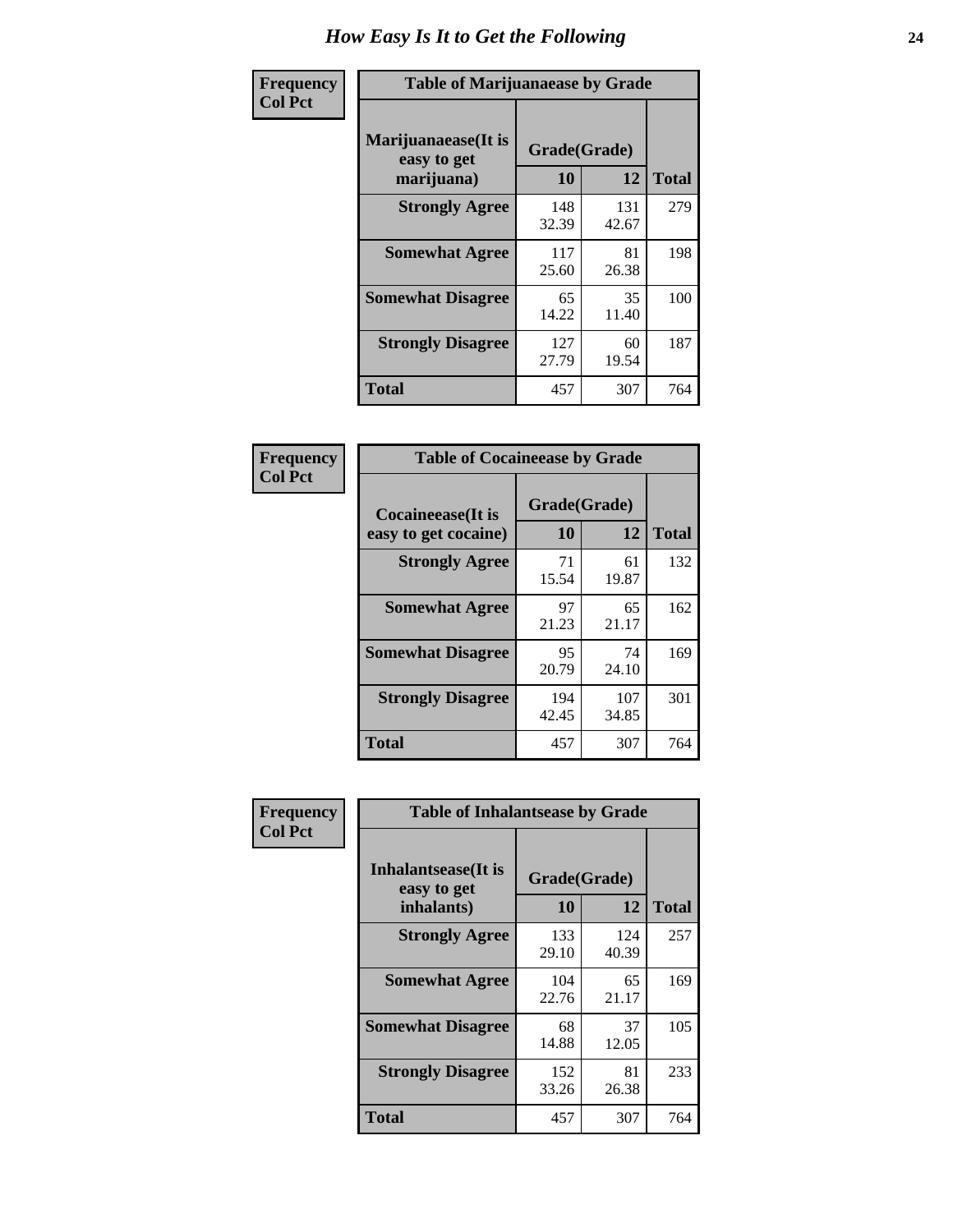| Frequency      | <b>Table of Marijuanaease by Grade</b>           |                    |              |              |  |  |
|----------------|--------------------------------------------------|--------------------|--------------|--------------|--|--|
| <b>Col Pct</b> | Marijuanaease(It is<br>easy to get<br>marijuana) | Grade(Grade)<br>10 | 12           | <b>Total</b> |  |  |
|                | <b>Strongly Agree</b>                            | 148<br>32.39       | 131<br>42.67 | 279          |  |  |
|                | <b>Somewhat Agree</b>                            | 117<br>25.60       | 81<br>26.38  | 198          |  |  |
|                | <b>Somewhat Disagree</b>                         | 65<br>14.22        | 35<br>11.40  | 100          |  |  |
|                | <b>Strongly Disagree</b>                         | 127<br>27.79       | 60<br>19.54  | 187          |  |  |
|                | <b>Total</b>                                     | 457                | 307          | 764          |  |  |

| <b>Table of Cocaineease by Grade</b>      |                    |              |     |  |  |  |  |  |  |  |  |
|-------------------------------------------|--------------------|--------------|-----|--|--|--|--|--|--|--|--|
| Cocaineease(It is<br>easy to get cocaine) | Grade(Grade)<br>10 | <b>Total</b> |     |  |  |  |  |  |  |  |  |
| <b>Strongly Agree</b>                     | 71<br>15.54        | 61<br>19.87  | 132 |  |  |  |  |  |  |  |  |
| <b>Somewhat Agree</b>                     | 97<br>21.23        | 65<br>21.17  | 162 |  |  |  |  |  |  |  |  |
| <b>Somewhat Disagree</b>                  | 95<br>20.79        | 74<br>24.10  | 169 |  |  |  |  |  |  |  |  |
| <b>Strongly Disagree</b>                  | 194<br>42.45       | 107<br>34.85 | 301 |  |  |  |  |  |  |  |  |
| <b>Total</b>                              | 457                | 307          | 764 |  |  |  |  |  |  |  |  |

| Frequency      | <b>Table of Inhalantsease by Grade</b>                   |                    |              |              |
|----------------|----------------------------------------------------------|--------------------|--------------|--------------|
| <b>Col Pct</b> | <b>Inhalantsease</b> (It is<br>easy to get<br>inhalants) | Grade(Grade)<br>10 | 12           | <b>Total</b> |
|                | <b>Strongly Agree</b>                                    | 133<br>29.10       | 124<br>40.39 | 257          |
|                | <b>Somewhat Agree</b>                                    | 104<br>22.76       | 65<br>21.17  | 169          |
|                | <b>Somewhat Disagree</b>                                 | 68<br>14.88        | 37<br>12.05  | 105          |
|                | <b>Strongly Disagree</b>                                 | 152<br>33.26       | 81<br>26.38  | 233          |
|                | Total                                                    | 457                | 307          | 764          |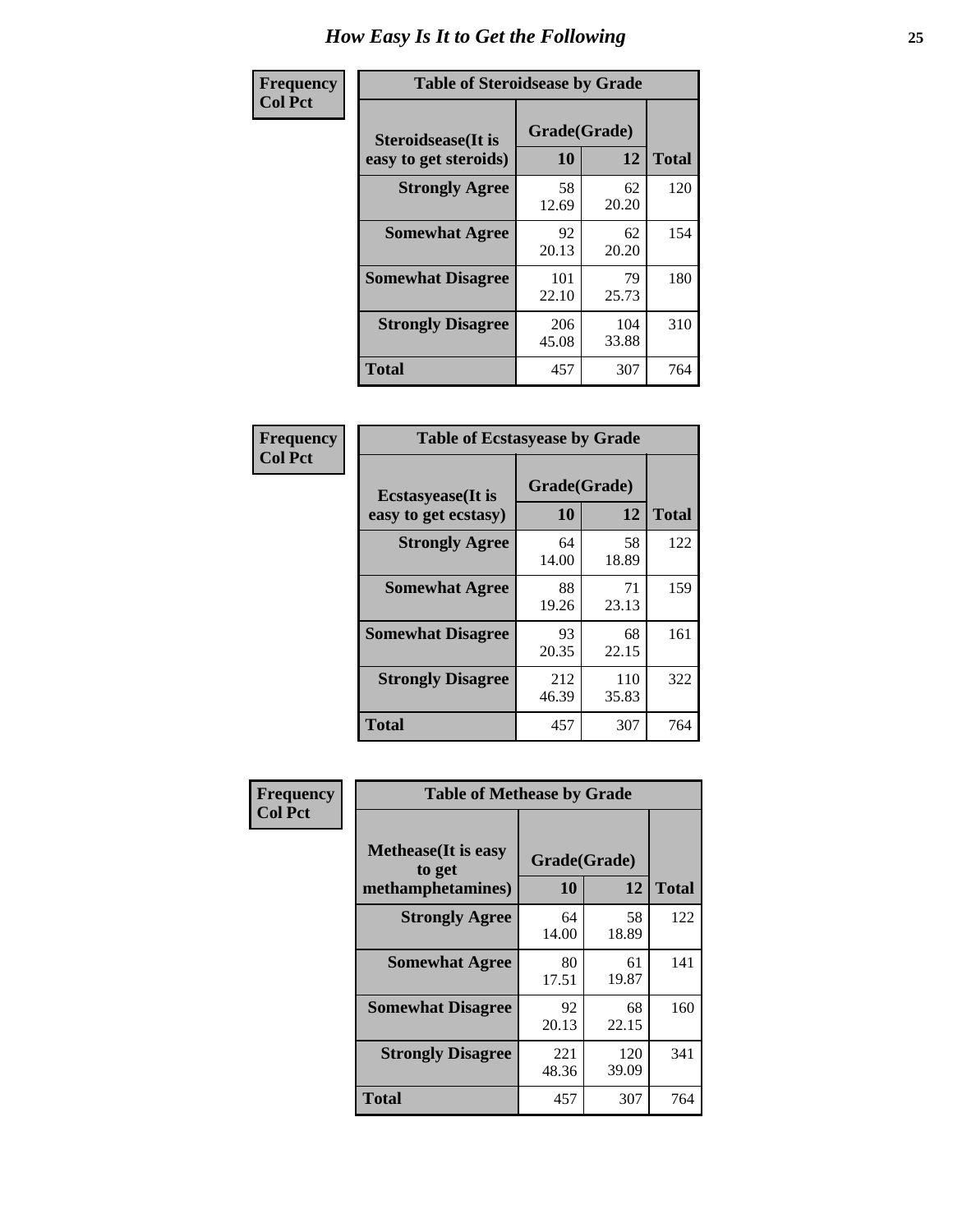| Frequency      | <b>Table of Steroidsease by Grade</b>               |                    |              |              |
|----------------|-----------------------------------------------------|--------------------|--------------|--------------|
| <b>Col Pct</b> | <b>Steroidsease</b> (It is<br>easy to get steroids) | Grade(Grade)<br>10 | 12           | <b>Total</b> |
|                | <b>Strongly Agree</b>                               | 58<br>12.69        | 62<br>20.20  | 120          |
|                | <b>Somewhat Agree</b>                               | 92<br>20.13        | 62<br>20.20  | 154          |
|                | <b>Somewhat Disagree</b>                            | 101<br>22.10       | 79<br>25.73  | 180          |
|                | <b>Strongly Disagree</b>                            | 206<br>45.08       | 104<br>33.88 | 310          |
|                | Total                                               | 457                | 307          | 764          |

| Frequency      | <b>Table of Ecstasyease by Grade</b>              |                    |              |              |  |  |  |  |  |  |  |  |
|----------------|---------------------------------------------------|--------------------|--------------|--------------|--|--|--|--|--|--|--|--|
| <b>Col Pct</b> | <b>Ecstasyease</b> (It is<br>easy to get ecstasy) | Grade(Grade)<br>10 | 12           | <b>Total</b> |  |  |  |  |  |  |  |  |
|                | <b>Strongly Agree</b>                             | 64<br>14.00        | 58<br>18.89  | 122          |  |  |  |  |  |  |  |  |
|                | <b>Somewhat Agree</b>                             | 88<br>19.26        | 71<br>23.13  | 159          |  |  |  |  |  |  |  |  |
|                | <b>Somewhat Disagree</b>                          | 93<br>20.35        | 68<br>22.15  | 161          |  |  |  |  |  |  |  |  |
|                | <b>Strongly Disagree</b>                          | 212<br>46.39       | 110<br>35.83 | 322          |  |  |  |  |  |  |  |  |
|                | <b>Total</b>                                      | 457                | 307          | 764          |  |  |  |  |  |  |  |  |

| Frequency      | <b>Table of Methease by Grade</b>                          |                    |              |     |  |  |  |  |  |  |  |  |
|----------------|------------------------------------------------------------|--------------------|--------------|-----|--|--|--|--|--|--|--|--|
| <b>Col Pct</b> | <b>Methease</b> (It is easy<br>to get<br>methamphetamines) | Grade(Grade)<br>10 | <b>Total</b> |     |  |  |  |  |  |  |  |  |
|                | <b>Strongly Agree</b>                                      | 64<br>14.00        | 58<br>18.89  | 122 |  |  |  |  |  |  |  |  |
|                | <b>Somewhat Agree</b>                                      | 80<br>17.51        | 61<br>19.87  | 141 |  |  |  |  |  |  |  |  |
|                | <b>Somewhat Disagree</b>                                   | 92<br>20.13        | 68<br>22.15  | 160 |  |  |  |  |  |  |  |  |
|                | <b>Strongly Disagree</b>                                   | 221<br>48.36       | 120<br>39.09 | 341 |  |  |  |  |  |  |  |  |
|                | <b>Total</b>                                               | 457                | 307          | 764 |  |  |  |  |  |  |  |  |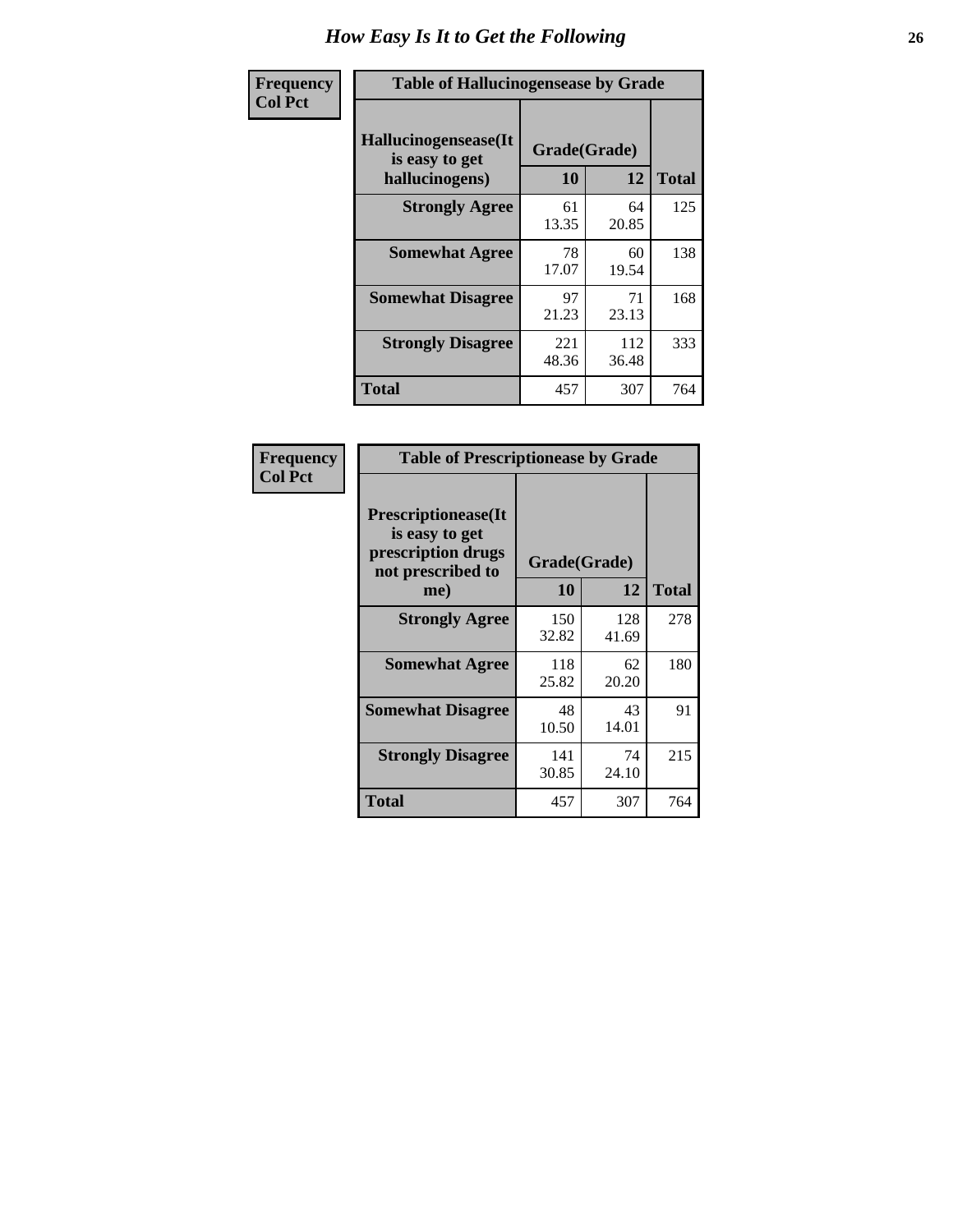| <b>Frequency</b> | <b>Table of Hallucinogensease by Grade</b>                |                    |              |              |  |  |  |  |  |  |  |  |  |
|------------------|-----------------------------------------------------------|--------------------|--------------|--------------|--|--|--|--|--|--|--|--|--|
| <b>Col Pct</b>   | Hallucinogensease(It)<br>is easy to get<br>hallucinogens) | Grade(Grade)<br>10 | 12           | <b>Total</b> |  |  |  |  |  |  |  |  |  |
|                  | <b>Strongly Agree</b>                                     | 61<br>13.35        | 64<br>20.85  | 125          |  |  |  |  |  |  |  |  |  |
|                  | <b>Somewhat Agree</b>                                     | 78<br>17.07        | 60<br>19.54  | 138          |  |  |  |  |  |  |  |  |  |
|                  | <b>Somewhat Disagree</b>                                  | 97<br>21.23        | 71<br>23.13  | 168          |  |  |  |  |  |  |  |  |  |
|                  | <b>Strongly Disagree</b>                                  | 221<br>48.36       | 112<br>36.48 | 333          |  |  |  |  |  |  |  |  |  |
|                  | <b>Total</b>                                              | 457                | 307          | 764          |  |  |  |  |  |  |  |  |  |

| Frequency<br>  Col Pct |
|------------------------|
|                        |

| <b>Table of Prescriptionease by Grade</b>                                               |              |              |              |
|-----------------------------------------------------------------------------------------|--------------|--------------|--------------|
| <b>Prescriptionease(It</b><br>is easy to get<br>prescription drugs<br>not prescribed to |              | Grade(Grade) |              |
| me)                                                                                     | 10           | 12           | <b>Total</b> |
| <b>Strongly Agree</b>                                                                   | 150<br>32.82 | 128<br>41.69 | 278          |
| <b>Somewhat Agree</b>                                                                   | 118<br>25.82 | 62<br>20.20  | 180          |
| <b>Somewhat Disagree</b>                                                                | 48<br>10.50  | 43<br>14.01  | 91           |
| <b>Strongly Disagree</b>                                                                | 141<br>30.85 | 74<br>24.10  | 215          |
| <b>Total</b>                                                                            | 457          | 307          | 764          |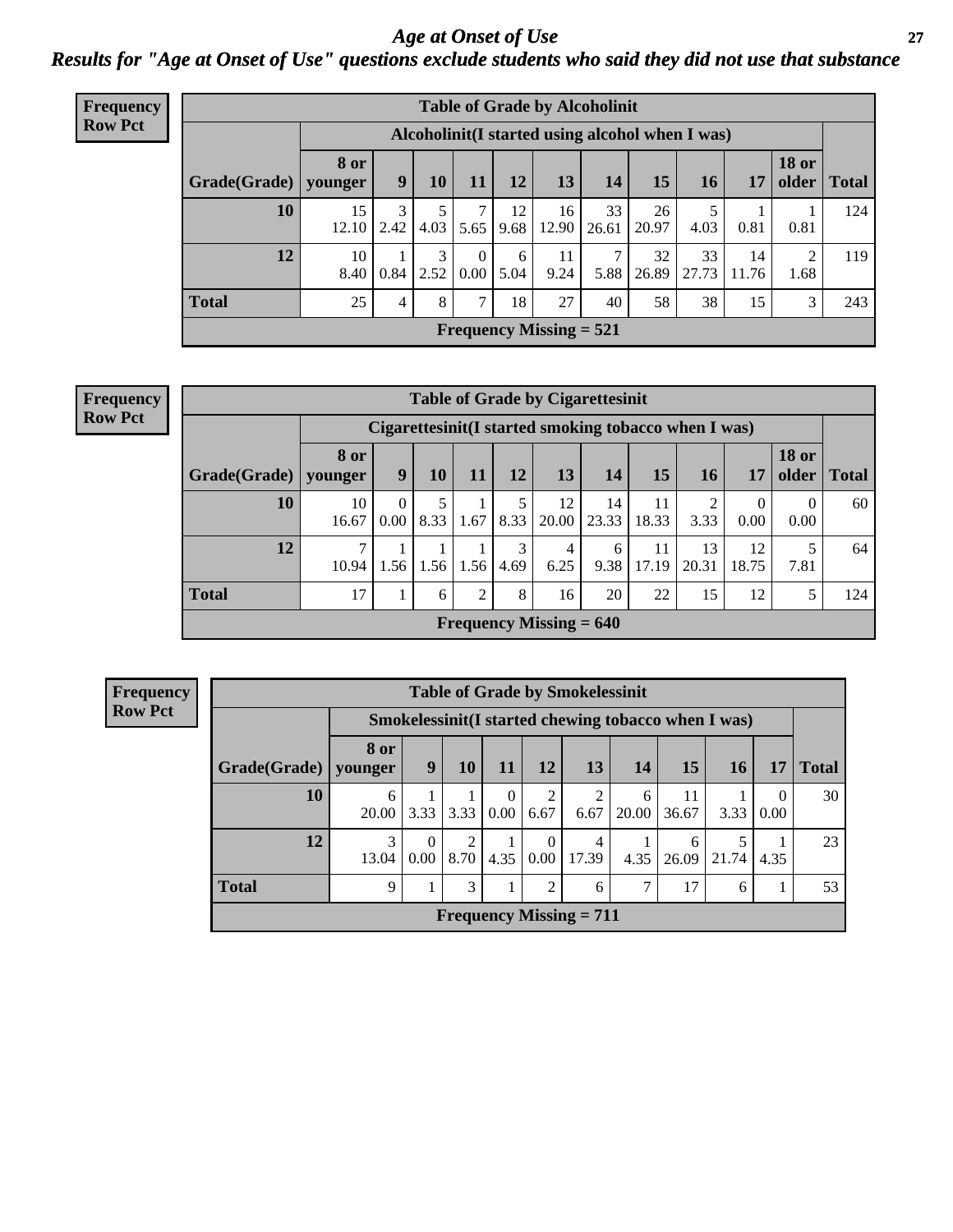*Age at Onset of Use* **27** *Results for "Age at Onset of Use" questions exclude students who said they did not use that substance*

| Frequency      | <b>Table of Grade by Alcoholinit</b> |                        |                                                  |                        |                  |            |                                |             |             |             |             |                       |              |
|----------------|--------------------------------------|------------------------|--------------------------------------------------|------------------------|------------------|------------|--------------------------------|-------------|-------------|-------------|-------------|-----------------------|--------------|
| <b>Row Pct</b> |                                      |                        | Alcoholinit (I started using alcohol when I was) |                        |                  |            |                                |             |             |             |             |                       |              |
|                | Grade(Grade)                         | <b>8 or</b><br>younger | 9                                                | 10                     | 11               | 12         | 13                             | 14          | 15          | <b>16</b>   | 17          | <b>18 or</b><br>older | <b>Total</b> |
|                | 10                                   | 15<br>12.10            | 3<br>2.42                                        | 4.03                   | 5.65             | 12<br>9.68 | 16<br>12.90                    | 33<br>26.61 | 26<br>20.97 | 4.03        | 0.81        | 0.81                  | 124          |
|                | 12                                   | 10<br>8.40             | 0.84                                             | $\overline{3}$<br>2.52 | $\theta$<br>0.00 | 6<br>5.04  | 11<br>9.24                     | 7<br>5.88   | 32<br>26.89 | 33<br>27.73 | 14<br>11.76 | 2<br>1.68             | 119          |
|                | <b>Total</b>                         | 25                     | 4                                                | 8                      | ⇁                | 18         | 27                             | 40          | 58          | 38          | 15          | 3                     | 243          |
|                |                                      |                        |                                                  |                        |                  |            | <b>Frequency Missing = 521</b> |             |             |             |             |                       |              |

| <b>Frequency</b> | <b>Table of Grade by Cigarettesinit</b> |                 |           |      |      |      |                                             |                                                       |             |                 |                  |                       |              |
|------------------|-----------------------------------------|-----------------|-----------|------|------|------|---------------------------------------------|-------------------------------------------------------|-------------|-----------------|------------------|-----------------------|--------------|
| <b>Row Pct</b>   |                                         |                 |           |      |      |      |                                             | Cigarettesinit (I started smoking tobacco when I was) |             |                 |                  |                       |              |
|                  | Grade(Grade)                            | 8 or<br>younger | 9         | 10   | 11   | 12   | 13                                          | 14                                                    | 15          | 16 <sup>1</sup> | 17               | <b>18 or</b><br>older | <b>Total</b> |
|                  | 10                                      | 10<br>16.67     | 0<br>0.00 | 8.33 | 1.67 | 8.33 | 12<br>20.00                                 | 14<br>23.33                                           | 11<br>18.33 | 3.33            | $\theta$<br>0.00 | $\Omega$<br>0.00      | 60           |
|                  | 12                                      | ⇁<br>10.94      | 1.56      | 1.56 | 1.56 | 4.69 | 4<br>6.25                                   | 6<br>9.38                                             | 11<br>17.19 | 13<br>20.31     | 12<br>18.75      | 7.81                  | 64           |
|                  | <b>Total</b>                            | 17              |           | 6    | 2    | 8    | 16                                          | 20                                                    | 22          | 15              | 12               |                       | 124          |
|                  |                                         |                 |           |      |      |      | <b>Frequency Missing = <math>640</math></b> |                                                       |             |                 |                  |                       |              |

| <b>Table of Grade by Smokelessinit</b> |            |                                                      |           |                  |                      |                                             |            |             |            |                  |              |  |  |
|----------------------------------------|------------|------------------------------------------------------|-----------|------------------|----------------------|---------------------------------------------|------------|-------------|------------|------------------|--------------|--|--|
|                                        |            | Smokelessinit (I started chewing tobacco when I was) |           |                  |                      |                                             |            |             |            |                  |              |  |  |
| Grade(Grade)   younger                 | 8 or       | 9                                                    | <b>10</b> | 11               | <b>12</b>            | 13                                          | 14         | 15          | 16         | 17               | <b>Total</b> |  |  |
| 10                                     | 6<br>20.00 | 3.33                                                 | 3.33      | $\Omega$<br>0.00 | 2<br>6.67            | 6.67                                        | 6<br>20.00 | 11<br>36.67 | 3.33       | $\Omega$<br>0.00 | 30           |  |  |
| 12                                     | 3<br>13.04 | 0<br>0.00                                            | 2<br>8.70 | 4.35             | $\Omega$<br>$0.00\,$ | 4<br>17.39                                  | 4.35       | 6<br>26.09  | 5<br>21.74 | 4.35             | 23           |  |  |
| <b>Total</b>                           | 9          |                                                      | 3         |                  | $\mathfrak{D}$       | 6                                           | ⇁          | 17          | 6          |                  | 53           |  |  |
|                                        |            |                                                      |           |                  |                      | <b>Frequency Missing <math>= 711</math></b> |            |             |            |                  |              |  |  |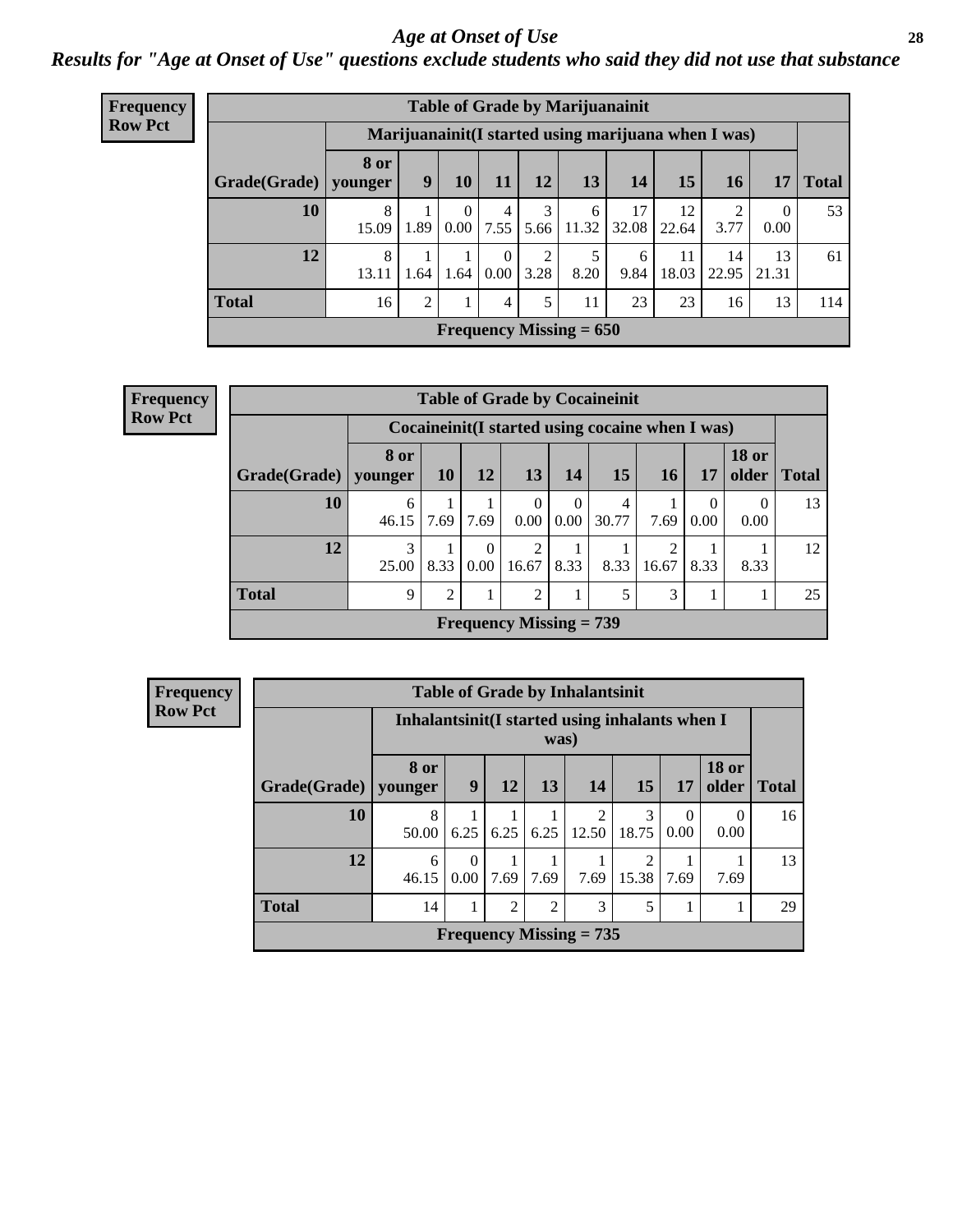#### *Age at Onset of Use* **28**

*Results for "Age at Onset of Use" questions exclude students who said they did not use that substance*

| <b>Frequency</b> | <b>Table of Grade by Marijuanainit</b> |                        |                |                  |                  |           |                           |             |             |                                                      |                  |              |  |
|------------------|----------------------------------------|------------------------|----------------|------------------|------------------|-----------|---------------------------|-------------|-------------|------------------------------------------------------|------------------|--------------|--|
| <b>Row Pct</b>   |                                        |                        |                |                  |                  |           |                           |             |             | Marijuanainit (I started using marijuana when I was) |                  |              |  |
|                  | Grade(Grade)                           | <b>8 or</b><br>vounger | 9              | 10               | 11               | 12        | 13                        | 14          | 15          | 16                                                   | 17               | <b>Total</b> |  |
|                  | 10                                     | 8<br>15.09             | 1.89           | $\Omega$<br>0.00 | 4<br>7.55        | 3<br>5.66 | 6<br>11.32                | 17<br>32.08 | 12<br>22.64 | 3.77                                                 | $\Omega$<br>0.00 | 53           |  |
|                  | 12                                     | 8<br>13.11             | 1.64           | 1.64             | $\Omega$<br>0.00 | 2<br>3.28 | 8.20                      | 6<br>9.84   | 11<br>18.03 | 14<br>22.95                                          | 13<br>21.31      | 61           |  |
|                  | <b>Total</b>                           | 16                     | $\overline{2}$ | 1                | $\overline{4}$   | 5         | 11                        | 23          | 23          | 16                                                   | 13               | 114          |  |
|                  |                                        |                        |                |                  |                  |           | Frequency Missing $= 650$ |             |             |                                                      |                  |              |  |

| <b>Frequency</b> |                          |             |           |                      |                                             |                      | <b>Table of Grade by Cocaineinit</b>               |            |                  |                  |               |
|------------------|--------------------------|-------------|-----------|----------------------|---------------------------------------------|----------------------|----------------------------------------------------|------------|------------------|------------------|---------------|
| <b>Row Pct</b>   |                          |             |           |                      |                                             |                      | Cocaine in it (I started using cocaine when I was) |            |                  |                  |               |
|                  | $Grade(Grade)$   younger | <b>8 or</b> | <b>10</b> | 12                   | <b>13</b>                                   | 14                   | 15                                                 | 16         | 17               | <b>18 or</b>     | older   Total |
|                  | 10                       | 6<br>46.15  | 7.69      | 7.69                 | $\Omega$<br>0.00 <sub>1</sub>               | $\mathbf{0}$<br>0.00 | 4<br>30.77                                         | 7.69       | $\theta$<br>0.00 | $\Omega$<br>0.00 | 13            |
|                  | 12                       | 3<br>25.00  | 8.33      | $\Omega$<br>$0.00\,$ | 2<br>16.67                                  | 8.33                 | 8.33                                               | ↑<br>16.67 | 8.33             | 8.33             | 12            |
|                  | <b>Total</b>             | 9           | 2         |                      | 2                                           |                      | 5                                                  | 3          |                  | 1                | 25            |
|                  |                          |             |           |                      | <b>Frequency Missing <math>= 739</math></b> |                      |                                                    |            |                  |                  |               |

| <b>Frequency</b> |              |                          |                                                         |                |                | <b>Table of Grade by Inhalantsinit</b> |            |                  |                       |       |  |
|------------------|--------------|--------------------------|---------------------------------------------------------|----------------|----------------|----------------------------------------|------------|------------------|-----------------------|-------|--|
| <b>Row Pct</b>   |              |                          | Inhalantsinit (I started using inhalants when I<br>was) |                |                |                                        |            |                  |                       |       |  |
|                  | Grade(Grade) | <b>8 or</b><br>  younger | 9 <sup>1</sup>                                          | 12             | 13             | 14                                     | 15         | 17               | <b>18 or</b><br>older | Total |  |
|                  | 10           | 8<br>50.00               | 6.25                                                    | 6.25           | 6.25           | 2<br>12.50                             | 3<br>18.75 | $\theta$<br>0.00 | 0<br>0.00             | 16    |  |
|                  | 12           | 6<br>46.15               | $\Omega$<br>0.00                                        | 7.69           | 7.69           | 7.69                                   | 2<br>15.38 | 7.69             | 7.69                  | 13    |  |
|                  | <b>Total</b> | 14                       | 1                                                       | $\overline{2}$ | $\overline{2}$ | 3                                      | 5          |                  |                       | 29    |  |
|                  |              |                          | Frequency Missing $= 735$                               |                |                |                                        |            |                  |                       |       |  |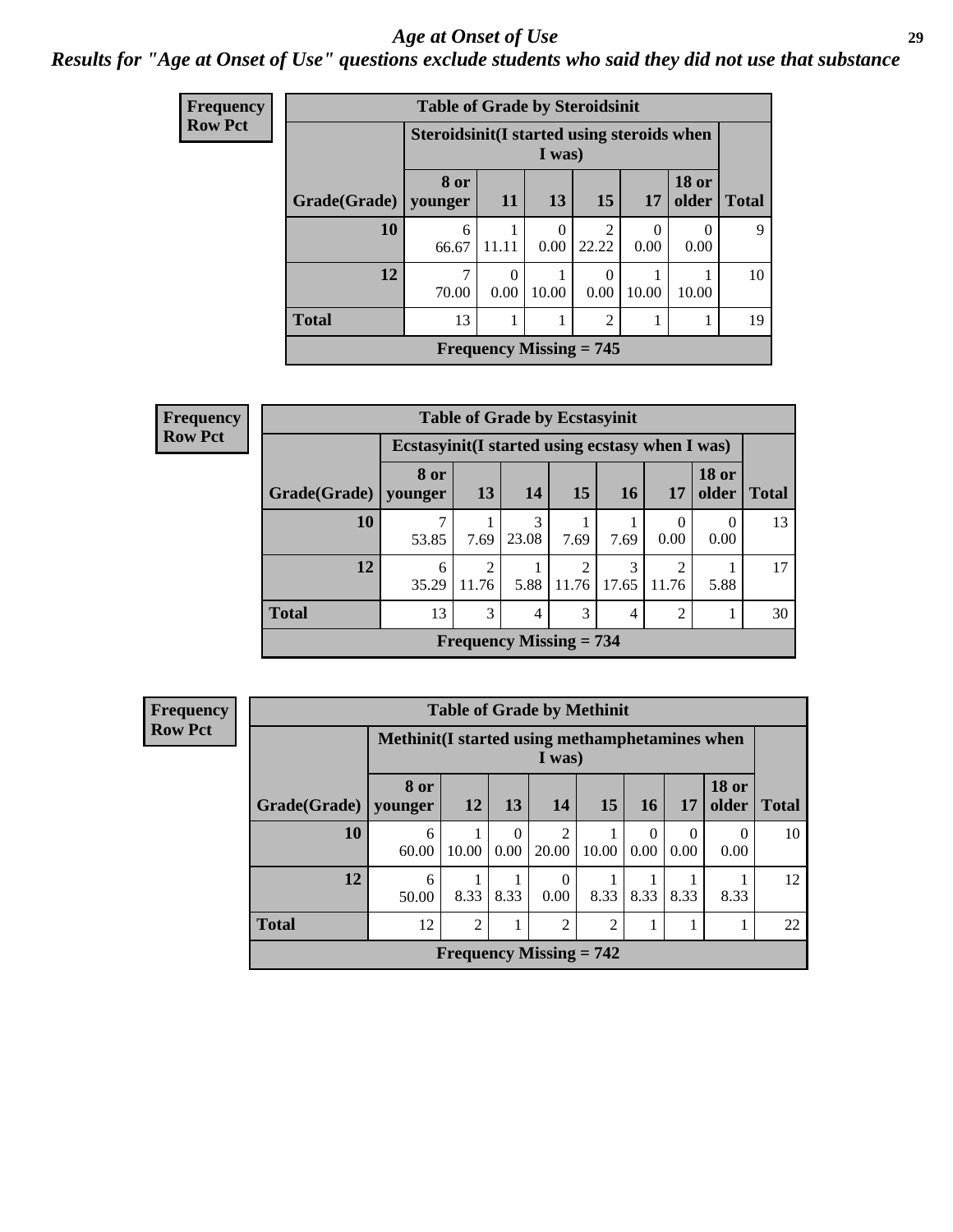#### *Age at Onset of Use* **29**

### *Results for "Age at Onset of Use" questions exclude students who said they did not use that substance*

| <b>Frequency</b> |              | <b>Table of Grade by Steroidsinit</b>      |                  |                           |                         |                  |                  |              |
|------------------|--------------|--------------------------------------------|------------------|---------------------------|-------------------------|------------------|------------------|--------------|
| <b>Row Pct</b>   |              | Steroidsinit(I started using steroids when |                  | I was)                    |                         |                  |                  |              |
|                  | Grade(Grade) | 8 or<br>younger                            | <b>11</b>        | 13                        | 15                      | 17               | $18$ or<br>older | <b>Total</b> |
|                  | 10           | 6<br>66.67                                 | 11.11            | $\Omega$<br>0.00          | $\overline{c}$<br>22.22 | $\theta$<br>0.00 | $\Omega$<br>0.00 | 9            |
|                  | 12           | 7<br>70.00                                 | $\Omega$<br>0.00 | 10.00                     | 0<br>0.00               | 10.00            | 10.00            | 10           |
|                  | <b>Total</b> | 13                                         | 1                | 1                         | $\overline{2}$          | 1                |                  | 19           |
|                  |              |                                            |                  | Frequency Missing $= 745$ |                         |                  |                  |              |

| Frequency      |              |                 | <b>Table of Grade by Ecstasyinit</b>             |                                             |                        |            |                        |                       |              |  |  |  |
|----------------|--------------|-----------------|--------------------------------------------------|---------------------------------------------|------------------------|------------|------------------------|-----------------------|--------------|--|--|--|
| <b>Row Pct</b> |              |                 | Ecstasyinit (I started using ecstasy when I was) |                                             |                        |            |                        |                       |              |  |  |  |
|                | Grade(Grade) | 8 or<br>vounger | 13                                               | <b>14</b>                                   | 15 <sup>1</sup>        | <b>16</b>  | 17                     | <b>18 or</b><br>older | <b>Total</b> |  |  |  |
|                | 10           | 53.85           | 7.69                                             | 3<br>23.08                                  | 7.69                   | 7.69       | $\Omega$<br>0.00       | 0<br>0.00             | 13           |  |  |  |
|                | 12           | 6<br>35.29      | $\overline{c}$<br>11.76                          | 5.88                                        | $\mathcal{D}$<br>11.76 | 3<br>17.65 | $\mathcal{L}$<br>11.76 | 5.88                  | 17           |  |  |  |
|                | <b>Total</b> | 13              | 3                                                | 4                                           | 3                      | 4          | $\overline{2}$         |                       | 30           |  |  |  |
|                |              |                 |                                                  | <b>Frequency Missing <math>= 734</math></b> |                        |            |                        |                       |              |  |  |  |

| <b>Frequency</b> |              |                                                           | <b>Table of Grade by Methinit</b> |                  |                           |                |                  |           |                       |              |  |  |
|------------------|--------------|-----------------------------------------------------------|-----------------------------------|------------------|---------------------------|----------------|------------------|-----------|-----------------------|--------------|--|--|
| <b>Row Pct</b>   |              | Methinit (I started using methamphetamines when<br>I was) |                                   |                  |                           |                |                  |           |                       |              |  |  |
|                  | Grade(Grade) | 8 or<br>vounger                                           | 12                                | 13               | <b>14</b>                 | 15             | 16               | <b>17</b> | <b>18 or</b><br>older | <b>Total</b> |  |  |
|                  | 10           | 6<br>60.00                                                | 10.00                             | $\Omega$<br>0.00 | 2<br>20.00                | 10.00          | $\Omega$<br>0.00 | 0<br>0.00 | $\theta$<br>0.00      | 10           |  |  |
|                  | 12           | 6<br>50.00                                                | 8.33                              | 8.33             | 0<br>0.00                 | 8.33           | 8.33             | 8.33      | 8.33                  | 12           |  |  |
|                  | <b>Total</b> | 12                                                        | $\overline{2}$                    |                  | 2                         | $\overline{2}$ |                  |           |                       | 22           |  |  |
|                  |              |                                                           |                                   |                  | Frequency Missing $= 742$ |                |                  |           |                       |              |  |  |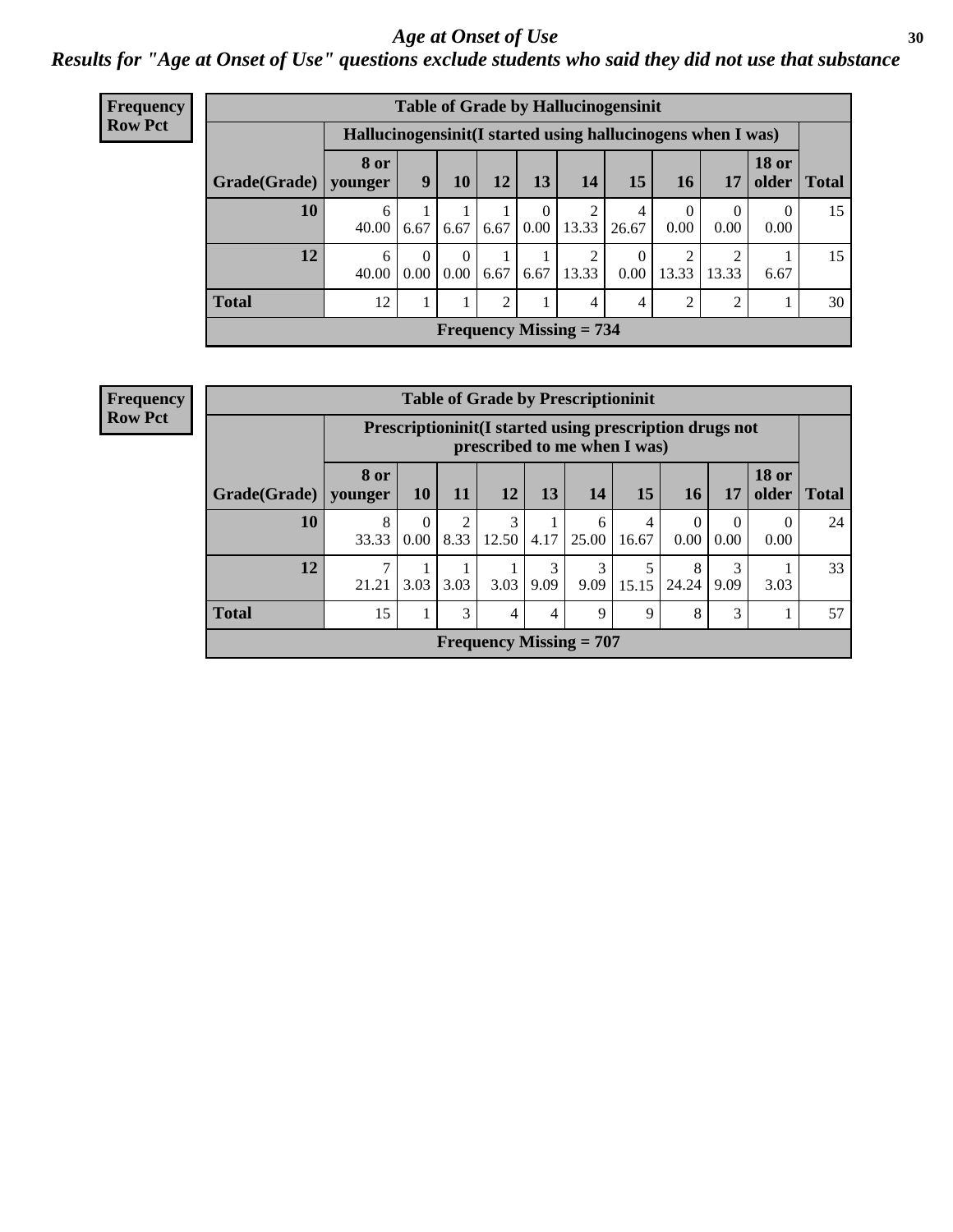#### Age at Onset of Use **30**

### *Results for "Age at Onset of Use" questions exclude students who said they did not use that substance*

| <b>Frequency</b> | <b>Table of Grade by Hallucinogensinit</b> |                        |                                                              |                  |      |                      |                           |            |                        |       |                               |    |  |
|------------------|--------------------------------------------|------------------------|--------------------------------------------------------------|------------------|------|----------------------|---------------------------|------------|------------------------|-------|-------------------------------|----|--|
| <b>Row Pct</b>   |                                            |                        | Hallucinogensinit (I started using hallucinogens when I was) |                  |      |                      |                           |            |                        |       |                               |    |  |
|                  | Grade(Grade)                               | <b>8 or</b><br>younger | 9                                                            | 10               | 12   | 13                   | 14                        | 15         | 16                     | 17    | <b>18 or</b><br>older   Total |    |  |
|                  | 10                                         | 6<br>40.00             | 6.67                                                         | 6.67             | 6.67 | $\theta$<br>$0.00\,$ | 13.33                     | 4<br>26.67 | $\overline{0}$<br>0.00 | 0.00  | $\theta$<br>0.00              | 15 |  |
|                  | 12                                         | 6<br>40.00             | $\Omega$<br>0.00                                             | $\Omega$<br>0.00 | 6.67 | 6.67                 | $\mathfrak{D}$<br>13.33   | 0<br>0.00  | 2<br>13.33             | 13.33 | 6.67                          | 15 |  |
|                  | <b>Total</b>                               | 12                     | 1                                                            | 1                | 2    | 1                    | 4                         | 4          | 2                      | 2     |                               | 30 |  |
|                  |                                            |                        |                                                              |                  |      |                      | Frequency Missing $= 734$ |            |                        |       |                               |    |  |

| <b>Frequency</b> |
|------------------|
| <b>Row Pct</b>   |

| <b>Table of Grade by Prescriptioninit</b> |                 |                                                                                         |                        |            |           |            |            |                  |           |                       |              |  |
|-------------------------------------------|-----------------|-----------------------------------------------------------------------------------------|------------------------|------------|-----------|------------|------------|------------------|-----------|-----------------------|--------------|--|
|                                           |                 | Prescriptioninit(I started using prescription drugs not<br>prescribed to me when I was) |                        |            |           |            |            |                  |           |                       |              |  |
| Grade(Grade)                              | 8 or<br>younger | <b>10</b>                                                                               | <b>11</b>              | <b>12</b>  | 13        | 14         | 15         | 16               | 17        | <b>18 or</b><br>older | <b>Total</b> |  |
| 10                                        | 8<br>33.33      | $\Omega$<br>0.00                                                                        | $\overline{2}$<br>8.33 | 3<br>12.50 | 4.17      | 6<br>25.00 | 4<br>16.67 | $\theta$<br>0.00 | 0.00      | 0.00                  | 24           |  |
| 12                                        | 7<br>21.21      | 3.03                                                                                    | 3.03                   | 3.03       | 3<br>9.09 | 3<br>9.09  | 5<br>15.15 | 8<br>24.24       | 3<br>9.09 | 3.03                  | 33           |  |
| <b>Total</b>                              | 15              |                                                                                         | 3                      | 4          | 4         | 9          | 9          | 8                | 3         |                       | 57           |  |
| Frequency Missing $= 707$                 |                 |                                                                                         |                        |            |           |            |            |                  |           |                       |              |  |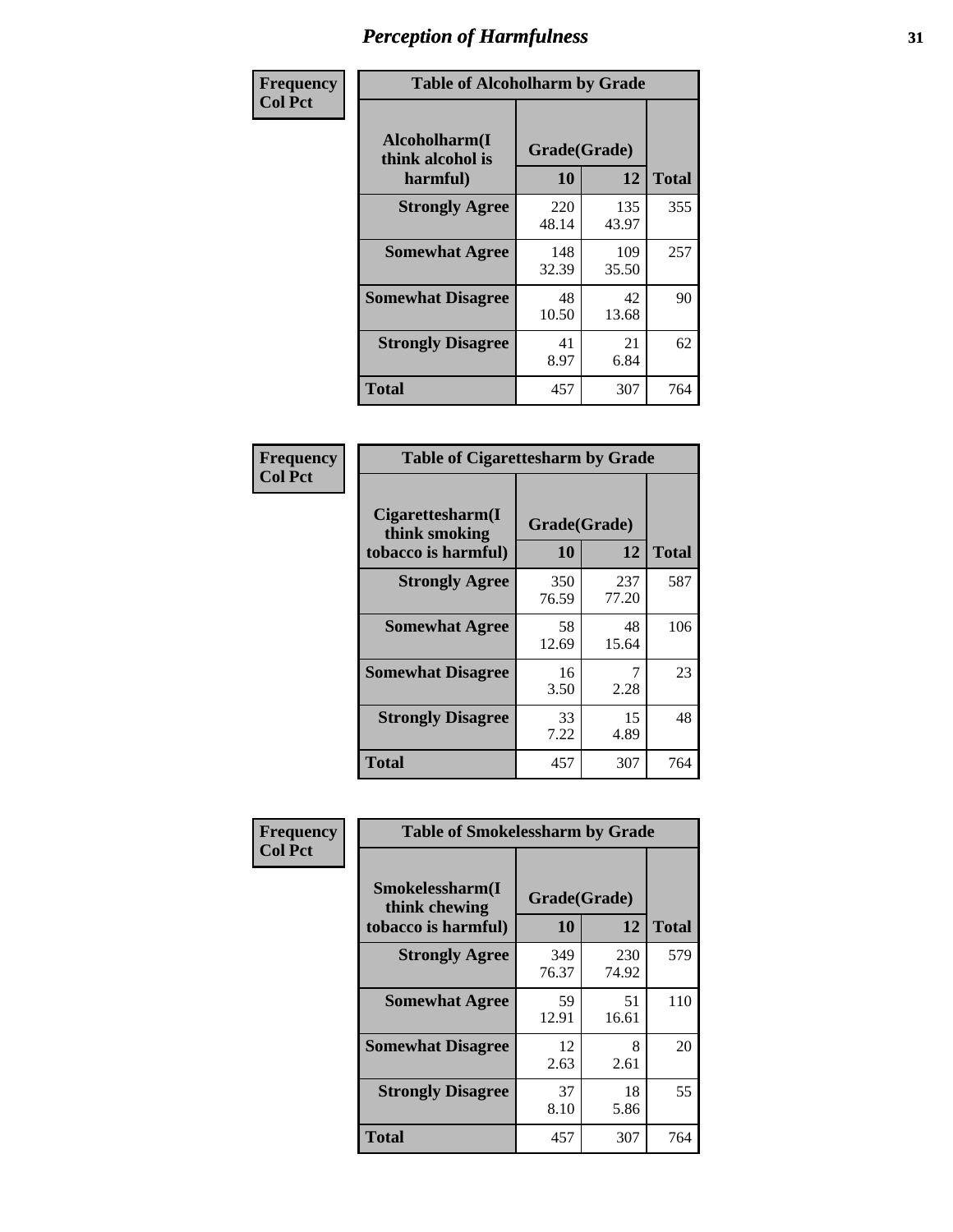| Frequency      | <b>Table of Alcoholharm by Grade</b>          |                    |              |              |  |  |  |
|----------------|-----------------------------------------------|--------------------|--------------|--------------|--|--|--|
| <b>Col Pct</b> | Alcoholharm(I<br>think alcohol is<br>harmful) | Grade(Grade)<br>10 | 12           | <b>Total</b> |  |  |  |
|                | <b>Strongly Agree</b>                         | 220<br>48.14       | 135<br>43.97 | 355          |  |  |  |
|                | <b>Somewhat Agree</b>                         | 148<br>32.39       | 109<br>35.50 | 257          |  |  |  |
|                | <b>Somewhat Disagree</b>                      | 48<br>10.50        | 42<br>13.68  | 90           |  |  |  |
|                | <b>Strongly Disagree</b>                      | 41<br>8.97         | 21<br>6.84   | 62           |  |  |  |
|                | <b>Total</b>                                  | 457                | 307          | 764          |  |  |  |

| <b>Table of Cigarettesharm by Grade</b>                  |                    |              |              |  |  |  |  |  |
|----------------------------------------------------------|--------------------|--------------|--------------|--|--|--|--|--|
| Cigarettesharm(I<br>think smoking<br>tobacco is harmful) | Grade(Grade)<br>10 | 12           | <b>Total</b> |  |  |  |  |  |
| <b>Strongly Agree</b>                                    | 350<br>76.59       | 237<br>77.20 | 587          |  |  |  |  |  |
| <b>Somewhat Agree</b>                                    | 58<br>12.69        | 48<br>15.64  | 106          |  |  |  |  |  |
| <b>Somewhat Disagree</b>                                 | 16<br>3.50         | 7<br>2.28    | 23           |  |  |  |  |  |
| <b>Strongly Disagree</b>                                 | 33<br>7.22         | 15<br>4.89   | 48           |  |  |  |  |  |
| <b>Total</b>                                             | 457                | 307          | 764          |  |  |  |  |  |

| Frequency      | <b>Table of Smokelessharm by Grade</b>                  |                    |              |              |  |  |  |
|----------------|---------------------------------------------------------|--------------------|--------------|--------------|--|--|--|
| <b>Col Pct</b> | Smokelessharm(I<br>think chewing<br>tobacco is harmful) | Grade(Grade)<br>10 | 12           | <b>Total</b> |  |  |  |
|                | <b>Strongly Agree</b>                                   | 349<br>76.37       | 230<br>74.92 | 579          |  |  |  |
|                | <b>Somewhat Agree</b>                                   | 59<br>12.91        | 51<br>16.61  | 110          |  |  |  |
|                | <b>Somewhat Disagree</b>                                | 12<br>2.63         | 8<br>2.61    | 20           |  |  |  |
|                | <b>Strongly Disagree</b>                                | 37<br>8.10         | 18<br>5.86   | 55           |  |  |  |
|                | <b>Total</b>                                            | 457                | 307          | 764          |  |  |  |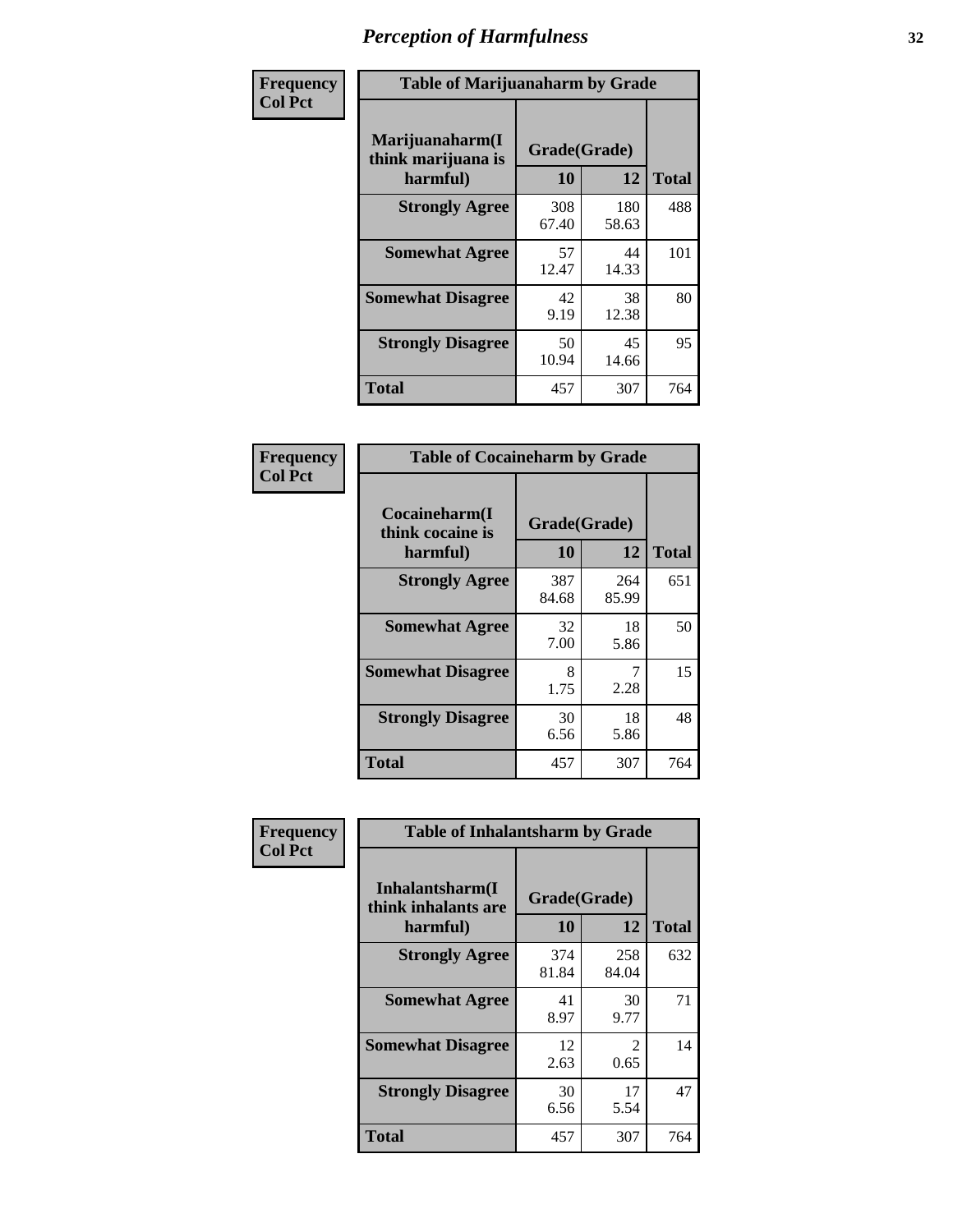| Frequency      |                                                   | <b>Table of Marijuanaharm by Grade</b> |              |              |  |  |  |  |  |
|----------------|---------------------------------------------------|----------------------------------------|--------------|--------------|--|--|--|--|--|
| <b>Col Pct</b> | Marijuanaharm(I<br>think marijuana is<br>harmful) | Grade(Grade)<br>10                     | 12           | <b>Total</b> |  |  |  |  |  |
|                | <b>Strongly Agree</b>                             | 308<br>67.40                           | 180<br>58.63 | 488          |  |  |  |  |  |
|                | <b>Somewhat Agree</b>                             | 57<br>12.47                            | 44<br>14.33  | 101          |  |  |  |  |  |
|                | <b>Somewhat Disagree</b>                          | 42<br>9.19                             | 38<br>12.38  | 80           |  |  |  |  |  |
|                | <b>Strongly Disagree</b>                          | 50<br>10.94                            | 45<br>14.66  | 95           |  |  |  |  |  |
|                | <b>Total</b>                                      | 457                                    | 307          | 764          |  |  |  |  |  |

| <b>Table of Cocaineharm by Grade</b>          |                    |              |     |  |  |
|-----------------------------------------------|--------------------|--------------|-----|--|--|
| Cocaineharm(I<br>think cocaine is<br>harmful) | Grade(Grade)<br>10 | <b>Total</b> |     |  |  |
| <b>Strongly Agree</b>                         | 387<br>84.68       | 264<br>85.99 | 651 |  |  |
| <b>Somewhat Agree</b>                         | 32<br>7.00         | 18<br>5.86   | 50  |  |  |
| <b>Somewhat Disagree</b>                      | 8<br>1.75          | 7<br>2.28    | 15  |  |  |
| <b>Strongly Disagree</b>                      | 30<br>6.56         | 18<br>5.86   | 48  |  |  |
| <b>Total</b>                                  | 457                | 307          | 764 |  |  |

| Frequency      | <b>Table of Inhalantsharm by Grade</b>             |                    |              |              |  |
|----------------|----------------------------------------------------|--------------------|--------------|--------------|--|
| <b>Col Pct</b> | Inhalantsharm(I<br>think inhalants are<br>harmful) | Grade(Grade)<br>10 | 12           | <b>Total</b> |  |
|                | <b>Strongly Agree</b>                              | 374<br>81.84       | 258<br>84.04 | 632          |  |
|                | <b>Somewhat Agree</b>                              | 41<br>8.97         | 30<br>9.77   | 71           |  |
|                | <b>Somewhat Disagree</b>                           | 12<br>2.63         | 2<br>0.65    | 14           |  |
|                | <b>Strongly Disagree</b>                           | 30<br>6.56         | 17<br>5.54   | 47           |  |
|                | <b>Total</b>                                       | 457                | 307          | 764          |  |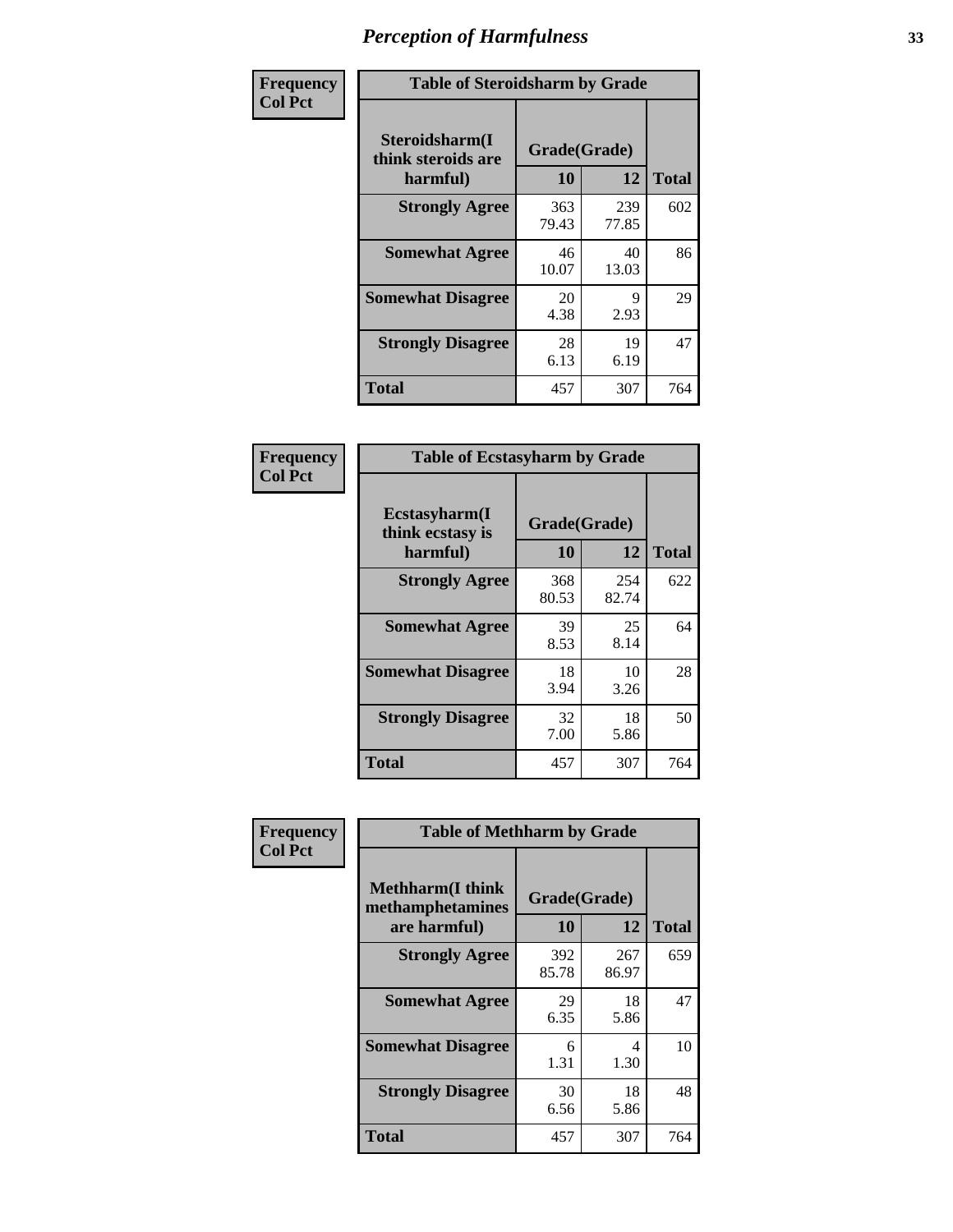| Frequency      | <b>Table of Steroidsharm by Grade</b>            |                    |              |              |
|----------------|--------------------------------------------------|--------------------|--------------|--------------|
| <b>Col Pct</b> | Steroidsharm(I<br>think steroids are<br>harmful) | Grade(Grade)<br>10 | 12           | <b>Total</b> |
|                | <b>Strongly Agree</b>                            | 363<br>79.43       | 239<br>77.85 | 602          |
|                | <b>Somewhat Agree</b>                            | 46<br>10.07        | 40<br>13.03  | 86           |
|                | <b>Somewhat Disagree</b>                         | 20<br>4.38         | 9<br>2.93    | 29           |
|                | <b>Strongly Disagree</b>                         | 28<br>6.13         | 19<br>6.19   | 47           |
|                | <b>Total</b>                                     | 457                | 307          | 764          |

| <b>Table of Ecstasyharm by Grade</b>          |                    |              |     |  |  |
|-----------------------------------------------|--------------------|--------------|-----|--|--|
| Ecstasyharm(I<br>think ecstasy is<br>harmful) | Grade(Grade)<br>10 | <b>Total</b> |     |  |  |
| <b>Strongly Agree</b>                         | 368<br>80.53       | 254<br>82.74 | 622 |  |  |
| <b>Somewhat Agree</b>                         | 39<br>8.53         | 25<br>8.14   | 64  |  |  |
| <b>Somewhat Disagree</b>                      | 18<br>3.94         | 10<br>3.26   | 28  |  |  |
| <b>Strongly Disagree</b>                      | 32<br>7.00         | 18<br>5.86   | 50  |  |  |
| <b>Total</b>                                  | 457                | 307          | 764 |  |  |

| Frequency      | <b>Table of Methharm by Grade</b>                            |                    |              |              |  |
|----------------|--------------------------------------------------------------|--------------------|--------------|--------------|--|
| <b>Col Pct</b> | <b>Methharm</b> (I think<br>methamphetamines<br>are harmful) | Grade(Grade)<br>10 | 12           | <b>Total</b> |  |
|                | <b>Strongly Agree</b>                                        | 392<br>85.78       | 267<br>86.97 | 659          |  |
|                | <b>Somewhat Agree</b>                                        | 29<br>6.35         | 18<br>5.86   | 47           |  |
|                | <b>Somewhat Disagree</b>                                     | 6<br>1.31          | 4<br>1.30    | 10           |  |
|                | <b>Strongly Disagree</b>                                     | 30<br>6.56         | 18<br>5.86   | 48           |  |
|                | <b>Total</b>                                                 | 457                | 307          | 764          |  |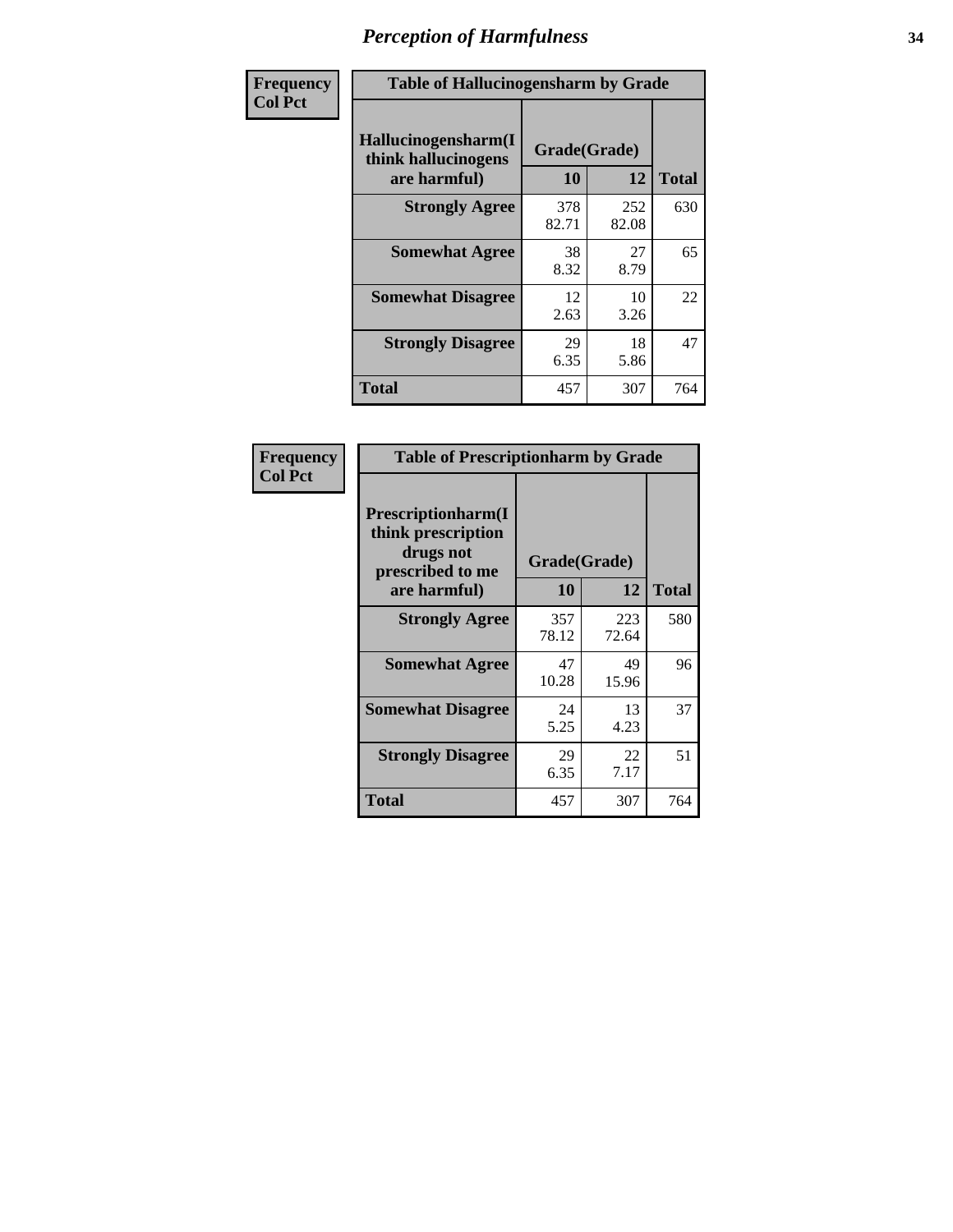| Frequency      | <b>Table of Hallucinogensharm by Grade</b>                 |                    |              |              |
|----------------|------------------------------------------------------------|--------------------|--------------|--------------|
| <b>Col Pct</b> | Hallucinogensharm(I<br>think hallucinogens<br>are harmful) | Grade(Grade)<br>10 | 12           | <b>Total</b> |
|                | <b>Strongly Agree</b>                                      | 378<br>82.71       | 252<br>82.08 | 630          |
|                | <b>Somewhat Agree</b>                                      | 38<br>8.32         | 27<br>8.79   | 65           |
|                | <b>Somewhat Disagree</b>                                   | 12<br>2.63         | 10<br>3.26   | 22           |
|                | <b>Strongly Disagree</b>                                   | 29<br>6.35         | 18<br>5.86   | 47           |
|                | <b>Total</b>                                               | 457                | 307          | 764          |

| <b>Table of Prescriptionharm by Grade</b>                                         |              |              |              |  |  |
|-----------------------------------------------------------------------------------|--------------|--------------|--------------|--|--|
| <b>Prescriptionharm</b> (I<br>think prescription<br>drugs not<br>prescribed to me | Grade(Grade) |              |              |  |  |
| are harmful)                                                                      | 10           | 12           | <b>Total</b> |  |  |
| <b>Strongly Agree</b>                                                             | 357<br>78.12 | 223<br>72.64 | 580          |  |  |
| <b>Somewhat Agree</b>                                                             | 47<br>10.28  | 49<br>15.96  | 96           |  |  |
| <b>Somewhat Disagree</b>                                                          | 24<br>5.25   | 13<br>4.23   | 37           |  |  |
| <b>Strongly Disagree</b>                                                          | 29<br>6.35   | 22<br>7.17   | 51           |  |  |
| Total                                                                             | 457          | 307          | 764          |  |  |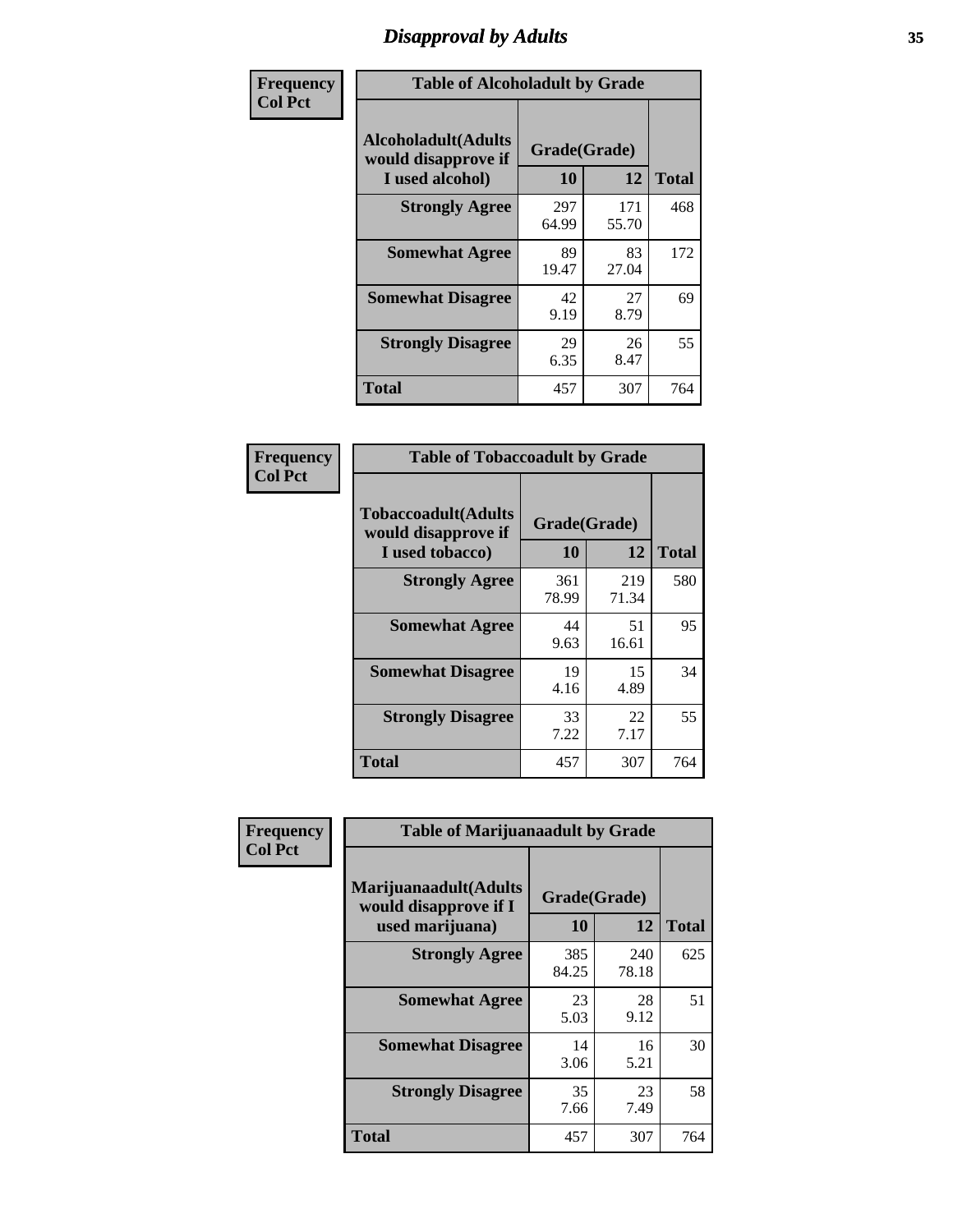# *Disapproval by Adults* **35**

| Frequency      | <b>Table of Alcoholadult by Grade</b>                                 |                    |              |              |
|----------------|-----------------------------------------------------------------------|--------------------|--------------|--------------|
| <b>Col Pct</b> | <b>Alcoholadult</b> (Adults<br>would disapprove if<br>I used alcohol) | Grade(Grade)<br>10 | 12           | <b>Total</b> |
|                | <b>Strongly Agree</b>                                                 | 297<br>64.99       | 171<br>55.70 | 468          |
|                | <b>Somewhat Agree</b>                                                 | 89<br>19.47        | 83<br>27.04  | 172          |
|                | <b>Somewhat Disagree</b>                                              | 42<br>9.19         | 27<br>8.79   | 69           |
|                | <b>Strongly Disagree</b>                                              | 29<br>6.35         | 26<br>8.47   | 55           |
|                | <b>Total</b>                                                          | 457                | 307          | 764          |

| <b>Table of Tobaccoadult by Grade</b>                                 |                    |              |              |  |  |
|-----------------------------------------------------------------------|--------------------|--------------|--------------|--|--|
| <b>Tobaccoadult</b> (Adults<br>would disapprove if<br>I used tobacco) | Grade(Grade)<br>10 | 12           | <b>Total</b> |  |  |
| <b>Strongly Agree</b>                                                 | 361<br>78.99       | 219<br>71.34 | 580          |  |  |
| <b>Somewhat Agree</b>                                                 | 44<br>9.63         | 51<br>16.61  | 95           |  |  |
| <b>Somewhat Disagree</b>                                              | 19<br>4.16         | 15<br>4.89   | 34           |  |  |
| <b>Strongly Disagree</b>                                              | 33<br>7.22         | 22<br>7.17   | 55           |  |  |
| <b>Total</b>                                                          | 457                | 307          | 764          |  |  |

| Frequency      | <b>Table of Marijuanaadult by Grade</b>                           |                    |              |              |  |
|----------------|-------------------------------------------------------------------|--------------------|--------------|--------------|--|
| <b>Col Pct</b> | Marijuanaadult(Adults<br>would disapprove if I<br>used marijuana) | Grade(Grade)<br>10 | 12           | <b>Total</b> |  |
|                | <b>Strongly Agree</b>                                             | 385<br>84.25       | 240<br>78.18 | 625          |  |
|                | <b>Somewhat Agree</b>                                             | 23<br>5.03         | 28<br>9.12   | 51           |  |
|                | <b>Somewhat Disagree</b>                                          | 14<br>3.06         | 16<br>5.21   | 30           |  |
|                | <b>Strongly Disagree</b>                                          | 35<br>7.66         | 23<br>7.49   | 58           |  |
|                | <b>Total</b>                                                      | 457                | 307          | 764          |  |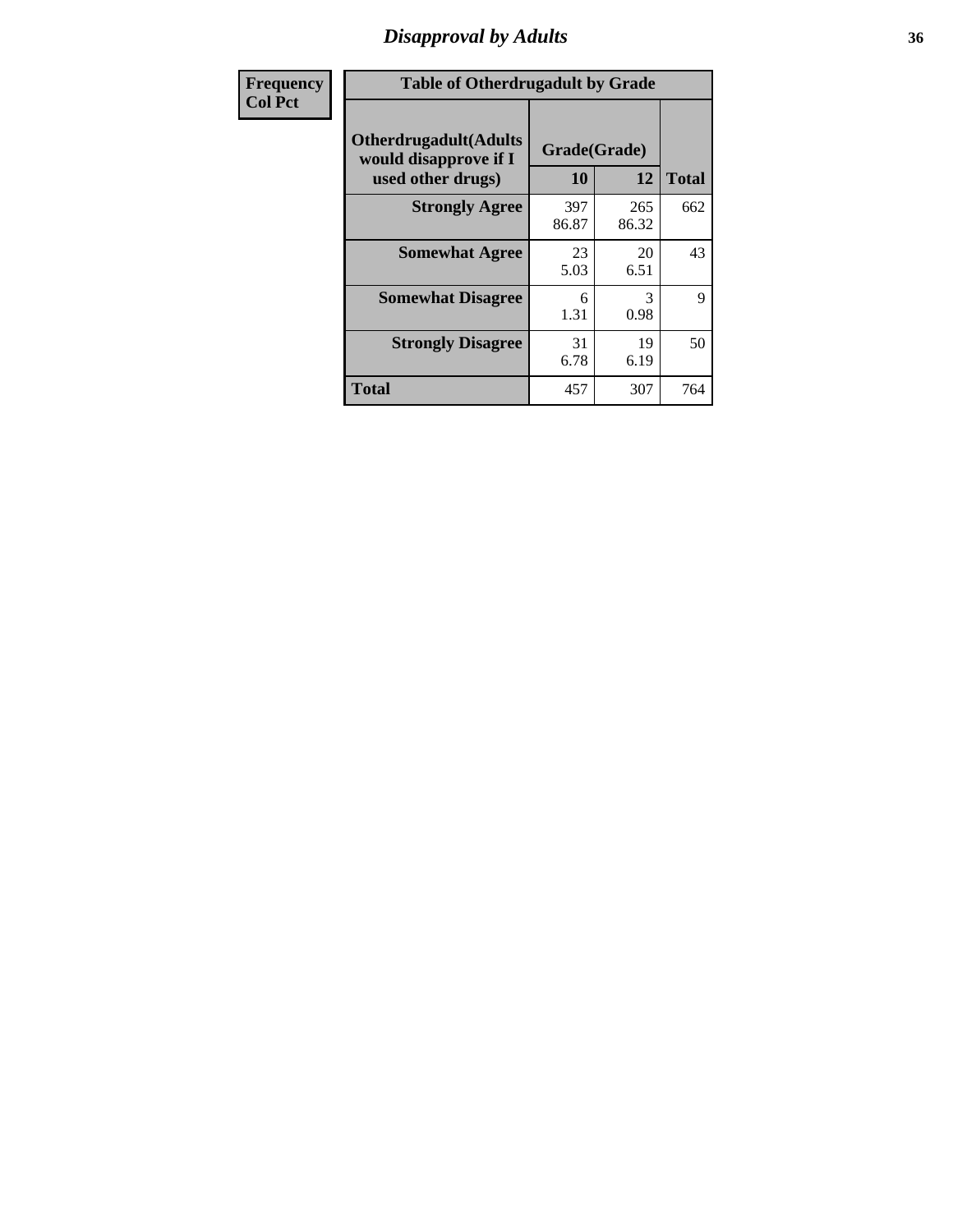# *Disapproval by Adults* **36**

| Frequency      | <b>Table of Otherdrugadult by Grade</b>                                     |                    |              |              |
|----------------|-----------------------------------------------------------------------------|--------------------|--------------|--------------|
| <b>Col Pct</b> | <b>Otherdrugadult</b> (Adults<br>would disapprove if I<br>used other drugs) | Grade(Grade)<br>10 | 12           | <b>Total</b> |
|                | <b>Strongly Agree</b>                                                       | 397<br>86.87       | 265<br>86.32 | 662          |
|                | <b>Somewhat Agree</b>                                                       | 23<br>5.03         | 20<br>6.51   | 43           |
|                | <b>Somewhat Disagree</b>                                                    | 6<br>1.31          | 3<br>0.98    | 9            |
|                | <b>Strongly Disagree</b>                                                    | 31<br>6.78         | 19<br>6.19   | 50           |
|                | <b>Total</b>                                                                | 457                | 307          | 764          |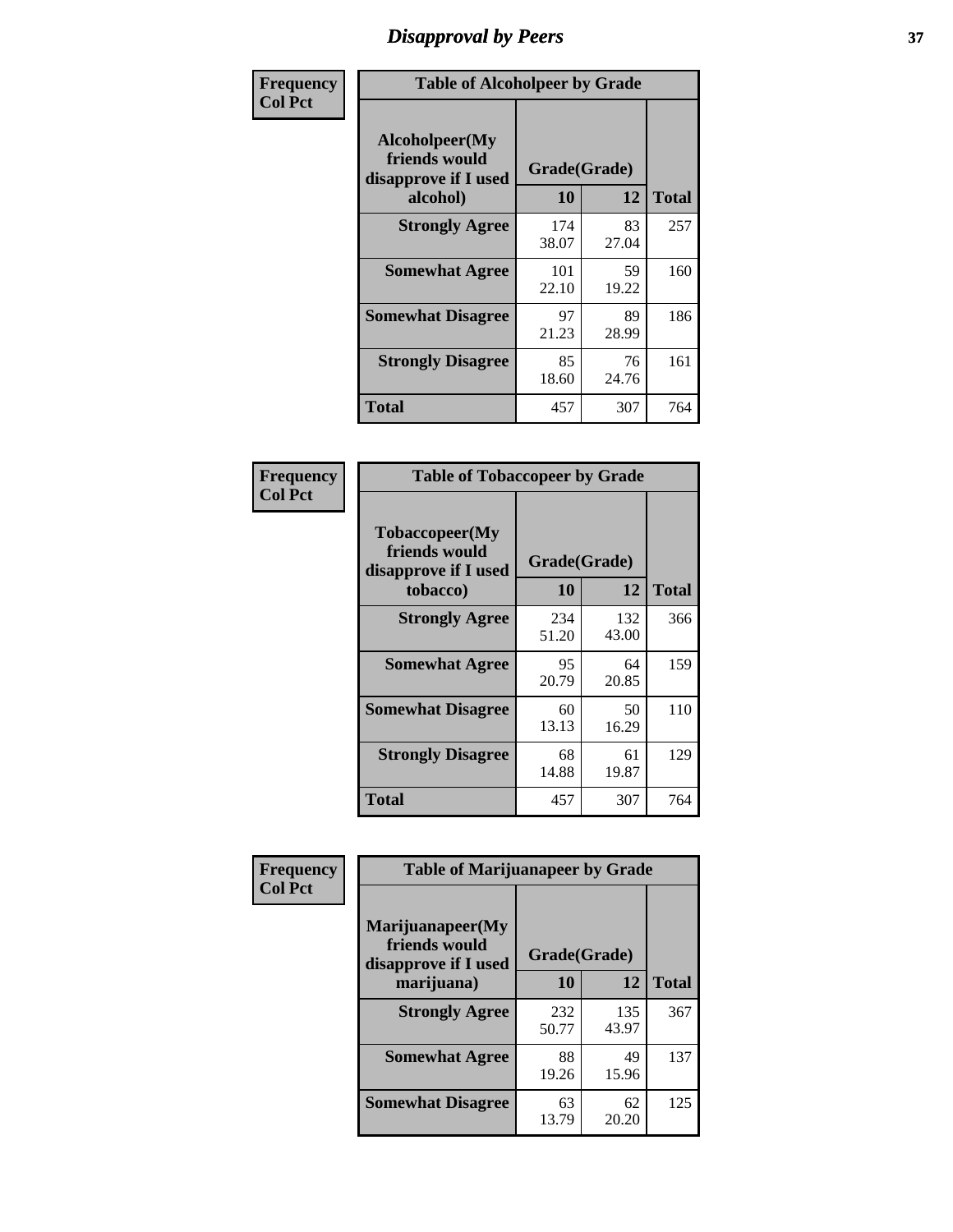# *Disapproval by Peers* **37**

| Frequency      | <b>Table of Alcoholpeer by Grade</b>                    |              |             |              |
|----------------|---------------------------------------------------------|--------------|-------------|--------------|
| <b>Col Pct</b> | Alcoholpeer(My<br>friends would<br>disapprove if I used | Grade(Grade) |             |              |
|                | alcohol)                                                | 10           | 12          | <b>Total</b> |
|                | <b>Strongly Agree</b>                                   | 174<br>38.07 | 83<br>27.04 | 257          |
|                | <b>Somewhat Agree</b>                                   | 101<br>22.10 | 59<br>19.22 | 160          |
|                | <b>Somewhat Disagree</b>                                | 97<br>21.23  | 89<br>28.99 | 186          |
|                | <b>Strongly Disagree</b>                                | 85<br>18.60  | 76<br>24.76 | 161          |
|                | Total                                                   | 457          | 307         | 764          |

| Frequency      | <b>Table of Tobaccopeer by Grade</b>                                |                    |              |              |  |
|----------------|---------------------------------------------------------------------|--------------------|--------------|--------------|--|
| <b>Col Pct</b> | Tobaccopeer(My<br>friends would<br>disapprove if I used<br>tobacco) | Grade(Grade)<br>10 | 12           | <b>Total</b> |  |
|                | <b>Strongly Agree</b>                                               | 234<br>51.20       | 132<br>43.00 | 366          |  |
|                | <b>Somewhat Agree</b>                                               | 95<br>20.79        | 64<br>20.85  | 159          |  |
|                | <b>Somewhat Disagree</b>                                            | 60<br>13.13        | 50<br>16.29  | 110          |  |
|                | <b>Strongly Disagree</b>                                            | 68<br>14.88        | 61<br>19.87  | 129          |  |
|                | <b>Total</b>                                                        | 457                | 307          | 764          |  |

| Frequency      | <b>Table of Marijuanapeer by Grade</b>                    |              |              |              |
|----------------|-----------------------------------------------------------|--------------|--------------|--------------|
| <b>Col Pct</b> | Marijuanapeer(My<br>friends would<br>disapprove if I used | Grade(Grade) |              |              |
|                | marijuana)                                                | 10           | 12           | <b>Total</b> |
|                | <b>Strongly Agree</b>                                     | 232<br>50.77 | 135<br>43.97 | 367          |
|                | <b>Somewhat Agree</b>                                     | 88<br>19.26  | 49<br>15.96  | 137          |
|                | <b>Somewhat Disagree</b>                                  | 63<br>13.79  | 62<br>20.20  | 125          |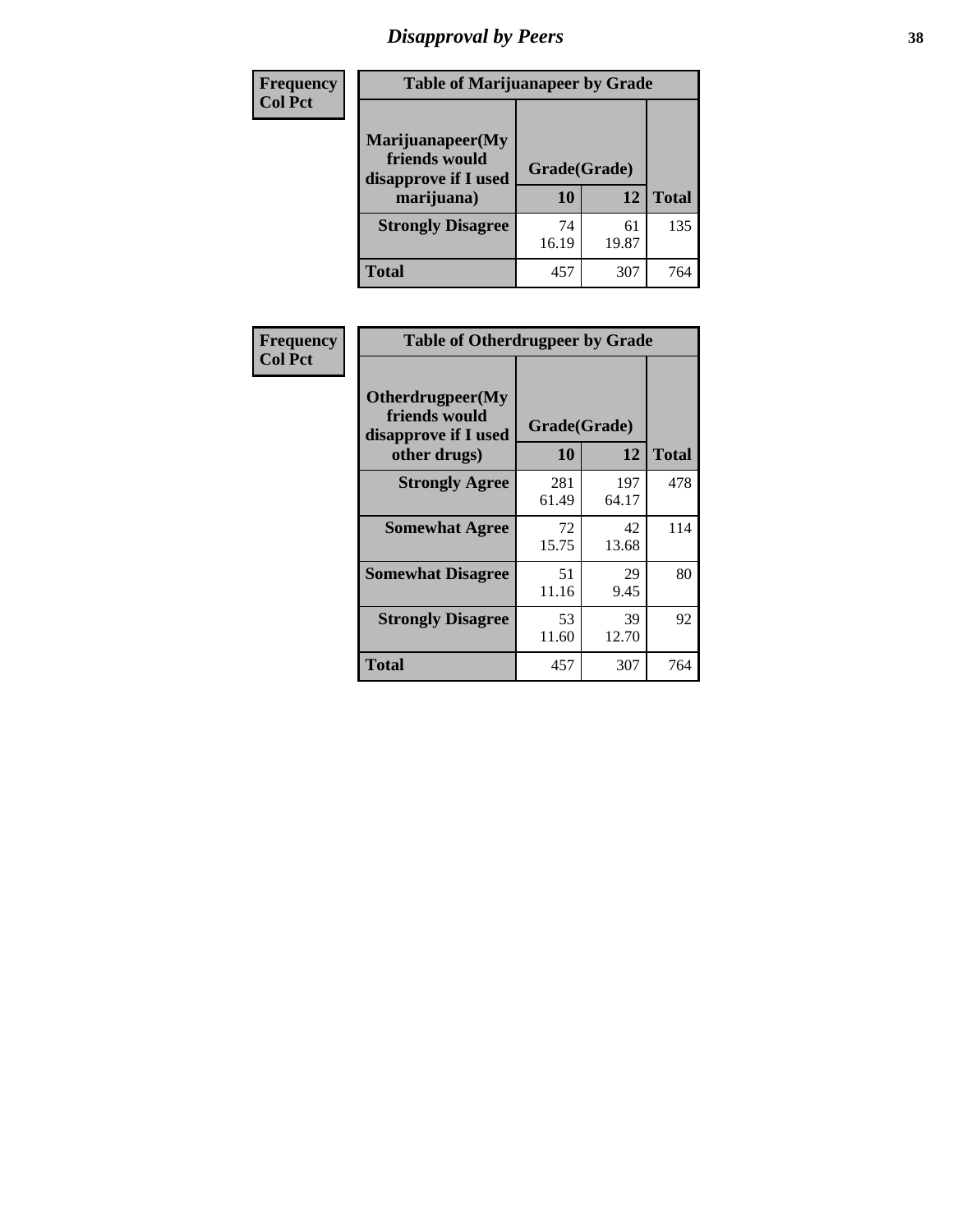# *Disapproval by Peers* **38**

| Frequency<br><b>Col Pct</b> | <b>Table of Marijuanapeer by Grade</b>                                  |                    |             |              |
|-----------------------------|-------------------------------------------------------------------------|--------------------|-------------|--------------|
|                             | Marijuanapeer(My<br>friends would<br>disapprove if I used<br>marijuana) | Grade(Grade)<br>10 | 12          | <b>Total</b> |
|                             | <b>Strongly Disagree</b>                                                | 74<br>16.19        | 61<br>19.87 | 135          |
|                             | Total                                                                   | 457                | 307         | 764          |

| <b>Frequency</b> |                                                                           | <b>Table of Otherdrugpeer by Grade</b> |              |              |
|------------------|---------------------------------------------------------------------------|----------------------------------------|--------------|--------------|
| <b>Col Pct</b>   | Otherdrugpeer(My<br>friends would<br>disapprove if I used<br>other drugs) | Grade(Grade)<br><b>10</b>              | 12           | <b>Total</b> |
|                  |                                                                           |                                        |              |              |
|                  | <b>Strongly Agree</b>                                                     | 281<br>61.49                           | 197<br>64.17 | 478          |
|                  | <b>Somewhat Agree</b>                                                     | 72<br>15.75                            | 42<br>13.68  | 114          |
|                  | <b>Somewhat Disagree</b>                                                  | 51<br>11.16                            | 29<br>9.45   | 80           |
|                  | <b>Strongly Disagree</b>                                                  | 53<br>11.60                            | 39<br>12.70  | 92           |
|                  | <b>Total</b>                                                              | 457                                    | 307          | 764          |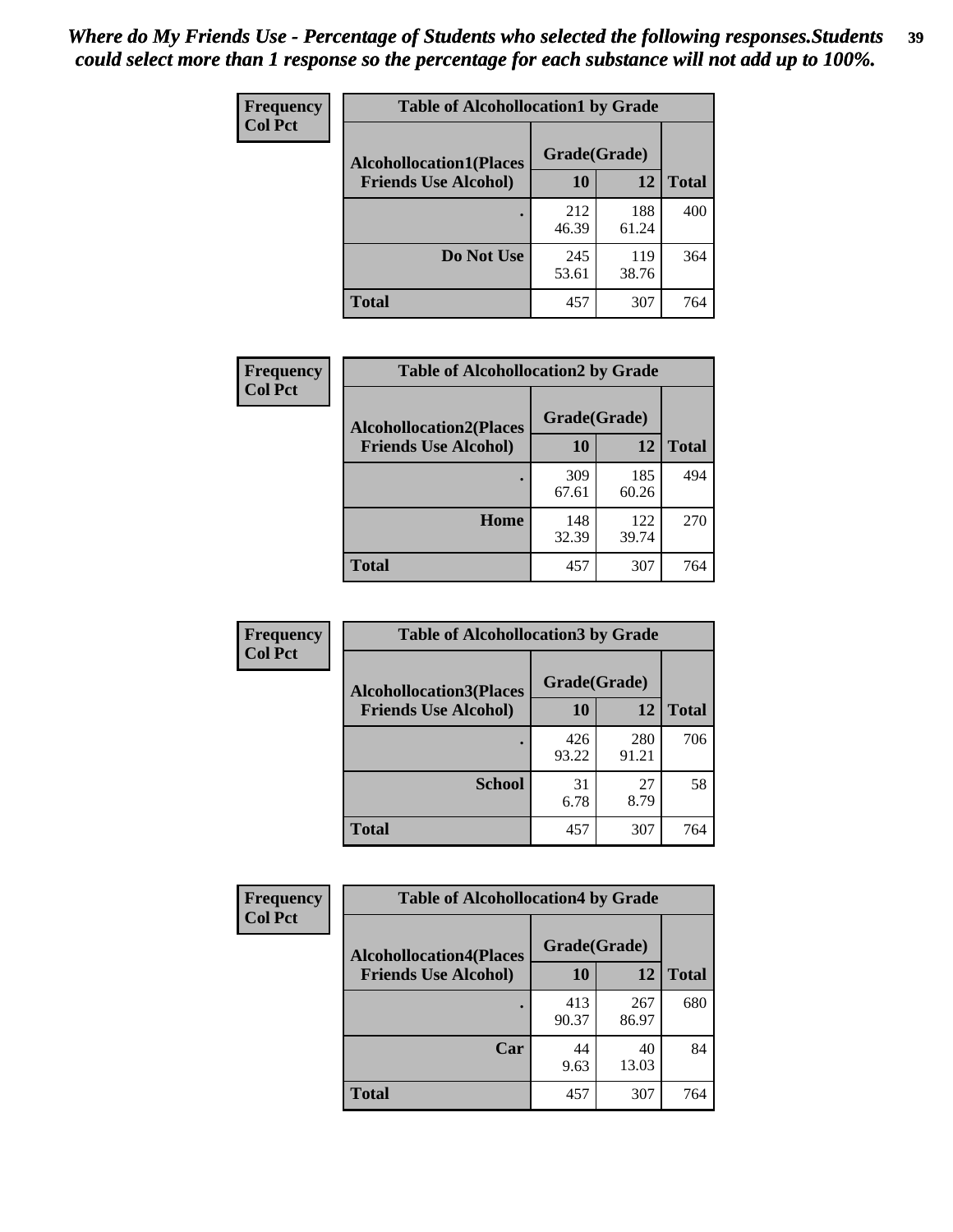| Frequency      | <b>Table of Alcohollocation1 by Grade</b> |              |              |              |
|----------------|-------------------------------------------|--------------|--------------|--------------|
| <b>Col Pct</b> | <b>Alcohollocation1(Places</b>            | Grade(Grade) |              |              |
|                | <b>Friends Use Alcohol)</b>               | 10           | 12           | <b>Total</b> |
|                |                                           | 212<br>46.39 | 188<br>61.24 | 400          |
|                | Do Not Use                                | 245<br>53.61 | 119<br>38.76 | 364          |
|                | <b>Total</b>                              | 457          | 307          | 764          |

| <b>Frequency</b> | <b>Table of Alcohollocation2 by Grade</b> |              |              |              |
|------------------|-------------------------------------------|--------------|--------------|--------------|
| <b>Col Pct</b>   | <b>Alcohollocation2(Places</b>            | Grade(Grade) |              |              |
|                  | <b>Friends Use Alcohol)</b>               | 10           | 12           | <b>Total</b> |
|                  |                                           | 309<br>67.61 | 185<br>60.26 | 494          |
|                  | Home                                      | 148<br>32.39 | 122<br>39.74 | 270          |
|                  | <b>Total</b>                              | 457          | 307          | 764          |

| Frequency<br><b>Col Pct</b> | <b>Table of Alcohollocation 3 by Grade</b> |              |              |              |
|-----------------------------|--------------------------------------------|--------------|--------------|--------------|
|                             | <b>Alcohollocation3(Places</b>             | Grade(Grade) |              |              |
|                             | <b>Friends Use Alcohol)</b>                | 10           | 12           | <b>Total</b> |
|                             |                                            | 426<br>93.22 | 280<br>91.21 | 706          |
|                             | <b>School</b>                              | 31<br>6.78   | 27<br>8.79   | 58           |
|                             | <b>Total</b>                               | 457          | 307          | 764          |

| Frequency      | <b>Table of Alcohollocation4 by Grade</b> |              |              |              |  |
|----------------|-------------------------------------------|--------------|--------------|--------------|--|
| <b>Col Pct</b> | <b>Alcohollocation4(Places</b>            | Grade(Grade) |              |              |  |
|                | <b>Friends Use Alcohol)</b>               | 10           | 12           | <b>Total</b> |  |
|                |                                           | 413<br>90.37 | 267<br>86.97 | 680          |  |
|                | Car                                       | 44<br>9.63   | 40<br>13.03  | 84           |  |
|                | <b>Total</b>                              | 457          | 307          | 764          |  |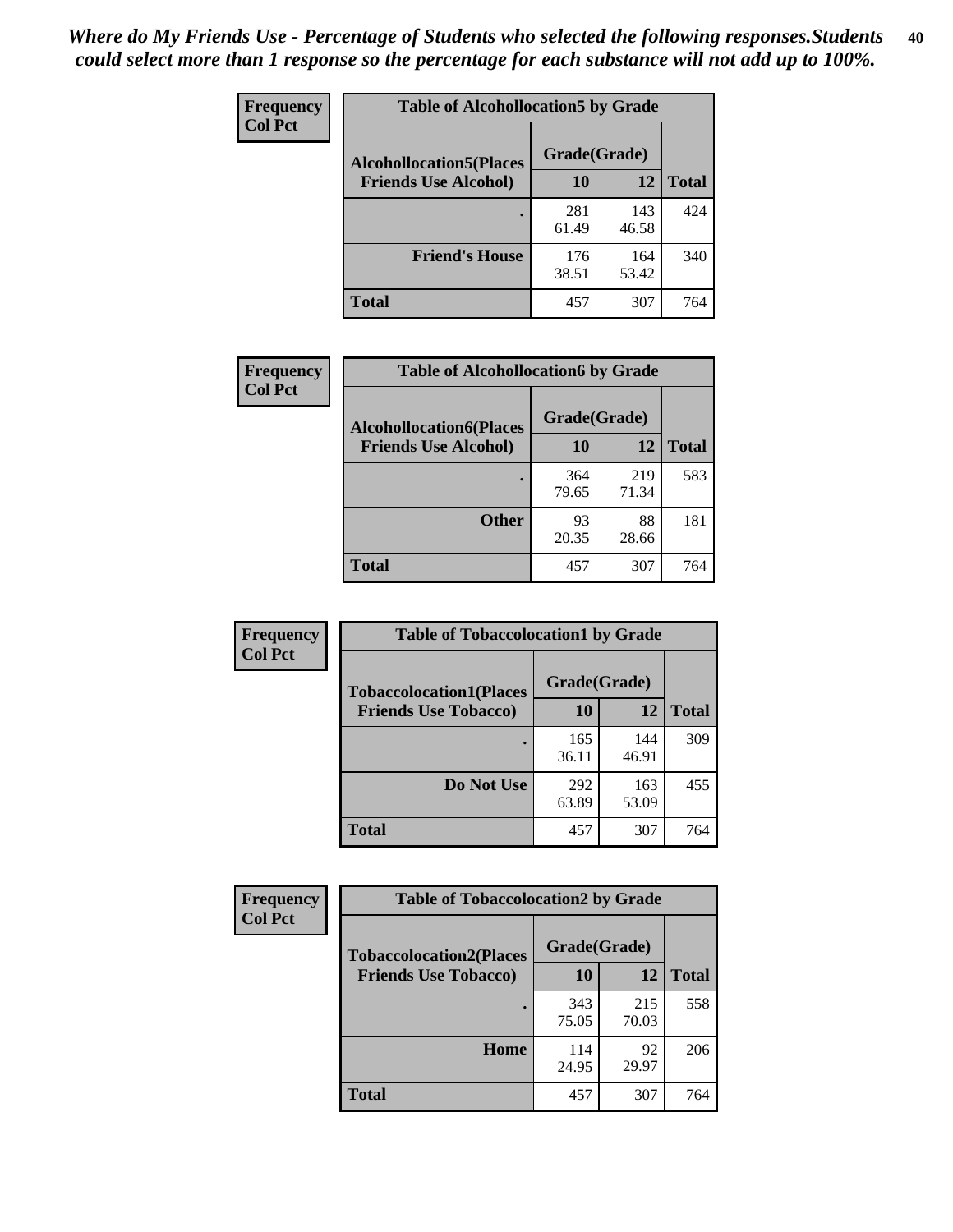| Frequency<br><b>Col Pct</b> | <b>Table of Alcohollocation5 by Grade</b> |              |              |              |
|-----------------------------|-------------------------------------------|--------------|--------------|--------------|
|                             | <b>Alcohollocation5(Places</b>            |              |              |              |
|                             | <b>Friends Use Alcohol)</b>               | 10           | 12           | <b>Total</b> |
|                             |                                           | 281<br>61.49 | 143<br>46.58 | 424          |
|                             | <b>Friend's House</b>                     | 176<br>38.51 | 164<br>53.42 | 340          |
|                             | <b>Total</b>                              | 457          | 307          | 764          |

| <b>Frequency</b> | <b>Table of Alcohollocation6 by Grade</b>                     |                           |              |              |
|------------------|---------------------------------------------------------------|---------------------------|--------------|--------------|
| <b>Col Pct</b>   | <b>Alcohollocation6(Places</b><br><b>Friends Use Alcohol)</b> | Grade(Grade)<br><b>10</b> | 12           | <b>Total</b> |
|                  |                                                               | 364<br>79.65              | 219<br>71.34 | 583          |
|                  | <b>Other</b>                                                  | 93<br>20.35               | 88<br>28.66  | 181          |
|                  | <b>Total</b>                                                  | 457                       | 307          | 764          |

| <b>Frequency</b> | <b>Table of Tobaccolocation1 by Grade</b> |              |              |              |
|------------------|-------------------------------------------|--------------|--------------|--------------|
| <b>Col Pct</b>   | <b>Tobaccolocation1(Places</b>            | Grade(Grade) |              |              |
|                  | <b>Friends Use Tobacco)</b>               | 10           | 12           | <b>Total</b> |
|                  |                                           | 165<br>36.11 | 144<br>46.91 | 309          |
|                  | Do Not Use                                | 292<br>63.89 | 163<br>53.09 | 455          |
|                  | <b>Total</b>                              | 457          | 307          | 764          |

| Frequency      | <b>Table of Tobaccolocation2 by Grade</b> |              |              |              |  |
|----------------|-------------------------------------------|--------------|--------------|--------------|--|
| <b>Col Pct</b> | <b>Tobaccolocation2(Places</b>            | Grade(Grade) |              |              |  |
|                | <b>Friends Use Tobacco)</b>               | 10           | 12           | <b>Total</b> |  |
|                |                                           | 343<br>75.05 | 215<br>70.03 | 558          |  |
|                | Home                                      | 114<br>24.95 | 92<br>29.97  | 206          |  |
|                | <b>Total</b>                              | 457          | 307          | 764          |  |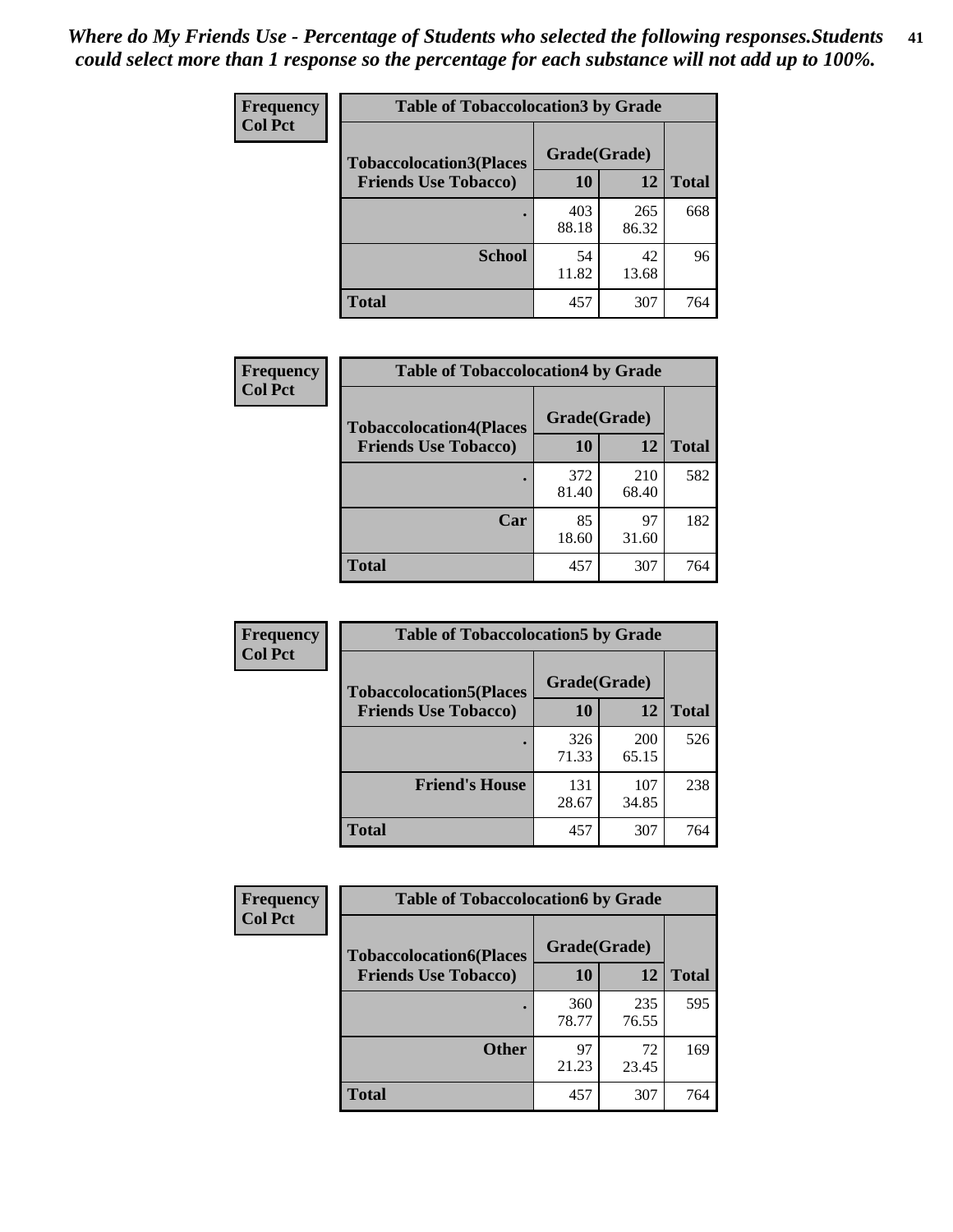| Frequency      | <b>Table of Tobaccolocation 3 by Grade</b> |              |              |              |
|----------------|--------------------------------------------|--------------|--------------|--------------|
| <b>Col Pct</b> | <b>Tobaccolocation3(Places</b>             | Grade(Grade) |              |              |
|                | <b>Friends Use Tobacco)</b>                | 10           | 12           | <b>Total</b> |
|                |                                            | 403<br>88.18 | 265<br>86.32 | 668          |
|                | <b>School</b>                              | 54<br>11.82  | 42<br>13.68  | 96           |
|                | <b>Total</b>                               | 457          | 307          | 764          |

| Frequency      | <b>Table of Tobaccolocation4 by Grade</b> |              |              |              |
|----------------|-------------------------------------------|--------------|--------------|--------------|
| <b>Col Pct</b> | <b>Tobaccolocation4(Places</b>            | Grade(Grade) |              |              |
|                | <b>Friends Use Tobacco)</b>               | 10           | 12           | <b>Total</b> |
|                |                                           | 372<br>81.40 | 210<br>68.40 | 582          |
|                | Car                                       | 85<br>18.60  | 97<br>31.60  | 182          |
|                | <b>Total</b>                              | 457          | 307          | 764          |

| Frequency<br><b>Col Pct</b> | <b>Table of Tobaccolocation5 by Grade</b>                     |                    |                     |              |
|-----------------------------|---------------------------------------------------------------|--------------------|---------------------|--------------|
|                             | <b>Tobaccolocation5(Places</b><br><b>Friends Use Tobacco)</b> | Grade(Grade)<br>10 | 12                  | <b>Total</b> |
|                             |                                                               | 326<br>71.33       | <b>200</b><br>65.15 | 526          |
|                             | <b>Friend's House</b>                                         | 131<br>28.67       | 107<br>34.85        | 238          |
|                             | <b>Total</b>                                                  | 457                | 307                 | 764          |

| <b>Frequency</b> | <b>Table of Tobaccolocation6 by Grade</b> |              |              |              |
|------------------|-------------------------------------------|--------------|--------------|--------------|
| <b>Col Pct</b>   | <b>Tobaccolocation6(Places</b>            | Grade(Grade) |              |              |
|                  | <b>Friends Use Tobacco)</b>               | 10           | 12           | <b>Total</b> |
|                  |                                           | 360<br>78.77 | 235<br>76.55 | 595          |
|                  | <b>Other</b>                              | 97<br>21.23  | 72<br>23.45  | 169          |
|                  | <b>Total</b>                              | 457          | 307          | 764          |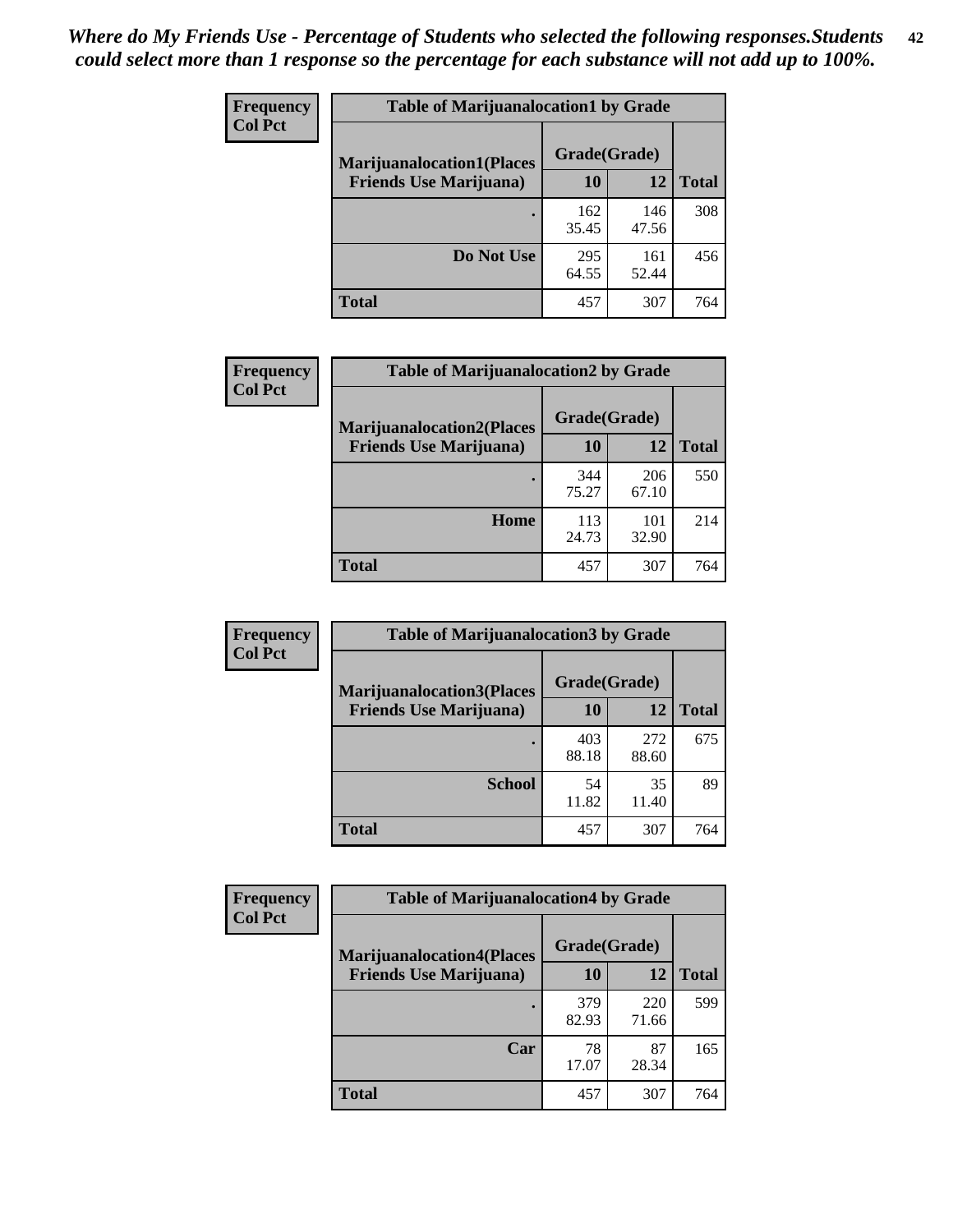| <b>Frequency</b> | <b>Table of Marijuanalocation1 by Grade</b> |              |              |              |
|------------------|---------------------------------------------|--------------|--------------|--------------|
| <b>Col Pct</b>   | <b>Marijuanalocation1(Places</b>            | Grade(Grade) |              |              |
|                  | <b>Friends Use Marijuana</b> )              | 10           | 12           | <b>Total</b> |
|                  |                                             | 162<br>35.45 | 146<br>47.56 | 308          |
|                  | Do Not Use                                  | 295<br>64.55 | 161<br>52.44 | 456          |
|                  | <b>Total</b>                                | 457          | 307          | 764          |

| <b>Frequency</b> | <b>Table of Marijuanalocation2 by Grade</b>                        |                    |              |              |
|------------------|--------------------------------------------------------------------|--------------------|--------------|--------------|
| <b>Col Pct</b>   | <b>Marijuanalocation2(Places</b><br><b>Friends Use Marijuana</b> ) | Grade(Grade)<br>10 | 12           | <b>Total</b> |
|                  |                                                                    | 344<br>75.27       | 206<br>67.10 | 550          |
|                  | Home                                                               | 113<br>24.73       | 101<br>32.90 | 214          |
|                  | <b>Total</b>                                                       | 457                | 307          | 764          |

| Frequency<br><b>Col Pct</b> | <b>Table of Marijuanalocation3 by Grade</b> |              |              |       |
|-----------------------------|---------------------------------------------|--------------|--------------|-------|
|                             | <b>Marijuanalocation3</b> (Places           | Grade(Grade) |              |       |
|                             | <b>Friends Use Marijuana</b> )              | 10           | 12           | Total |
|                             |                                             | 403<br>88.18 | 272<br>88.60 | 675   |
|                             | <b>School</b>                               | 54<br>11.82  | 35<br>11.40  | 89    |
|                             | <b>Total</b>                                | 457          | 307          | 764   |

| Frequency      | <b>Table of Marijuanalocation4 by Grade</b> |              |              |              |  |
|----------------|---------------------------------------------|--------------|--------------|--------------|--|
| <b>Col Pct</b> | <b>Marijuanalocation4(Places</b>            | Grade(Grade) |              |              |  |
|                | <b>Friends Use Marijuana</b> )              | 10           | 12           | <b>Total</b> |  |
|                |                                             | 379<br>82.93 | 220<br>71.66 | 599          |  |
|                | Car                                         | 78<br>17.07  | 87<br>28.34  | 165          |  |
|                | <b>Total</b>                                | 457          | 307          | 764          |  |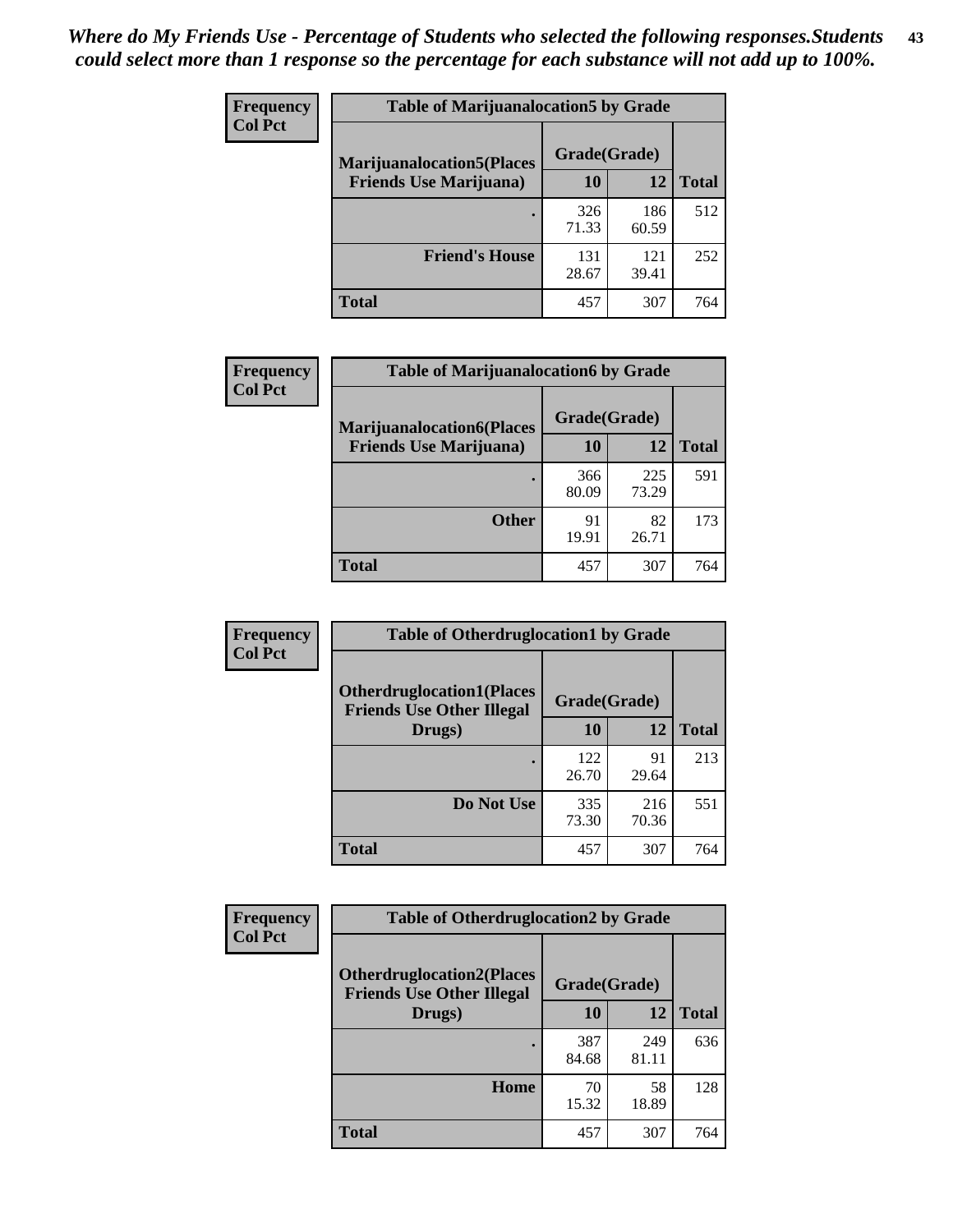| <b>Frequency</b> | <b>Table of Marijuanalocation5 by Grade</b> |              |              |              |
|------------------|---------------------------------------------|--------------|--------------|--------------|
| <b>Col Pct</b>   | <b>Marijuanalocation5</b> (Places           | Grade(Grade) |              |              |
|                  | <b>Friends Use Marijuana</b> )              | 10           | 12           | <b>Total</b> |
|                  |                                             | 326<br>71.33 | 186<br>60.59 | 512          |
|                  | <b>Friend's House</b>                       | 131<br>28.67 | 121<br>39.41 | 252          |
|                  | Total                                       | 457          | 307          | 764          |

| <b>Frequency</b> | <b>Table of Marijuanalocation6 by Grade</b>                        |                    |              |              |
|------------------|--------------------------------------------------------------------|--------------------|--------------|--------------|
| <b>Col Pct</b>   | <b>Marijuanalocation6(Places</b><br><b>Friends Use Marijuana</b> ) | Grade(Grade)<br>10 | 12           | <b>Total</b> |
|                  |                                                                    | 366<br>80.09       | 225<br>73.29 | 591          |
|                  | <b>Other</b>                                                       | 91<br>19.91        | 82<br>26.71  | 173          |
|                  | <b>Total</b>                                                       | 457                | 307          | 764          |

| <b>Frequency</b> | <b>Table of Otherdruglocation1 by Grade</b>                          |              |              |              |
|------------------|----------------------------------------------------------------------|--------------|--------------|--------------|
| <b>Col Pct</b>   | <b>Otherdruglocation1(Places</b><br><b>Friends Use Other Illegal</b> | Grade(Grade) |              |              |
|                  | Drugs)                                                               | 10           | 12           | <b>Total</b> |
|                  |                                                                      | 122<br>26.70 | 91<br>29.64  | 213          |
|                  | Do Not Use                                                           | 335<br>73.30 | 216<br>70.36 | 551          |
|                  | <b>Total</b>                                                         | 457          | 307          | 764          |

| <b>Frequency</b> | <b>Table of Otherdruglocation2 by Grade</b>                          |              |              |              |
|------------------|----------------------------------------------------------------------|--------------|--------------|--------------|
| <b>Col Pct</b>   | <b>Otherdruglocation2(Places</b><br><b>Friends Use Other Illegal</b> | Grade(Grade) |              |              |
|                  | Drugs)                                                               | 10           | 12           | <b>Total</b> |
|                  |                                                                      | 387<br>84.68 | 249<br>81.11 | 636          |
|                  | Home                                                                 | 70<br>15.32  | 58<br>18.89  | 128          |
|                  | <b>Total</b>                                                         | 457          | 307          | 764          |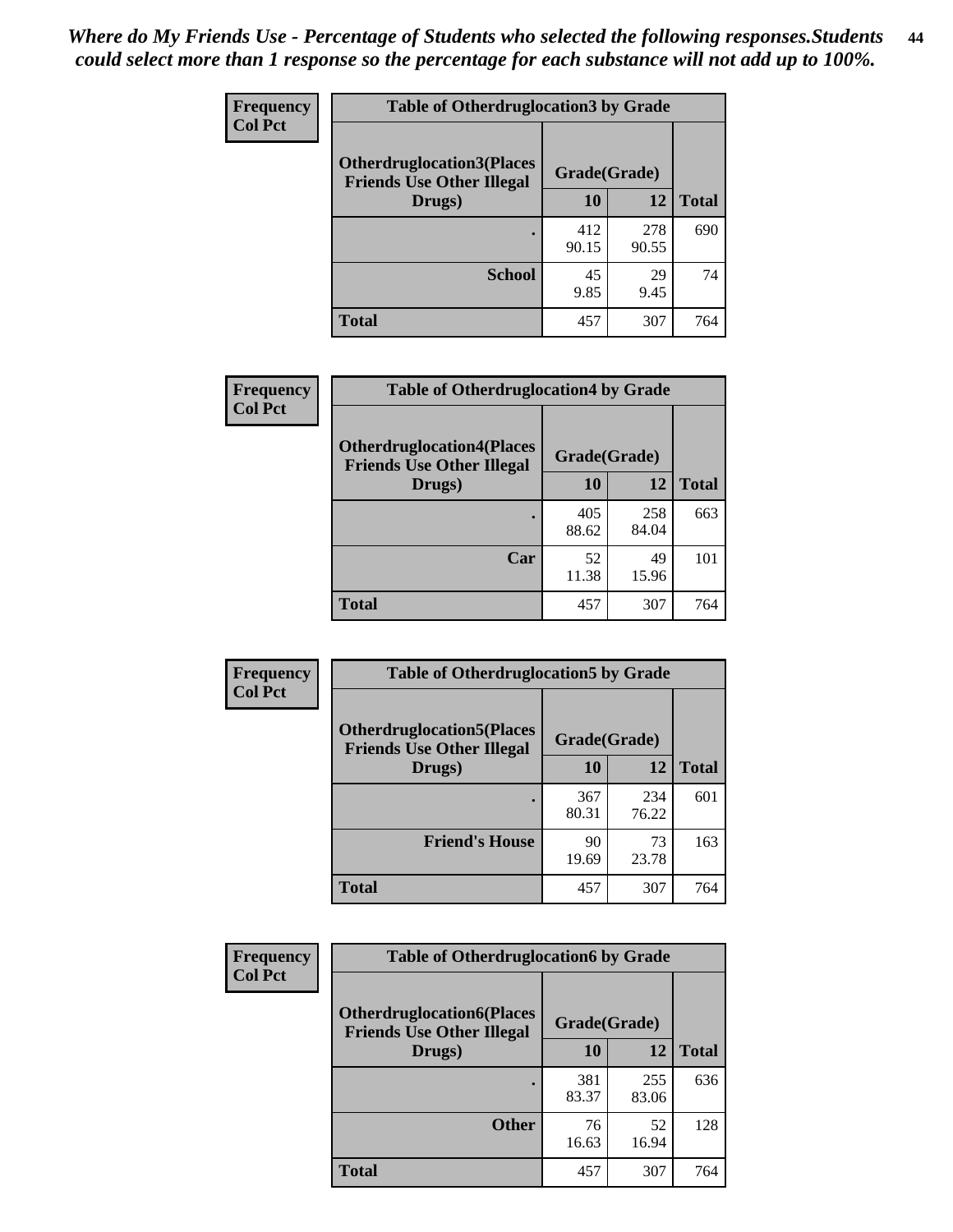| <b>Frequency</b> | <b>Table of Otherdruglocation3 by Grade</b>                           |              |              |              |
|------------------|-----------------------------------------------------------------------|--------------|--------------|--------------|
| <b>Col Pct</b>   | <b>Otherdruglocation3(Places)</b><br><b>Friends Use Other Illegal</b> | Grade(Grade) |              |              |
|                  | Drugs)                                                                | 10           | 12           | <b>Total</b> |
|                  |                                                                       | 412<br>90.15 | 278<br>90.55 | 690          |
|                  | <b>School</b>                                                         | 45<br>9.85   | 29<br>9.45   | 74           |
|                  | <b>Total</b>                                                          | 457          | 307          | 764          |

| Frequency      | <b>Table of Otherdruglocation4 by Grade</b>                          |              |              |              |
|----------------|----------------------------------------------------------------------|--------------|--------------|--------------|
| <b>Col Pct</b> | <b>Otherdruglocation4(Places</b><br><b>Friends Use Other Illegal</b> | Grade(Grade) |              |              |
|                | Drugs)                                                               | 10           | 12           | <b>Total</b> |
|                |                                                                      | 405<br>88.62 | 258<br>84.04 | 663          |
|                | Car                                                                  | 52<br>11.38  | 49<br>15.96  | 101          |
|                | <b>Total</b>                                                         | 457          | 307          | 764          |

| Frequency      | <b>Table of Otherdruglocation5 by Grade</b>                          |              |              |              |
|----------------|----------------------------------------------------------------------|--------------|--------------|--------------|
| <b>Col Pct</b> | <b>Otherdruglocation5(Places</b><br><b>Friends Use Other Illegal</b> | Grade(Grade) |              |              |
|                | Drugs)                                                               | 10           | 12           | <b>Total</b> |
|                |                                                                      | 367<br>80.31 | 234<br>76.22 | 601          |
|                | <b>Friend's House</b>                                                | 90<br>19.69  | 73<br>23.78  | 163          |
|                | <b>Total</b>                                                         | 457          | 307          | 764          |

| <b>Frequency</b> | <b>Table of Otherdruglocation6 by Grade</b>                           |              |              |              |
|------------------|-----------------------------------------------------------------------|--------------|--------------|--------------|
| <b>Col Pct</b>   | <b>Otherdruglocation6(Places)</b><br><b>Friends Use Other Illegal</b> | Grade(Grade) |              |              |
|                  | Drugs)                                                                | 10           | 12           | <b>Total</b> |
|                  |                                                                       | 381<br>83.37 | 255<br>83.06 | 636          |
|                  | <b>Other</b>                                                          | 76<br>16.63  | 52<br>16.94  | 128          |
|                  | <b>Total</b>                                                          | 457          | 307          | 764          |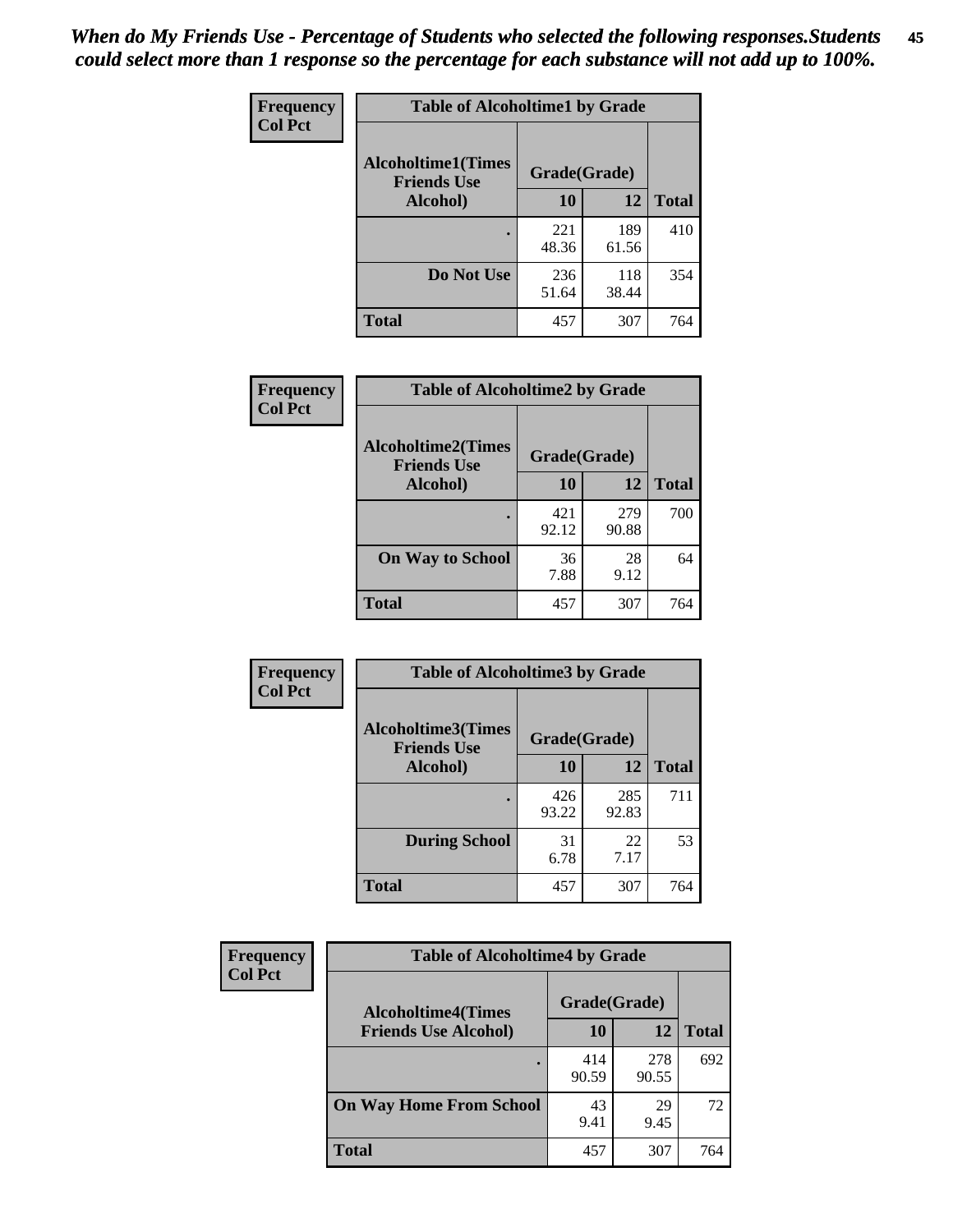| Frequency      | <b>Table of Alcoholtime1 by Grade</b>           |              |              |              |
|----------------|-------------------------------------------------|--------------|--------------|--------------|
| <b>Col Pct</b> | <b>Alcoholtime1(Times</b><br><b>Friends Use</b> | Grade(Grade) |              |              |
|                | Alcohol)                                        | 10           | 12           | <b>Total</b> |
|                |                                                 | 221<br>48.36 | 189<br>61.56 | 410          |
|                | Do Not Use                                      | 236<br>51.64 | 118<br>38.44 | 354          |
|                | <b>Total</b>                                    | 457          | 307          | 764          |

| Frequency      | <b>Table of Alcoholtime2 by Grade</b>           |              |              |              |
|----------------|-------------------------------------------------|--------------|--------------|--------------|
| <b>Col Pct</b> | <b>Alcoholtime2(Times</b><br><b>Friends Use</b> | Grade(Grade) |              |              |
|                | Alcohol)                                        | 10           | 12           | <b>Total</b> |
|                |                                                 | 421<br>92.12 | 279<br>90.88 | 700          |
|                | <b>On Way to School</b>                         | 36<br>7.88   | 28<br>9.12   | 64           |
|                | <b>Total</b>                                    | 457          | 307          | 764          |

| Frequency<br><b>Col Pct</b> | <b>Table of Alcoholtime3 by Grade</b>           |              |              |              |
|-----------------------------|-------------------------------------------------|--------------|--------------|--------------|
|                             | <b>Alcoholtime3(Times</b><br><b>Friends Use</b> | Grade(Grade) |              |              |
|                             | Alcohol)                                        | 10           | 12           | <b>Total</b> |
|                             |                                                 | 426<br>93.22 | 285<br>92.83 | 711          |
|                             | <b>During School</b>                            | 31<br>6.78   | 22<br>7.17   | 53           |
|                             | Total                                           | 457          | 307          | 764          |

| <b>Frequency</b> | <b>Table of Alcoholtime4 by Grade</b> |              |              |              |
|------------------|---------------------------------------|--------------|--------------|--------------|
| <b>Col Pct</b>   | <b>Alcoholtime4(Times</b>             | Grade(Grade) |              |              |
|                  | <b>Friends Use Alcohol)</b>           | 10           | 12           | <b>Total</b> |
|                  | ٠                                     | 414<br>90.59 | 278<br>90.55 | 692          |
|                  | <b>On Way Home From School</b>        | 43<br>9.41   | 29<br>9.45   | 72           |
|                  | <b>Total</b>                          | 457          | 307          | 764          |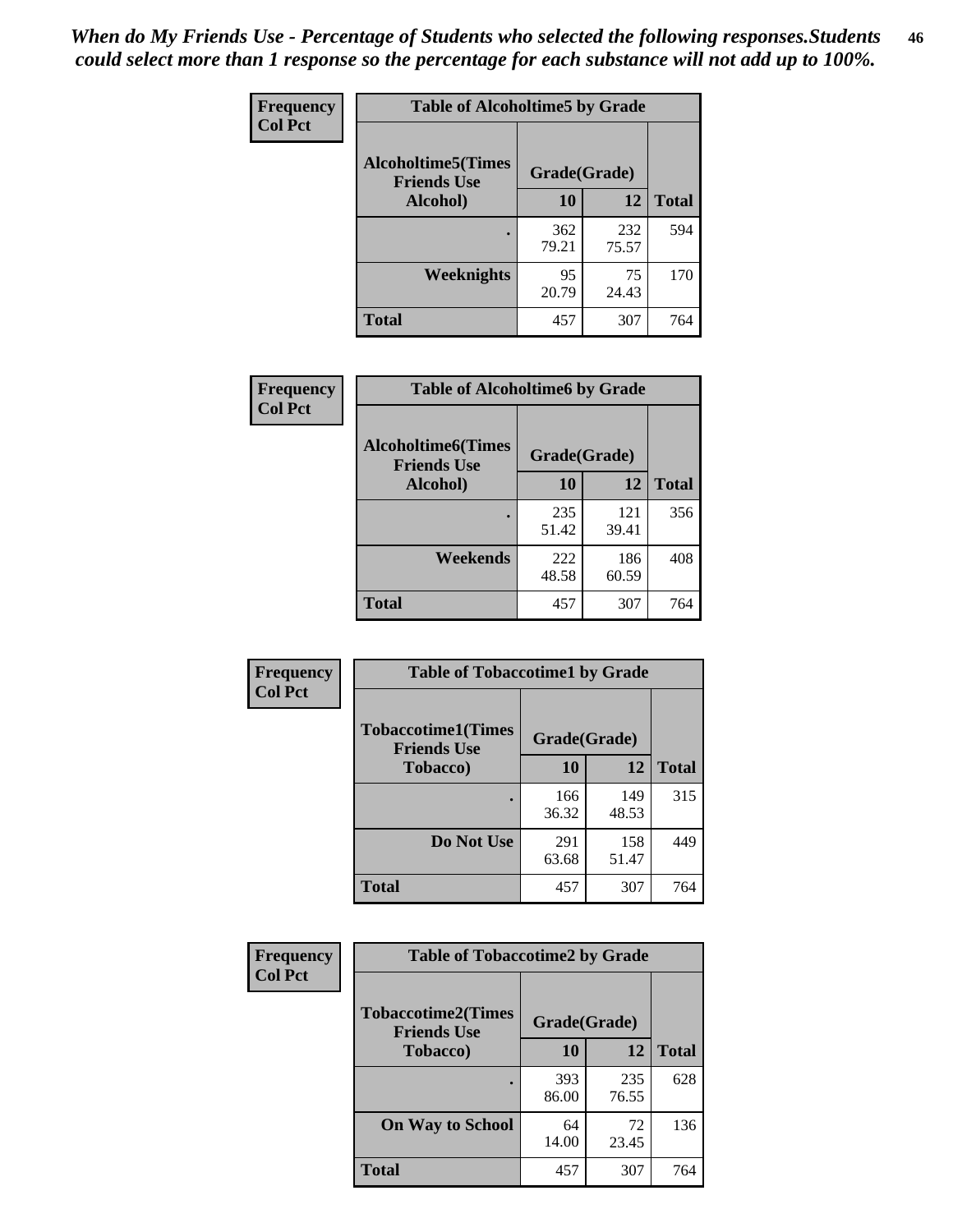*When do My Friends Use - Percentage of Students who selected the following responses.Students could select more than 1 response so the percentage for each substance will not add up to 100%.* **46**

| Frequency      | <b>Table of Alcoholtime5 by Grade</b>            |              |              |              |
|----------------|--------------------------------------------------|--------------|--------------|--------------|
| <b>Col Pct</b> | <b>Alcoholtime5</b> (Times<br><b>Friends Use</b> | Grade(Grade) |              |              |
|                | Alcohol)                                         | 10           | 12           | <b>Total</b> |
|                |                                                  | 362<br>79.21 | 232<br>75.57 | 594          |
|                | Weeknights                                       | 95<br>20.79  | 75<br>24.43  | 170          |
|                | <b>Total</b>                                     | 457          | 307          | 764          |

| Frequency      | <b>Table of Alcoholtime6 by Grade</b>           |              |              |              |
|----------------|-------------------------------------------------|--------------|--------------|--------------|
| <b>Col Pct</b> | <b>Alcoholtime6(Times</b><br><b>Friends Use</b> | Grade(Grade) |              |              |
|                | Alcohol)                                        | 10           | 12           | <b>Total</b> |
|                |                                                 | 235<br>51.42 | 121<br>39.41 | 356          |
|                | Weekends                                        | 222<br>48.58 | 186<br>60.59 | 408          |
|                | <b>Total</b>                                    | 457          | 307          | 764          |

| Frequency<br><b>Col Pct</b> | <b>Table of Tobaccotime1 by Grade</b>                           |              |              |              |
|-----------------------------|-----------------------------------------------------------------|--------------|--------------|--------------|
|                             | <b>Tobaccotime1(Times</b><br>Grade(Grade)<br><b>Friends Use</b> |              |              |              |
|                             | <b>Tobacco</b> )                                                | 10           | 12           | <b>Total</b> |
|                             |                                                                 | 166<br>36.32 | 149<br>48.53 | 315          |
|                             | Do Not Use                                                      | 291<br>63.68 | 158<br>51.47 | 449          |
|                             | <b>Total</b>                                                    | 457          | 307          | 764          |

| <b>Frequency</b> |                                                 | <b>Table of Tobaccotime2 by Grade</b> |              |              |  |  |
|------------------|-------------------------------------------------|---------------------------------------|--------------|--------------|--|--|
| <b>Col Pct</b>   | <b>Tobaccotime2(Times</b><br><b>Friends Use</b> | Grade(Grade)                          |              |              |  |  |
|                  | <b>Tobacco</b> )                                | 10                                    | 12           | <b>Total</b> |  |  |
|                  |                                                 | 393<br>86.00                          | 235<br>76.55 | 628          |  |  |
|                  | <b>On Way to School</b>                         | 64<br>14.00                           | 72<br>23.45  | 136          |  |  |
|                  | <b>Total</b>                                    | 457                                   | 307          | 764          |  |  |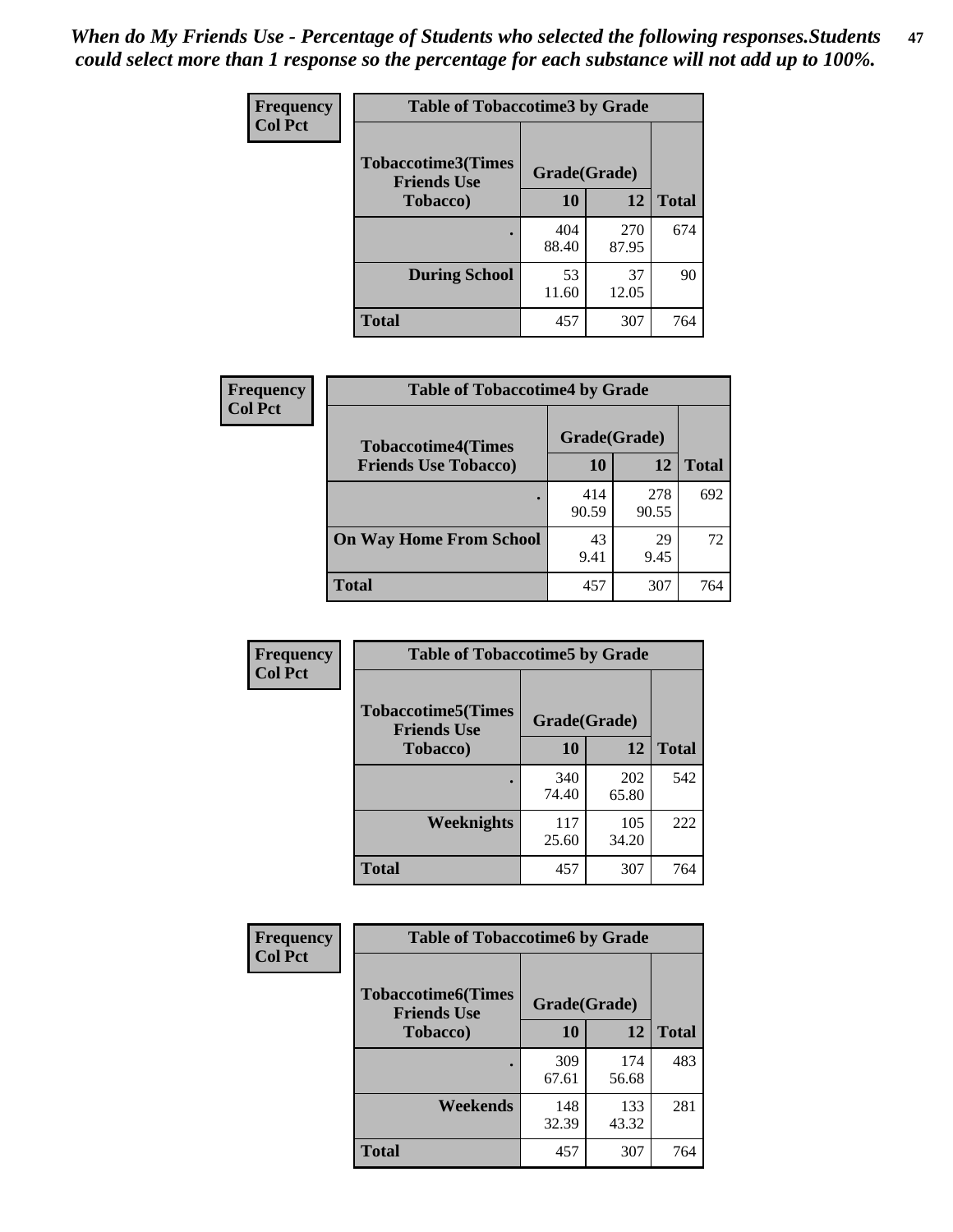| Frequency      | <b>Table of Tobaccotime3 by Grade</b>           |              |              |              |
|----------------|-------------------------------------------------|--------------|--------------|--------------|
| <b>Col Pct</b> | <b>Tobaccotime3(Times</b><br><b>Friends Use</b> | Grade(Grade) |              |              |
|                | <b>Tobacco</b> )                                | 10           | 12           | <b>Total</b> |
|                | ٠                                               | 404<br>88.40 | 270<br>87.95 | 674          |
|                | <b>During School</b>                            | 53<br>11.60  | 37<br>12.05  | 90           |
|                | <b>Total</b>                                    | 457          | 307          | 764          |

| <b>Frequency</b> | <b>Table of Tobaccotime4 by Grade</b>                    |              |              |              |
|------------------|----------------------------------------------------------|--------------|--------------|--------------|
| <b>Col Pct</b>   | <b>Tobaccotime4(Times</b><br><b>Friends Use Tobacco)</b> | Grade(Grade) |              |              |
|                  |                                                          | 10           | 12           | <b>Total</b> |
|                  |                                                          | 414<br>90.59 | 278<br>90.55 | 692          |
|                  | <b>On Way Home From School</b>                           | 43<br>9.41   | 29<br>9.45   | 72           |
|                  | <b>Total</b>                                             | 457          | 307          | 764          |

| Frequency      | <b>Table of Tobaccotime5 by Grade</b>                           |              |              |              |  |
|----------------|-----------------------------------------------------------------|--------------|--------------|--------------|--|
| <b>Col Pct</b> | <b>Tobaccotime5(Times</b><br>Grade(Grade)<br><b>Friends Use</b> |              |              |              |  |
|                | <b>Tobacco</b> )                                                | 10           | 12           | <b>Total</b> |  |
|                |                                                                 | 340<br>74.40 | 202<br>65.80 | 542          |  |
|                | Weeknights                                                      | 117<br>25.60 | 105<br>34.20 | 222          |  |
|                | <b>Total</b>                                                    | 457          | 307          | 764          |  |

| Frequency<br><b>Col Pct</b> | <b>Table of Tobaccotime6 by Grade</b>           |              |              |              |  |
|-----------------------------|-------------------------------------------------|--------------|--------------|--------------|--|
|                             | <b>Tobaccotime6(Times</b><br><b>Friends Use</b> | Grade(Grade) |              |              |  |
|                             | <b>Tobacco</b> )                                | 10           | 12           | <b>Total</b> |  |
|                             | ٠                                               | 309<br>67.61 | 174<br>56.68 | 483          |  |
|                             | Weekends                                        | 148<br>32.39 | 133<br>43.32 | 281          |  |
|                             | <b>Total</b>                                    | 457          | 307          | 764          |  |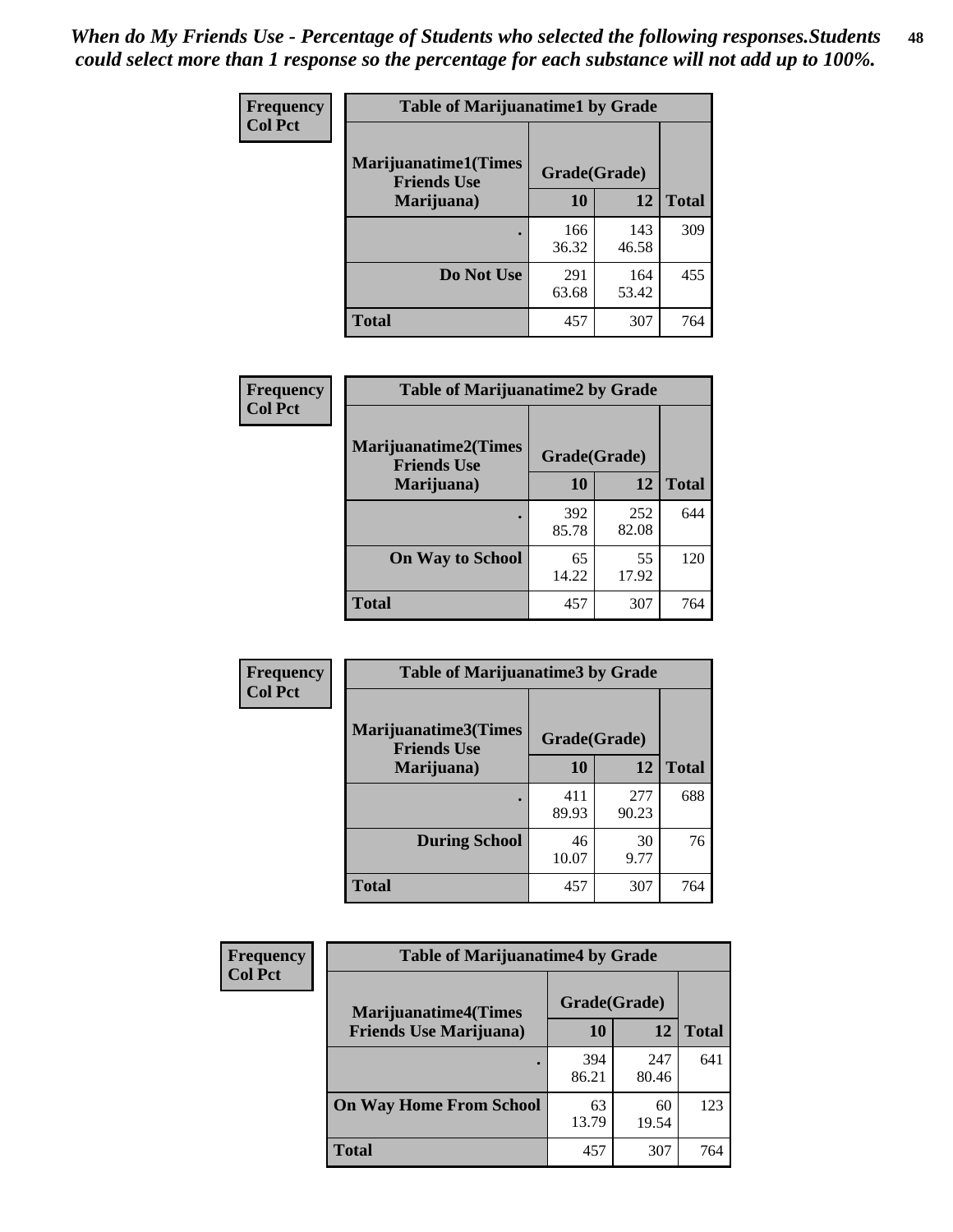| Frequency      | <b>Table of Marijuanatime1 by Grade</b>           |              |              |              |  |
|----------------|---------------------------------------------------|--------------|--------------|--------------|--|
| <b>Col Pct</b> | <b>Marijuanatime1(Times</b><br><b>Friends Use</b> | Grade(Grade) |              |              |  |
|                | Marijuana)                                        | 10           | <b>12</b>    | <b>Total</b> |  |
|                |                                                   | 166<br>36.32 | 143<br>46.58 | 309          |  |
|                | Do Not Use                                        | 291<br>63.68 | 164<br>53.42 | 455          |  |
|                | <b>Total</b>                                      | 457          | 307          | 764          |  |

| Frequency      | <b>Table of Marijuanatime2 by Grade</b>    |              |              |              |  |
|----------------|--------------------------------------------|--------------|--------------|--------------|--|
| <b>Col Pct</b> | Marijuanatime2(Times<br><b>Friends Use</b> | Grade(Grade) |              |              |  |
|                | Marijuana)                                 | 10           | 12           | <b>Total</b> |  |
|                |                                            | 392<br>85.78 | 252<br>82.08 | 644          |  |
|                | <b>On Way to School</b>                    | 65<br>14.22  | 55<br>17.92  | 120          |  |
|                | <b>Total</b>                               | 457          | 307          | 764          |  |

| Frequency      | <b>Table of Marijuanatime3 by Grade</b>    |              |              |              |  |
|----------------|--------------------------------------------|--------------|--------------|--------------|--|
| <b>Col Pct</b> | Marijuanatime3(Times<br><b>Friends Use</b> | Grade(Grade) |              |              |  |
|                | Marijuana)                                 | 10           | 12           | <b>Total</b> |  |
|                |                                            | 411<br>89.93 | 277<br>90.23 | 688          |  |
|                | <b>During School</b>                       | 46<br>10.07  | 30<br>9.77   | 76           |  |
|                | <b>Total</b>                               | 457          | 307          | 764          |  |

| <b>Frequency</b> | <b>Table of Marijuanatime4 by Grade</b> |              |              |              |
|------------------|-----------------------------------------|--------------|--------------|--------------|
| <b>Col Pct</b>   | <b>Marijuanatime4(Times</b>             | Grade(Grade) |              |              |
|                  | <b>Friends Use Marijuana</b> )          | 10           | 12           | <b>Total</b> |
|                  |                                         | 394<br>86.21 | 247<br>80.46 | 641          |
|                  | <b>On Way Home From School</b>          | 63<br>13.79  | 60<br>19.54  | 123          |
|                  | <b>Total</b>                            | 457          | 307          | 764          |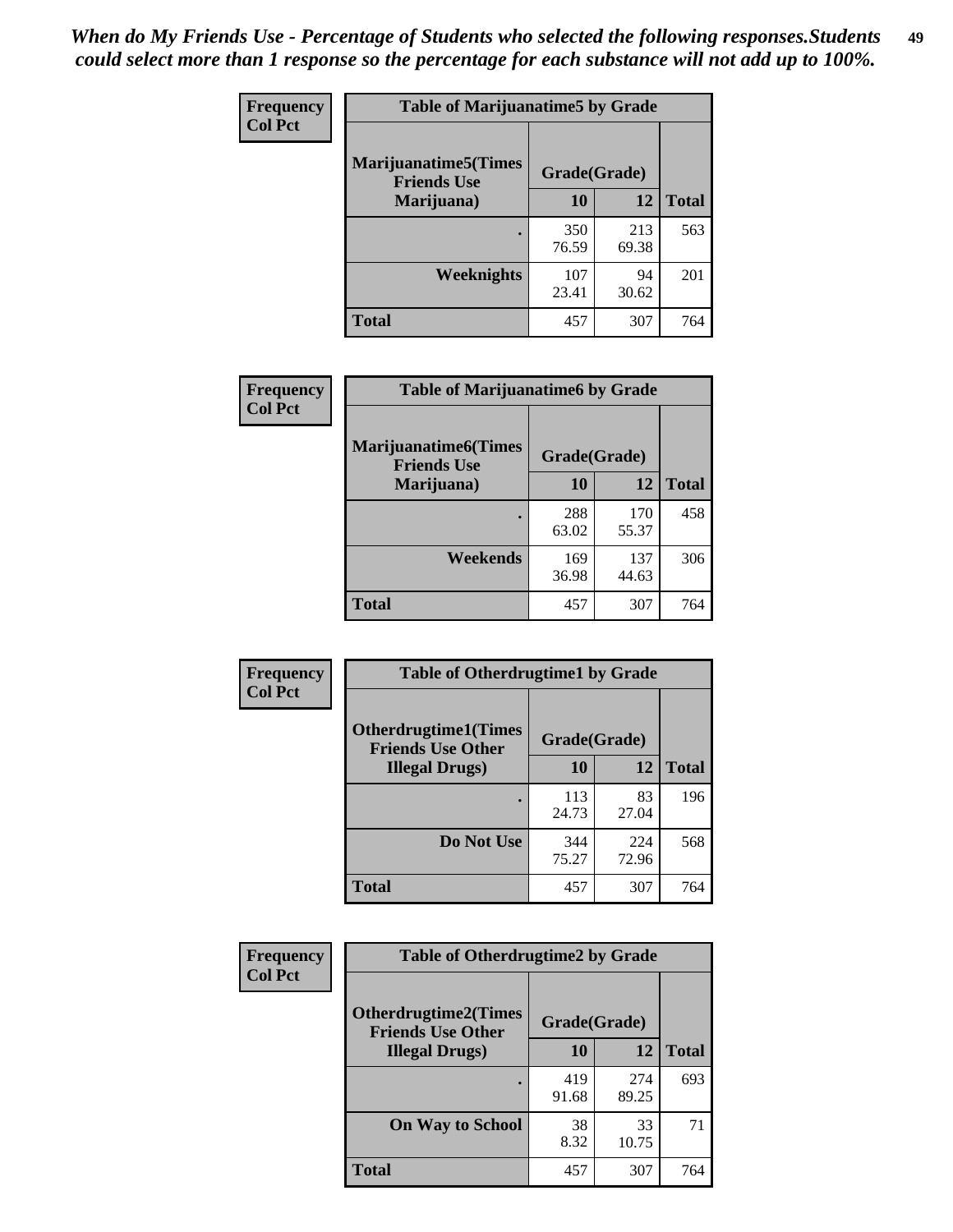| Frequency      | <b>Table of Marijuanatime5 by Grade</b>            |              |              |              |  |
|----------------|----------------------------------------------------|--------------|--------------|--------------|--|
| <b>Col Pct</b> | <b>Marijuanatime5</b> (Times<br><b>Friends Use</b> | Grade(Grade) |              |              |  |
|                | Marijuana)                                         | 10           | 12           | <b>Total</b> |  |
|                |                                                    | 350<br>76.59 | 213<br>69.38 | 563          |  |
|                | <b>Weeknights</b>                                  | 107<br>23.41 | 94<br>30.62  | 201          |  |
|                | <b>Total</b>                                       | 457          | 307          | 764          |  |

| Frequency      | <b>Table of Marijuanatime6 by Grade</b>           |              |              |              |
|----------------|---------------------------------------------------|--------------|--------------|--------------|
| <b>Col Pct</b> | <b>Marijuanatime6(Times</b><br><b>Friends Use</b> | Grade(Grade) |              |              |
|                | Marijuana)                                        | 10           | 12           | <b>Total</b> |
|                |                                                   | 288<br>63.02 | 170<br>55.37 | 458          |
|                | Weekends                                          | 169<br>36.98 | 137<br>44.63 | 306          |
|                | <b>Total</b>                                      | 457          | 307          | 764          |

| Frequency      | <b>Table of Otherdrugtime1 by Grade</b>                 |              |              |              |
|----------------|---------------------------------------------------------|--------------|--------------|--------------|
| <b>Col Pct</b> | <b>Otherdrugtime1(Times</b><br><b>Friends Use Other</b> | Grade(Grade) |              |              |
|                | <b>Illegal Drugs</b> )                                  | 10           | 12           | <b>Total</b> |
|                |                                                         | 113<br>24.73 | 83<br>27.04  | 196          |
|                | Do Not Use                                              | 344<br>75.27 | 224<br>72.96 | 568          |
|                | <b>Total</b>                                            | 457          | 307          | 764          |

| Frequency      | <b>Table of Otherdrugtime2 by Grade</b>                 |              |              |              |  |  |
|----------------|---------------------------------------------------------|--------------|--------------|--------------|--|--|
| <b>Col Pct</b> | <b>Otherdrugtime2(Times</b><br><b>Friends Use Other</b> | Grade(Grade) |              |              |  |  |
|                | <b>Illegal Drugs</b> )                                  | 10           | 12           | <b>Total</b> |  |  |
|                |                                                         | 419<br>91.68 | 274<br>89.25 | 693          |  |  |
|                | <b>On Way to School</b>                                 | 38<br>8.32   | 33<br>10.75  | 71           |  |  |
|                | Total                                                   | 457          | 307          | 764          |  |  |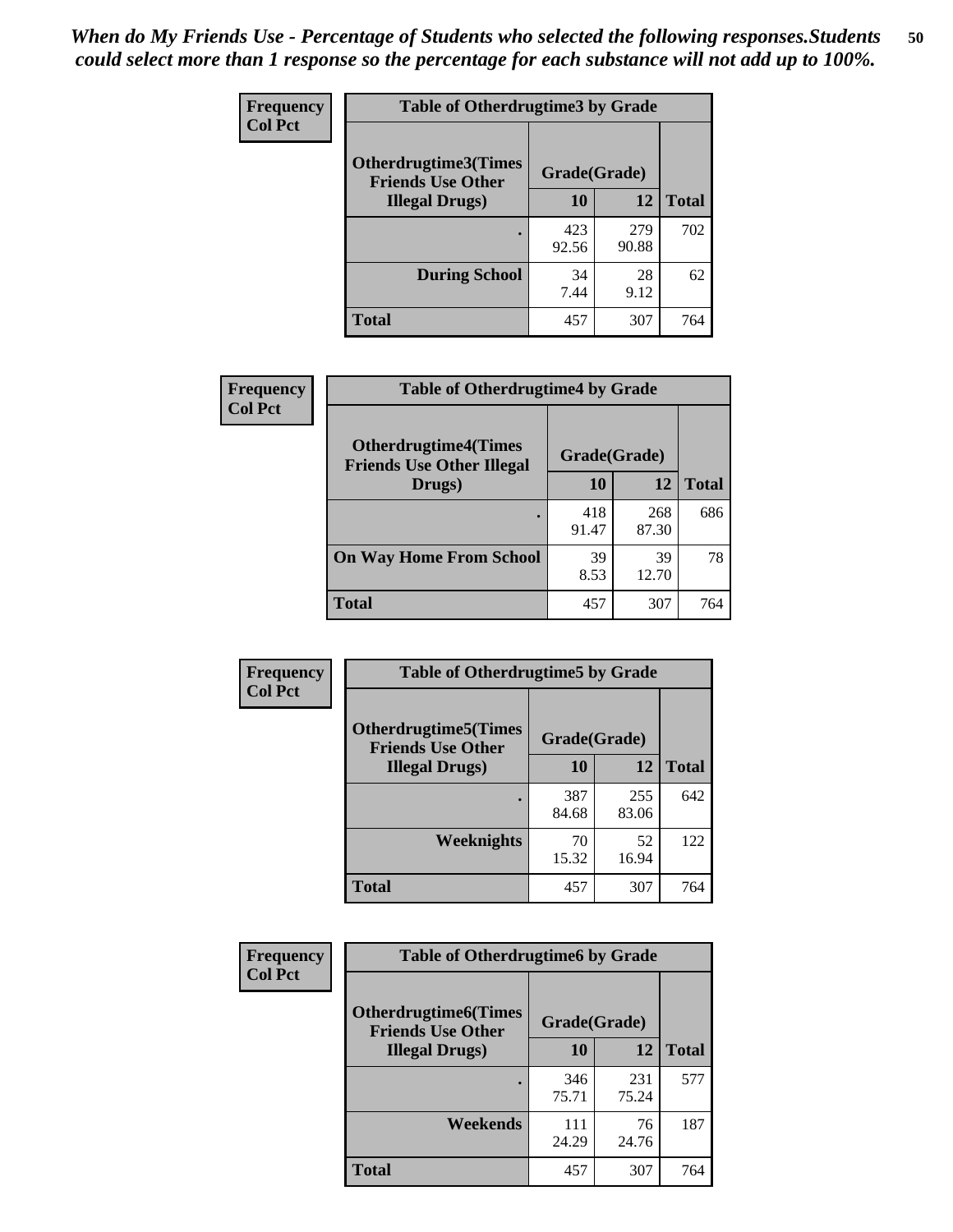| <b>Frequency</b> | <b>Table of Otherdrugtime3 by Grade</b>          |              |              |              |  |  |
|------------------|--------------------------------------------------|--------------|--------------|--------------|--|--|
| <b>Col Pct</b>   | Otherdrugtime3(Times<br><b>Friends Use Other</b> | Grade(Grade) |              |              |  |  |
|                  | <b>Illegal Drugs</b> )                           | 10           | 12           | <b>Total</b> |  |  |
|                  |                                                  | 423<br>92.56 | 279<br>90.88 | 702          |  |  |
|                  | <b>During School</b>                             | 34<br>7.44   | 28<br>9.12   | 62           |  |  |
|                  | Total                                            | 457          | 307          | 764          |  |  |

| Frequency      | <b>Table of Otherdrugtime4 by Grade</b>                         |              |              |              |  |  |
|----------------|-----------------------------------------------------------------|--------------|--------------|--------------|--|--|
| <b>Col Pct</b> | <b>Otherdrugtime4(Times</b><br><b>Friends Use Other Illegal</b> | Grade(Grade) |              |              |  |  |
|                | Drugs)                                                          | 10           | 12           | <b>Total</b> |  |  |
|                | $\bullet$                                                       | 418<br>91.47 | 268<br>87.30 | 686          |  |  |
|                | <b>On Way Home From School</b>                                  | 39<br>8.53   | 39<br>12.70  | 78           |  |  |
|                | Total                                                           | 457          | 307          | 764          |  |  |

| Frequency      | <b>Table of Otherdrugtime5 by Grade</b>                  |              |              |              |  |  |
|----------------|----------------------------------------------------------|--------------|--------------|--------------|--|--|
| <b>Col Pct</b> | <b>Otherdrugtime5</b> (Times<br><b>Friends Use Other</b> | Grade(Grade) |              |              |  |  |
|                | <b>Illegal Drugs</b> )                                   | 10           | 12           | <b>Total</b> |  |  |
|                |                                                          | 387<br>84.68 | 255<br>83.06 | 642          |  |  |
|                | Weeknights                                               | 70<br>15.32  | 52<br>16.94  | 122          |  |  |
|                | Total                                                    | 457          | 307          | 764          |  |  |

| <b>Frequency</b> | <b>Table of Otherdrugtime6 by Grade</b>                 |              |              |              |  |  |
|------------------|---------------------------------------------------------|--------------|--------------|--------------|--|--|
| <b>Col Pct</b>   | <b>Otherdrugtime6(Times</b><br><b>Friends Use Other</b> | Grade(Grade) |              |              |  |  |
|                  | <b>Illegal Drugs</b> )                                  | 10           | 12           | <b>Total</b> |  |  |
|                  |                                                         | 346<br>75.71 | 231<br>75.24 | 577          |  |  |
|                  | Weekends                                                | 111<br>24.29 | 76<br>24.76  | 187          |  |  |
|                  | Total                                                   | 457          | 307          | 764          |  |  |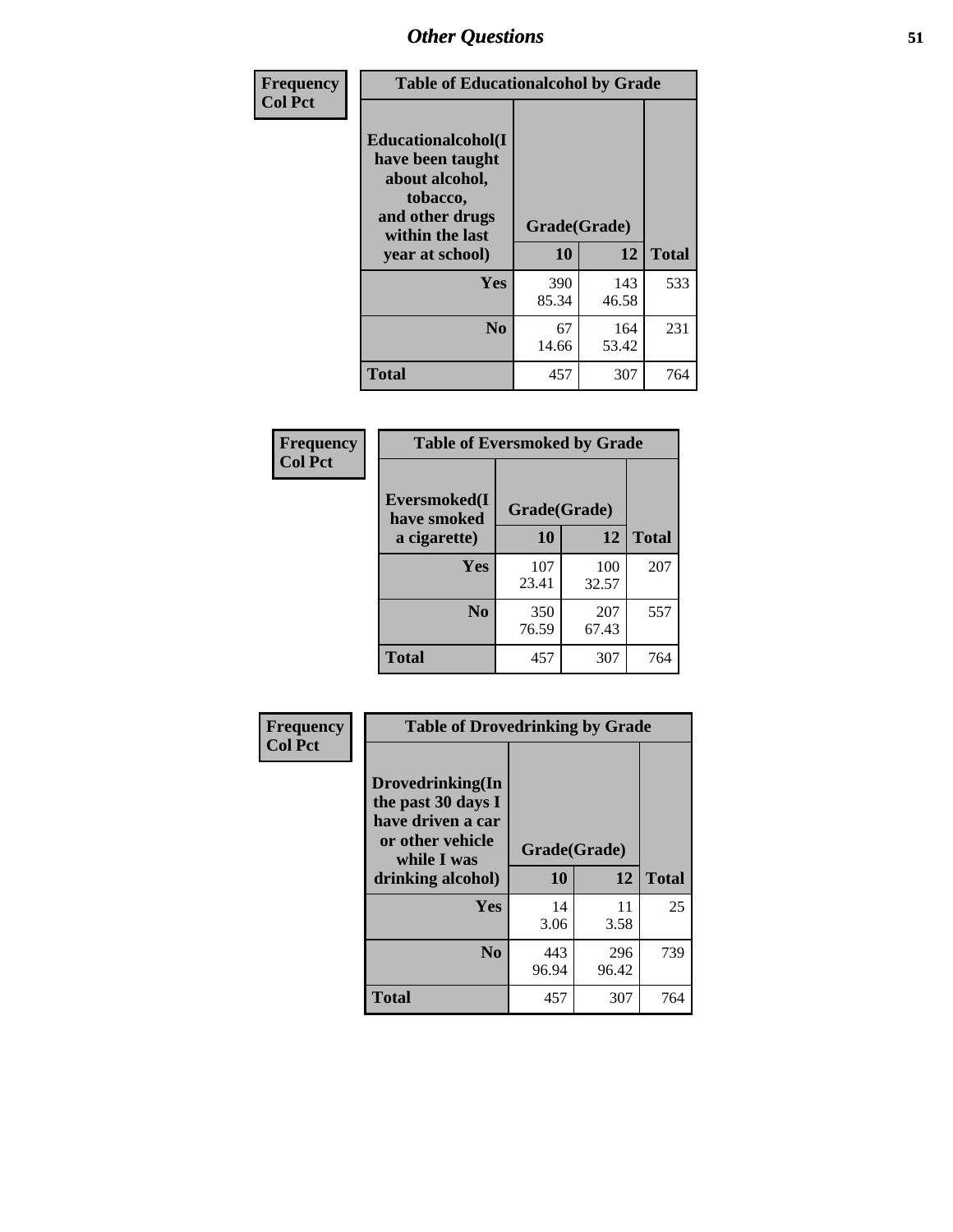| Frequency      | <b>Table of Educationalcohol by Grade</b>                                                                  |              |              |              |  |  |
|----------------|------------------------------------------------------------------------------------------------------------|--------------|--------------|--------------|--|--|
| <b>Col Pct</b> | Educationalcohol(I<br>have been taught<br>about alcohol,<br>tobacco,<br>and other drugs<br>within the last | Grade(Grade) |              |              |  |  |
|                | year at school)                                                                                            | 10           | 12           | <b>Total</b> |  |  |
|                | <b>Yes</b>                                                                                                 | 390<br>85.34 | 143<br>46.58 | 533          |  |  |
|                | N <sub>0</sub>                                                                                             | 67<br>14.66  | 164<br>53.42 | 231          |  |  |
|                | <b>Total</b>                                                                                               | 457          | 307          | 764          |  |  |

| Frequency      | <b>Table of Eversmoked by Grade</b> |              |              |              |  |  |  |
|----------------|-------------------------------------|--------------|--------------|--------------|--|--|--|
| <b>Col Pct</b> | Eversmoked(I<br>have smoked         | Grade(Grade) |              |              |  |  |  |
|                | a cigarette)                        | 10           | 12           | <b>Total</b> |  |  |  |
|                | Yes                                 | 107<br>23.41 | 100<br>32.57 | 207          |  |  |  |
|                | N <sub>0</sub>                      | 350<br>76.59 | 207<br>67.43 | 557          |  |  |  |
|                | <b>Total</b>                        | 457          | 307          | 764          |  |  |  |

| Frequency<br><b>Col Pct</b> | <b>Table of Drovedrinking by Grade</b>                                                         |                    |              |              |  |  |
|-----------------------------|------------------------------------------------------------------------------------------------|--------------------|--------------|--------------|--|--|
|                             | Drovedrinking(In<br>the past 30 days I<br>have driven a car<br>or other vehicle<br>while I was | Grade(Grade)<br>10 |              |              |  |  |
|                             | drinking alcohol)                                                                              |                    | 12           | <b>Total</b> |  |  |
|                             | <b>Yes</b>                                                                                     | 14                 | 11           | 25           |  |  |
|                             |                                                                                                | 3.06               | 3.58         |              |  |  |
|                             | N <sub>0</sub>                                                                                 | 443<br>96.94       | 296<br>96.42 | 739          |  |  |
|                             | <b>Total</b>                                                                                   | 457                | 307          | 764          |  |  |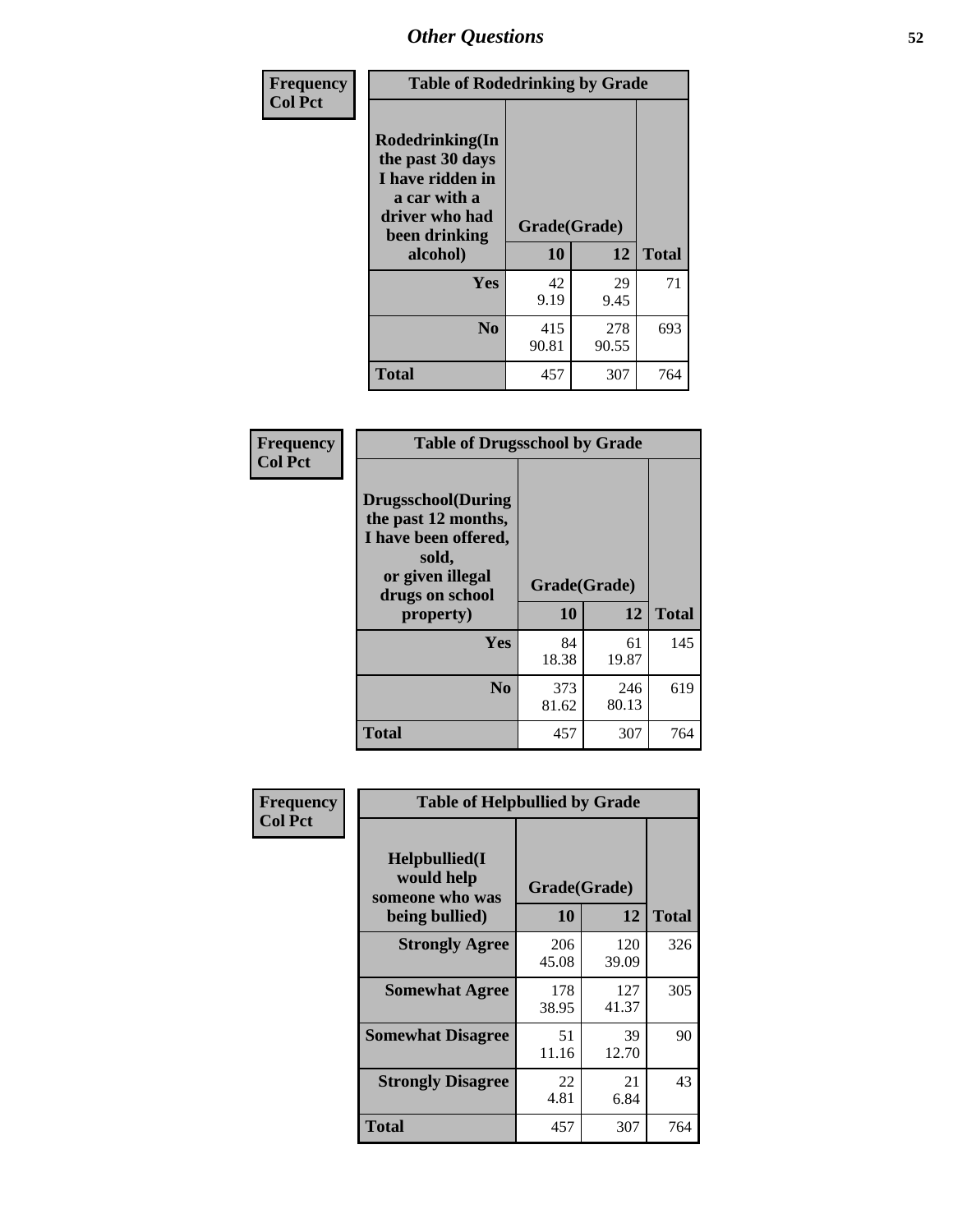| Frequency<br><b>Col Pct</b> | <b>Table of Rodedrinking by Grade</b>                                                                                                              |              |              |     |  |  |
|-----------------------------|----------------------------------------------------------------------------------------------------------------------------------------------------|--------------|--------------|-----|--|--|
|                             | Rodedrinking(In<br>the past 30 days<br>I have ridden in<br>a car with a<br>driver who had<br>Grade(Grade)<br>been drinking<br>10<br>12<br>alcohol) |              | <b>Total</b> |     |  |  |
|                             | <b>Yes</b>                                                                                                                                         | 42<br>9.19   | 29<br>9.45   | 71  |  |  |
|                             | N <sub>0</sub>                                                                                                                                     | 415<br>90.81 | 278<br>90.55 | 693 |  |  |
|                             | <b>Total</b>                                                                                                                                       | 457          | 307          | 764 |  |  |

#### **Frequency Col Pct**

| <b>Table of Drugsschool by Grade</b>                                                                                      |              |              |              |  |  |  |
|---------------------------------------------------------------------------------------------------------------------------|--------------|--------------|--------------|--|--|--|
| <b>Drugsschool</b> (During<br>the past 12 months,<br>I have been offered,<br>sold,<br>or given illegal<br>drugs on school | Grade(Grade) |              |              |  |  |  |
| property)                                                                                                                 | 10           | 12           | <b>Total</b> |  |  |  |
|                                                                                                                           |              |              |              |  |  |  |
| Yes                                                                                                                       | 84<br>18.38  | 61<br>19.87  | 145          |  |  |  |
| N <sub>0</sub>                                                                                                            | 373<br>81.62 | 246<br>80.13 | 619          |  |  |  |

| Frequency      | <b>Table of Helpbullied by Grade</b>                              |                           |              |              |  |  |  |
|----------------|-------------------------------------------------------------------|---------------------------|--------------|--------------|--|--|--|
| <b>Col Pct</b> | Helpbullied(I)<br>would help<br>someone who was<br>being bullied) | Grade(Grade)<br><b>10</b> | 12           | <b>Total</b> |  |  |  |
|                |                                                                   |                           |              |              |  |  |  |
|                | <b>Strongly Agree</b>                                             | 206<br>45.08              | 120<br>39.09 | 326          |  |  |  |
|                | <b>Somewhat Agree</b>                                             | 178<br>38.95              | 127<br>41.37 | 305          |  |  |  |
|                | <b>Somewhat Disagree</b>                                          | 51<br>11.16               | 39<br>12.70  | 90           |  |  |  |
|                | <b>Strongly Disagree</b>                                          | 22<br>4.81                | 21<br>6.84   | 43           |  |  |  |
|                | <b>Total</b>                                                      | 457                       | 307          | 764          |  |  |  |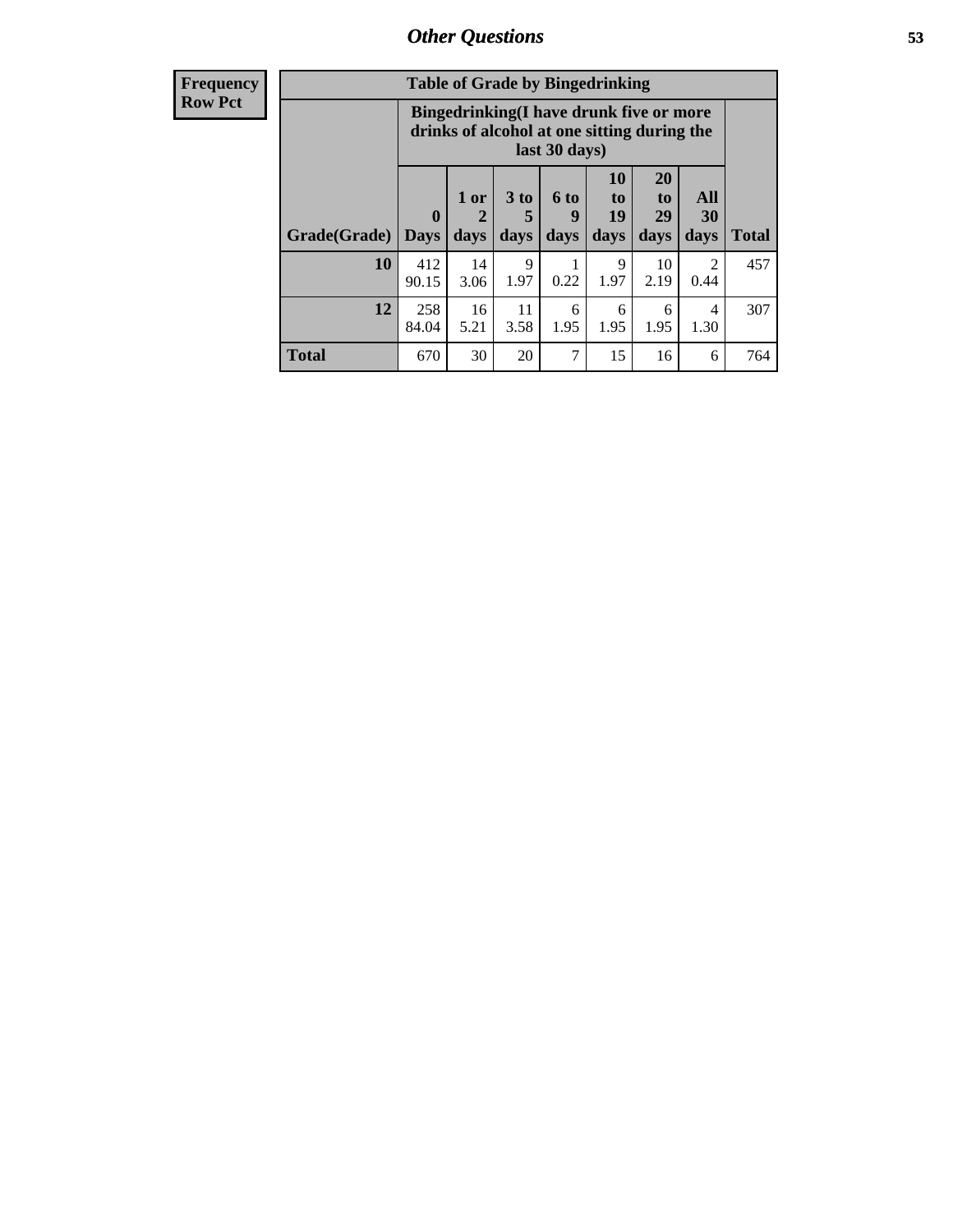| <b>Frequency</b> | <b>Table of Grade by Bingedrinking</b> |                                                                                                         |                                |                              |                              |                               |                               |                        |              |
|------------------|----------------------------------------|---------------------------------------------------------------------------------------------------------|--------------------------------|------------------------------|------------------------------|-------------------------------|-------------------------------|------------------------|--------------|
| <b>Row Pct</b>   |                                        | Bingedrinking(I have drunk five or more<br>drinks of alcohol at one sitting during the<br>last 30 days) |                                |                              |                              |                               |                               |                        |              |
|                  | Grade(Grade)                           | $\mathbf{0}$<br><b>Days</b>                                                                             | 1 or<br>$\overline{2}$<br>days | 3 <sub>to</sub><br>5<br>days | $6 \text{ to }$<br>9<br>days | <b>10</b><br>to<br>19<br>days | <b>20</b><br>to<br>29<br>days | All<br>30<br>days      | <b>Total</b> |
|                  | 10                                     | 412<br>90.15                                                                                            | 14<br>3.06                     | 9<br>1.97                    | 0.22                         | 9<br>1.97                     | 10<br>2.19                    | $\overline{2}$<br>0.44 | 457          |
|                  | 12                                     | 258<br>84.04                                                                                            | 16<br>5.21                     | 11<br>3.58                   | 6<br>1.95                    | 6<br>1.95                     | 6<br>1.95                     | 4<br>1.30              | 307          |
|                  | <b>Total</b>                           | 670                                                                                                     | 30                             | 20                           | 7                            | 15                            | 16                            | 6                      | 764          |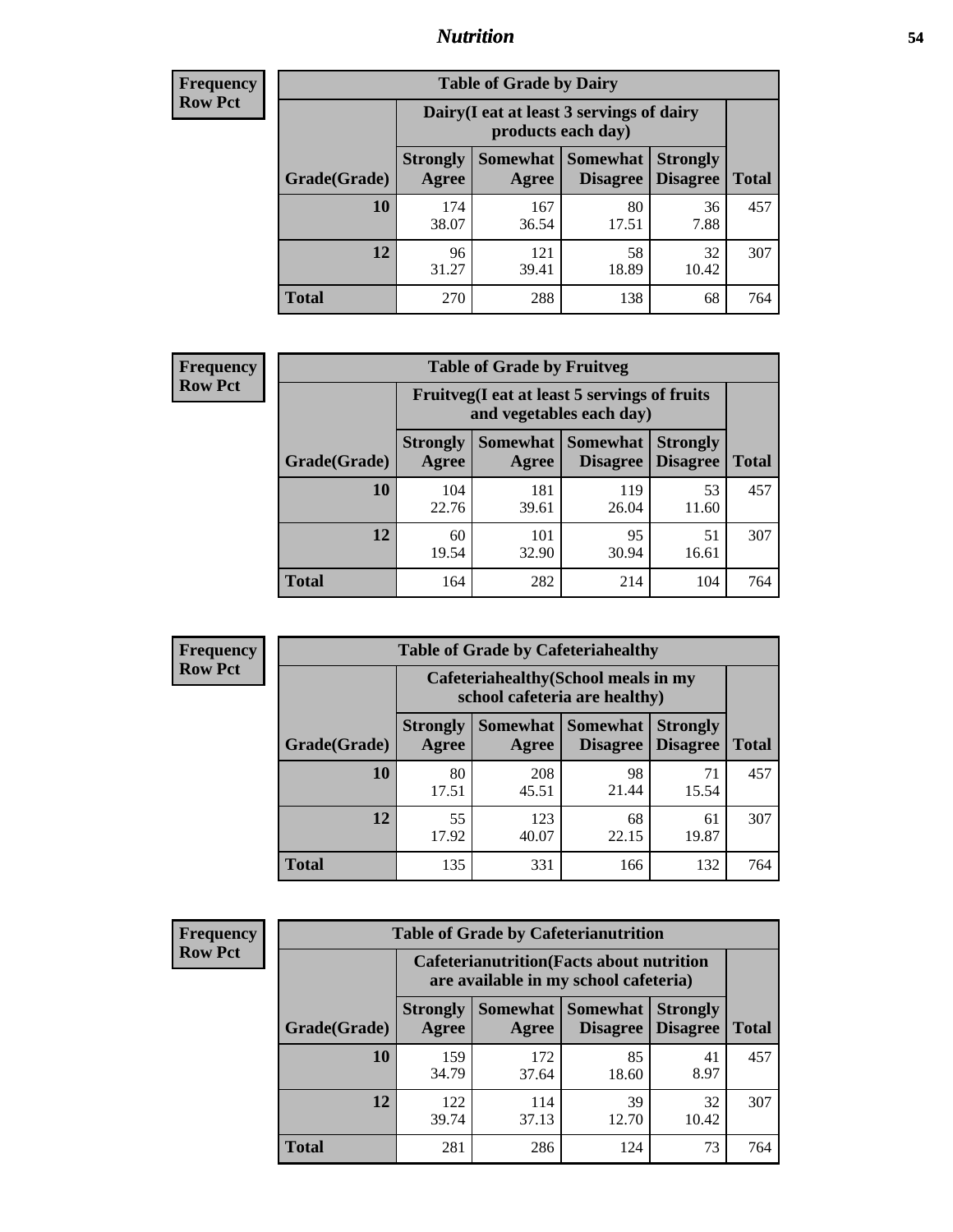### *Nutrition* **54**

| <b>Frequency</b><br>Row Pct |
|-----------------------------|
|                             |

| <b>Table of Grade by Dairy</b> |                          |                                                                 |                                    |                                    |              |  |
|--------------------------------|--------------------------|-----------------------------------------------------------------|------------------------------------|------------------------------------|--------------|--|
|                                |                          | Dairy (I eat at least 3 servings of dairy<br>products each day) |                                    |                                    |              |  |
| Grade(Grade)                   | <b>Strongly</b><br>Agree | <b>Somewhat</b><br>Agree                                        | <b>Somewhat</b><br><b>Disagree</b> | <b>Strongly</b><br><b>Disagree</b> | <b>Total</b> |  |
| 10                             | 174<br>38.07             | 167<br>36.54                                                    | 80<br>17.51                        | 36<br>7.88                         | 457          |  |
| 12                             | 96<br>31.27              | 121<br>39.41                                                    | 58<br>18.89                        | 32<br>10.42                        | 307          |  |
| <b>Total</b>                   | 270                      | 288                                                             | 138                                | 68                                 | 764          |  |

#### **Frequency Row Pct**

| <b>Table of Grade by Fruitveg</b> |                          |                                                                          |                 |                                        |              |  |
|-----------------------------------|--------------------------|--------------------------------------------------------------------------|-----------------|----------------------------------------|--------------|--|
|                                   |                          | Fruitveg(I eat at least 5 servings of fruits<br>and vegetables each day) |                 |                                        |              |  |
| Grade(Grade)                      | <b>Strongly</b><br>Agree | Somewhat  <br>Agree                                                      | <b>Somewhat</b> | <b>Strongly</b><br>Disagree   Disagree | <b>Total</b> |  |
| 10                                | 104<br>22.76             | 181<br>39.61                                                             | 119<br>26.04    | 53<br>11.60                            | 457          |  |
| 12                                | 60<br>19.54              | 101<br>32.90                                                             | 95<br>30.94     | 51<br>16.61                            | 307          |  |
| <b>Total</b>                      | 164                      | 282                                                                      | 214             | 104                                    | 764          |  |

**Frequency Row Pct**

| <b>Table of Grade by Cafeteriahealthy</b> |                          |                                                                       |                             |                                    |              |  |  |
|-------------------------------------------|--------------------------|-----------------------------------------------------------------------|-----------------------------|------------------------------------|--------------|--|--|
|                                           |                          | Cafeteriahealthy (School meals in my<br>school cafeteria are healthy) |                             |                                    |              |  |  |
| Grade(Grade)                              | <b>Strongly</b><br>Agree | <b>Somewhat</b><br>Agree                                              | <b>Somewhat</b><br>Disagree | <b>Strongly</b><br><b>Disagree</b> | <b>Total</b> |  |  |
| 10                                        | 80<br>17.51              | 208<br>45.51                                                          | 98<br>21.44                 | 71<br>15.54                        | 457          |  |  |
| 12                                        | 55<br>17.92              | 123<br>40.07                                                          | 68<br>22.15                 | 61<br>19.87                        | 307          |  |  |
| <b>Total</b>                              | 135                      | 331                                                                   | 166                         | 132                                | 764          |  |  |

**Frequency Row Pct**

| <b>Table of Grade by Cafeterianutrition</b> |              |                          |                                                                                           |                             |                                    |              |  |  |
|---------------------------------------------|--------------|--------------------------|-------------------------------------------------------------------------------------------|-----------------------------|------------------------------------|--------------|--|--|
|                                             |              |                          | <b>Cafeterianutrition</b> (Facts about nutrition<br>are available in my school cafeteria) |                             |                                    |              |  |  |
|                                             | Grade(Grade) | <b>Strongly</b><br>Agree | Somewhat  <br>Agree                                                                       | <b>Somewhat</b><br>Disagree | <b>Strongly</b><br><b>Disagree</b> | <b>Total</b> |  |  |
|                                             | 10           | 159<br>34.79             | 172<br>37.64                                                                              | 85<br>18.60                 | 41<br>8.97                         | 457          |  |  |
|                                             | 12           | 122<br>39.74             | 114<br>37.13                                                                              | 39<br>12.70                 | 32<br>10.42                        | 307          |  |  |
|                                             | <b>Total</b> | 281                      | 286                                                                                       | 124                         | 73                                 | 764          |  |  |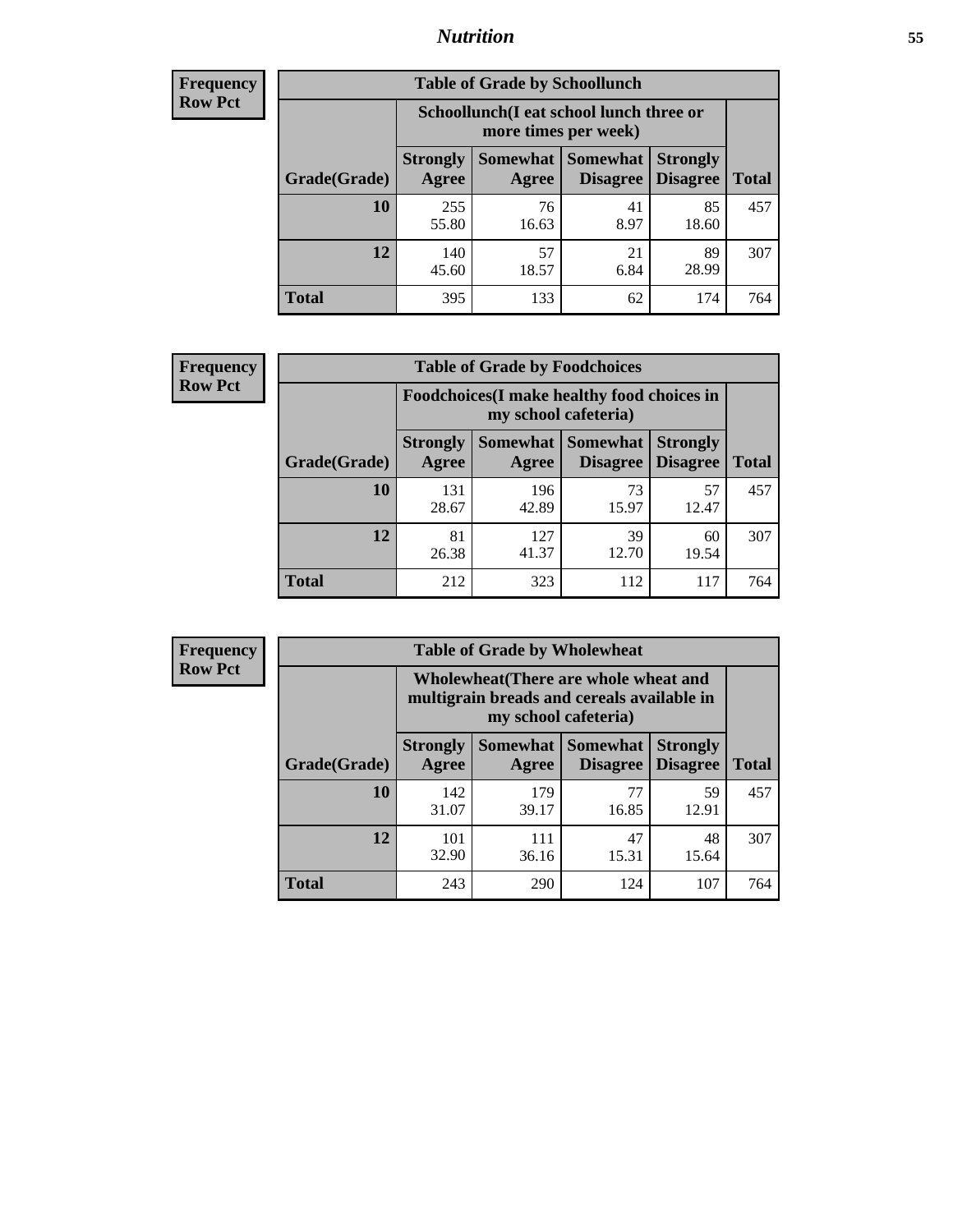### *Nutrition* **55**

| <b>Frequency</b> |
|------------------|
| <b>Row Pct</b>   |

| <b>Table of Grade by Schoollunch</b> |                          |                                                                 |                                 |                                    |       |  |  |
|--------------------------------------|--------------------------|-----------------------------------------------------------------|---------------------------------|------------------------------------|-------|--|--|
|                                      |                          | Schoollunch(I eat school lunch three or<br>more times per week) |                                 |                                    |       |  |  |
| Grade(Grade)                         | <b>Strongly</b><br>Agree | Agree                                                           | Somewhat   Somewhat<br>Disagree | <b>Strongly</b><br><b>Disagree</b> | Total |  |  |
| 10                                   | 255<br>55.80             | 76<br>16.63                                                     | 41<br>8.97                      | 85<br>18.60                        | 457   |  |  |
| 12                                   | 140<br>45.60             | 57<br>18.57                                                     | 21<br>6.84                      | 89<br>28.99                        | 307   |  |  |
| <b>Total</b>                         | 395                      | 133                                                             | 62                              | 174                                | 764   |  |  |

| <b>Frequency</b> |  |
|------------------|--|
| <b>Row Pct</b>   |  |

| <b>Table of Grade by Foodchoices</b>                                       |                          |              |                               |                                    |              |  |
|----------------------------------------------------------------------------|--------------------------|--------------|-------------------------------|------------------------------------|--------------|--|
| <b>Foodchoices</b> (I make healthy food choices in<br>my school cafeteria) |                          |              |                               |                                    |              |  |
| Grade(Grade)                                                               | <b>Strongly</b><br>Agree | Agree        | Somewhat Somewhat<br>Disagree | <b>Strongly</b><br><b>Disagree</b> | <b>Total</b> |  |
| 10                                                                         | 131<br>28.67             | 196<br>42.89 | 73<br>15.97                   | 57<br>12.47                        | 457          |  |
| 12                                                                         | 81<br>26.38              | 127<br>41.37 | 39<br>12.70                   | 60<br>19.54                        | 307          |  |
| <b>Total</b>                                                               | 212                      | 323          | 112                           | 117                                | 764          |  |

| <b>Frequency</b><br>Row Pct |
|-----------------------------|

| V | <b>Table of Grade by Wholewheat</b> |                                                                                                             |              |                                        |                                    |              |  |
|---|-------------------------------------|-------------------------------------------------------------------------------------------------------------|--------------|----------------------------------------|------------------------------------|--------------|--|
|   |                                     | Wholewheat (There are whole wheat and<br>multigrain breads and cereals available in<br>my school cafeteria) |              |                                        |                                    |              |  |
|   | Grade(Grade)                        | <b>Strongly</b><br>Agree                                                                                    | Agree        | Somewhat   Somewhat<br><b>Disagree</b> | <b>Strongly</b><br><b>Disagree</b> | <b>Total</b> |  |
|   | 10                                  | 142<br>31.07                                                                                                | 179<br>39.17 | 77<br>16.85                            | 59<br>12.91                        | 457          |  |
|   | 12                                  | 101<br>32.90                                                                                                | 111<br>36.16 | 47<br>15.31                            | 48<br>15.64                        | 307          |  |
|   | <b>Total</b>                        | 243                                                                                                         | 290          | 124                                    | 107                                | 764          |  |

E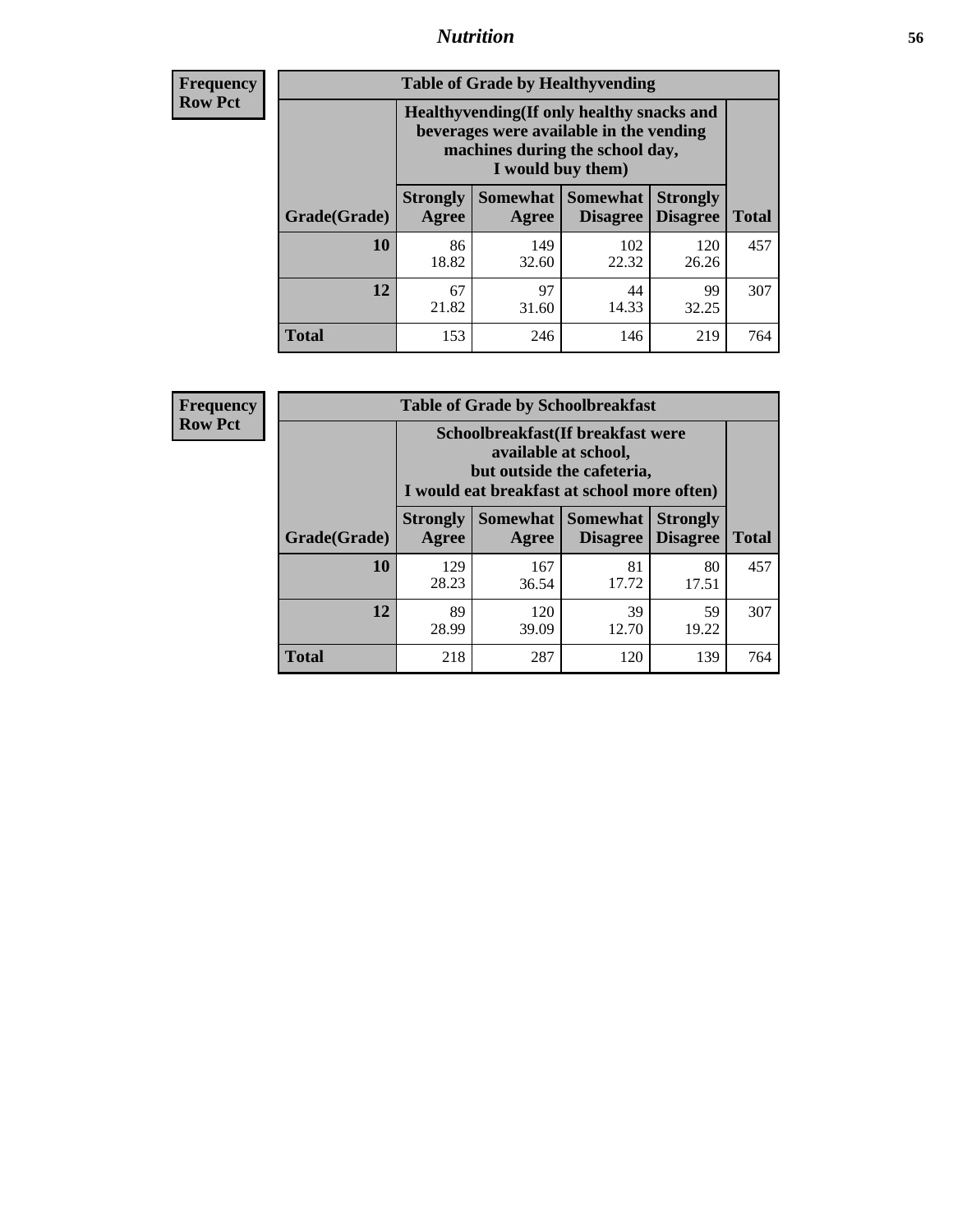### *Nutrition* **56**

**Frequency Row Pct**

| <b>Table of Grade by Healthyvending</b> |                                                                                                                                               |                          |                                    |                                    |              |  |  |
|-----------------------------------------|-----------------------------------------------------------------------------------------------------------------------------------------------|--------------------------|------------------------------------|------------------------------------|--------------|--|--|
|                                         | Healthyvending (If only healthy snacks and<br>beverages were available in the vending<br>machines during the school day,<br>I would buy them) |                          |                                    |                                    |              |  |  |
| Grade(Grade)                            | <b>Strongly</b><br>Agree                                                                                                                      | <b>Somewhat</b><br>Agree | <b>Somewhat</b><br><b>Disagree</b> | <b>Strongly</b><br><b>Disagree</b> | <b>Total</b> |  |  |
| 10                                      | 86<br>18.82                                                                                                                                   | 149<br>32.60             | 102<br>22.32                       | 120<br>26.26                       | 457          |  |  |
| 12                                      | 67<br>21.82                                                                                                                                   | 97<br>31.60              | 44<br>14.33                        | 99<br>32.25                        | 307          |  |  |
| Total                                   | 153                                                                                                                                           | 246                      | 146                                | 219                                | 764          |  |  |

**Frequency Row Pct**

| <b>Table of Grade by Schoolbreakfast</b> |                                                                                                                                         |              |                                      |                                    |              |  |
|------------------------------------------|-----------------------------------------------------------------------------------------------------------------------------------------|--------------|--------------------------------------|------------------------------------|--------------|--|
|                                          | Schoolbreakfast (If breakfast were<br>available at school,<br>but outside the cafeteria,<br>I would eat breakfast at school more often) |              |                                      |                                    |              |  |
| Grade(Grade)                             | <b>Strongly</b><br>Agree                                                                                                                | Agree        | Somewhat Somewhat<br><b>Disagree</b> | <b>Strongly</b><br><b>Disagree</b> | <b>Total</b> |  |
| 10                                       | 129<br>28.23                                                                                                                            | 167<br>36.54 | 81<br>17.72                          | 80<br>17.51                        | 457          |  |
| 12                                       | 89<br>28.99                                                                                                                             | 120<br>39.09 | 39<br>12.70                          | 59<br>19.22                        | 307          |  |
| <b>Total</b>                             | 218                                                                                                                                     | 287          | 120                                  | 139                                | 764          |  |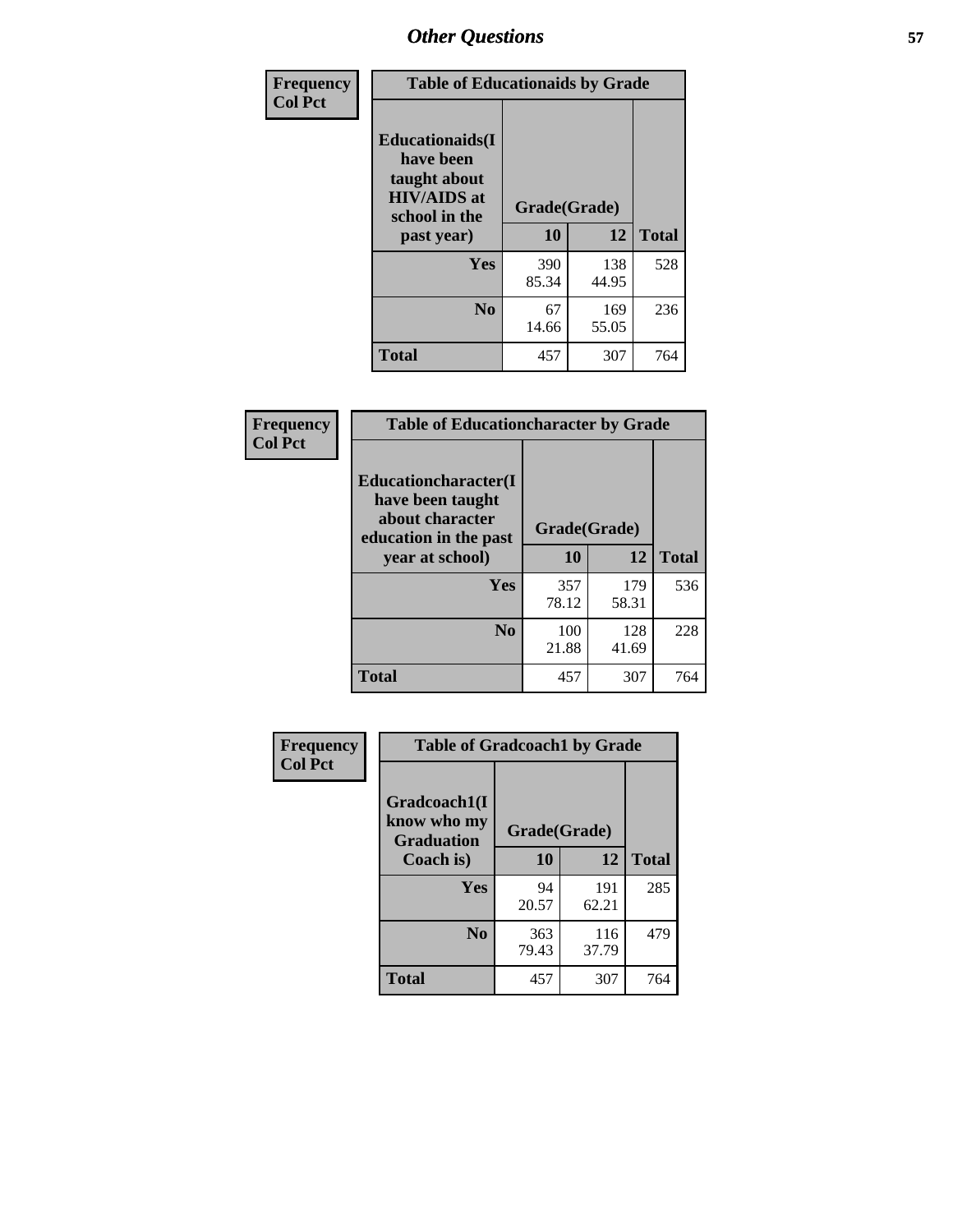| Frequency<br><b>Col Pct</b> | <b>Table of Educationaids by Grade</b>                                                                    |                    |              |              |
|-----------------------------|-----------------------------------------------------------------------------------------------------------|--------------------|--------------|--------------|
|                             | <b>Educationaids</b> (I<br>have been<br>taught about<br><b>HIV/AIDS</b> at<br>school in the<br>past year) | Grade(Grade)<br>10 | 12           | <b>Total</b> |
|                             | Yes                                                                                                       | 390<br>85.34       | 138<br>44.95 | 528          |
|                             | N <sub>0</sub>                                                                                            | 67<br>14.66        | 169<br>55.05 | 236          |
|                             | <b>Total</b>                                                                                              | 457                | 307          | 764          |

| Frequency      | <b>Table of Educationcharacter by Grade</b>                                          |              |              |              |
|----------------|--------------------------------------------------------------------------------------|--------------|--------------|--------------|
| <b>Col Pct</b> | Educationcharacter(I<br>have been taught<br>about character<br>education in the past | Grade(Grade) |              |              |
|                | year at school)                                                                      | 10           | 12           | <b>Total</b> |
|                | <b>Yes</b>                                                                           | 357<br>78.12 | 179<br>58.31 | 536          |
|                | N <sub>0</sub>                                                                       | 100<br>21.88 | 128<br>41.69 | 228          |
|                | <b>Total</b>                                                                         | 457          | 307          | 764          |

| Frequency      | <b>Table of Gradcoach1 by Grade</b> |              |              |              |
|----------------|-------------------------------------|--------------|--------------|--------------|
| <b>Col Pct</b> | Gradcoach1(I<br>know who my         | Grade(Grade) |              |              |
|                | <b>Graduation</b><br>Coach is)      | 10           | 12           | <b>Total</b> |
|                | Yes                                 | 94<br>20.57  | 191<br>62.21 | 285          |
|                | N <sub>0</sub>                      | 363<br>79.43 | 116<br>37.79 | 479          |
|                | <b>Total</b>                        | 457          | 307          | 764          |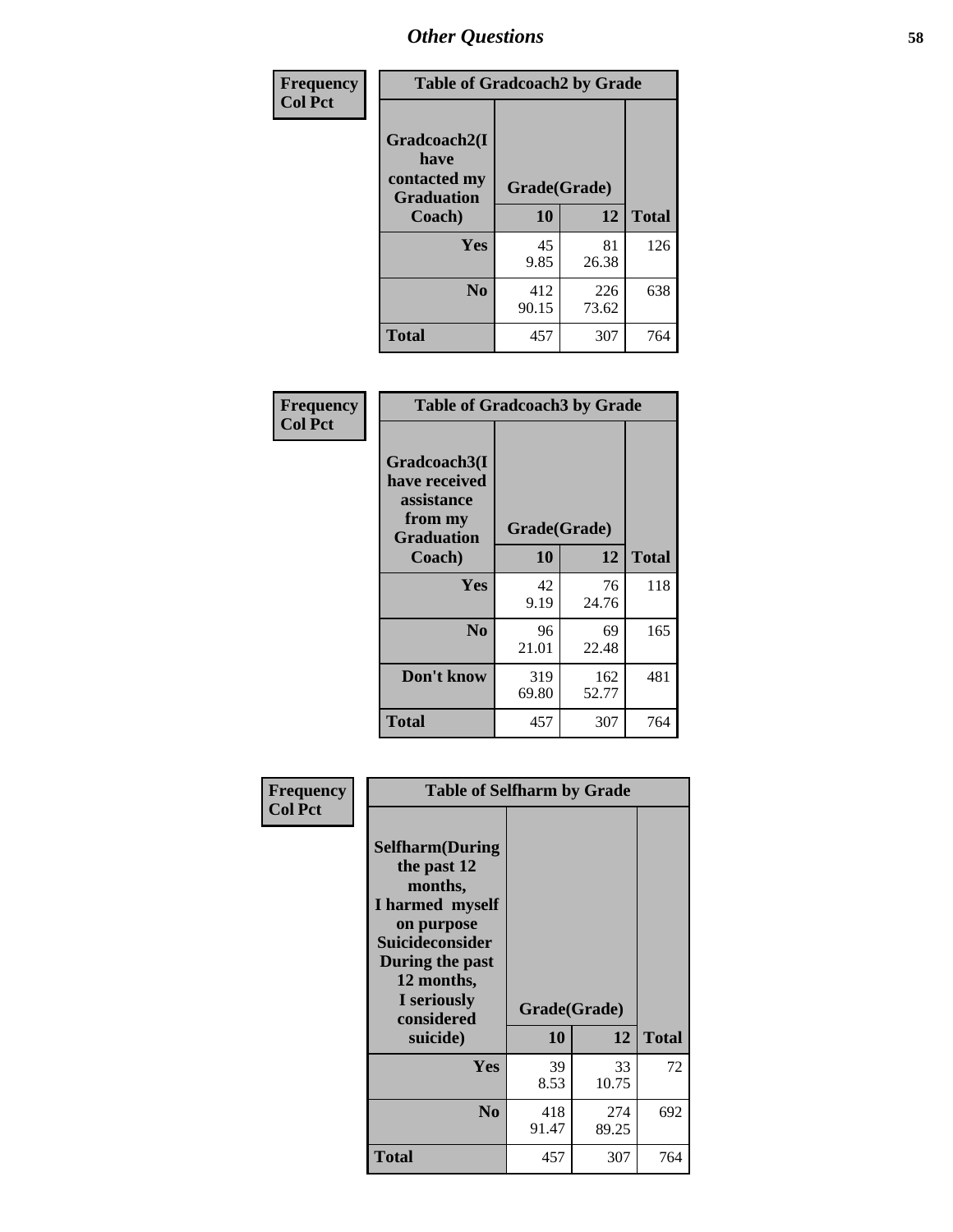| Frequency      | <b>Table of Gradcoach2 by Grade</b> |              |              |              |
|----------------|-------------------------------------|--------------|--------------|--------------|
| <b>Col Pct</b> | Gradcoach2(I<br>have                |              |              |              |
|                | contacted my<br><b>Graduation</b>   | Grade(Grade) |              |              |
|                | Coach)                              | 10           | 12           | <b>Total</b> |
|                | Yes                                 | 45<br>9.85   | 81<br>26.38  | 126          |
|                | N <sub>0</sub>                      | 412<br>90.15 | 226<br>73.62 | 638          |
|                | <b>Total</b>                        | 457          | 307          | 764          |

| Frequency<br><b>Col Pct</b> | <b>Table of Gradcoach3 by Grade</b>                                         |              |              |              |
|-----------------------------|-----------------------------------------------------------------------------|--------------|--------------|--------------|
|                             | Gradcoach3(I<br>have received<br>assistance<br>from my<br><b>Graduation</b> | Grade(Grade) |              |              |
|                             | Coach)                                                                      | 10           | 12           | <b>Total</b> |
|                             | Yes                                                                         | 42<br>9.19   | 76<br>24.76  | 118          |
|                             | N <sub>0</sub>                                                              | 96<br>21.01  | 69<br>22.48  | 165          |
|                             | Don't know                                                                  | 319<br>69.80 | 162<br>52.77 | 481          |
|                             | <b>Total</b>                                                                | 457          | 307          | 764          |

| Frequency<br><b>Col Pct</b> | <b>Table of Selfharm by Grade</b>                                                                                                                                                      |                    |              |              |
|-----------------------------|----------------------------------------------------------------------------------------------------------------------------------------------------------------------------------------|--------------------|--------------|--------------|
|                             | <b>Selfharm</b> (During<br>the past 12<br>months,<br>I harmed myself<br>on purpose<br><b>Suicideconsider</b><br>During the past<br>12 months,<br>I seriously<br>considered<br>suicide) | Grade(Grade)<br>10 | 12           | <b>Total</b> |
|                             | <b>Yes</b>                                                                                                                                                                             | 39<br>8.53         | 33<br>10.75  | 72           |
|                             | N <sub>0</sub>                                                                                                                                                                         | 418<br>91.47       | 274<br>89.25 | 692          |
|                             | <b>Total</b>                                                                                                                                                                           | 457                | 307          | 764          |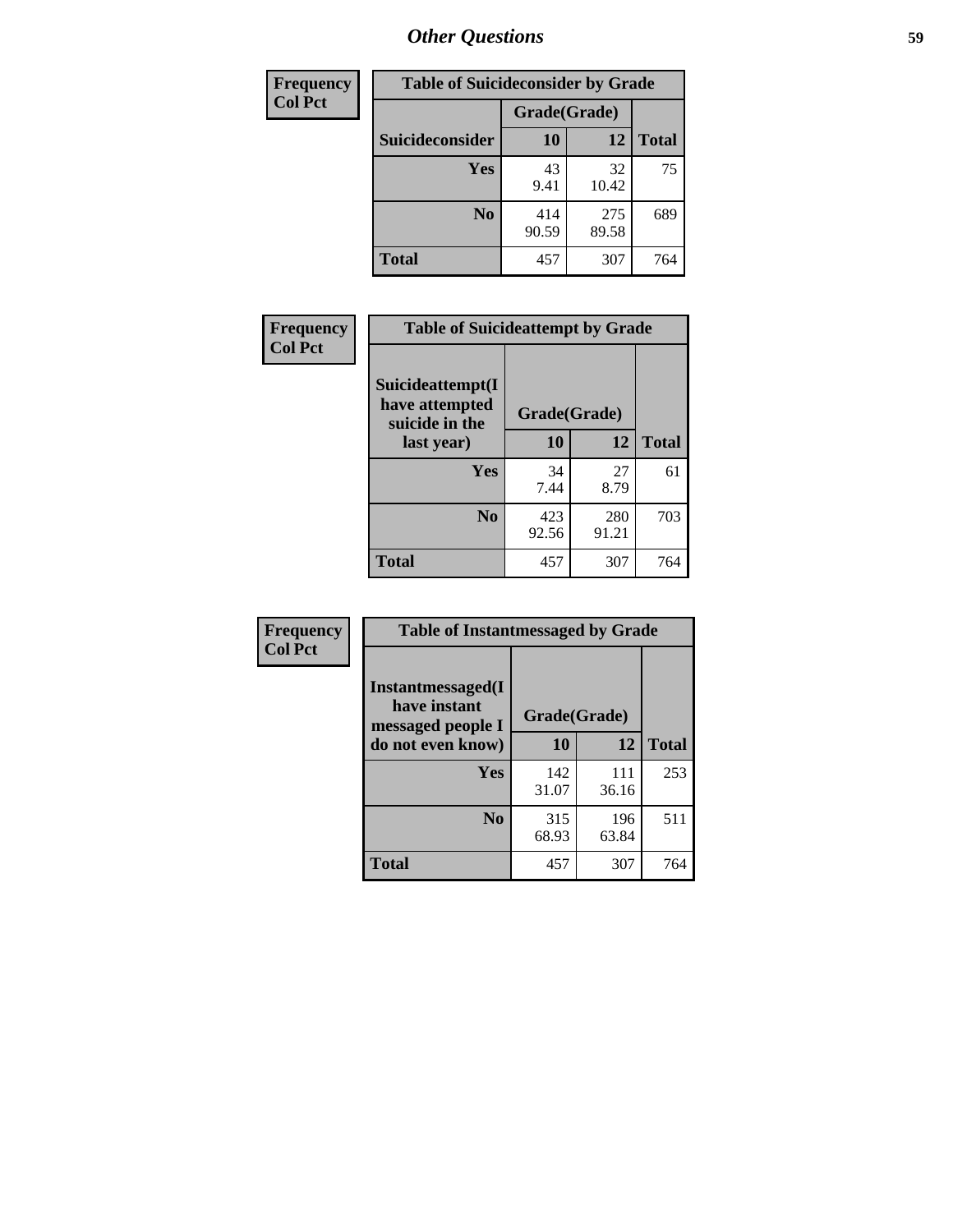| <b>Frequency</b> | <b>Table of Suicideconsider by Grade</b> |              |              |              |
|------------------|------------------------------------------|--------------|--------------|--------------|
| <b>Col Pct</b>   |                                          | Grade(Grade) |              |              |
|                  | Suicideconsider                          | <b>10</b>    | 12           | <b>Total</b> |
|                  | Yes                                      | 43<br>9.41   | 32<br>10.42  | 75           |
|                  | N <sub>0</sub>                           | 414<br>90.59 | 275<br>89.58 | 689          |
|                  | Total                                    | 457          | 307          | 764          |

| Frequency      | <b>Table of Suicideattempt by Grade</b>              |              |              |              |
|----------------|------------------------------------------------------|--------------|--------------|--------------|
| <b>Col Pct</b> | Suicideattempt(I<br>have attempted<br>suicide in the | Grade(Grade) |              |              |
|                | last year)                                           | 10           | 12           | <b>Total</b> |
|                | Yes                                                  | 34<br>7.44   | 27<br>8.79   | 61           |
|                | $\bf No$                                             | 423<br>92.56 | 280<br>91.21 | 703          |
|                | <b>Total</b>                                         | 457          | 307          | 764          |

| Frequency      | <b>Table of Instantmessaged by Grade</b>               |              |              |              |
|----------------|--------------------------------------------------------|--------------|--------------|--------------|
| <b>Col Pct</b> | Instantmessaged(I<br>have instant<br>messaged people I | Grade(Grade) |              |              |
|                | do not even know)                                      | 10           | 12           | <b>Total</b> |
|                | Yes                                                    | 142<br>31.07 | 111<br>36.16 | 253          |
|                | N <sub>0</sub>                                         | 315<br>68.93 | 196<br>63.84 | 511          |
|                | <b>Total</b>                                           | 457          | 307          | 764          |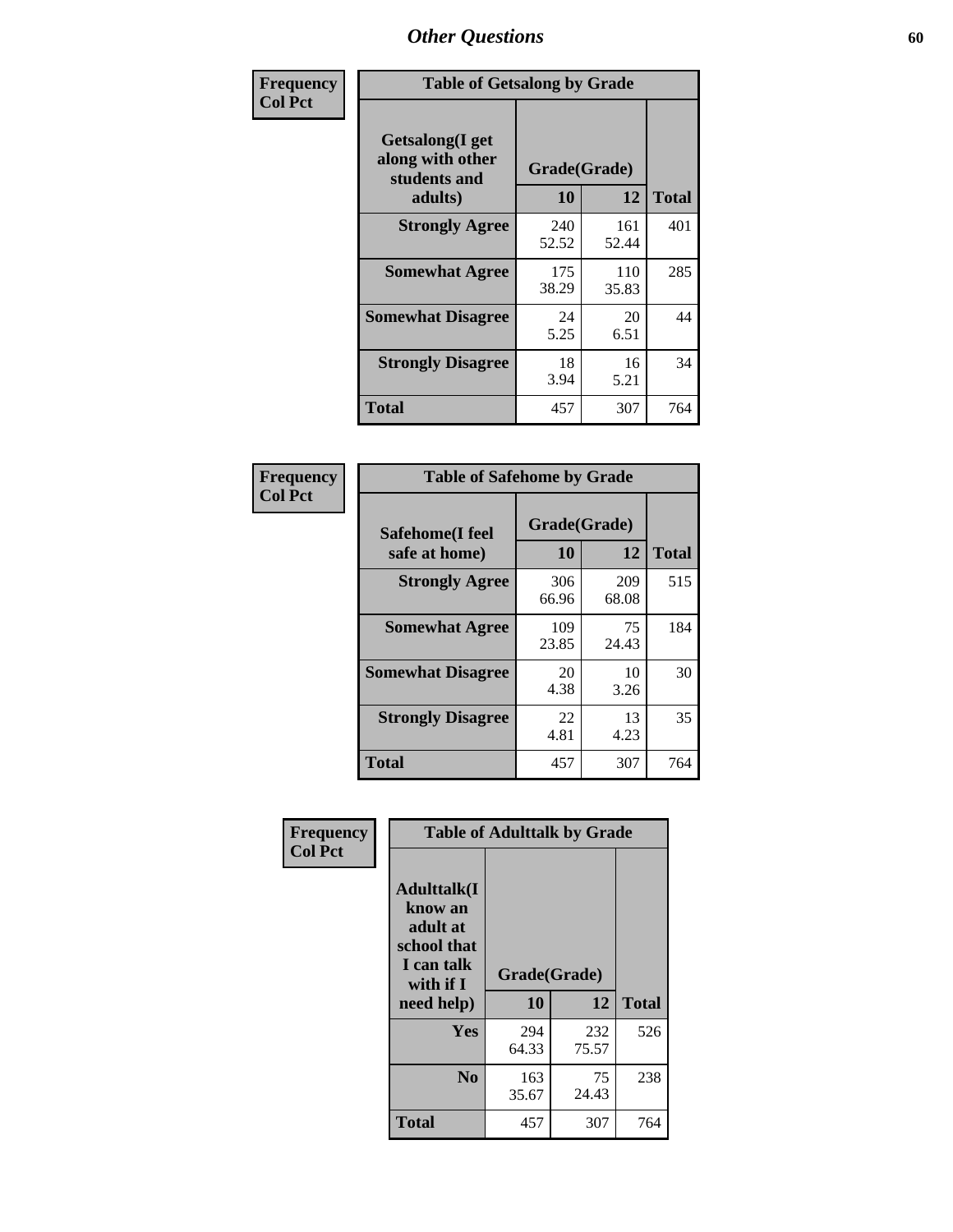| Frequency      | <b>Table of Getsalong by Grade</b>                          |              |              |              |
|----------------|-------------------------------------------------------------|--------------|--------------|--------------|
| <b>Col Pct</b> | <b>Getsalong</b> (I get<br>along with other<br>students and | Grade(Grade) |              |              |
|                | adults)                                                     | 10           | 12           | <b>Total</b> |
|                | <b>Strongly Agree</b>                                       | 240<br>52.52 | 161<br>52.44 | 401          |
|                | <b>Somewhat Agree</b>                                       | 175<br>38.29 | 110<br>35.83 | 285          |
|                | <b>Somewhat Disagree</b>                                    | 24<br>5.25   | 20<br>6.51   | 44           |
|                | <b>Strongly Disagree</b>                                    | 18<br>3.94   | 16<br>5.21   | 34           |
|                | <b>Total</b>                                                | 457          | 307          | 764          |

| Frequency      |                                  | <b>Table of Safehome by Grade</b> |              |              |
|----------------|----------------------------------|-----------------------------------|--------------|--------------|
| <b>Col Pct</b> | Safehome(I feel<br>safe at home) | Grade(Grade)<br>10                | 12           | <b>Total</b> |
|                | <b>Strongly Agree</b>            | 306<br>66.96                      | 209<br>68.08 | 515          |
|                | <b>Somewhat Agree</b>            | 109<br>23.85                      | 75<br>24.43  | 184          |
|                | <b>Somewhat Disagree</b>         | 20<br>4.38                        | 10<br>3.26   | 30           |
|                | <b>Strongly Disagree</b>         | 22<br>4.81                        | 13<br>4.23   | 35           |
|                | <b>Total</b>                     | 457                               | 307          | 764          |

| Frequency      |                                                                                                   |                    | <b>Table of Adulttalk by Grade</b> |              |
|----------------|---------------------------------------------------------------------------------------------------|--------------------|------------------------------------|--------------|
| <b>Col Pct</b> | <b>Adulttalk(I</b><br>know an<br>adult at<br>school that<br>I can talk<br>with if I<br>need help) | Grade(Grade)<br>10 | 12                                 | <b>Total</b> |
|                |                                                                                                   |                    |                                    |              |
|                | Yes                                                                                               | 294<br>64.33       | 232<br>75.57                       | 526          |
|                | N <sub>0</sub>                                                                                    | 163<br>35.67       | 75<br>24.43                        | 238          |
|                | <b>Total</b>                                                                                      | 457                | 307                                | 764          |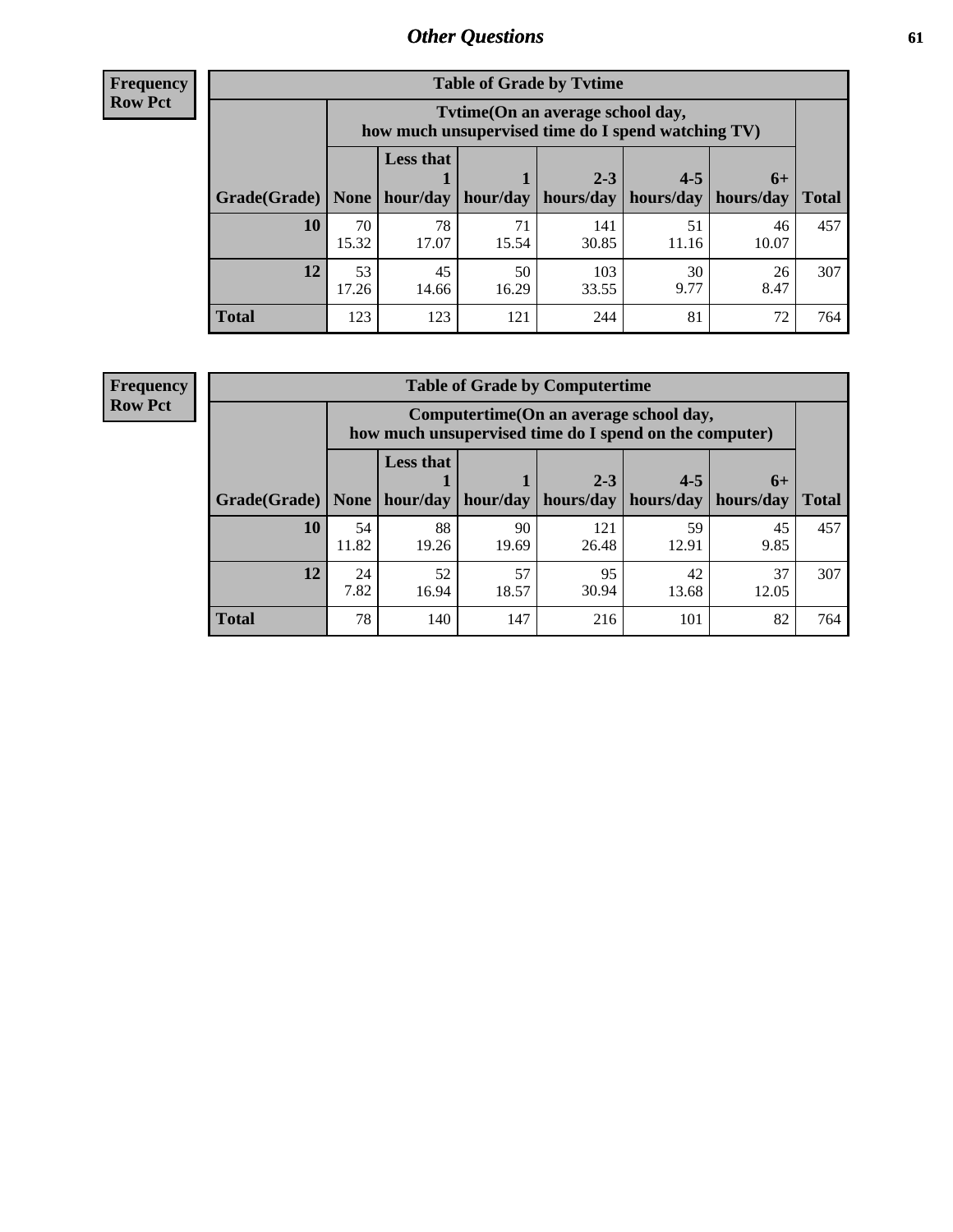**Frequency Row Pct**

| <b>Table of Grade by Tytime</b> |             |                                                                                         |             |              |             |             |              |  |  |  |
|---------------------------------|-------------|-----------------------------------------------------------------------------------------|-------------|--------------|-------------|-------------|--------------|--|--|--|
|                                 |             | Tytime (On an average school day,<br>how much unsupervised time do I spend watching TV) |             |              |             |             |              |  |  |  |
|                                 |             | <b>Less that</b><br>$2 - 3$<br>$4 - 5$<br>$6+$                                          |             |              |             |             |              |  |  |  |
| Grade(Grade)                    | None        | hour/day                                                                                | hour/day    | hours/day    | hours/day   | hours/day   | <b>Total</b> |  |  |  |
| 10                              | 70<br>15.32 | 78<br>17.07                                                                             | 71<br>15.54 | 141<br>30.85 | 51<br>11.16 | 46<br>10.07 | 457          |  |  |  |
| 12                              | 53<br>17.26 | 45<br>14.66                                                                             | 50<br>16.29 | 103<br>33.55 | 30<br>9.77  | 26<br>8.47  | 307          |  |  |  |
| <b>Total</b>                    | 123         | 123                                                                                     | 121         | 244          | 81          | 72          | 764          |  |  |  |

**Frequency Row Pct**

| <b>Table of Grade by Computertime</b> |             |                                                                                                   |                     |              |             |            |              |  |  |  |
|---------------------------------------|-------------|---------------------------------------------------------------------------------------------------|---------------------|--------------|-------------|------------|--------------|--|--|--|
|                                       |             | Computertime (On an average school day,<br>how much unsupervised time do I spend on the computer) |                     |              |             |            |              |  |  |  |
|                                       |             | <b>Less that</b>                                                                                  |                     | $2 - 3$      | $4 - 5$     | $6+$       |              |  |  |  |
| Grade(Grade)                          | None $ $    |                                                                                                   | hour/day   hour/day | hours/day    | hours/day   | hours/day  | <b>Total</b> |  |  |  |
| 10                                    | 54<br>11.82 | 88<br>19.26                                                                                       | 90<br>19.69         | 121<br>26.48 | 59<br>12.91 | 45<br>9.85 | 457          |  |  |  |
| 12                                    | 24<br>7.82  | 57<br>95<br>52<br>37<br>42<br>30.94<br>16.94<br>18.57<br>13.68<br>12.05                           |                     |              |             |            |              |  |  |  |
| <b>Total</b>                          | 78          | 140                                                                                               | 147                 | 216          | 101         | 82         | 764          |  |  |  |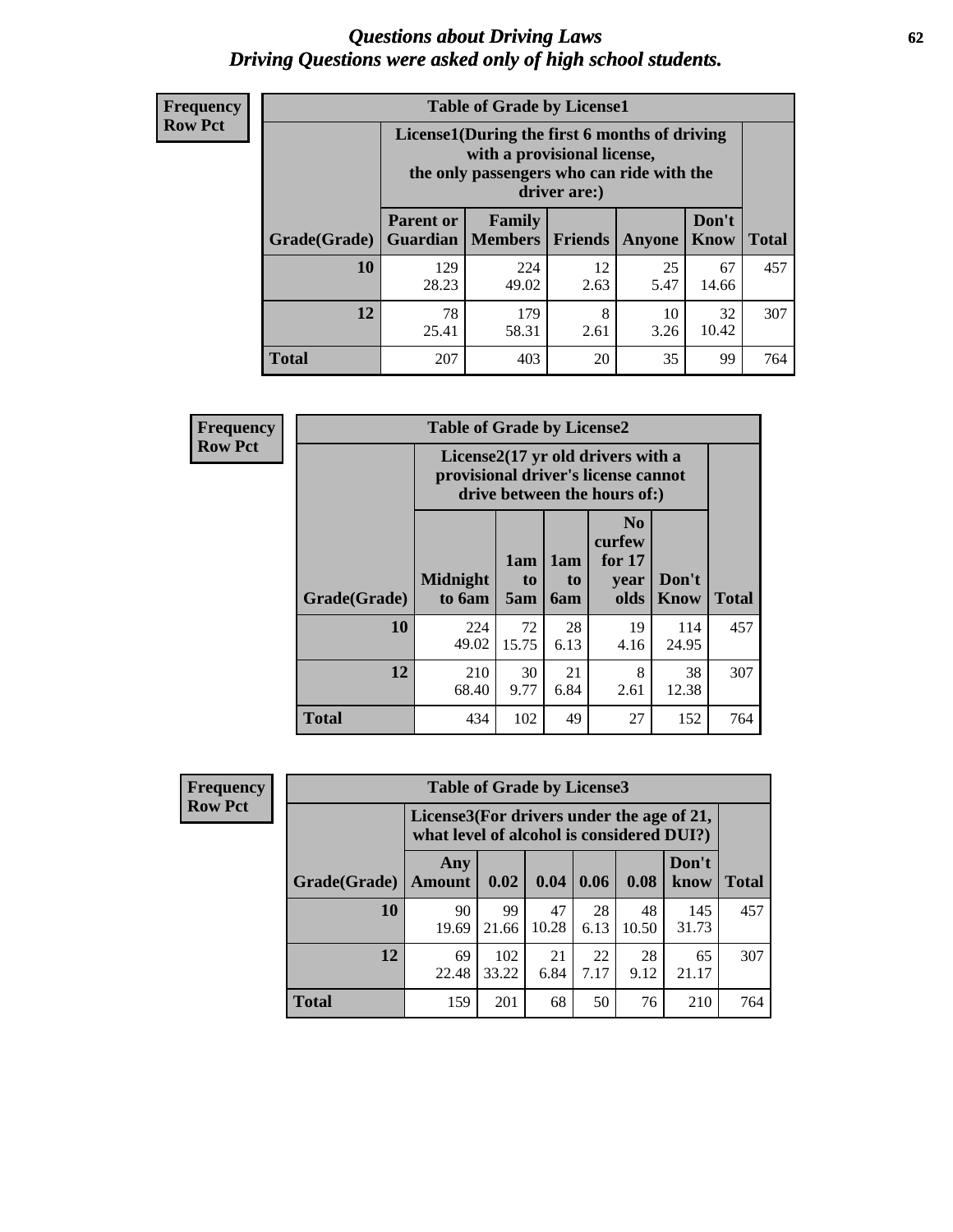#### *Questions about Driving Laws* **62** *Driving Questions were asked only of high school students.*

| <b>Frequency</b> |
|------------------|
| <b>Row Pct</b>   |

| <b>Table of Grade by License1</b> |                                                                       |                                                                                                                                           |            |            |                      |              |  |  |  |
|-----------------------------------|-----------------------------------------------------------------------|-------------------------------------------------------------------------------------------------------------------------------------------|------------|------------|----------------------|--------------|--|--|--|
|                                   |                                                                       | License1(During the first 6 months of driving<br>with a provisional license,<br>the only passengers who can ride with the<br>driver are:) |            |            |                      |              |  |  |  |
| <b>Grade</b> (Grade)              | <b>Parent or</b><br>Guardian                                          | Family<br>  Members                                                                                                                       | Friends    | Anyone     | Don't<br><b>Know</b> | <b>Total</b> |  |  |  |
| <b>10</b>                         | 129<br>28.23                                                          | 224<br>49.02                                                                                                                              | 12<br>2.63 | 25<br>5.47 | 67<br>14.66          | 457          |  |  |  |
| 12                                | 78<br>32<br>179<br>8<br>10<br>10.42<br>58.31<br>25.41<br>3.26<br>2.61 |                                                                                                                                           |            |            |                      |              |  |  |  |
| <b>Total</b>                      | 207                                                                   | 403                                                                                                                                       | 20         | 35         | 99                   | 764          |  |  |  |

| Frequency      | <b>Table of Grade by License2</b> |                           |                  |                         |                                                                                                          |                      |              |  |
|----------------|-----------------------------------|---------------------------|------------------|-------------------------|----------------------------------------------------------------------------------------------------------|----------------------|--------------|--|
| <b>Row Pct</b> |                                   |                           |                  |                         | License2(17 yr old drivers with a<br>provisional driver's license cannot<br>drive between the hours of:) |                      |              |  |
|                | Grade(Grade)                      | <b>Midnight</b><br>to 6am | 1am<br>to<br>5am | 1am<br>to<br><b>6am</b> | N <sub>0</sub><br>curfew<br>for $17$<br>year<br>olds                                                     | Don't<br><b>Know</b> | <b>Total</b> |  |
|                | 10                                | 224<br>49.02              | 72<br>15.75      | 28<br>6.13              | 19<br>4.16                                                                                               | 114<br>24.95         | 457          |  |
|                | 12                                | 210<br>68.40              | 30<br>9.77       | 21<br>6.84              | 8<br>2.61                                                                                                | 38<br>12.38          | 307          |  |
|                | <b>Total</b>                      | 434                       | 102              | 49                      | 27                                                                                                       | 152                  | 764          |  |

| Frequency      |              | <b>Table of Grade by License3</b>                                                      |              |             |            |             |               |              |  |
|----------------|--------------|----------------------------------------------------------------------------------------|--------------|-------------|------------|-------------|---------------|--------------|--|
| <b>Row Pct</b> |              | License3(For drivers under the age of 21,<br>what level of alcohol is considered DUI?) |              |             |            |             |               |              |  |
|                | Grade(Grade) | Any<br><b>Amount</b>                                                                   | 0.02         | 0.04        | 0.06       | 0.08        | Don't<br>know | <b>Total</b> |  |
|                | <b>10</b>    | 90<br>19.69                                                                            | 99<br>21.66  | 47<br>10.28 | 28<br>6.13 | 48<br>10.50 | 145<br>31.73  | 457          |  |
|                | 12           | 69<br>22.48                                                                            | 102<br>33.22 | 21<br>6.84  | 22<br>7.17 | 28<br>9.12  | 65<br>21.17   | 307          |  |
|                | <b>Total</b> | 159                                                                                    | 201          | 68          | 50         | 76          | 210           | 764          |  |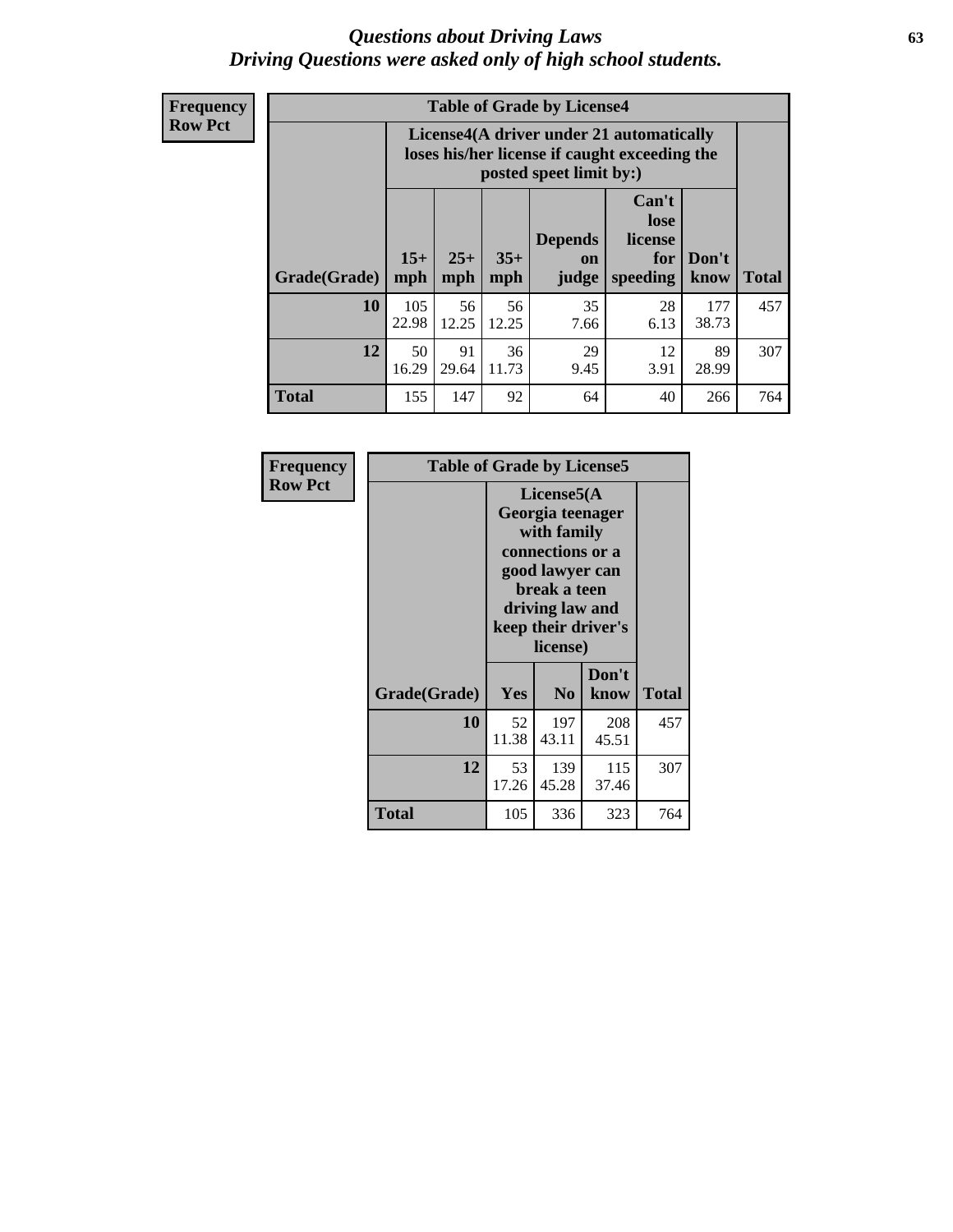#### *Questions about Driving Laws* **63** *Driving Questions were asked only of high school students.*

**Frequency Row Pct**

| <b>Table of Grade by License4</b> |              |                                                                                                                                                      |             |            |            |              |     |  |  |  |
|-----------------------------------|--------------|------------------------------------------------------------------------------------------------------------------------------------------------------|-------------|------------|------------|--------------|-----|--|--|--|
|                                   |              | License4(A driver under 21 automatically<br>loses his/her license if caught exceeding the<br>posted speet limit by:)                                 |             |            |            |              |     |  |  |  |
| Grade(Grade)                      | $15+$<br>mph | Can't<br>lose<br><b>Depends</b><br>license<br>$25+$<br>$35+$<br>Don't<br>for<br><b>on</b><br><b>Total</b><br>mph<br>speeding<br>mph<br>judge<br>know |             |            |            |              |     |  |  |  |
| 10                                | 105<br>22.98 | 56<br>12.25                                                                                                                                          | 56<br>12.25 | 35<br>7.66 | 28<br>6.13 | 177<br>38.73 | 457 |  |  |  |
| 12                                | 50<br>16.29  | 91<br>29<br>36<br>12<br>89<br>3.91<br>29.64<br>11.73<br>9.45<br>28.99                                                                                |             |            |            |              |     |  |  |  |
| <b>Total</b>                      | 155          | 147                                                                                                                                                  | 92          | 64         | 40         | 266          | 764 |  |  |  |

| Frequency<br><b>Row Pct</b> | <b>Table of Grade by License5</b> |                                                                                                                                                             |                |               |       |  |  |  |
|-----------------------------|-----------------------------------|-------------------------------------------------------------------------------------------------------------------------------------------------------------|----------------|---------------|-------|--|--|--|
|                             |                                   | License5(A)<br>Georgia teenager<br>with family<br>connections or a<br>good lawyer can<br>break a teen<br>driving law and<br>keep their driver's<br>license) |                |               |       |  |  |  |
|                             | Grade(Grade)                      | Yes                                                                                                                                                         | N <sub>0</sub> | Don't<br>know | Total |  |  |  |
|                             | 10                                | 52<br>11.38                                                                                                                                                 | 197<br>43.11   | 208<br>45.51  | 457   |  |  |  |
|                             | 12                                | 53<br>17.26                                                                                                                                                 | 139<br>45.28   | 115<br>37.46  | 307   |  |  |  |
|                             | Total                             | 105                                                                                                                                                         | 336            | 323           | 764   |  |  |  |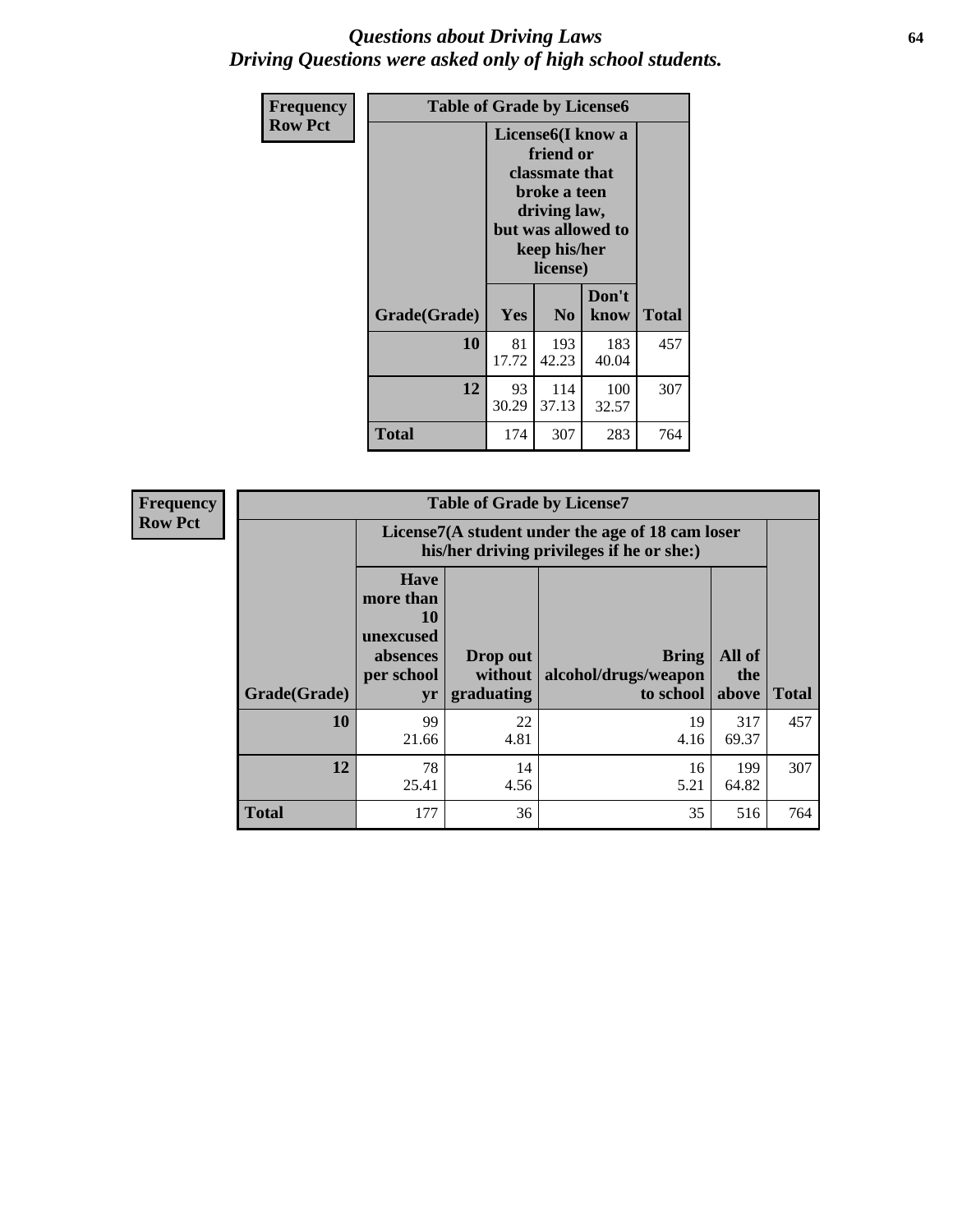### *Questions about Driving Laws* **64** *Driving Questions were asked only of high school students.*

| <b>Frequency</b> |              | <b>Table of Grade by License6</b> |                                                                                                                                                 |               |       |  |  |  |
|------------------|--------------|-----------------------------------|-------------------------------------------------------------------------------------------------------------------------------------------------|---------------|-------|--|--|--|
| <b>Row Pct</b>   |              |                                   | License <sub>6</sub> (I know a<br>friend or<br>classmate that<br>broke a teen<br>driving law,<br>but was allowed to<br>keep his/her<br>license) |               |       |  |  |  |
|                  | Grade(Grade) | Yes                               | N <sub>0</sub>                                                                                                                                  | Don't<br>know | Total |  |  |  |
|                  | 10           | 81<br>17.72                       | 193<br>42.23                                                                                                                                    | 183<br>40.04  | 457   |  |  |  |
|                  | 12           | 93<br>30.29                       | 114<br>37.13                                                                                                                                    | 100<br>32.57  | 307   |  |  |  |
|                  | <b>Total</b> | 174                               | 307                                                                                                                                             | 283           | 764   |  |  |  |

| <b>Frequency</b> | <b>Table of Grade by License7</b> |                                                                             |                                     |                                                                                               |                        |              |  |  |  |
|------------------|-----------------------------------|-----------------------------------------------------------------------------|-------------------------------------|-----------------------------------------------------------------------------------------------|------------------------|--------------|--|--|--|
| <b>Row Pct</b>   |                                   |                                                                             |                                     | License7(A student under the age of 18 cam loser<br>his/her driving privileges if he or she:) |                        |              |  |  |  |
|                  | Grade(Grade)                      | <b>Have</b><br>more than<br>10<br>unexcused<br>absences<br>per school<br>yr | Drop out<br>without  <br>graduating | <b>Bring</b><br>alcohol/drugs/weapon<br>to school                                             | All of<br>the<br>above | <b>Total</b> |  |  |  |
|                  | 10                                | 99<br>21.66                                                                 | 22<br>4.81                          | 19<br>4.16                                                                                    | 317<br>69.37           | 457          |  |  |  |
|                  | 12                                | 78<br>25.41                                                                 | 14<br>4.56                          | 16<br>5.21                                                                                    | 199<br>64.82           | 307          |  |  |  |
|                  | <b>Total</b>                      | 177                                                                         | 36                                  | 35                                                                                            | 516                    | 764          |  |  |  |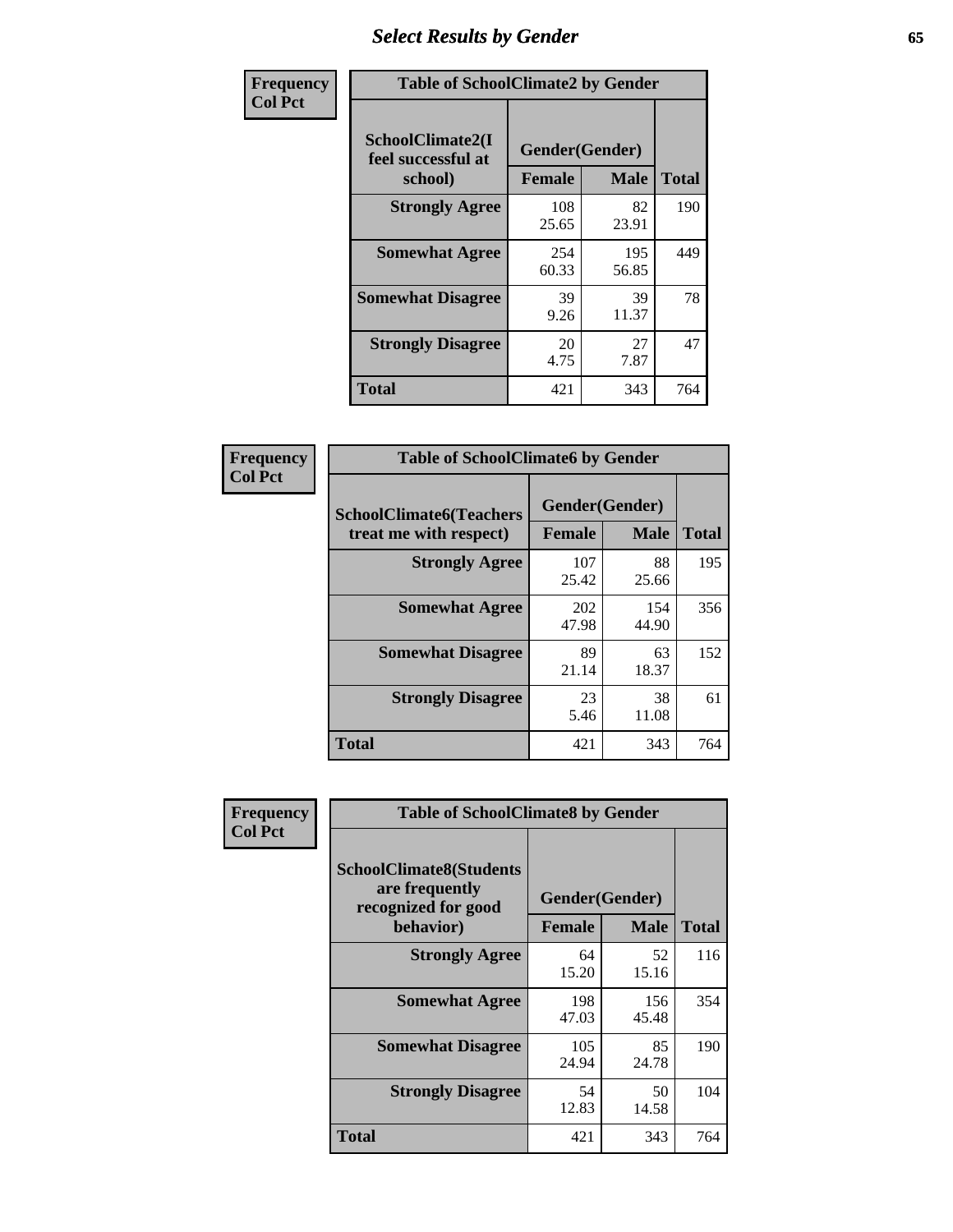# *Select Results by Gender* **65**

| Frequency      |                                                   | <b>Table of SchoolClimate2 by Gender</b> |              |              |  |  |  |  |
|----------------|---------------------------------------------------|------------------------------------------|--------------|--------------|--|--|--|--|
| <b>Col Pct</b> | SchoolClimate2(I<br>feel successful at<br>school) | Gender(Gender)<br><b>Female</b>          | <b>Male</b>  | <b>Total</b> |  |  |  |  |
|                | <b>Strongly Agree</b>                             | 108<br>25.65                             | 82<br>23.91  | 190          |  |  |  |  |
|                | <b>Somewhat Agree</b>                             | 254<br>60.33                             | 195<br>56.85 | 449          |  |  |  |  |
|                | <b>Somewhat Disagree</b>                          | 39<br>9.26                               | 39<br>11.37  | 78           |  |  |  |  |
|                | <b>Strongly Disagree</b>                          | 20<br>4.75                               | 27<br>7.87   | 47           |  |  |  |  |
|                | <b>Total</b>                                      | 421                                      | 343          | 764          |  |  |  |  |

| <b>Frequency</b> | <b>Table of SchoolClimate6 by Gender</b>                 |               |                               |              |
|------------------|----------------------------------------------------------|---------------|-------------------------------|--------------|
| <b>Col Pct</b>   | <b>SchoolClimate6(Teachers</b><br>treat me with respect) | <b>Female</b> | Gender(Gender)<br><b>Male</b> | <b>Total</b> |
|                  | <b>Strongly Agree</b>                                    | 107<br>25.42  | 88<br>25.66                   | 195          |
|                  | <b>Somewhat Agree</b>                                    | 202<br>47.98  | 154<br>44.90                  | 356          |
|                  | <b>Somewhat Disagree</b>                                 | 89<br>21.14   | 63<br>18.37                   | 152          |
|                  | <b>Strongly Disagree</b>                                 | 23<br>5.46    | 38<br>11.08                   | 61           |
|                  | <b>Total</b>                                             | 421           | 343                           | 764          |

| Frequency      | <b>Table of SchoolClimate8 by Gender</b>                                             |                                 |              |              |
|----------------|--------------------------------------------------------------------------------------|---------------------------------|--------------|--------------|
| <b>Col Pct</b> | <b>SchoolClimate8(Students</b><br>are frequently<br>recognized for good<br>behavior) | Gender(Gender)<br><b>Female</b> | <b>Male</b>  | <b>Total</b> |
|                | <b>Strongly Agree</b>                                                                | 64<br>15.20                     | 52<br>15.16  | 116          |
|                | <b>Somewhat Agree</b>                                                                | 198<br>47.03                    | 156<br>45.48 | 354          |
|                | <b>Somewhat Disagree</b>                                                             | 105<br>24.94                    | 85<br>24.78  | 190          |
|                | <b>Strongly Disagree</b>                                                             | 54<br>12.83                     | 50<br>14.58  | 104          |
|                | Total                                                                                | 421                             | 343          | 764          |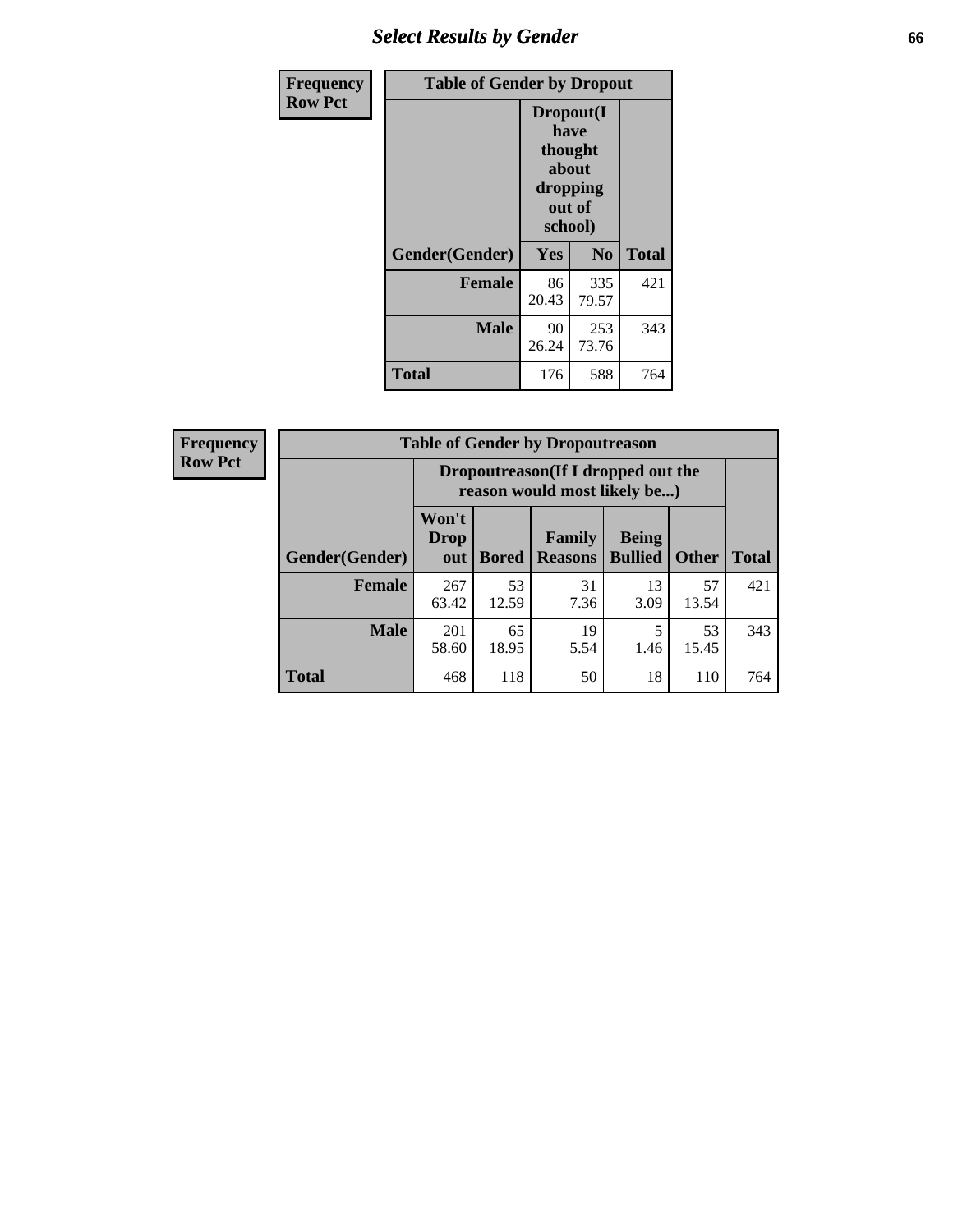# *Select Results by Gender* **66**

| Frequency      | <b>Table of Gender by Dropout</b> |                                                              |                |              |
|----------------|-----------------------------------|--------------------------------------------------------------|----------------|--------------|
| <b>Row Pct</b> |                                   | Dropout(I<br>have<br>thought<br>about<br>dropping<br>school) | out of         |              |
|                | Gender(Gender)                    | Yes                                                          | N <sub>0</sub> | <b>Total</b> |
|                | <b>Female</b>                     | 86<br>20.43                                                  | 335<br>79.57   | 421          |
|                | <b>Male</b>                       | 90<br>26.24                                                  | 253<br>73.76   | 343          |
|                | <b>Total</b>                      | 176                                                          | 588            | 764          |

| <b>Frequency</b> |
|------------------|
| <b>Row Pct</b>   |

| $\overline{V}$ | <b>Table of Gender by Dropoutreason</b> |                             |                                                                    |                          |                                |              |              |  |
|----------------|-----------------------------------------|-----------------------------|--------------------------------------------------------------------|--------------------------|--------------------------------|--------------|--------------|--|
|                |                                         |                             | Dropoutreason(If I dropped out the<br>reason would most likely be) |                          |                                |              |              |  |
|                | Gender(Gender)                          | Won't<br><b>Drop</b><br>out | <b>Bored</b>                                                       | Family<br><b>Reasons</b> | <b>Being</b><br><b>Bullied</b> | <b>Other</b> | <b>Total</b> |  |
|                | <b>Female</b>                           | 267<br>63.42                | 53<br>12.59                                                        | 31<br>7.36               | 13<br>3.09                     | 57<br>13.54  | 421          |  |
|                | <b>Male</b>                             | 201<br>58.60                | 65<br>18.95                                                        | 19<br>5.54               | 1.46                           | 53<br>15.45  | 343          |  |
|                | <b>Total</b>                            | 468                         | 118                                                                | 50                       | 18                             | 110          | 764          |  |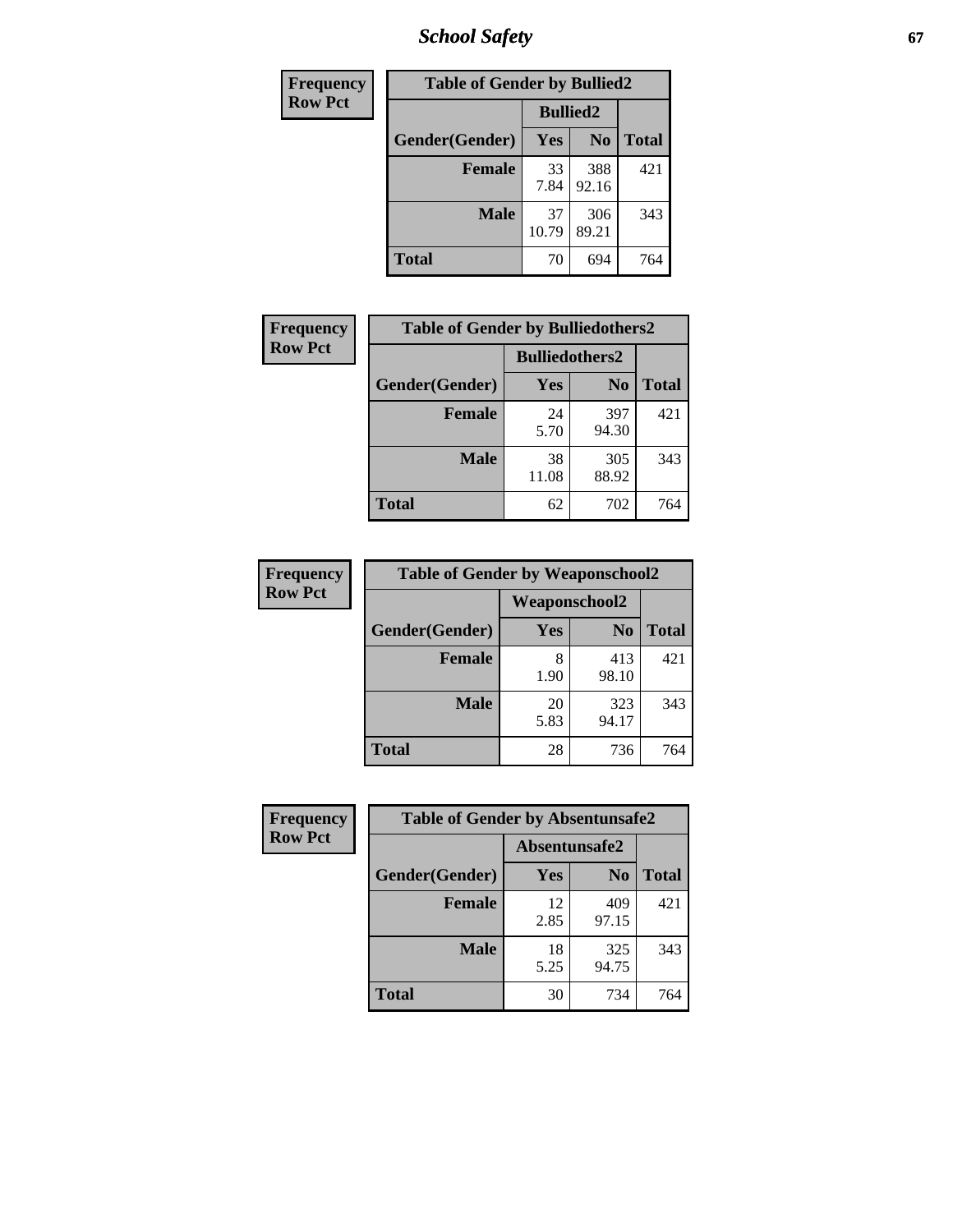*School Safety* **67**

| Frequency      | <b>Table of Gender by Bullied2</b> |                 |                |              |
|----------------|------------------------------------|-----------------|----------------|--------------|
| <b>Row Pct</b> |                                    | <b>Bullied2</b> |                |              |
|                | Gender(Gender)                     | Yes             | N <sub>0</sub> | <b>Total</b> |
|                | <b>Female</b>                      | 33<br>7.84      | 388<br>92.16   | 421          |
|                | <b>Male</b>                        | 37<br>10.79     | 306<br>89.21   | 343          |
|                | Total                              | 70              | 694            | 764          |

| Frequency      | <b>Table of Gender by Bulliedothers2</b> |                       |                |              |
|----------------|------------------------------------------|-----------------------|----------------|--------------|
| <b>Row Pct</b> |                                          | <b>Bulliedothers2</b> |                |              |
|                | Gender(Gender)                           | <b>Yes</b>            | N <sub>0</sub> | <b>Total</b> |
|                | <b>Female</b>                            | 24<br>5.70            | 397<br>94.30   | 421          |
|                | <b>Male</b>                              | 38<br>11.08           | 305<br>88.92   | 343          |
|                | <b>Total</b>                             | 62                    | 702            | 764          |

| <b>Frequency</b> | <b>Table of Gender by Weaponschool2</b> |            |                      |              |
|------------------|-----------------------------------------|------------|----------------------|--------------|
| <b>Row Pct</b>   |                                         |            | <b>Weaponschool2</b> |              |
|                  | Gender(Gender)                          | Yes        | N <sub>0</sub>       | <b>Total</b> |
|                  | Female                                  | 8<br>1.90  | 413<br>98.10         | 421          |
|                  | <b>Male</b>                             | 20<br>5.83 | 323<br>94.17         | 343          |
|                  | <b>Total</b>                            | 28         | 736                  | 764          |

| <b>Frequency</b> | <b>Table of Gender by Absentunsafe2</b> |               |                |              |
|------------------|-----------------------------------------|---------------|----------------|--------------|
| <b>Row Pct</b>   |                                         | Absentunsafe2 |                |              |
|                  | Gender(Gender)                          | Yes           | N <sub>0</sub> | <b>Total</b> |
|                  | <b>Female</b>                           | 12<br>2.85    | 409<br>97.15   | 421          |
|                  | <b>Male</b>                             | 18<br>5.25    | 325<br>94.75   | 343          |
|                  | <b>Total</b>                            | 30            | 734            | 764          |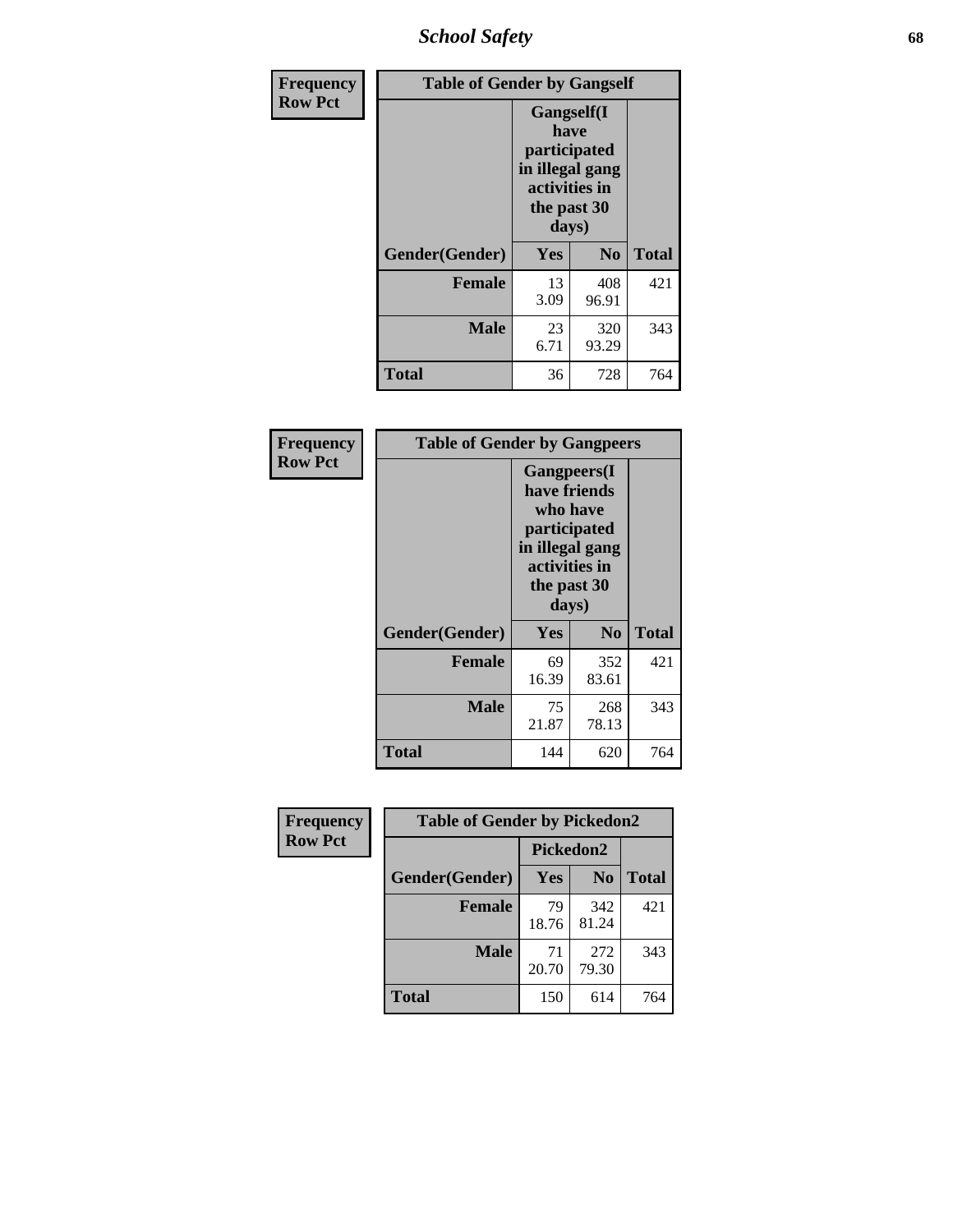*School Safety* **68**

| Frequency      | <b>Table of Gender by Gangself</b> |                                                                                                        |              |              |
|----------------|------------------------------------|--------------------------------------------------------------------------------------------------------|--------------|--------------|
| <b>Row Pct</b> |                                    | <b>Gangself</b> (I<br>have<br>participated<br>in illegal gang<br>activities in<br>the past 30<br>days) |              |              |
|                | Gender(Gender)                     | Yes                                                                                                    | $\bf No$     | <b>Total</b> |
|                | <b>Female</b>                      | 13<br>3.09                                                                                             | 408<br>96.91 | 421          |
|                | <b>Male</b>                        | 23<br>6.71                                                                                             | 320<br>93.29 | 343          |
|                | <b>Total</b>                       | 36                                                                                                     | 728          | 764          |

| Frequency      |                | <b>Table of Gender by Gangpeers</b>                                                                                         |                |       |  |
|----------------|----------------|-----------------------------------------------------------------------------------------------------------------------------|----------------|-------|--|
| <b>Row Pct</b> |                | <b>Gangpeers</b> (I<br>have friends<br>who have<br>participated<br>in illegal gang<br>activities in<br>the past 30<br>days) |                |       |  |
|                | Gender(Gender) | Yes                                                                                                                         | N <sub>0</sub> | Total |  |
|                | <b>Female</b>  | 69<br>16.39                                                                                                                 | 352<br>83.61   | 421   |  |
|                | <b>Male</b>    | 75<br>21.87                                                                                                                 | 268<br>78.13   | 343   |  |
|                | Total          | 144                                                                                                                         | 620            | 764   |  |

| Frequency      | <b>Table of Gender by Pickedon2</b> |             |                |              |
|----------------|-------------------------------------|-------------|----------------|--------------|
| <b>Row Pct</b> |                                     | Pickedon2   |                |              |
|                | Gender(Gender)                      | Yes         | N <sub>0</sub> | <b>Total</b> |
|                | <b>Female</b>                       | 79<br>18.76 | 342<br>81.24   | 421          |
|                | <b>Male</b>                         | 71<br>20.70 | 272<br>79.30   | 343          |
|                | <b>Total</b>                        | 150         | 614            | 764          |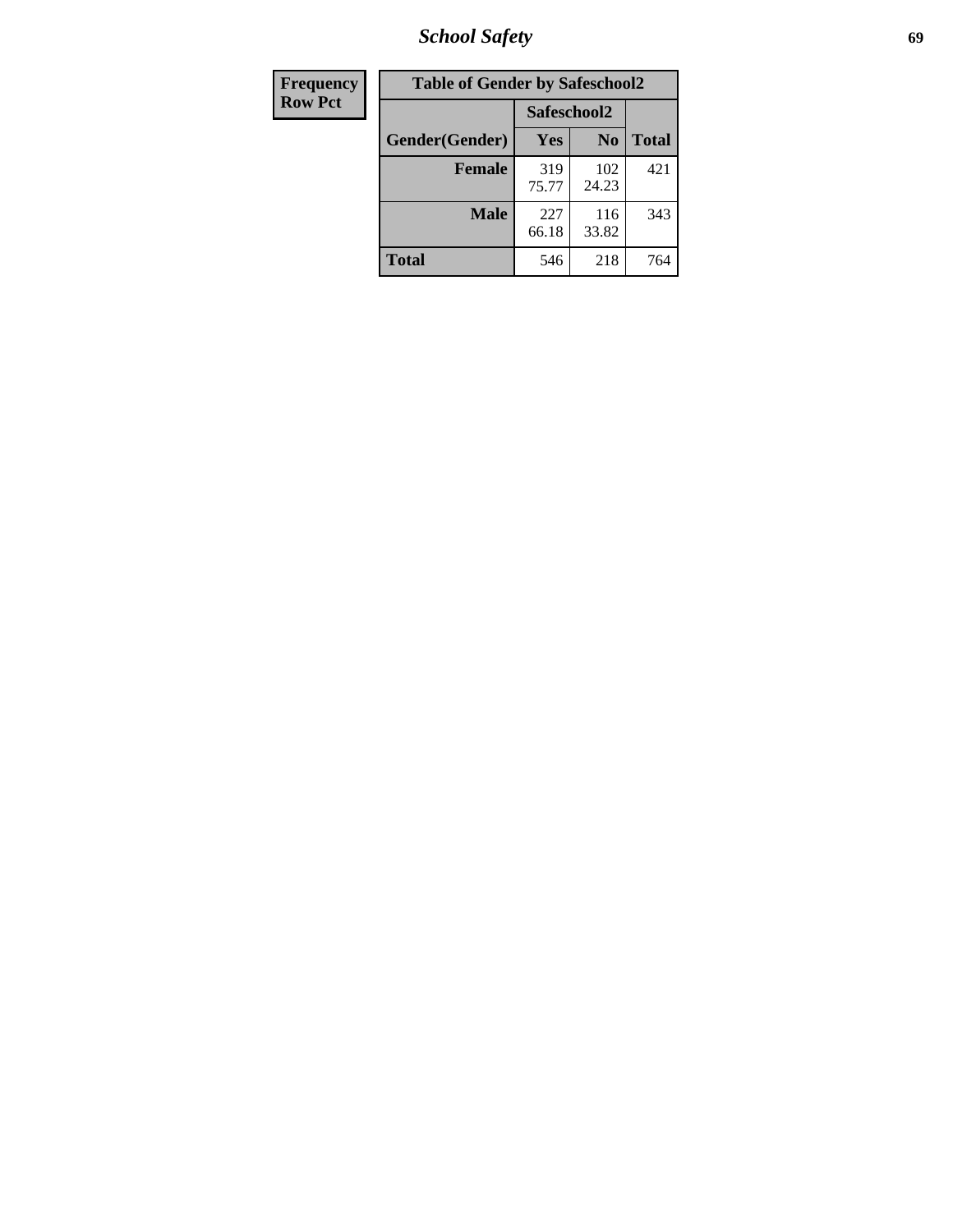*School Safety* **69**

| Frequency      | <b>Table of Gender by Safeschool2</b> |              |                |              |  |
|----------------|---------------------------------------|--------------|----------------|--------------|--|
| <b>Row Pct</b> |                                       | Safeschool2  |                |              |  |
|                | Gender(Gender)                        | <b>Yes</b>   | N <sub>0</sub> | <b>Total</b> |  |
|                | <b>Female</b>                         | 319<br>75.77 | 102<br>24.23   | 421          |  |
|                | Male                                  | 227<br>66.18 | 116<br>33.82   | 343          |  |
|                | <b>Total</b>                          | 546          | 218            | 764          |  |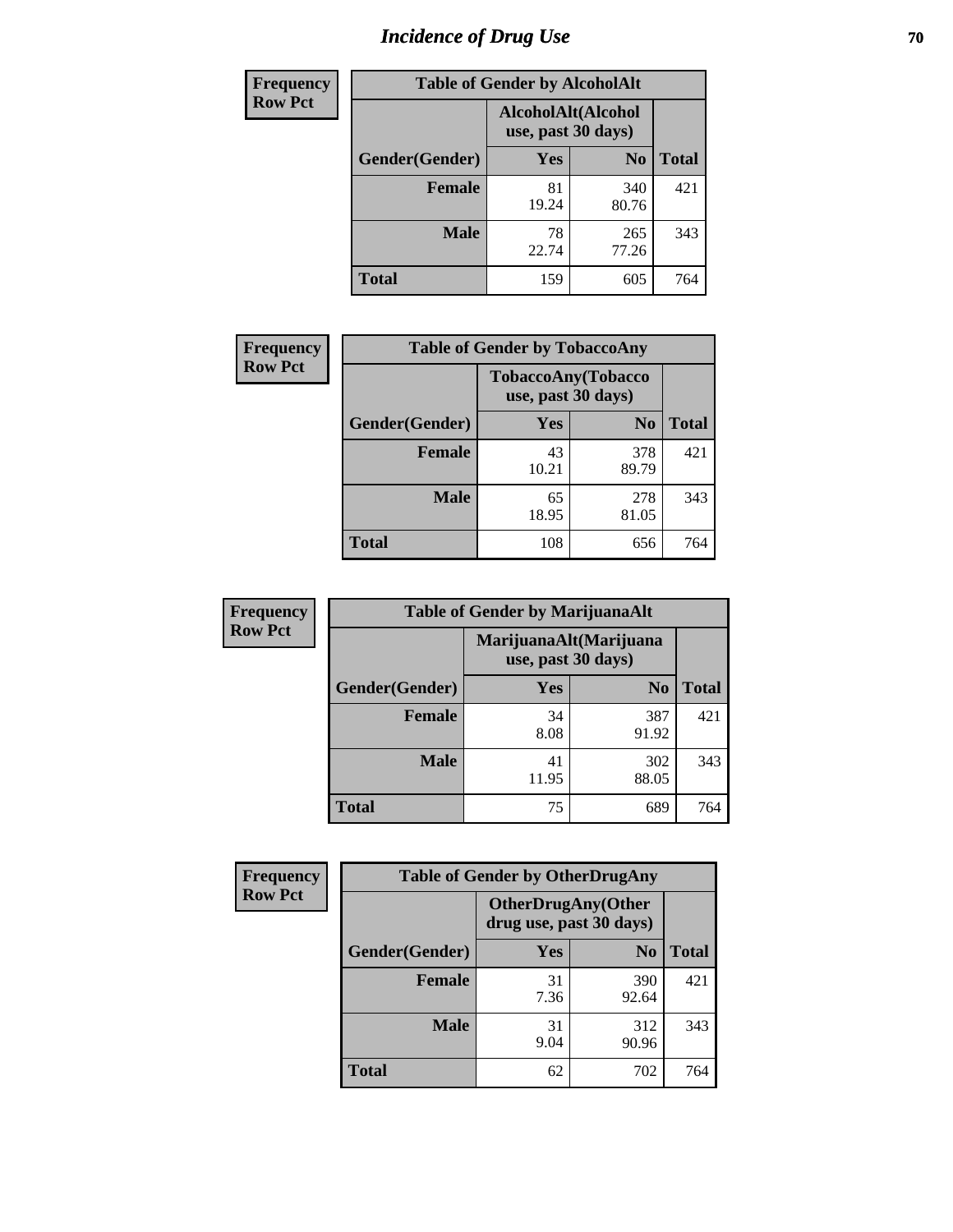# *Incidence of Drug Use* **70**

| <b>Frequency</b> | <b>Table of Gender by AlcoholAlt</b> |                                          |                |              |  |
|------------------|--------------------------------------|------------------------------------------|----------------|--------------|--|
| <b>Row Pct</b>   |                                      | AlcoholAlt(Alcohol<br>use, past 30 days) |                |              |  |
|                  | Gender(Gender)                       | Yes                                      | N <sub>0</sub> | <b>Total</b> |  |
|                  | <b>Female</b>                        | 81<br>19.24                              | 340<br>80.76   | 421          |  |
|                  | <b>Male</b>                          | 78<br>22.74                              | 265<br>77.26   | 343          |  |
|                  | <b>Total</b>                         | 159                                      | 605            | 764          |  |

| <b>Frequency</b> | <b>Table of Gender by TobaccoAny</b> |                    |                    |              |  |
|------------------|--------------------------------------|--------------------|--------------------|--------------|--|
| <b>Row Pct</b>   |                                      | use, past 30 days) | TobaccoAny(Tobacco |              |  |
|                  | Gender(Gender)                       | Yes                | N <sub>0</sub>     | <b>Total</b> |  |
|                  | <b>Female</b>                        | 43<br>10.21        | 378<br>89.79       | 421          |  |
|                  | <b>Male</b>                          | 65<br>18.95        | 278<br>81.05       | 343          |  |
|                  | <b>Total</b>                         | 108                | 656                | 764          |  |

| <b>Frequency</b> | <b>Table of Gender by MarijuanaAlt</b> |                                              |                |              |
|------------------|----------------------------------------|----------------------------------------------|----------------|--------------|
| <b>Row Pct</b>   |                                        | MarijuanaAlt(Marijuana<br>use, past 30 days) |                |              |
|                  | Gender(Gender)                         | <b>Yes</b>                                   | N <sub>0</sub> | <b>Total</b> |
|                  | Female                                 | 34<br>8.08                                   | 387<br>91.92   | 421          |
|                  | <b>Male</b>                            | 41<br>11.95                                  | 302<br>88.05   | 343          |
|                  | <b>Total</b>                           | 75                                           | 689            | 764          |

| <b>Frequency</b> | <b>Table of Gender by OtherDrugAny</b> |                         |                            |              |  |
|------------------|----------------------------------------|-------------------------|----------------------------|--------------|--|
| <b>Row Pct</b>   |                                        | drug use, past 30 days) | <b>OtherDrugAny</b> (Other |              |  |
|                  | Gender(Gender)                         | <b>Yes</b>              | N <sub>0</sub>             | <b>Total</b> |  |
|                  | <b>Female</b>                          | 31<br>7.36              | 390<br>92.64               | 421          |  |
|                  | <b>Male</b>                            | 31<br>9.04              | 312<br>90.96               | 343          |  |
|                  | <b>Total</b>                           | 62                      | 702                        | 764          |  |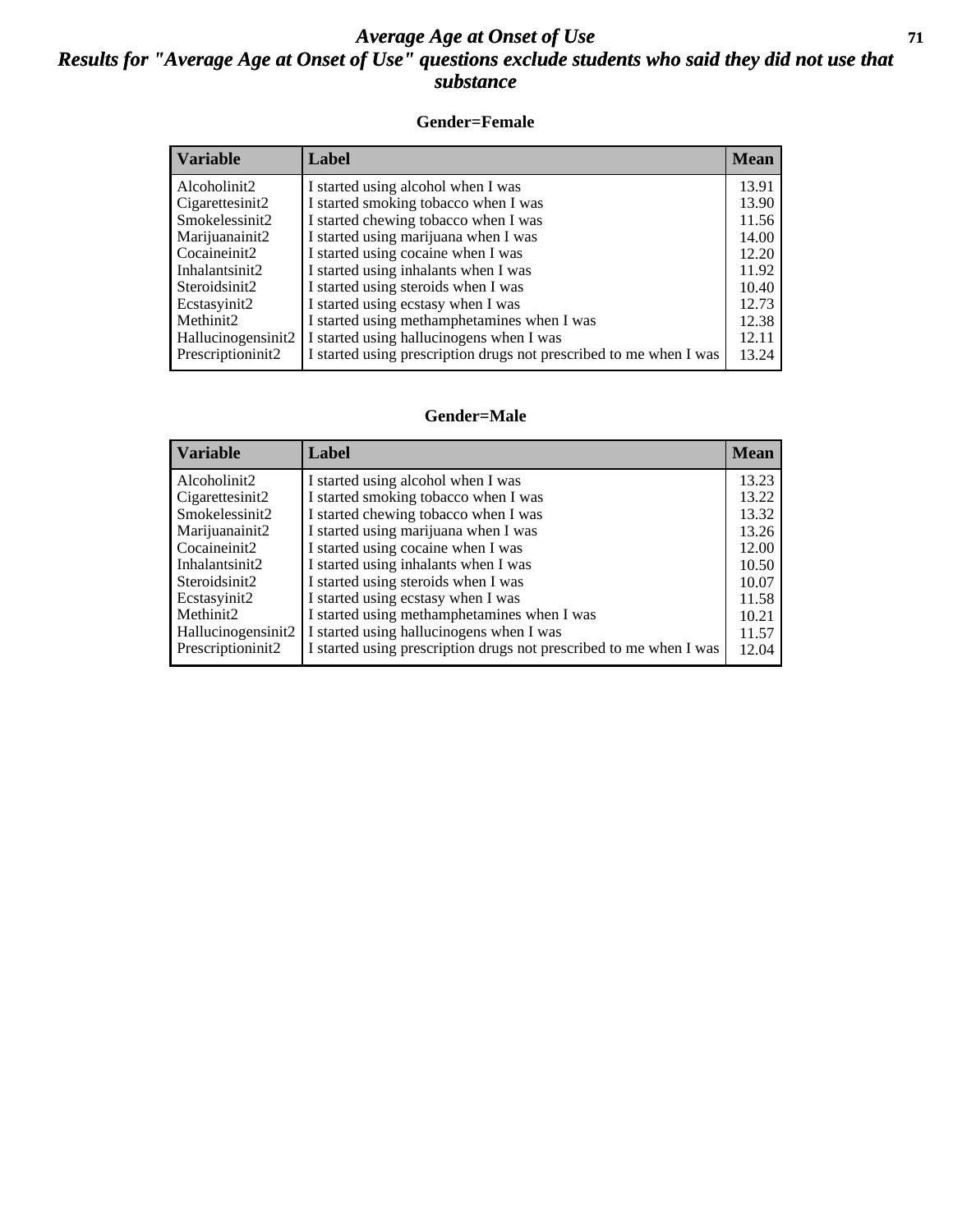### *Average Age at Onset of Use* **71** *Results for "Average Age at Onset of Use" questions exclude students who said they did not use that substance*

#### **Gender=Female**

| <i><b>Variable</b></i> | <b>Label</b>                                                       | <b>Mean</b> |
|------------------------|--------------------------------------------------------------------|-------------|
| Alcoholinit2           | I started using alcohol when I was                                 | 13.91       |
| Cigarettesinit2        | I started smoking tobacco when I was                               | 13.90       |
| Smokelessinit2         | I started chewing tobacco when I was                               | 11.56       |
| Marijuanainit2         | I started using marijuana when I was                               | 14.00       |
| Cocaineinit2           | I started using cocaine when I was                                 | 12.20       |
| Inhalantsinit2         | I started using inhalants when I was                               | 11.92       |
| Steroidsinit2          | I started using steroids when I was                                | 10.40       |
| Ecstasyinit2           | I started using ecstasy when I was                                 | 12.73       |
| Methinit2              | I started using methamphetamines when I was                        | 12.38       |
| Hallucinogensinit2     | I started using hallucinogens when I was                           | 12.11       |
| Prescription in t2     | I started using prescription drugs not prescribed to me when I was | 13.24       |

#### **Gender=Male**

| <b>Variable</b>    | Label                                                              | <b>Mean</b> |
|--------------------|--------------------------------------------------------------------|-------------|
| Alcoholinit2       | I started using alcohol when I was                                 | 13.23       |
| Cigarettesinit2    | I started smoking tobacco when I was                               | 13.22       |
| Smokelessinit2     | I started chewing tobacco when I was                               | 13.32       |
| Marijuanainit2     | I started using marijuana when I was                               | 13.26       |
| Cocaineinit2       | I started using cocaine when I was                                 | 12.00       |
| Inhalantsinit2     | I started using inhalants when I was                               | 10.50       |
| Steroidsinit2      | I started using steroids when I was                                | 10.07       |
| Ecstasyinit2       | I started using ecstasy when I was                                 | 11.58       |
| Methinit2          | I started using methamphetamines when I was                        | 10.21       |
| Hallucinogensinit2 | I started using hallucinogens when I was                           | 11.57       |
| Prescriptioninit2  | I started using prescription drugs not prescribed to me when I was | 12.04       |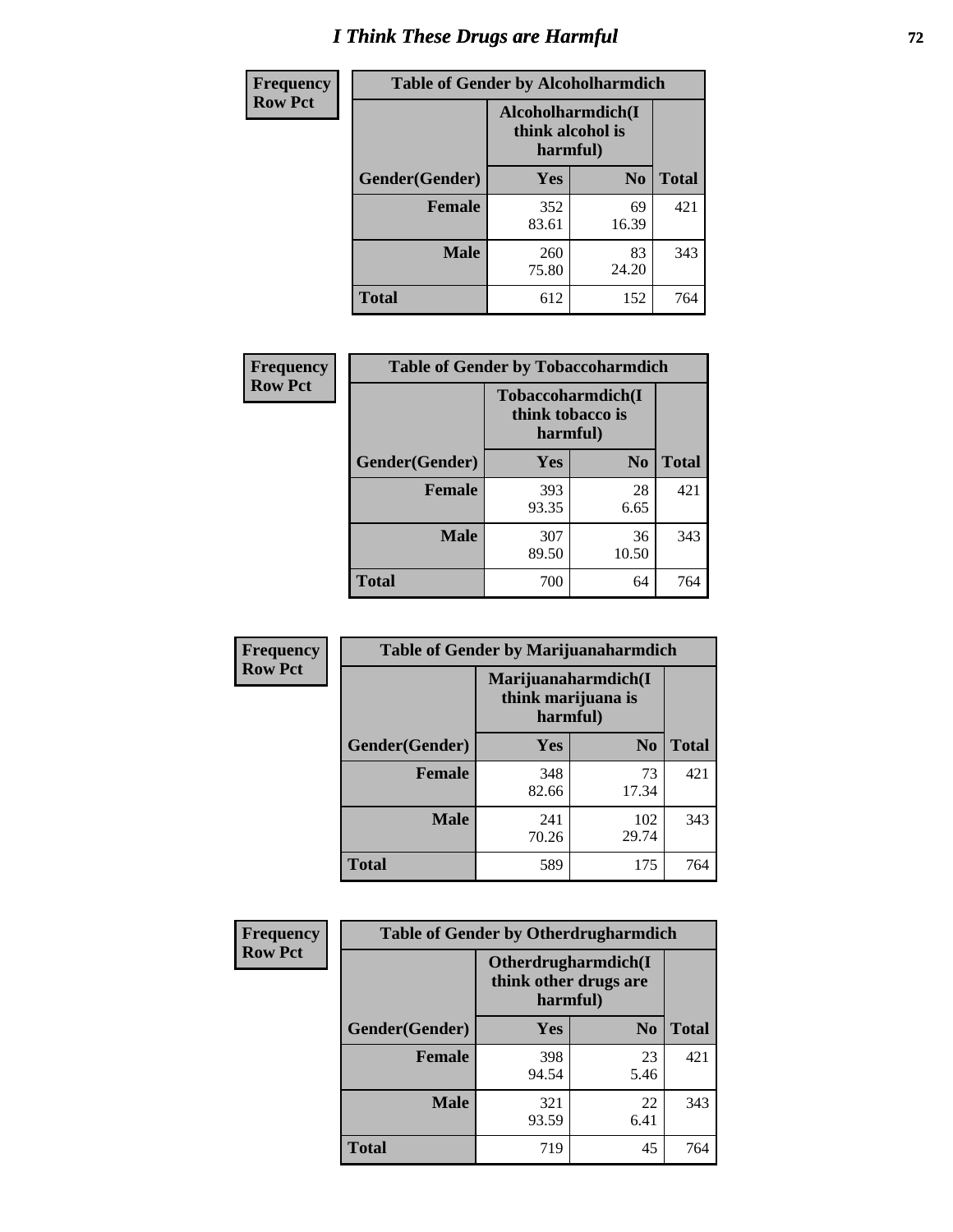# *I Think These Drugs are Harmful* **72**

| <b>Frequency</b> | <b>Table of Gender by Alcoholharmdich</b> |                                                   |                |              |  |
|------------------|-------------------------------------------|---------------------------------------------------|----------------|--------------|--|
| <b>Row Pct</b>   |                                           | Alcoholharmdich(I<br>think alcohol is<br>harmful) |                |              |  |
|                  | Gender(Gender)                            | Yes                                               | N <sub>0</sub> | <b>Total</b> |  |
|                  | <b>Female</b>                             | 352<br>83.61                                      | 69<br>16.39    | 421          |  |
|                  | <b>Male</b>                               | 260<br>75.80                                      | 83<br>24.20    | 343          |  |
|                  | Total                                     | 612                                               | 152            | 764          |  |

| Frequency      | <b>Table of Gender by Tobaccoharmdich</b> |                              |                   |              |  |
|----------------|-------------------------------------------|------------------------------|-------------------|--------------|--|
| <b>Row Pct</b> |                                           | think tobacco is<br>harmful) | Tobaccoharmdich(I |              |  |
|                | Gender(Gender)                            | <b>Yes</b>                   | N <sub>0</sub>    | <b>Total</b> |  |
|                | <b>Female</b>                             | 393<br>93.35                 | 28<br>6.65        | 421          |  |
|                | <b>Male</b>                               | 307<br>89.50                 | 36<br>10.50       | 343          |  |
|                | <b>Total</b>                              | 700                          | 64                | 764          |  |

| Frequency      | <b>Table of Gender by Marijuanaharmdich</b> |                                                       |                |              |  |
|----------------|---------------------------------------------|-------------------------------------------------------|----------------|--------------|--|
| <b>Row Pct</b> |                                             | Marijuanaharmdich(I<br>think marijuana is<br>harmful) |                |              |  |
|                | Gender(Gender)                              | <b>Yes</b>                                            | N <sub>0</sub> | <b>Total</b> |  |
|                | <b>Female</b>                               | 348<br>82.66                                          | 73<br>17.34    | 421          |  |
|                | <b>Male</b>                                 | 241<br>70.26                                          | 102<br>29.74   | 343          |  |
|                | <b>Total</b>                                | 589                                                   | 175            | 764          |  |

| Frequency      | <b>Table of Gender by Otherdrugharmdich</b> |                                                          |                |              |  |
|----------------|---------------------------------------------|----------------------------------------------------------|----------------|--------------|--|
| <b>Row Pct</b> |                                             | Otherdrugharmdich(I<br>think other drugs are<br>harmful) |                |              |  |
|                | Gender(Gender)                              | <b>Yes</b>                                               | N <sub>0</sub> | <b>Total</b> |  |
|                | <b>Female</b>                               | 398<br>94.54                                             | 23<br>5.46     | 421          |  |
|                | <b>Male</b>                                 | 321<br>93.59                                             | 22<br>6.41     | 343          |  |
|                | <b>Total</b>                                | 719                                                      | 45             | 764          |  |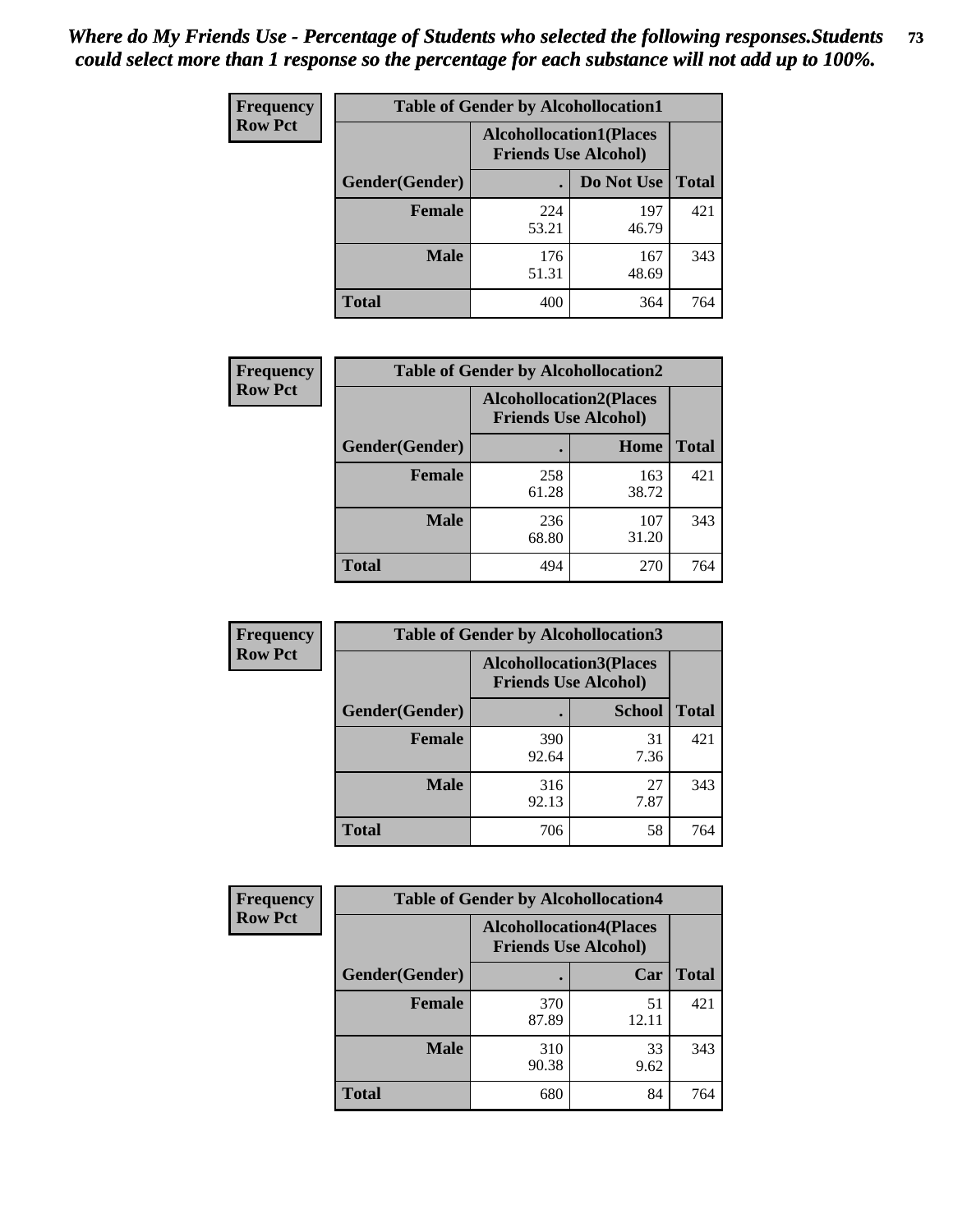| <b>Frequency</b> | <b>Table of Gender by Alcohollocation1</b> |                                                               |              |              |
|------------------|--------------------------------------------|---------------------------------------------------------------|--------------|--------------|
| <b>Row Pct</b>   |                                            | <b>Alcohollocation1(Places</b><br><b>Friends Use Alcohol)</b> |              |              |
|                  | Gender(Gender)                             |                                                               | Do Not Use   | <b>Total</b> |
|                  | <b>Female</b>                              | 224<br>53.21                                                  | 197<br>46.79 | 421          |
|                  | <b>Male</b>                                | 176<br>51.31                                                  | 167<br>48.69 | 343          |
|                  | <b>Total</b>                               | 400                                                           | 364          | 764          |

| <b>Frequency</b> | <b>Table of Gender by Alcohollocation2</b> |              |                                                               |              |
|------------------|--------------------------------------------|--------------|---------------------------------------------------------------|--------------|
| <b>Row Pct</b>   |                                            |              | <b>Alcohollocation2(Places</b><br><b>Friends Use Alcohol)</b> |              |
|                  | Gender(Gender)                             |              | Home                                                          | <b>Total</b> |
|                  | <b>Female</b>                              | 258<br>61.28 | 163<br>38.72                                                  | 421          |
|                  | <b>Male</b>                                | 236<br>68.80 | 107<br>31.20                                                  | 343          |
|                  | <b>Total</b>                               | 494          | 270                                                           | 764          |

| Frequency      | <b>Table of Gender by Alcohollocation3</b> |                                                               |               |              |
|----------------|--------------------------------------------|---------------------------------------------------------------|---------------|--------------|
| <b>Row Pct</b> |                                            | <b>Alcohollocation3(Places</b><br><b>Friends Use Alcohol)</b> |               |              |
|                | Gender(Gender)                             |                                                               | <b>School</b> | <b>Total</b> |
|                | <b>Female</b>                              | 390<br>92.64                                                  | 31<br>7.36    | 421          |
|                | <b>Male</b>                                | 316<br>92.13                                                  | 27<br>7.87    | 343          |
|                | <b>Total</b>                               | 706                                                           | 58            | 764          |

| Frequency      | <b>Table of Gender by Alcohollocation4</b> |                             |                                |              |
|----------------|--------------------------------------------|-----------------------------|--------------------------------|--------------|
| <b>Row Pct</b> |                                            | <b>Friends Use Alcohol)</b> | <b>Alcohollocation4(Places</b> |              |
|                | Gender(Gender)                             |                             | Car                            | <b>Total</b> |
|                | <b>Female</b>                              | 370<br>87.89                | 51<br>12.11                    | 421          |
|                | <b>Male</b>                                | 310<br>90.38                | 33<br>9.62                     | 343          |
|                | <b>Total</b>                               | 680                         | 84                             | 764          |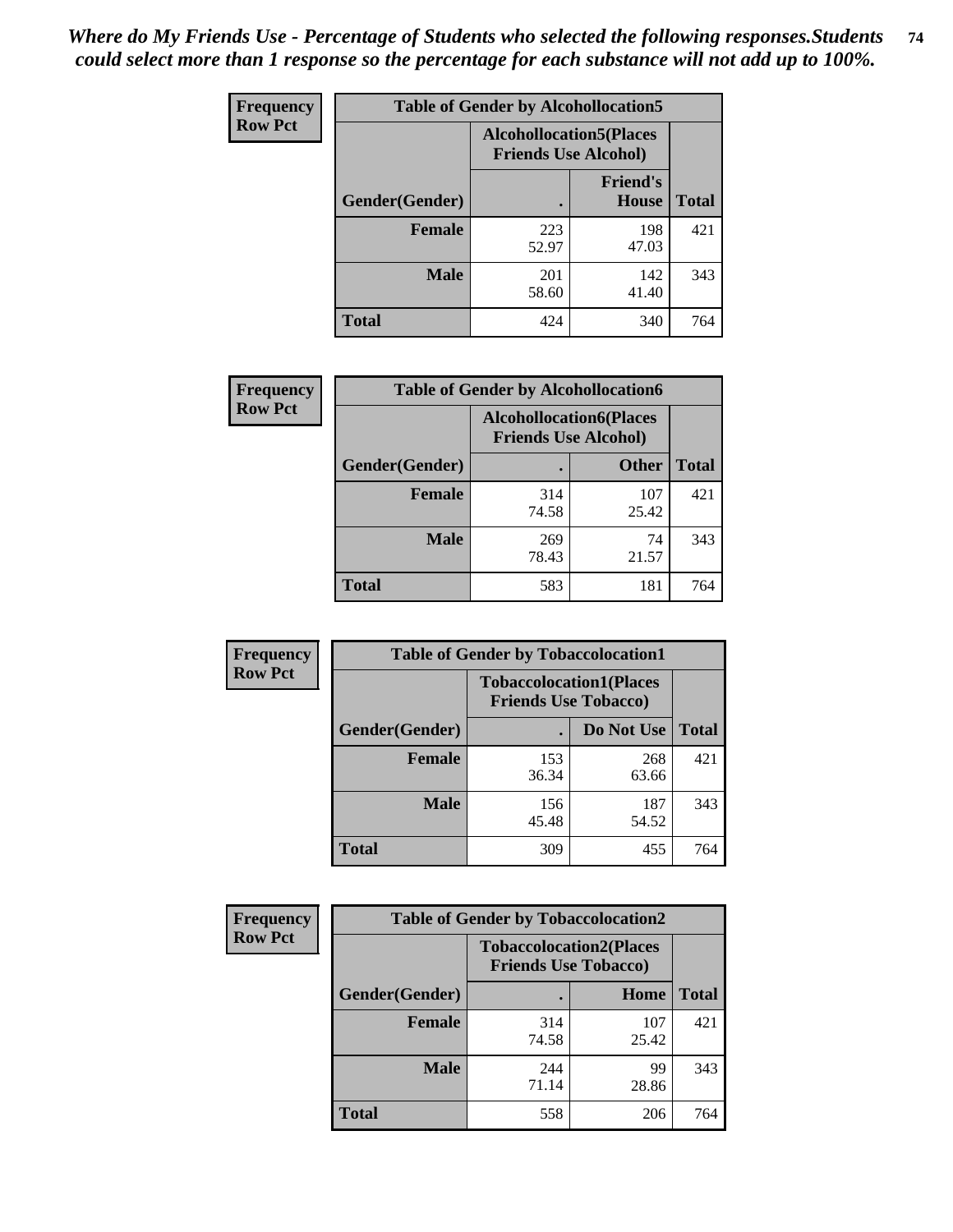| <b>Frequency</b> | <b>Table of Gender by Alcohollocation5</b> |                                                                |                                 |              |
|------------------|--------------------------------------------|----------------------------------------------------------------|---------------------------------|--------------|
| <b>Row Pct</b>   |                                            | <b>Alcohollocation5</b> (Places<br><b>Friends Use Alcohol)</b> |                                 |              |
|                  | Gender(Gender)                             | $\bullet$                                                      | <b>Friend's</b><br><b>House</b> | <b>Total</b> |
|                  | <b>Female</b>                              | 223<br>52.97                                                   | 198<br>47.03                    | 421          |
|                  | <b>Male</b>                                | 201<br>58.60                                                   | 142<br>41.40                    | 343          |
|                  | <b>Total</b>                               | 424                                                            | 340                             | 764          |

| Frequency      |                        | <b>Table of Gender by Alcohollocation6</b>                    |              |              |
|----------------|------------------------|---------------------------------------------------------------|--------------|--------------|
| <b>Row Pct</b> |                        | <b>Alcohollocation6(Places</b><br><b>Friends Use Alcohol)</b> |              |              |
|                | <b>Gender</b> (Gender) |                                                               | <b>Other</b> | <b>Total</b> |
|                | <b>Female</b>          | 314<br>74.58                                                  | 107<br>25.42 | 421          |
|                | <b>Male</b>            | 269<br>78.43                                                  | 74<br>21.57  | 343          |
|                | <b>Total</b>           | 583                                                           | 181          | 764          |

| Frequency      | <b>Table of Gender by Tobaccolocation1</b> |                                                               |              |              |  |
|----------------|--------------------------------------------|---------------------------------------------------------------|--------------|--------------|--|
| <b>Row Pct</b> |                                            | <b>Tobaccolocation1(Places</b><br><b>Friends Use Tobacco)</b> |              |              |  |
|                | Gender(Gender)                             |                                                               | Do Not Use   | <b>Total</b> |  |
|                | Female                                     | 153<br>36.34                                                  | 268<br>63.66 | 421          |  |
|                | <b>Male</b>                                | 156<br>45.48                                                  | 187<br>54.52 | 343          |  |
|                | <b>Total</b>                               | 309                                                           | 455          | 764          |  |

| Frequency      | <b>Table of Gender by Tobaccolocation2</b> |                             |                                |              |  |
|----------------|--------------------------------------------|-----------------------------|--------------------------------|--------------|--|
| <b>Row Pct</b> |                                            | <b>Friends Use Tobacco)</b> | <b>Tobaccolocation2(Places</b> |              |  |
|                | Gender(Gender)                             |                             | Home                           | <b>Total</b> |  |
|                | Female                                     | 314<br>74.58                | 107<br>25.42                   | 421          |  |
|                | <b>Male</b>                                | 244<br>71.14                | 99<br>28.86                    | 343          |  |
|                | <b>Total</b>                               | 558                         | 206                            | 764          |  |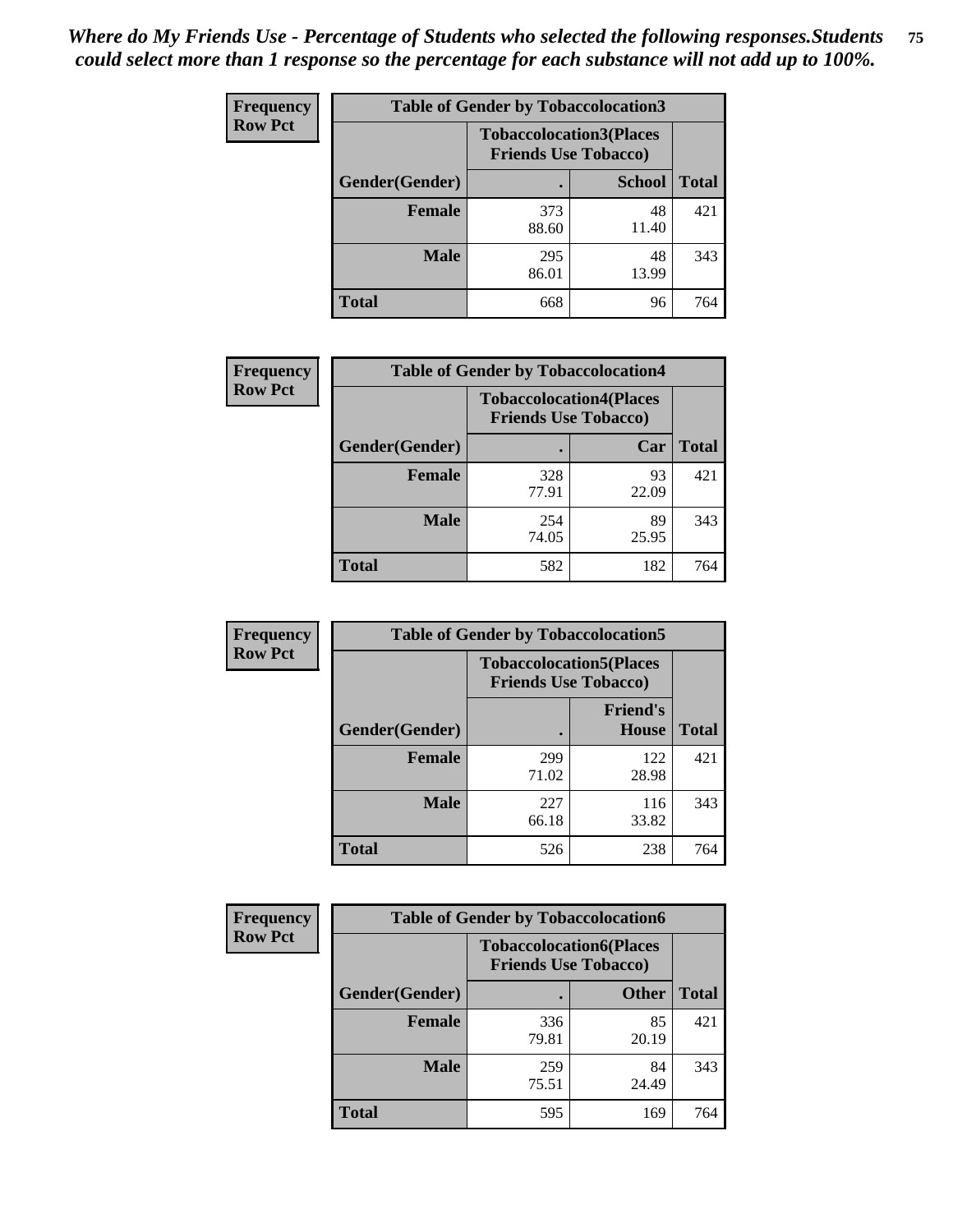| <b>Frequency</b> |                | <b>Table of Gender by Tobaccolocation3</b> |                                                               |              |
|------------------|----------------|--------------------------------------------|---------------------------------------------------------------|--------------|
| <b>Row Pct</b>   |                |                                            | <b>Tobaccolocation3(Places</b><br><b>Friends Use Tobacco)</b> |              |
|                  | Gender(Gender) |                                            | <b>School</b>                                                 | <b>Total</b> |
|                  | <b>Female</b>  | 373<br>88.60                               | 48<br>11.40                                                   | 421          |
|                  | <b>Male</b>    | 295<br>86.01                               | 48<br>13.99                                                   | 343          |
|                  | <b>Total</b>   | 668                                        | 96                                                            | 764          |

| <b>Frequency</b> | <b>Table of Gender by Tobaccolocation4</b> |                                                               |             |              |
|------------------|--------------------------------------------|---------------------------------------------------------------|-------------|--------------|
| <b>Row Pct</b>   |                                            | <b>Tobaccolocation4(Places</b><br><b>Friends Use Tobacco)</b> |             |              |
|                  | Gender(Gender)                             |                                                               | Car         | <b>Total</b> |
|                  | <b>Female</b>                              | 328<br>77.91                                                  | 93<br>22.09 | 421          |
|                  | <b>Male</b>                                | 254<br>74.05                                                  | 89<br>25.95 | 343          |
|                  | <b>Total</b>                               | 582                                                           | 182         | 764          |

| <b>Frequency</b> | <b>Table of Gender by Tobaccolocation5</b> |                                                               |                          |              |
|------------------|--------------------------------------------|---------------------------------------------------------------|--------------------------|--------------|
| <b>Row Pct</b>   |                                            | <b>Tobaccolocation5(Places</b><br><b>Friends Use Tobacco)</b> |                          |              |
|                  | <b>Gender</b> (Gender)                     |                                                               | <b>Friend's</b><br>House | <b>Total</b> |
|                  | <b>Female</b>                              | 299<br>71.02                                                  | 122<br>28.98             | 421          |
|                  | <b>Male</b>                                | 227<br>66.18                                                  | 116<br>33.82             | 343          |
|                  | <b>Total</b>                               | 526                                                           | 238                      | 764          |

| <b>Frequency</b> | <b>Table of Gender by Tobaccolocation6</b> |                                                               |              |              |
|------------------|--------------------------------------------|---------------------------------------------------------------|--------------|--------------|
| <b>Row Pct</b>   |                                            | <b>Tobaccolocation6(Places</b><br><b>Friends Use Tobacco)</b> |              |              |
|                  | Gender(Gender)                             |                                                               | <b>Other</b> | <b>Total</b> |
|                  | Female                                     | 336<br>79.81                                                  | 85<br>20.19  | 421          |
|                  | <b>Male</b>                                | 259<br>75.51                                                  | 84<br>24.49  | 343          |
|                  | <b>Total</b>                               | 595                                                           | 169          | 764          |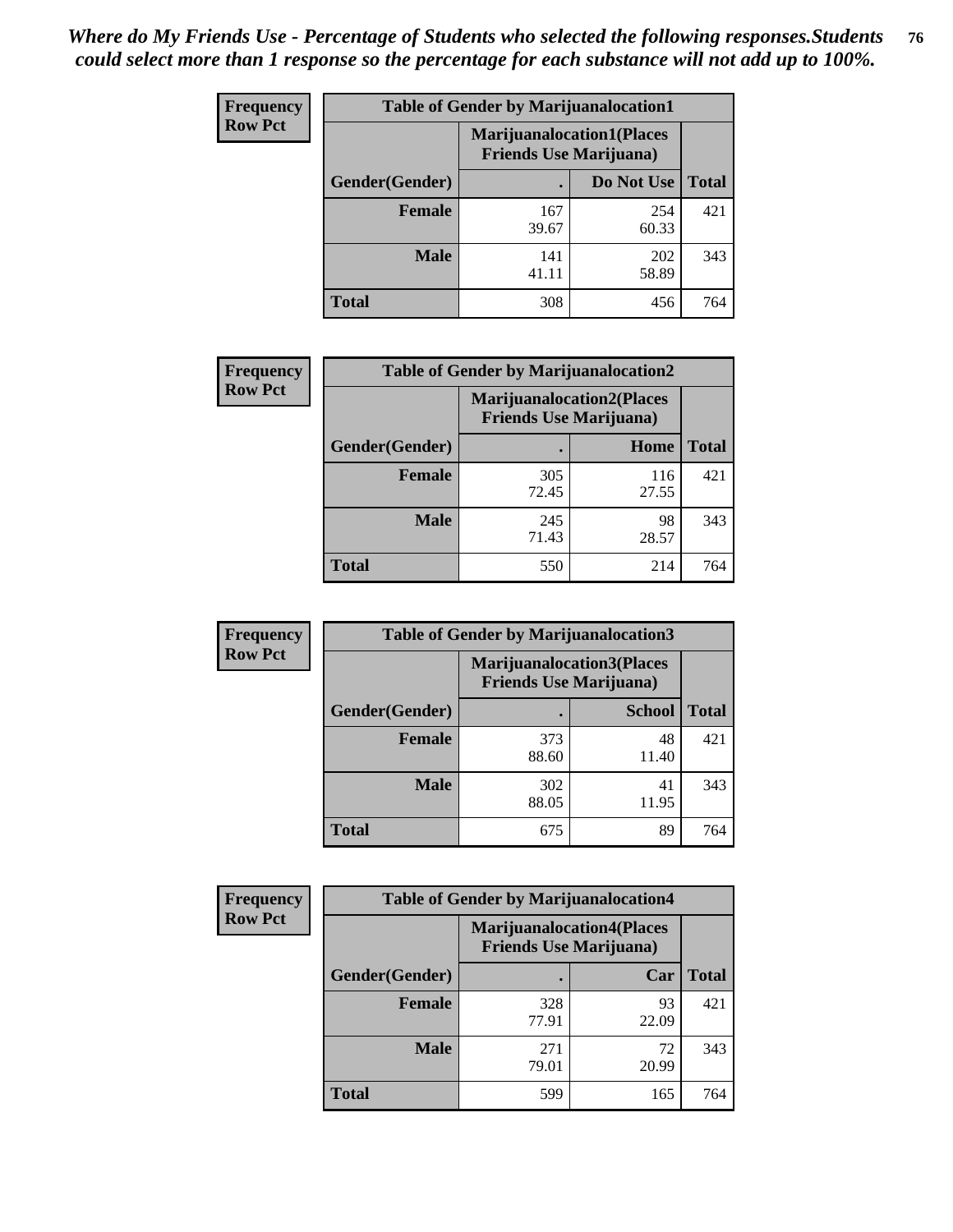| <b>Frequency</b> | <b>Table of Gender by Marijuanalocation1</b> |                                                                    |              |              |
|------------------|----------------------------------------------|--------------------------------------------------------------------|--------------|--------------|
| <b>Row Pct</b>   |                                              | <b>Marijuanalocation1(Places</b><br><b>Friends Use Marijuana</b> ) |              |              |
|                  | Gender(Gender)                               |                                                                    | Do Not Use   | <b>Total</b> |
|                  | <b>Female</b>                                | 167<br>39.67                                                       | 254<br>60.33 | 421          |
|                  | <b>Male</b>                                  | 141<br>41.11                                                       | 202<br>58.89 | 343          |
|                  | <b>Total</b>                                 | 308                                                                | 456          | 764          |

| <b>Frequency</b> | <b>Table of Gender by Marijuanalocation2</b> |              |                                                                     |              |
|------------------|----------------------------------------------|--------------|---------------------------------------------------------------------|--------------|
| <b>Row Pct</b>   |                                              |              | <b>Marijuanalocation2(Places)</b><br><b>Friends Use Marijuana</b> ) |              |
|                  | Gender(Gender)                               |              | Home                                                                | <b>Total</b> |
|                  | <b>Female</b>                                | 305<br>72.45 | 116<br>27.55                                                        | 421          |
|                  | <b>Male</b>                                  | 245<br>71.43 | 98<br>28.57                                                         | 343          |
|                  | Total                                        | 550          | 214                                                                 | 764          |

| Frequency      | <b>Table of Gender by Marijuanalocation3</b> |                                                                    |               |              |
|----------------|----------------------------------------------|--------------------------------------------------------------------|---------------|--------------|
| <b>Row Pct</b> |                                              | <b>Marijuanalocation3(Places</b><br><b>Friends Use Marijuana</b> ) |               |              |
|                | Gender(Gender)                               |                                                                    | <b>School</b> | <b>Total</b> |
|                | Female                                       | 373<br>88.60                                                       | 48<br>11.40   | 421          |
|                | <b>Male</b>                                  | 302<br>88.05                                                       | 41<br>11.95   | 343          |
|                | <b>Total</b>                                 | 675                                                                | 89            | 764          |

| Frequency      | <b>Table of Gender by Marijuanalocation4</b> |                                |                                  |              |
|----------------|----------------------------------------------|--------------------------------|----------------------------------|--------------|
| <b>Row Pct</b> |                                              | <b>Friends Use Marijuana</b> ) | <b>Marijuanalocation4(Places</b> |              |
|                | Gender(Gender)                               |                                | Car                              | <b>Total</b> |
|                | <b>Female</b>                                | 328<br>77.91                   | 93<br>22.09                      | 421          |
|                | <b>Male</b>                                  | 271<br>79.01                   | 72<br>20.99                      | 343          |
|                | <b>Total</b>                                 | 599                            | 165                              | 764          |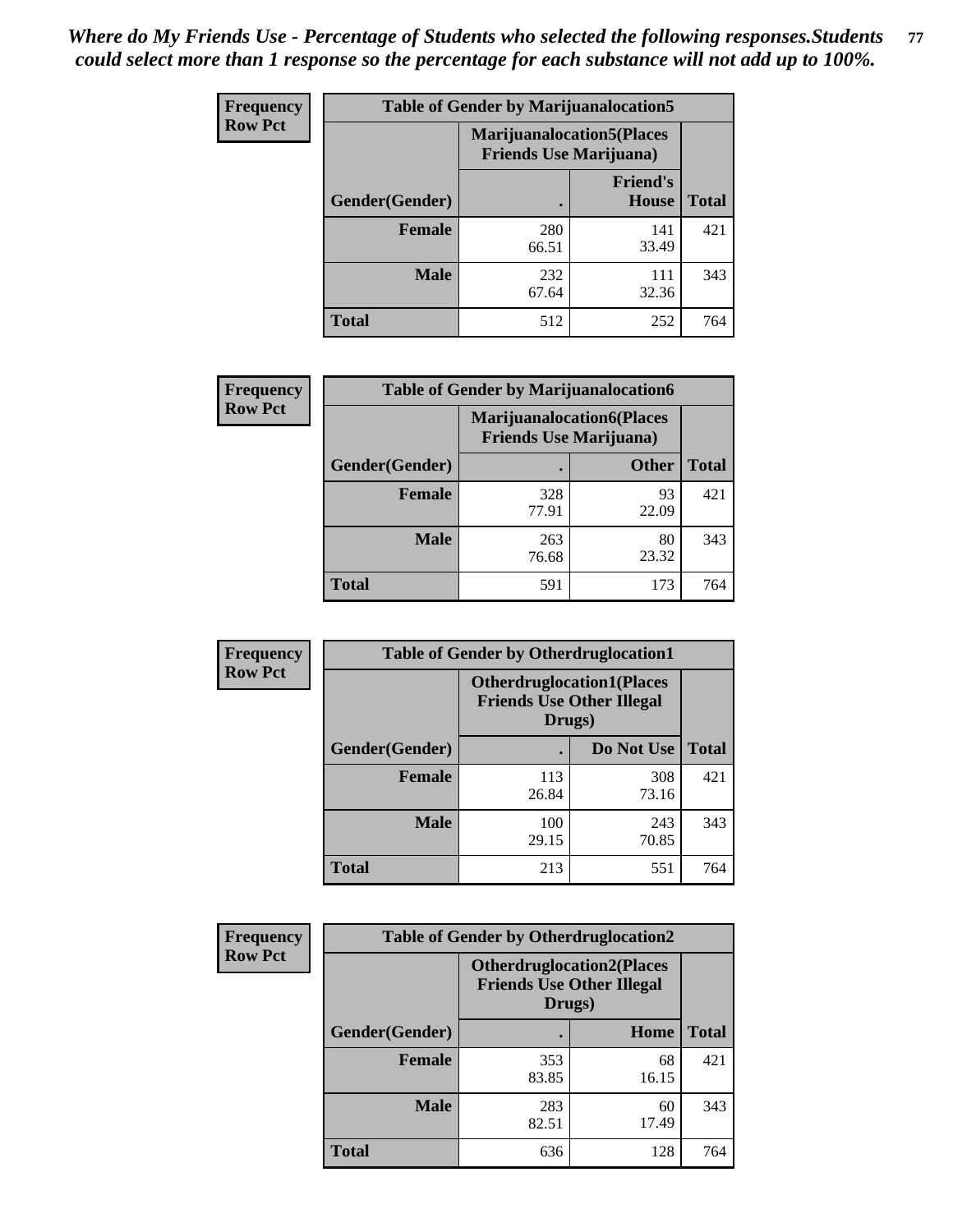| <b>Frequency</b> | <b>Table of Gender by Marijuanalocation5</b> |                                                                     |                          |              |
|------------------|----------------------------------------------|---------------------------------------------------------------------|--------------------------|--------------|
| <b>Row Pct</b>   |                                              | <b>Marijuanalocation5</b> (Places<br><b>Friends Use Marijuana</b> ) |                          |              |
|                  | Gender(Gender)                               |                                                                     | <b>Friend's</b><br>House | <b>Total</b> |
|                  | <b>Female</b>                                | 280<br>66.51                                                        | 141<br>33.49             | 421          |
|                  | <b>Male</b>                                  | 232<br>67.64                                                        | 111<br>32.36             | 343          |
|                  | <b>Total</b>                                 | 512                                                                 | 252                      | 764          |

| <b>Frequency</b> | <b>Table of Gender by Marijuanalocation6</b> |              |                                                                    |              |
|------------------|----------------------------------------------|--------------|--------------------------------------------------------------------|--------------|
| <b>Row Pct</b>   |                                              |              | <b>Marijuanalocation6(Places</b><br><b>Friends Use Marijuana</b> ) |              |
|                  | Gender(Gender)                               |              | <b>Other</b>                                                       | <b>Total</b> |
|                  | <b>Female</b>                                | 328<br>77.91 | 93<br>22.09                                                        | 421          |
|                  | <b>Male</b>                                  | 263<br>76.68 | 80<br>23.32                                                        | 343          |
|                  | <b>Total</b>                                 | 591          | 173                                                                | 764          |

| Frequency      | <b>Table of Gender by Otherdruglocation1</b> |                                                                                |              |              |
|----------------|----------------------------------------------|--------------------------------------------------------------------------------|--------------|--------------|
| <b>Row Pct</b> |                                              | <b>Otherdruglocation1(Places</b><br><b>Friends Use Other Illegal</b><br>Drugs) |              |              |
|                | Gender(Gender)                               |                                                                                | Do Not Use   | <b>Total</b> |
|                | <b>Female</b>                                | 113<br>26.84                                                                   | 308<br>73.16 | 421          |
|                | <b>Male</b>                                  | 100<br>29.15                                                                   | 243<br>70.85 | 343          |
|                | <b>Total</b>                                 | 213                                                                            | 551          | 764          |

| <b>Frequency</b> | <b>Table of Gender by Otherdruglocation2</b> |                                                                                |             |              |
|------------------|----------------------------------------------|--------------------------------------------------------------------------------|-------------|--------------|
| <b>Row Pct</b>   |                                              | <b>Otherdruglocation2(Places</b><br><b>Friends Use Other Illegal</b><br>Drugs) |             |              |
|                  | Gender(Gender)                               |                                                                                | Home        | <b>Total</b> |
|                  | <b>Female</b>                                | 353<br>83.85                                                                   | 68<br>16.15 | 421          |
|                  | <b>Male</b>                                  | 283<br>82.51                                                                   | 60<br>17.49 | 343          |
|                  | <b>Total</b>                                 | 636                                                                            | 128         | 764          |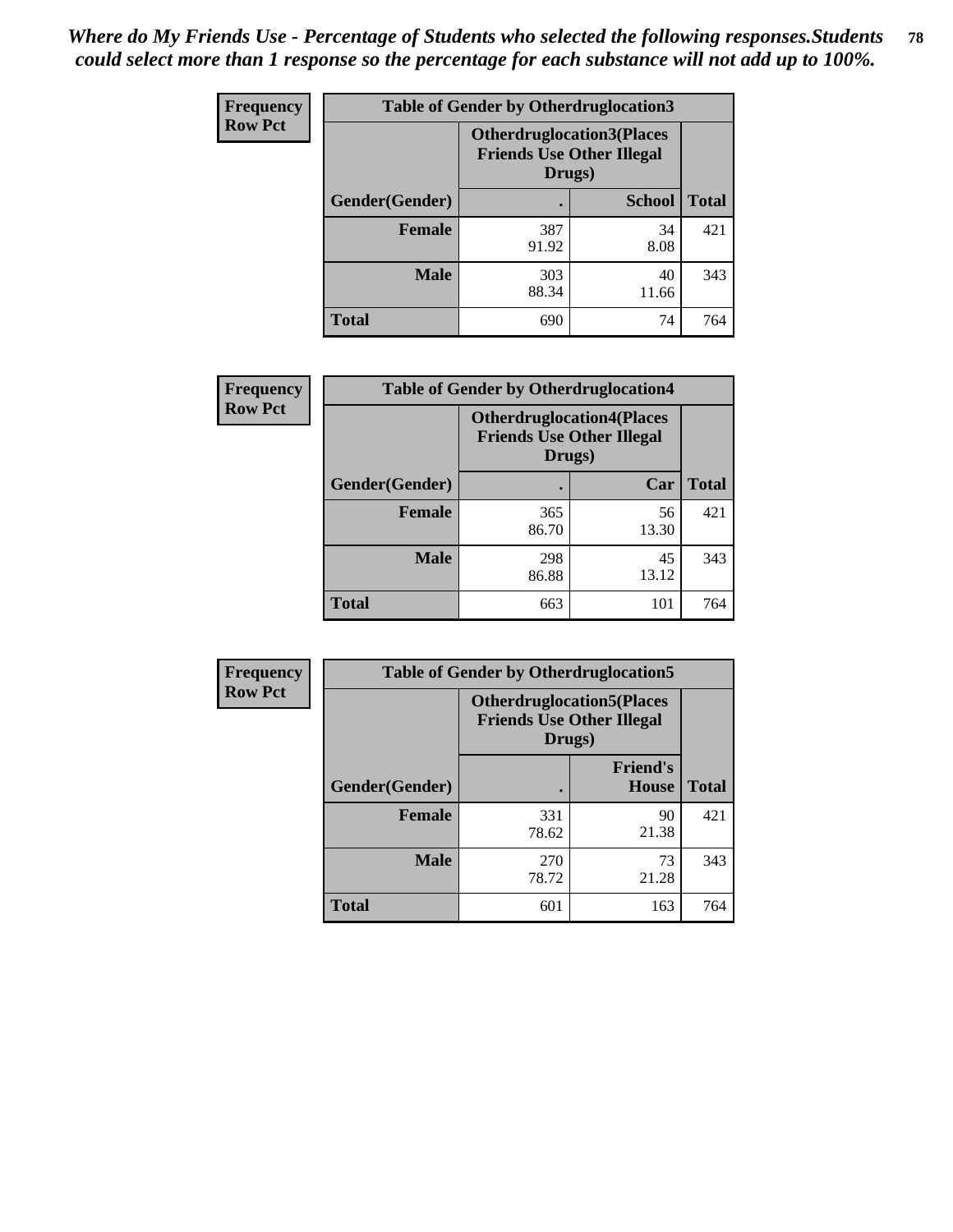| <b>Frequency</b> | <b>Table of Gender by Otherdruglocation3</b> |                                                                                |               |              |
|------------------|----------------------------------------------|--------------------------------------------------------------------------------|---------------|--------------|
| <b>Row Pct</b>   |                                              | <b>Otherdruglocation3(Places</b><br><b>Friends Use Other Illegal</b><br>Drugs) |               |              |
|                  | Gender(Gender)                               |                                                                                | <b>School</b> | <b>Total</b> |
|                  | <b>Female</b>                                | 387<br>91.92                                                                   | 34<br>8.08    | 421          |
|                  | <b>Male</b>                                  | 303<br>88.34                                                                   | 40<br>11.66   | 343          |
|                  | <b>Total</b>                                 | 690                                                                            | 74            | 764          |

| Frequency      | <b>Table of Gender by Otherdruglocation4</b> |                                                                                 |             |              |
|----------------|----------------------------------------------|---------------------------------------------------------------------------------|-------------|--------------|
| <b>Row Pct</b> |                                              | <b>Otherdruglocation4(Places)</b><br><b>Friends Use Other Illegal</b><br>Drugs) |             |              |
|                | Gender(Gender)                               |                                                                                 | Car         | <b>Total</b> |
|                | <b>Female</b>                                | 365<br>86.70                                                                    | 56<br>13.30 | 421          |
|                | <b>Male</b>                                  | 298<br>86.88                                                                    | 45<br>13.12 | 343          |
|                | <b>Total</b>                                 | 663                                                                             | 101         | 764          |

| Frequency      | <b>Table of Gender by Otherdruglocation5</b> |                                                                                |                                 |              |
|----------------|----------------------------------------------|--------------------------------------------------------------------------------|---------------------------------|--------------|
| <b>Row Pct</b> |                                              | <b>Otherdruglocation5(Places</b><br><b>Friends Use Other Illegal</b><br>Drugs) |                                 |              |
|                | Gender(Gender)                               |                                                                                | <b>Friend's</b><br><b>House</b> | <b>Total</b> |
|                | <b>Female</b>                                | 331<br>78.62                                                                   | 90<br>21.38                     | 421          |
|                | <b>Male</b>                                  | 270<br>78.72                                                                   | 73<br>21.28                     | 343          |
|                | <b>Total</b>                                 | 601                                                                            | 163                             | 764          |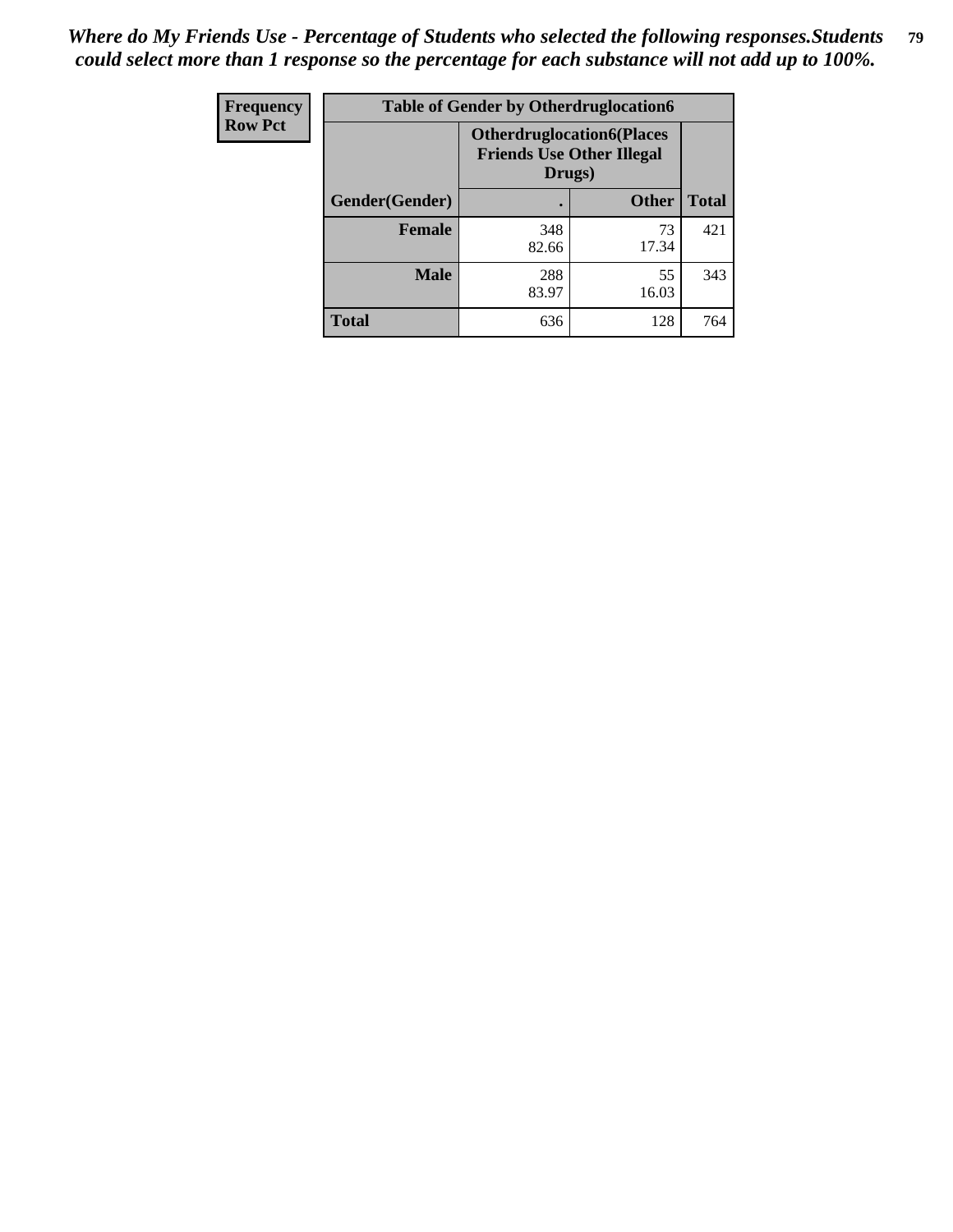| Frequency      | <b>Table of Gender by Otherdruglocation6</b> |                                                                                |              |              |
|----------------|----------------------------------------------|--------------------------------------------------------------------------------|--------------|--------------|
| <b>Row Pct</b> |                                              | <b>Otherdruglocation6(Places</b><br><b>Friends Use Other Illegal</b><br>Drugs) |              |              |
|                | Gender(Gender)                               |                                                                                | <b>Other</b> | <b>Total</b> |
|                | Female                                       | 348<br>82.66                                                                   | 73<br>17.34  | 421          |
|                | <b>Male</b>                                  | 288<br>83.97                                                                   | 55<br>16.03  | 343          |
|                | <b>Total</b>                                 | 636                                                                            | 128          | 764          |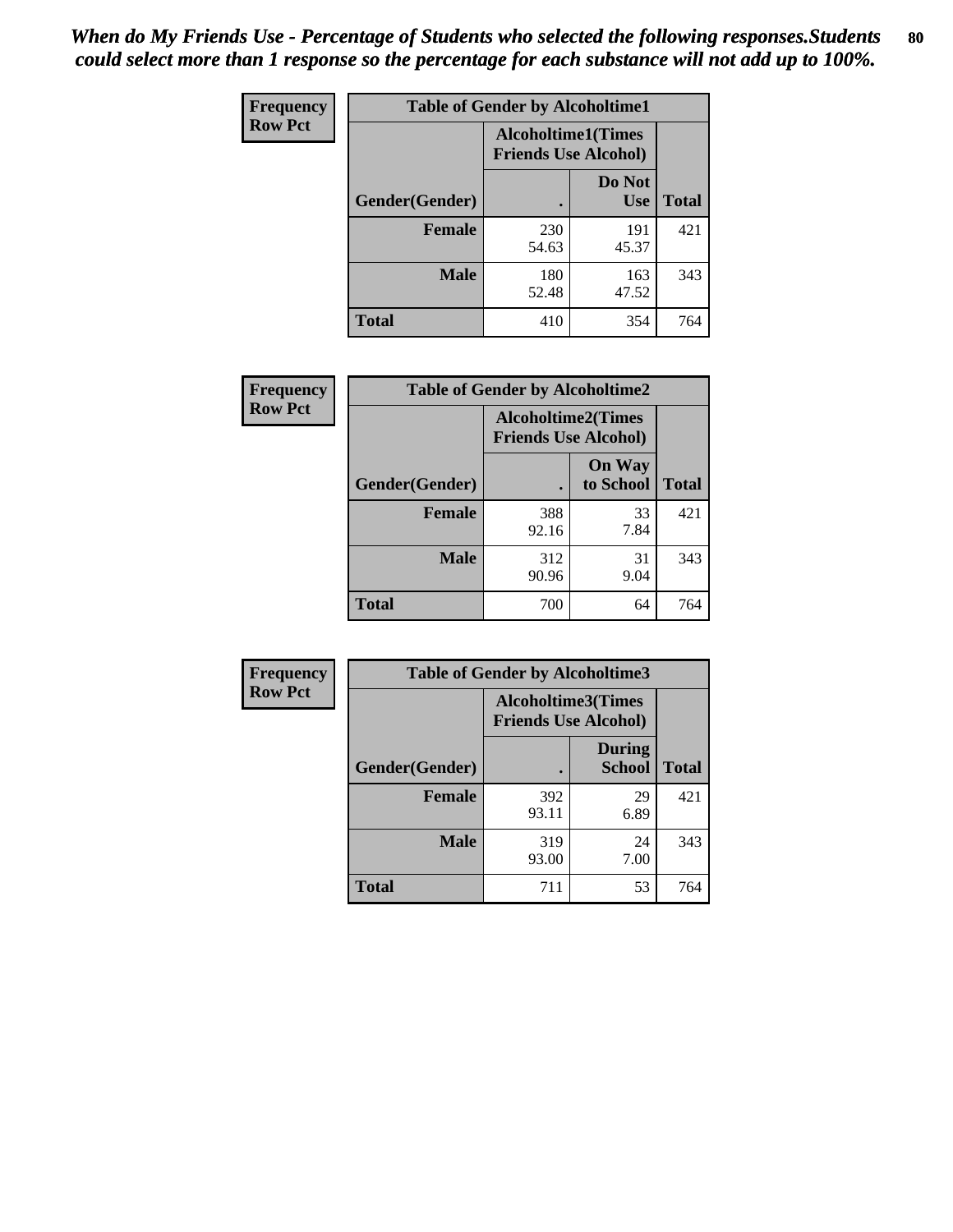| <b>Frequency</b> | <b>Table of Gender by Alcoholtime1</b> |                                                   |                      |              |
|------------------|----------------------------------------|---------------------------------------------------|----------------------|--------------|
| <b>Row Pct</b>   |                                        | Alcoholtime1(Times<br><b>Friends Use Alcohol)</b> |                      |              |
|                  | Gender(Gender)                         | $\bullet$                                         | Do Not<br><b>Use</b> | <b>Total</b> |
|                  | <b>Female</b>                          | 230<br>54.63                                      | 191<br>45.37         | 421          |
|                  | <b>Male</b>                            | 180<br>52.48                                      | 163<br>47.52         | 343          |
|                  | <b>Total</b>                           | 410                                               | 354                  | 764          |

| Frequency      | <b>Table of Gender by Alcoholtime2</b> |                                                          |                            |              |
|----------------|----------------------------------------|----------------------------------------------------------|----------------------------|--------------|
| <b>Row Pct</b> |                                        | <b>Alcoholtime2(Times</b><br><b>Friends Use Alcohol)</b> |                            |              |
|                | Gender(Gender)                         |                                                          | <b>On Way</b><br>to School | <b>Total</b> |
|                | Female                                 | 388<br>92.16                                             | 33<br>7.84                 | 421          |
|                | <b>Male</b>                            | 312<br>90.96                                             | 31<br>9.04                 | 343          |
|                | <b>Total</b>                           | 700                                                      | 64                         | 764          |

| <b>Frequency</b> | <b>Table of Gender by Alcoholtime3</b> |                                                          |                                |              |
|------------------|----------------------------------------|----------------------------------------------------------|--------------------------------|--------------|
| <b>Row Pct</b>   |                                        | <b>Alcoholtime3(Times</b><br><b>Friends Use Alcohol)</b> |                                |              |
|                  | Gender(Gender)                         |                                                          | <b>During</b><br><b>School</b> | <b>Total</b> |
|                  | Female                                 | 392<br>93.11                                             | 29<br>6.89                     | 421          |
|                  | <b>Male</b>                            | 319<br>93.00                                             | 24<br>7.00                     | 343          |
|                  | <b>Total</b>                           | 711                                                      | 53                             | 764          |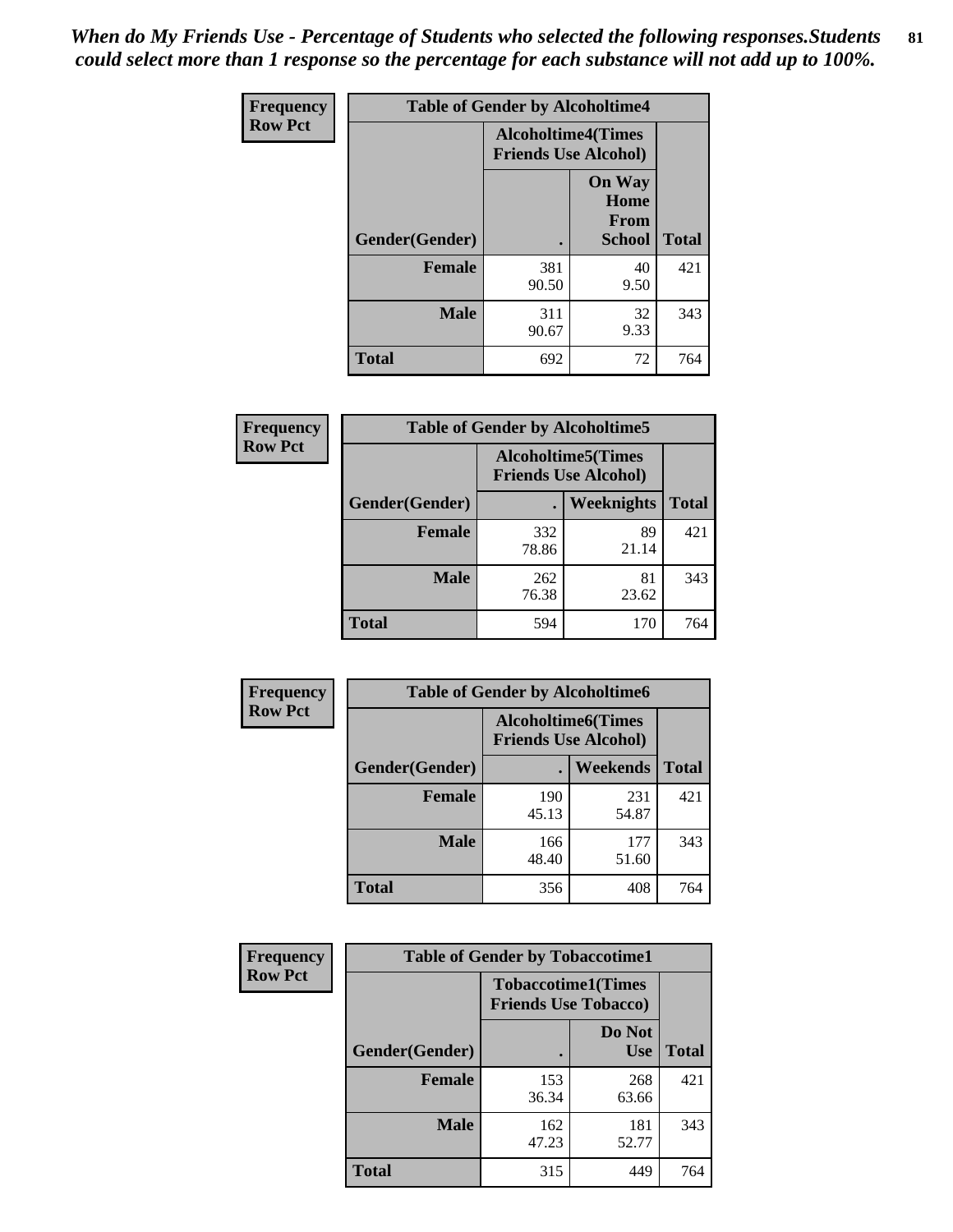*When do My Friends Use - Percentage of Students who selected the following responses.Students could select more than 1 response so the percentage for each substance will not add up to 100%.* **81**

| <b>Frequency</b> | <b>Table of Gender by Alcoholtime4</b> |                                                          |                                                |              |
|------------------|----------------------------------------|----------------------------------------------------------|------------------------------------------------|--------------|
| <b>Row Pct</b>   |                                        | <b>Alcoholtime4(Times</b><br><b>Friends Use Alcohol)</b> |                                                |              |
|                  | Gender(Gender)                         |                                                          | <b>On Way</b><br>Home<br>From<br><b>School</b> | <b>Total</b> |
|                  | <b>Female</b>                          | 381<br>90.50                                             | 40<br>9.50                                     | 421          |
|                  | <b>Male</b>                            | 311<br>90.67                                             | 32<br>9.33                                     | 343          |
|                  | <b>Total</b>                           | 692                                                      | 72                                             | 764          |

| <b>Frequency</b> | <b>Table of Gender by Alcoholtime5</b> |                                                           |             |              |
|------------------|----------------------------------------|-----------------------------------------------------------|-------------|--------------|
| <b>Row Pct</b>   |                                        | <b>Alcoholtime5</b> (Times<br><b>Friends Use Alcohol)</b> |             |              |
|                  | Gender(Gender)                         |                                                           | Weeknights  | <b>Total</b> |
|                  | <b>Female</b>                          | 332<br>78.86                                              | 89<br>21.14 | 421          |
|                  | <b>Male</b>                            | 262<br>76.38                                              | 81<br>23.62 | 343          |
|                  | <b>Total</b>                           | 594                                                       | 170         | 764          |

| Frequency      | <b>Table of Gender by Alcoholtime6</b> |              |                                                          |              |
|----------------|----------------------------------------|--------------|----------------------------------------------------------|--------------|
| <b>Row Pct</b> |                                        |              | <b>Alcoholtime6(Times</b><br><b>Friends Use Alcohol)</b> |              |
|                | Gender(Gender)                         |              | Weekends                                                 | <b>Total</b> |
|                | Female                                 | 190<br>45.13 | 231<br>54.87                                             | 421          |
|                | <b>Male</b>                            | 166<br>48.40 | 177<br>51.60                                             | 343          |
|                | <b>Total</b>                           | 356          | 408                                                      | 764          |

| Frequency      | <b>Table of Gender by Tobaccotime1</b>                   |              |                      |              |
|----------------|----------------------------------------------------------|--------------|----------------------|--------------|
| <b>Row Pct</b> | <b>Tobaccotime1(Times</b><br><b>Friends Use Tobacco)</b> |              |                      |              |
|                | Gender(Gender)                                           |              | Do Not<br><b>Use</b> | <b>Total</b> |
|                | <b>Female</b>                                            | 153<br>36.34 | 268<br>63.66         | 421          |
|                | <b>Male</b>                                              | 162<br>47.23 | 181<br>52.77         | 343          |
|                | <b>Total</b>                                             | 315          | 449                  | 764          |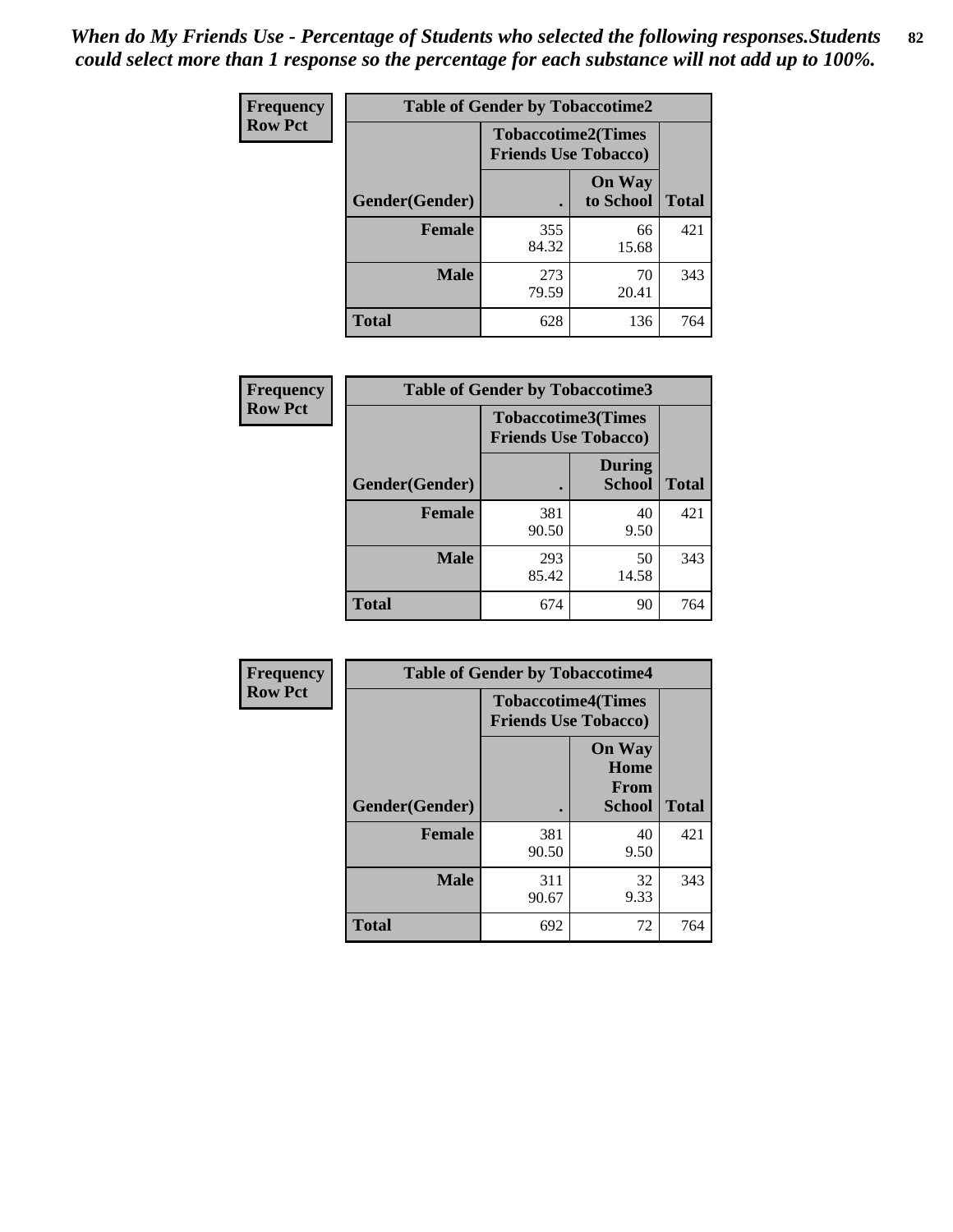*When do My Friends Use - Percentage of Students who selected the following responses.Students could select more than 1 response so the percentage for each substance will not add up to 100%.* **82**

| Frequency      | <b>Table of Gender by Tobaccotime2</b> |                                                          |                            |              |
|----------------|----------------------------------------|----------------------------------------------------------|----------------------------|--------------|
| <b>Row Pct</b> |                                        | <b>Tobaccotime2(Times</b><br><b>Friends Use Tobacco)</b> |                            |              |
|                | Gender(Gender)                         | $\bullet$                                                | <b>On Way</b><br>to School | <b>Total</b> |
|                | <b>Female</b>                          | 355<br>84.32                                             | 66<br>15.68                | 421          |
|                | <b>Male</b>                            | 273<br>79.59                                             | 70<br>20.41                | 343          |
|                | <b>Total</b>                           | 628                                                      | 136                        | 764          |

| <b>Frequency</b> | <b>Table of Gender by Tobaccotime3</b> |                                                          |                                |              |
|------------------|----------------------------------------|----------------------------------------------------------|--------------------------------|--------------|
| <b>Row Pct</b>   |                                        | <b>Tobaccotime3(Times</b><br><b>Friends Use Tobacco)</b> |                                |              |
|                  | Gender(Gender)                         |                                                          | <b>During</b><br><b>School</b> | <b>Total</b> |
|                  | <b>Female</b>                          | 381<br>90.50                                             | 40<br>9.50                     | 421          |
|                  | <b>Male</b>                            | 293<br>85.42                                             | 50<br>14.58                    | 343          |
|                  | <b>Total</b>                           | 674                                                      | 90                             | 764          |

| Frequency      | <b>Table of Gender by Tobaccotime4</b> |                                                          |                                                       |              |
|----------------|----------------------------------------|----------------------------------------------------------|-------------------------------------------------------|--------------|
| <b>Row Pct</b> |                                        | <b>Tobaccotime4(Times</b><br><b>Friends Use Tobacco)</b> |                                                       |              |
|                | Gender(Gender)                         |                                                          | <b>On Way</b><br>Home<br><b>From</b><br><b>School</b> | <b>Total</b> |
|                | <b>Female</b>                          | 381<br>90.50                                             | 40<br>9.50                                            | 421          |
|                | <b>Male</b>                            | 311<br>90.67                                             | 32<br>9.33                                            | 343          |
|                | <b>Total</b>                           | 692                                                      | 72                                                    | 764          |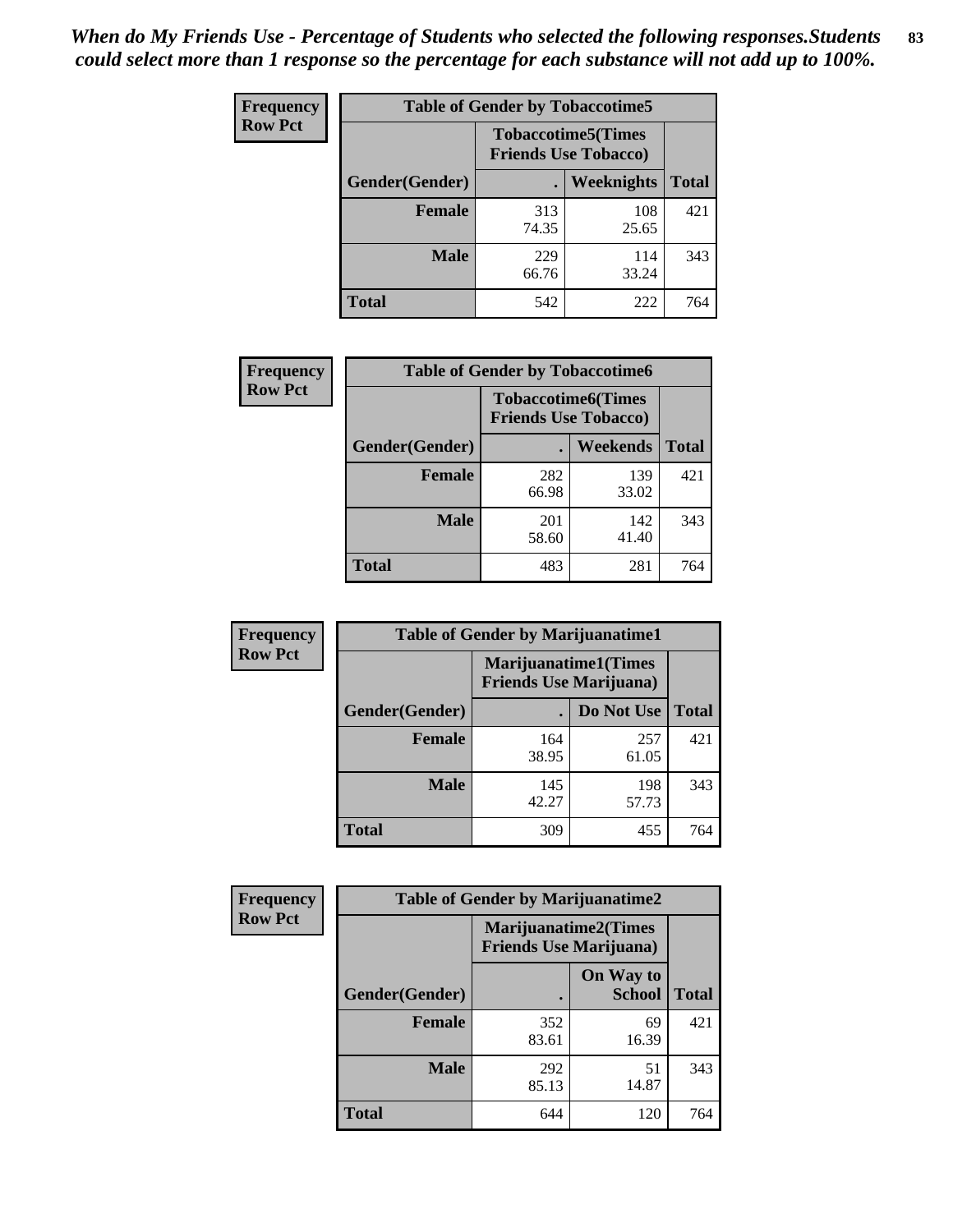| Frequency      | <b>Table of Gender by Tobaccotime5</b> |              |                                                          |              |  |
|----------------|----------------------------------------|--------------|----------------------------------------------------------|--------------|--|
| <b>Row Pct</b> |                                        |              | <b>Tobaccotime5(Times</b><br><b>Friends Use Tobacco)</b> |              |  |
|                | <b>Gender</b> (Gender)                 |              | Weeknights                                               | <b>Total</b> |  |
|                | <b>Female</b>                          | 313<br>74.35 | 108<br>25.65                                             | 421          |  |
|                | <b>Male</b>                            | 229<br>66.76 | 114<br>33.24                                             | 343          |  |
|                | <b>Total</b>                           | 542          | 222                                                      | 764          |  |

| Frequency      | <b>Table of Gender by Tobaccotime6</b> |                                                          |              |              |
|----------------|----------------------------------------|----------------------------------------------------------|--------------|--------------|
| <b>Row Pct</b> |                                        | <b>Tobaccotime6(Times</b><br><b>Friends Use Tobacco)</b> |              |              |
|                | Gender(Gender)                         |                                                          | Weekends     | <b>Total</b> |
|                | Female                                 | 282<br>66.98                                             | 139<br>33.02 | 421          |
|                | <b>Male</b>                            | 201<br>58.60                                             | 142<br>41.40 | 343          |
|                | <b>Total</b>                           | 483                                                      | 281          | 764          |

| Frequency      | <b>Table of Gender by Marijuanatime1</b> |                                                        |              |              |
|----------------|------------------------------------------|--------------------------------------------------------|--------------|--------------|
| <b>Row Pct</b> |                                          | Marijuanatime1(Times<br><b>Friends Use Marijuana</b> ) |              |              |
|                | Gender(Gender)                           |                                                        | Do Not Use   | <b>Total</b> |
|                | <b>Female</b>                            | 164<br>38.95                                           | 257<br>61.05 | 421          |
|                | <b>Male</b>                              | 145<br>42.27                                           | 198<br>57.73 | 343          |
|                | <b>Total</b>                             | 309                                                    | 455          | 764          |

| <b>Frequency</b> | <b>Table of Gender by Marijuanatime2</b> |                                                        |                            |              |
|------------------|------------------------------------------|--------------------------------------------------------|----------------------------|--------------|
| <b>Row Pct</b>   |                                          | Marijuanatime2(Times<br><b>Friends Use Marijuana</b> ) |                            |              |
|                  | <b>Gender</b> (Gender)                   |                                                        | On Way to<br><b>School</b> | <b>Total</b> |
|                  | <b>Female</b>                            | 352<br>83.61                                           | 69<br>16.39                | 421          |
|                  | <b>Male</b>                              | 292<br>85.13                                           | 51<br>14.87                | 343          |
|                  | <b>Total</b>                             | 644                                                    | 120                        | 764          |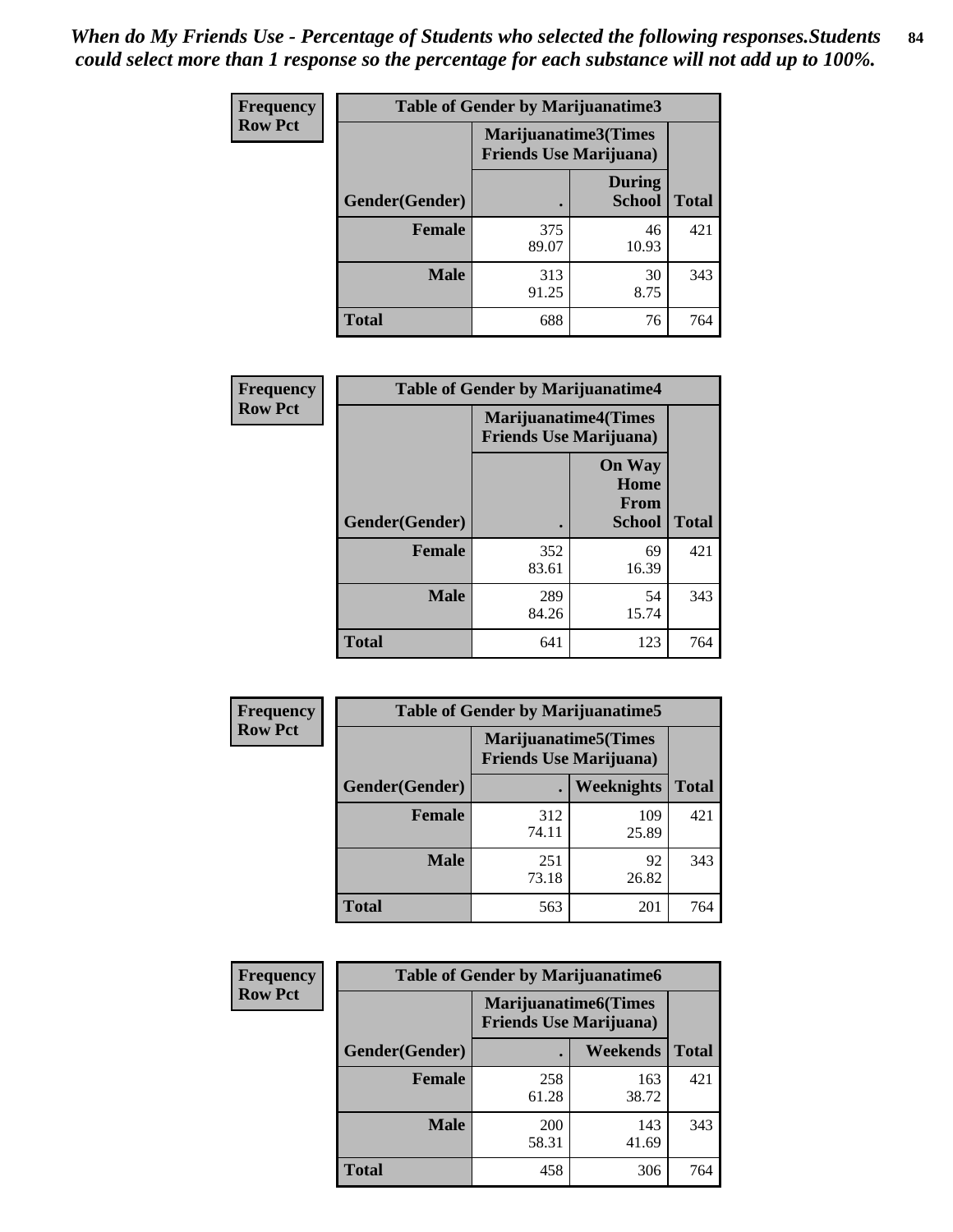*When do My Friends Use - Percentage of Students who selected the following responses.Students could select more than 1 response so the percentage for each substance will not add up to 100%.* **84**

| <b>Frequency</b> | Table of Gender by Marijuanatime3 |                                                        |                                |              |
|------------------|-----------------------------------|--------------------------------------------------------|--------------------------------|--------------|
| <b>Row Pct</b>   |                                   | Marijuanatime3(Times<br><b>Friends Use Marijuana</b> ) |                                |              |
|                  | Gender(Gender)                    |                                                        | <b>During</b><br><b>School</b> | <b>Total</b> |
|                  | <b>Female</b>                     | 375<br>89.07                                           | 46<br>10.93                    | 421          |
|                  | <b>Male</b>                       | 313<br>91.25                                           | 30<br>8.75                     | 343          |
|                  | <b>Total</b>                      | 688                                                    | 76                             | 764          |

| Frequency      | <b>Table of Gender by Marijuanatime4</b> |                                                               |                                                |              |
|----------------|------------------------------------------|---------------------------------------------------------------|------------------------------------------------|--------------|
| <b>Row Pct</b> |                                          | <b>Marijuanatime4(Times</b><br><b>Friends Use Marijuana</b> ) |                                                |              |
|                | Gender(Gender)                           |                                                               | <b>On Way</b><br>Home<br>From<br><b>School</b> | <b>Total</b> |
|                | <b>Female</b>                            | 352<br>83.61                                                  | 69<br>16.39                                    | 421          |
|                | <b>Male</b>                              | 289<br>84.26                                                  | 54<br>15.74                                    | 343          |
|                | <b>Total</b>                             | 641                                                           | 123                                            | 764          |

| Frequency      | <b>Table of Gender by Marijuanatime5</b> |              |                                                                |              |  |
|----------------|------------------------------------------|--------------|----------------------------------------------------------------|--------------|--|
| <b>Row Pct</b> |                                          |              | <b>Marijuanatime5</b> (Times<br><b>Friends Use Marijuana</b> ) |              |  |
|                | Gender(Gender)                           | ٠            | Weeknights                                                     | <b>Total</b> |  |
|                | <b>Female</b>                            | 312<br>74.11 | 109<br>25.89                                                   | 421          |  |
|                | <b>Male</b>                              | 251<br>73.18 | 92<br>26.82                                                    | 343          |  |
|                | <b>Total</b>                             | 563          | 201                                                            | 764          |  |

| <b>Frequency</b> | <b>Table of Gender by Marijuanatime6</b> |                                                               |                 |              |  |
|------------------|------------------------------------------|---------------------------------------------------------------|-----------------|--------------|--|
| <b>Row Pct</b>   |                                          | <b>Marijuanatime6(Times</b><br><b>Friends Use Marijuana</b> ) |                 |              |  |
|                  | Gender(Gender)                           |                                                               | <b>Weekends</b> | <b>Total</b> |  |
|                  | <b>Female</b>                            | 258<br>61.28                                                  | 163<br>38.72    | 421          |  |
|                  | <b>Male</b>                              | 200<br>58.31                                                  | 143<br>41.69    | 343          |  |
|                  | <b>Total</b>                             | 458                                                           | 306             | 764          |  |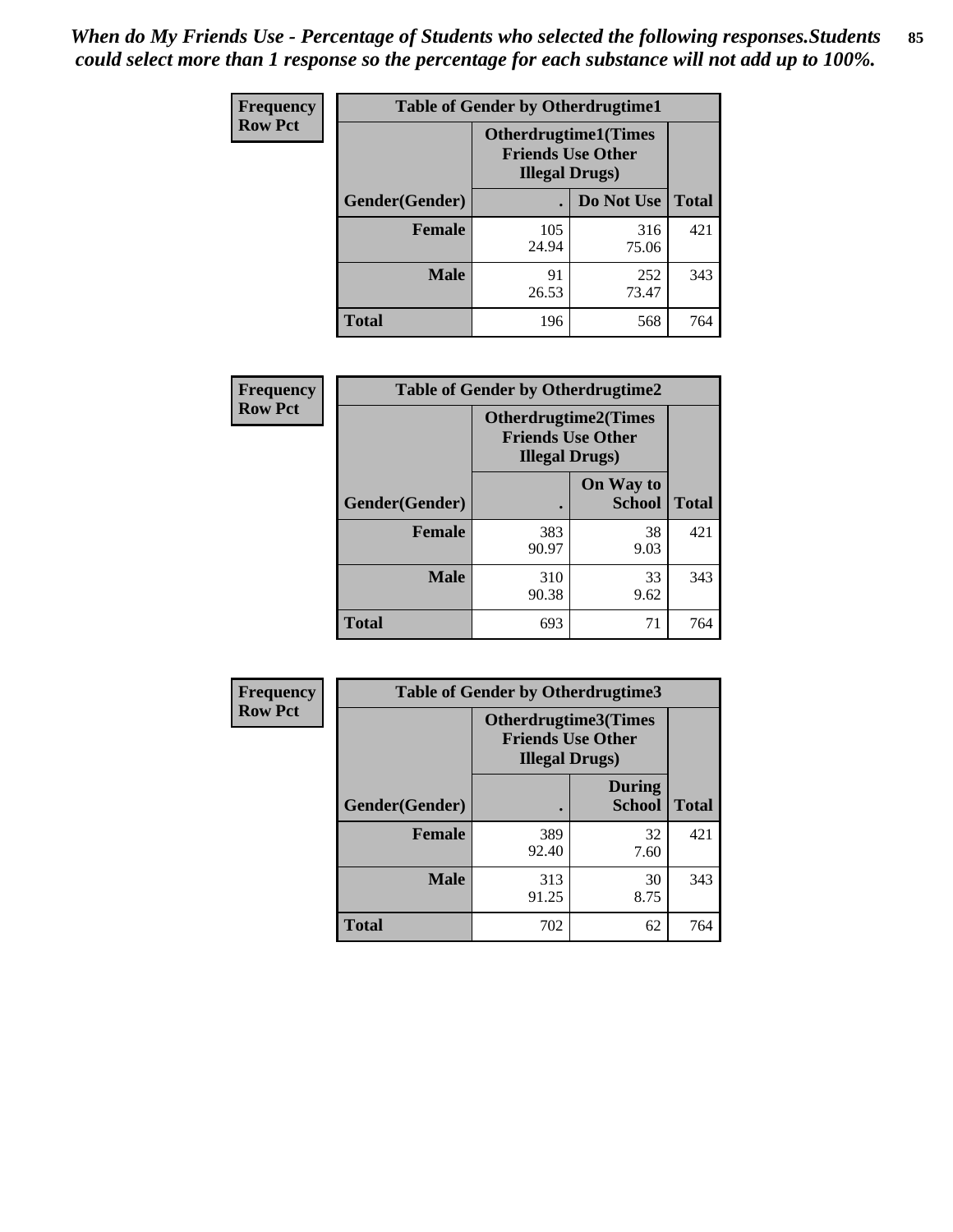*When do My Friends Use - Percentage of Students who selected the following responses.Students could select more than 1 response so the percentage for each substance will not add up to 100%.* **85**

| <b>Frequency</b> | <b>Table of Gender by Otherdrugtime1</b> |                                                                                   |                    |     |  |
|------------------|------------------------------------------|-----------------------------------------------------------------------------------|--------------------|-----|--|
| <b>Row Pct</b>   |                                          | <b>Otherdrugtime1(Times</b><br><b>Friends Use Other</b><br><b>Illegal Drugs</b> ) |                    |     |  |
|                  | Gender(Gender)                           |                                                                                   | Do Not Use   Total |     |  |
|                  | <b>Female</b>                            | 105<br>24.94                                                                      | 316<br>75.06       | 421 |  |
|                  | <b>Male</b>                              | 91<br>26.53                                                                       | 252<br>73.47       | 343 |  |
|                  | <b>Total</b>                             | 196                                                                               | 568                | 764 |  |

| <b>Frequency</b> | <b>Table of Gender by Otherdrugtime2</b> |                                                                                   |                            |              |
|------------------|------------------------------------------|-----------------------------------------------------------------------------------|----------------------------|--------------|
| <b>Row Pct</b>   |                                          | <b>Otherdrugtime2(Times</b><br><b>Friends Use Other</b><br><b>Illegal Drugs</b> ) |                            |              |
|                  | Gender(Gender)                           |                                                                                   | On Way to<br><b>School</b> | <b>Total</b> |
|                  | <b>Female</b>                            | 383<br>90.97                                                                      | 38<br>9.03                 | 421          |
|                  | <b>Male</b>                              | 310<br>90.38                                                                      | 33<br>9.62                 | 343          |
|                  | <b>Total</b>                             | 693                                                                               | 71                         | 764          |

| Frequency      | <b>Table of Gender by Otherdrugtime3</b> |                        |                                                  |              |
|----------------|------------------------------------------|------------------------|--------------------------------------------------|--------------|
| <b>Row Pct</b> |                                          | <b>Illegal Drugs</b> ) | Otherdrugtime3(Times<br><b>Friends Use Other</b> |              |
|                | Gender(Gender)                           |                        | <b>During</b><br><b>School</b>                   | <b>Total</b> |
|                | <b>Female</b>                            | 389<br>92.40           | 32<br>7.60                                       | 421          |
|                | <b>Male</b>                              | 313<br>91.25           | 30<br>8.75                                       | 343          |
|                | <b>Total</b>                             | 702                    | 62                                               | 764          |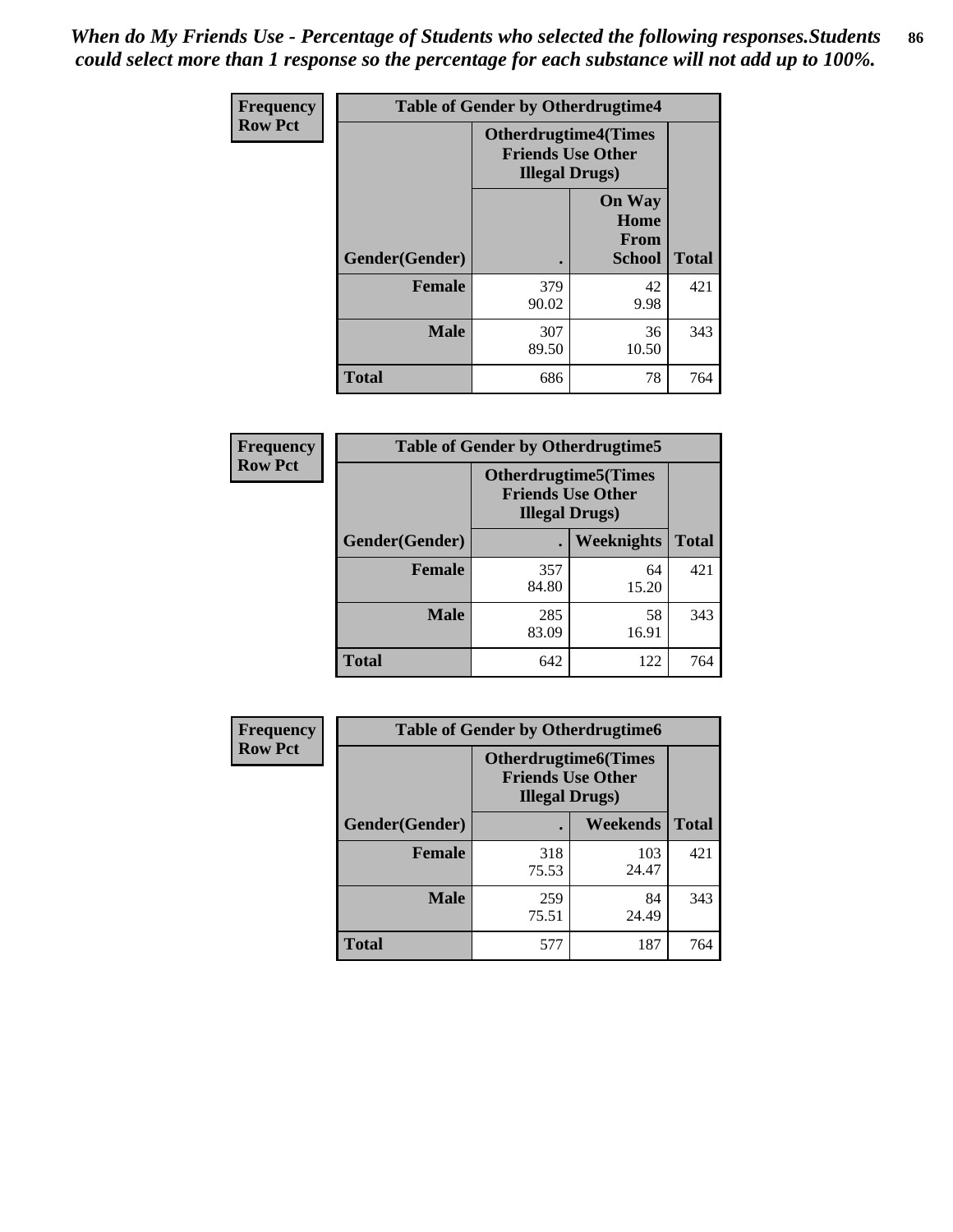*When do My Friends Use - Percentage of Students who selected the following responses.Students could select more than 1 response so the percentage for each substance will not add up to 100%.* **86**

| <b>Frequency</b> | <b>Table of Gender by Otherdrugtime4</b> |                                                                                   |                                                |              |
|------------------|------------------------------------------|-----------------------------------------------------------------------------------|------------------------------------------------|--------------|
| <b>Row Pct</b>   |                                          | <b>Otherdrugtime4(Times</b><br><b>Friends Use Other</b><br><b>Illegal Drugs</b> ) |                                                |              |
|                  | Gender(Gender)                           |                                                                                   | <b>On Way</b><br>Home<br>From<br><b>School</b> | <b>Total</b> |
|                  | Female                                   | 379<br>90.02                                                                      | 42<br>9.98                                     | 421          |
|                  | <b>Male</b>                              | 307<br>89.50                                                                      | 36<br>10.50                                    | 343          |
|                  | <b>Total</b>                             | 686                                                                               | 78                                             | 764          |

| Frequency      | <b>Table of Gender by Otherdrugtime5</b> |                                                                                    |             |              |
|----------------|------------------------------------------|------------------------------------------------------------------------------------|-------------|--------------|
| <b>Row Pct</b> |                                          | <b>Otherdrugtime5</b> (Times<br><b>Friends Use Other</b><br><b>Illegal Drugs</b> ) |             |              |
|                | Gender(Gender)                           |                                                                                    | Weeknights  | <b>Total</b> |
|                | <b>Female</b>                            | 357<br>84.80                                                                       | 64<br>15.20 | 421          |
|                | <b>Male</b>                              | 285<br>83.09                                                                       | 58<br>16.91 | 343          |
|                | <b>Total</b>                             | 642                                                                                | 122         | 764          |

| <b>Frequency</b> | <b>Table of Gender by Otherdrugtime6</b> |                                                                                   |              |              |
|------------------|------------------------------------------|-----------------------------------------------------------------------------------|--------------|--------------|
| <b>Row Pct</b>   |                                          | <b>Otherdrugtime6(Times</b><br><b>Friends Use Other</b><br><b>Illegal Drugs</b> ) |              |              |
|                  | Gender(Gender)                           |                                                                                   | Weekends     | <b>Total</b> |
|                  | <b>Female</b>                            | 318<br>75.53                                                                      | 103<br>24.47 | 421          |
|                  | <b>Male</b>                              | 259<br>75.51                                                                      | 84<br>24.49  | 343          |
|                  | <b>Total</b>                             | 577                                                                               | 187          | 764          |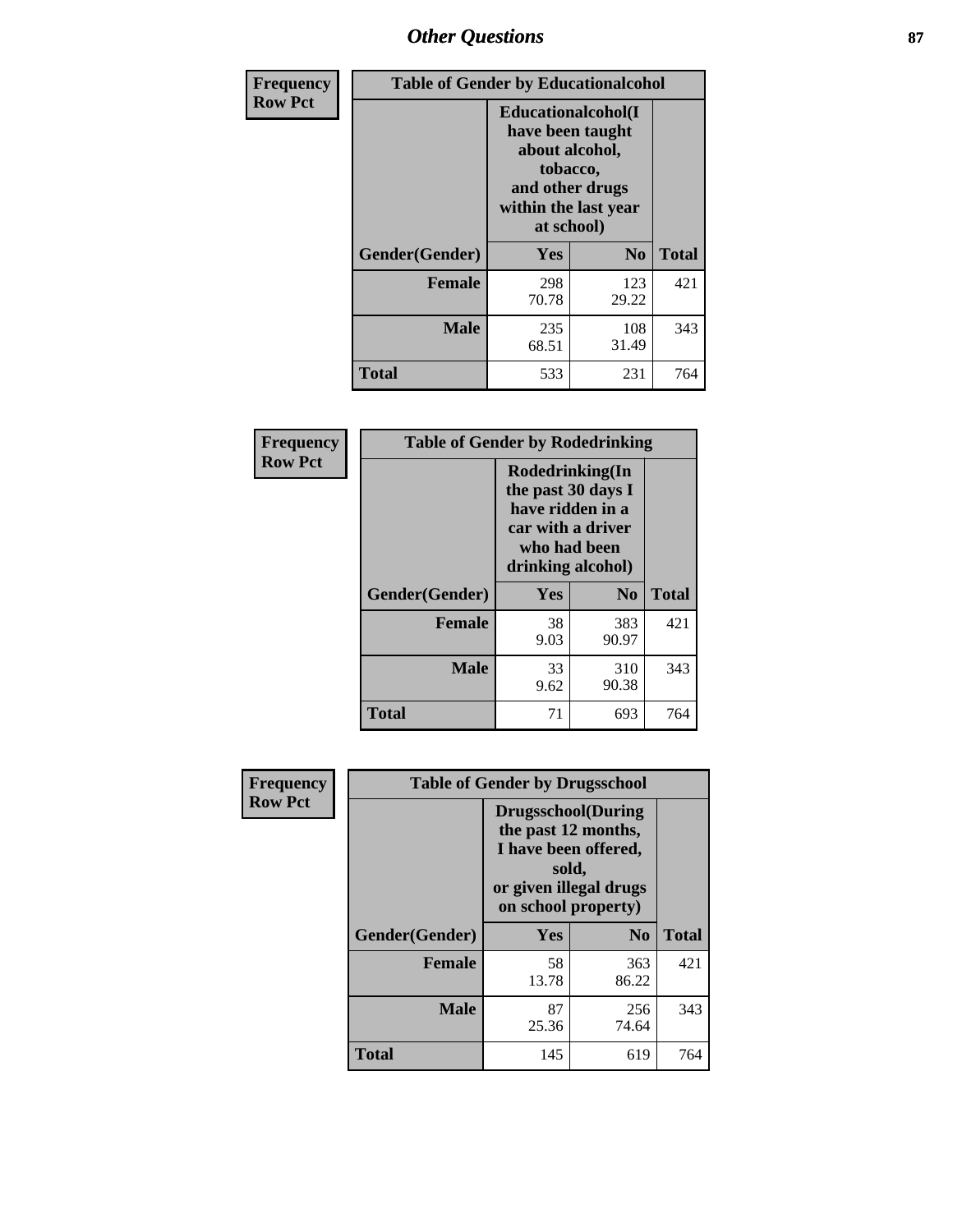# *Other Questions* **87**

| <b>Frequency</b> | <b>Table of Gender by Educationalcohol</b> |                                                                                                                                       |                |              |  |
|------------------|--------------------------------------------|---------------------------------------------------------------------------------------------------------------------------------------|----------------|--------------|--|
| <b>Row Pct</b>   |                                            | <b>Educationalcohol</b> (I<br>have been taught<br>about alcohol,<br>tobacco,<br>and other drugs<br>within the last year<br>at school) |                |              |  |
|                  | Gender(Gender)                             | <b>Yes</b>                                                                                                                            | N <sub>0</sub> | <b>Total</b> |  |
|                  | <b>Female</b>                              | 298<br>70.78                                                                                                                          | 123<br>29.22   | 421          |  |
|                  | <b>Male</b>                                | 235<br>68.51                                                                                                                          | 108<br>31.49   | 343          |  |
|                  | <b>Total</b>                               | 533                                                                                                                                   | 231            | 764          |  |

| Frequency      | <b>Table of Gender by Rodedrinking</b> |                                                                                                                     |                |              |  |
|----------------|----------------------------------------|---------------------------------------------------------------------------------------------------------------------|----------------|--------------|--|
| <b>Row Pct</b> |                                        | Rodedrinking(In<br>the past 30 days I<br>have ridden in a<br>car with a driver<br>who had been<br>drinking alcohol) |                |              |  |
|                | Gender(Gender)                         | Yes                                                                                                                 | N <sub>0</sub> | <b>Total</b> |  |
|                | <b>Female</b>                          | 38<br>9.03                                                                                                          | 383<br>90.97   | 421          |  |
|                | <b>Male</b>                            | 33<br>9.62                                                                                                          | 310<br>90.38   | 343          |  |
|                | <b>Total</b>                           | 71                                                                                                                  | 693            | 764          |  |

| Frequency      | <b>Table of Gender by Drugsschool</b> |                                                                                                                                     |                |              |  |
|----------------|---------------------------------------|-------------------------------------------------------------------------------------------------------------------------------------|----------------|--------------|--|
| <b>Row Pct</b> |                                       | <b>Drugsschool</b> (During<br>the past 12 months,<br>I have been offered,<br>sold,<br>or given illegal drugs<br>on school property) |                |              |  |
|                | Gender(Gender)                        | <b>Yes</b>                                                                                                                          | N <sub>0</sub> | <b>Total</b> |  |
|                | <b>Female</b>                         | 58<br>13.78                                                                                                                         | 363<br>86.22   | 421          |  |
|                | <b>Male</b>                           | 87<br>25.36                                                                                                                         | 256<br>74.64   | 343          |  |
|                | <b>Total</b>                          | 145                                                                                                                                 | 619            | 764          |  |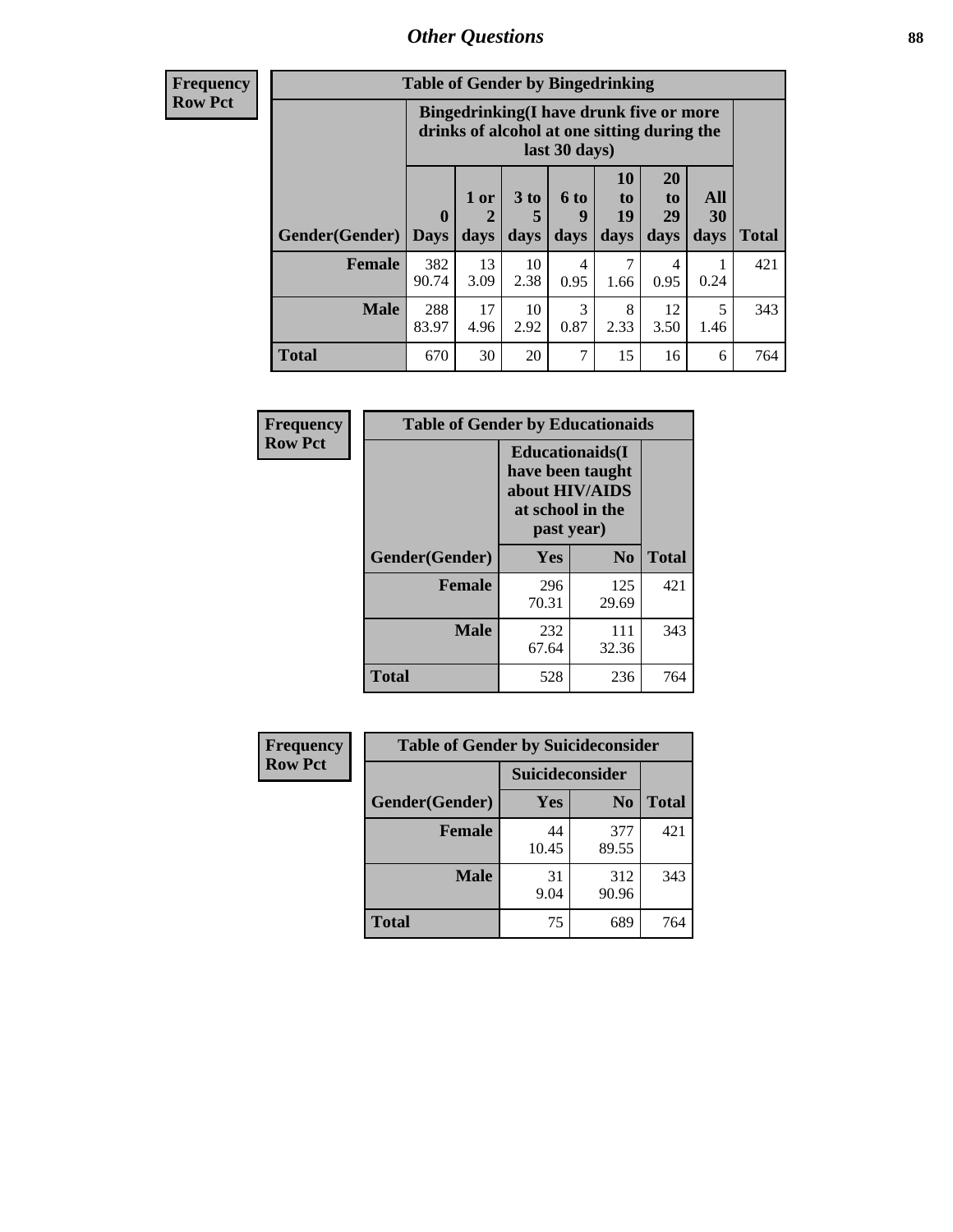## *Other Questions* **88**

**Frequency Row Pct**

| <b>Table of Gender by Bingedrinking</b> |                            |                                                                                                         |                   |                   |                        |                               |                   |              |
|-----------------------------------------|----------------------------|---------------------------------------------------------------------------------------------------------|-------------------|-------------------|------------------------|-------------------------------|-------------------|--------------|
|                                         |                            | Bingedrinking(I have drunk five or more<br>drinks of alcohol at one sitting during the<br>last 30 days) |                   |                   |                        |                               |                   |              |
| <b>Gender</b> (Gender)                  | $\mathbf 0$<br><b>Days</b> | 1 or<br>days                                                                                            | 3 to<br>5<br>days | 6 to<br>9<br>days | 10<br>to<br>19<br>days | <b>20</b><br>to<br>29<br>days | All<br>30<br>days | <b>Total</b> |
| <b>Female</b>                           | 382<br>90.74               | 13<br>3.09                                                                                              | 10<br>2.38        | 4<br>0.95         | 7<br>1.66              | 4<br>0.95                     | 0.24              | 421          |
| <b>Male</b>                             | 288<br>83.97               | 17<br>4.96                                                                                              | 10<br>2.92        | 3<br>0.87         | 8<br>2.33              | 12<br>3.50                    | 5<br>1.46         | 343          |
| <b>Total</b>                            | 670                        | 30                                                                                                      | 20                | 7                 | 15                     | 16                            | 6                 | 764          |

| Frequency      | <b>Table of Gender by Educationaids</b> |                                                                                                 |                |              |  |
|----------------|-----------------------------------------|-------------------------------------------------------------------------------------------------|----------------|--------------|--|
| <b>Row Pct</b> |                                         | <b>Educationaids</b> (I<br>have been taught<br>about HIV/AIDS<br>at school in the<br>past year) |                |              |  |
|                | Gender(Gender)                          | Yes                                                                                             | N <sub>0</sub> | <b>Total</b> |  |
|                | <b>Female</b>                           | 296<br>70.31                                                                                    | 125<br>29.69   | 421          |  |
|                | <b>Male</b>                             | 232<br>67.64                                                                                    | 111<br>32.36   | 343          |  |
|                | <b>Total</b>                            | 528                                                                                             | 236            | 764          |  |

| <b>Frequency</b> | <b>Table of Gender by Suicideconsider</b> |                 |                |              |  |
|------------------|-------------------------------------------|-----------------|----------------|--------------|--|
| <b>Row Pct</b>   |                                           | Suicideconsider |                |              |  |
|                  | Gender(Gender)                            | Yes             | N <sub>0</sub> | <b>Total</b> |  |
|                  | <b>Female</b>                             | 44<br>10.45     | 377<br>89.55   | 421          |  |
|                  | <b>Male</b>                               | 31<br>9.04      | 312<br>90.96   | 343          |  |
|                  | <b>Total</b>                              | 75              | 689            | 764          |  |